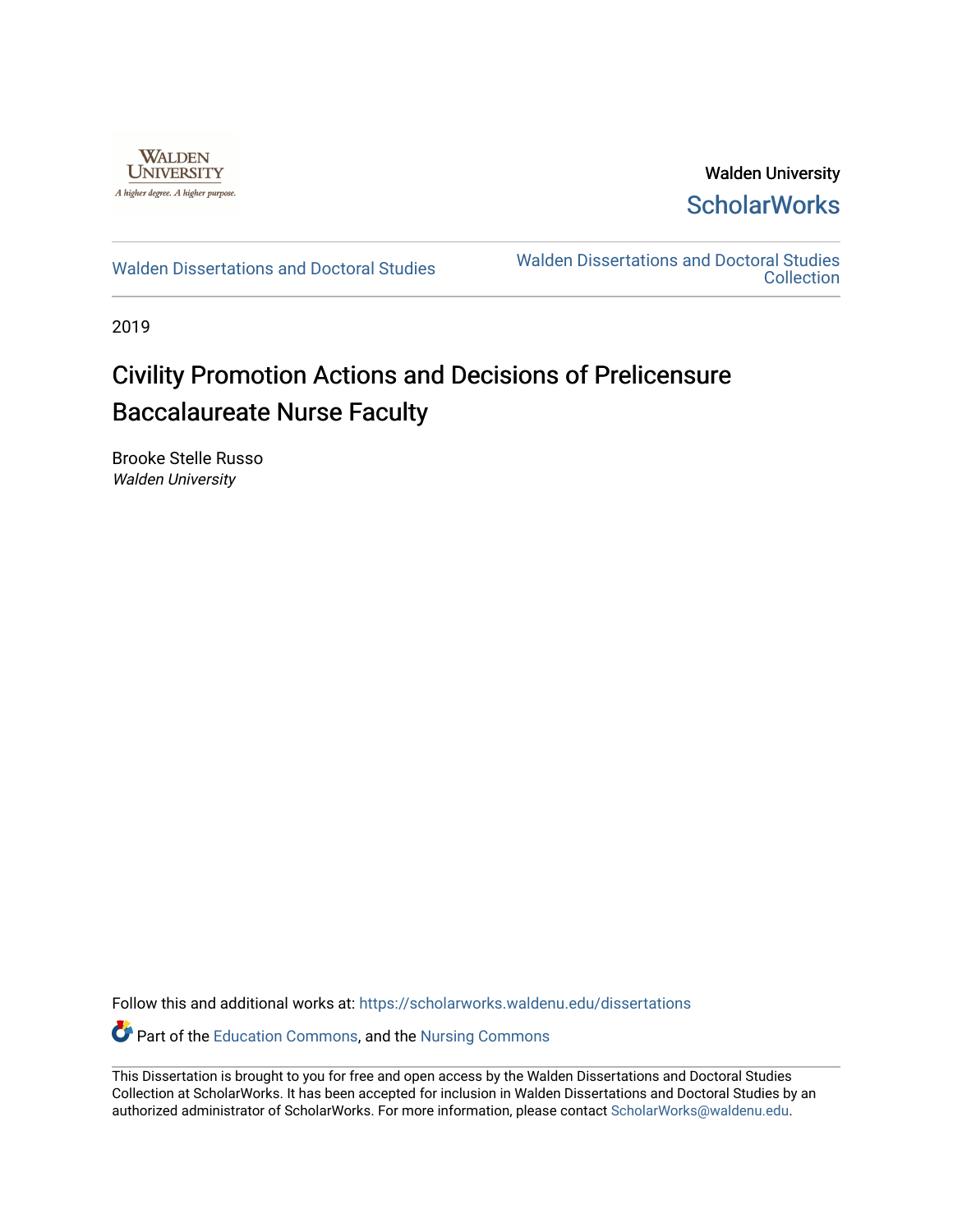

Walden University **ScholarWorks** 

[Walden Dissertations and Doctoral Studies](https://scholarworks.waldenu.edu/dissertations) Walden Dissertations and Doctoral Studies **Collection** 

2019

# Civility Promotion Actions and Decisions of Prelicensure Baccalaureate Nurse Faculty

Brooke Stelle Russo Walden University

Follow this and additional works at: [https://scholarworks.waldenu.edu/dissertations](https://scholarworks.waldenu.edu/dissertations?utm_source=scholarworks.waldenu.edu%2Fdissertations%2F7838&utm_medium=PDF&utm_campaign=PDFCoverPages)

Part of the [Education Commons](http://network.bepress.com/hgg/discipline/784?utm_source=scholarworks.waldenu.edu%2Fdissertations%2F7838&utm_medium=PDF&utm_campaign=PDFCoverPages), and the Nursing Commons

This Dissertation is brought to you for free and open access by the Walden Dissertations and Doctoral Studies Collection at ScholarWorks. It has been accepted for inclusion in Walden Dissertations and Doctoral Studies by an authorized administrator of ScholarWorks. For more information, please contact [ScholarWorks@waldenu.edu](mailto:ScholarWorks@waldenu.edu).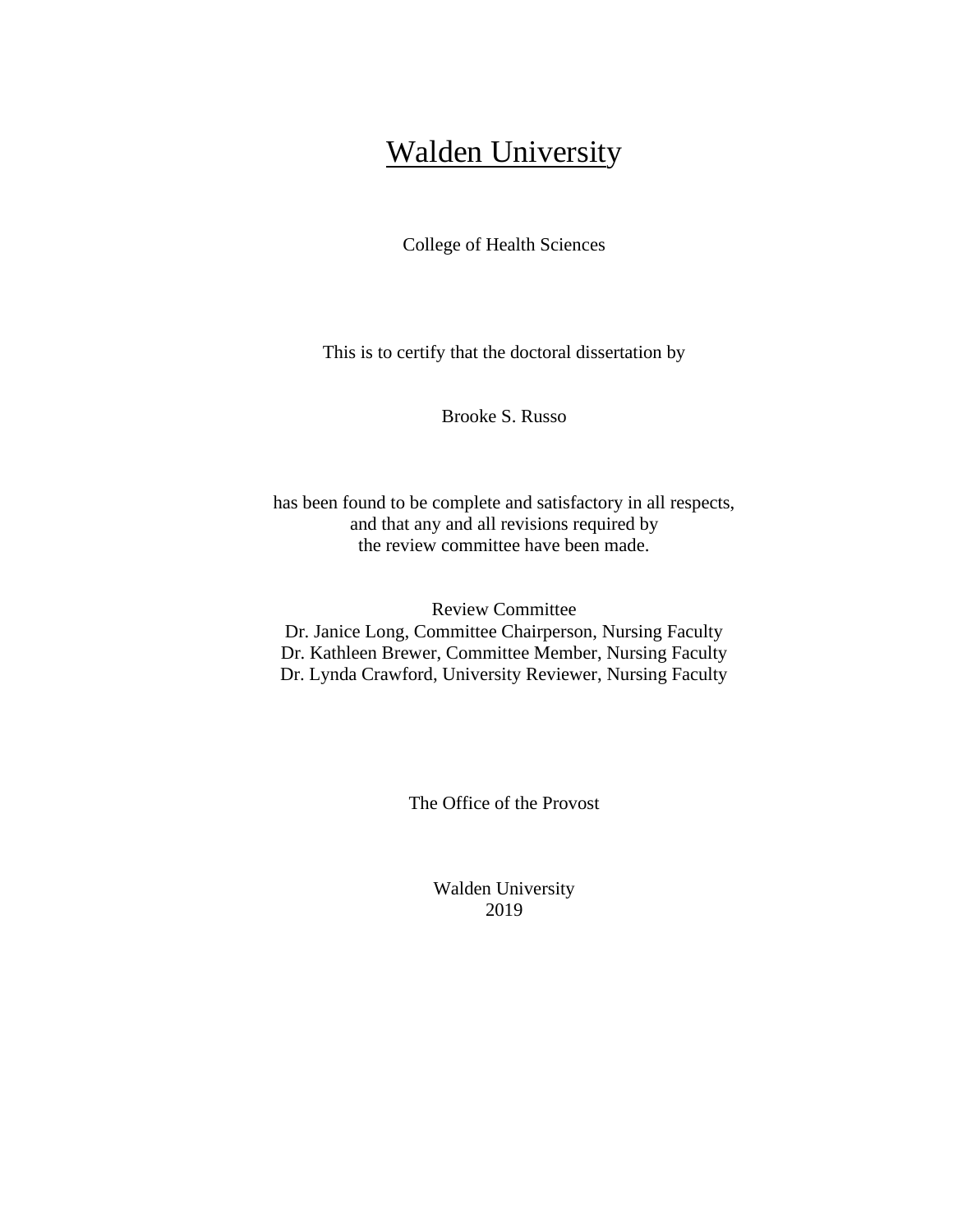# **Walden University**

College of Health Sciences

This is to certify that the doctoral dissertation by

Brooke S. Russo

has been found to be complete and satisfactory in all respects, and that any and all revisions required by the review committee have been made.

Review Committee Dr. Janice Long, Committee Chairperson, Nursing Faculty Dr. Kathleen Brewer, Committee Member, Nursing Faculty Dr. Lynda Crawford, University Reviewer, Nursing Faculty

The Office of the Provost

Walden University 2019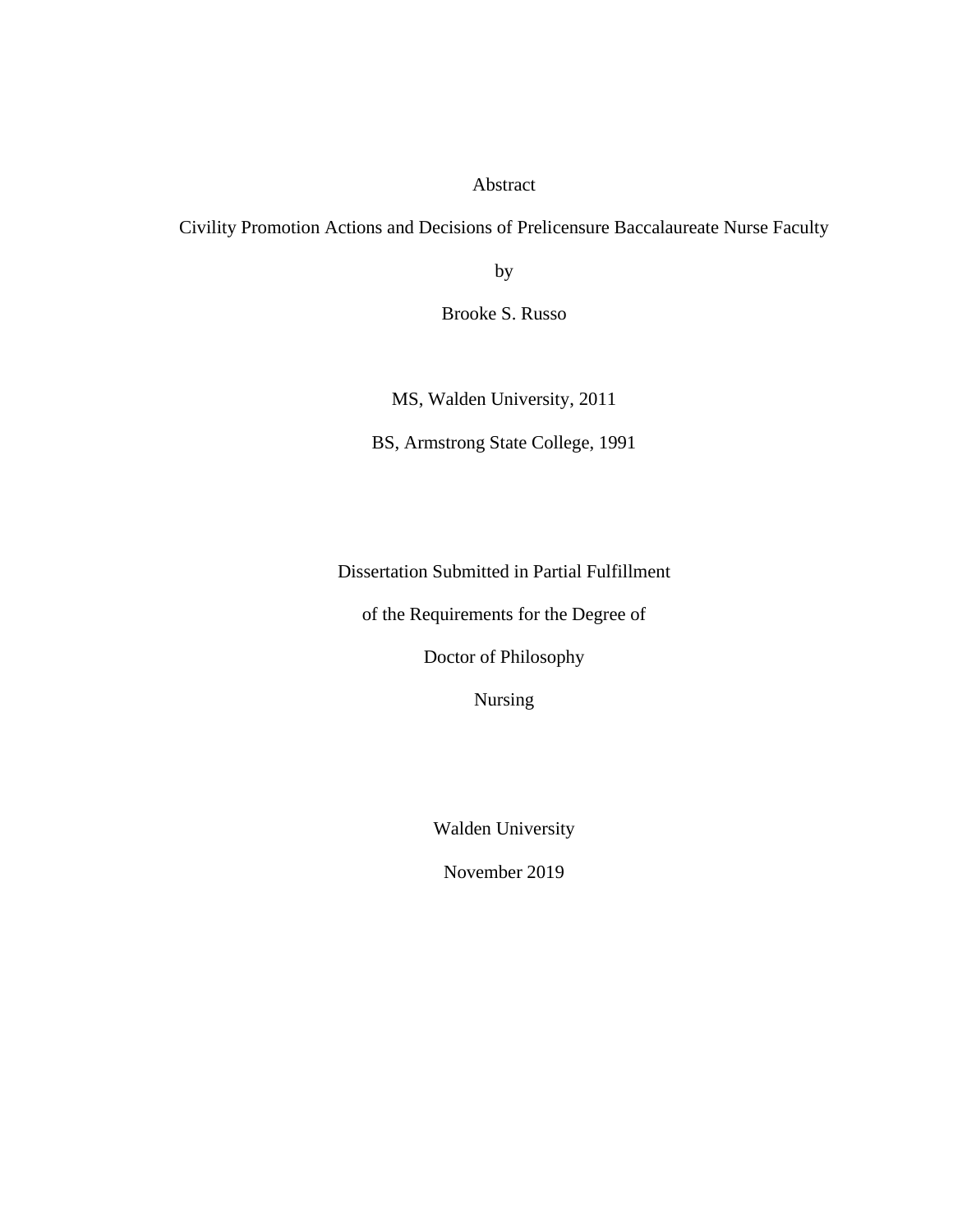#### Abstract

Civility Promotion Actions and Decisions of Prelicensure Baccalaureate Nurse Faculty

by

Brooke S. Russo

MS, Walden University, 2011

BS, Armstrong State College, 1991

Dissertation Submitted in Partial Fulfillment

of the Requirements for the Degree of

Doctor of Philosophy

Nursing

Walden University

November 2019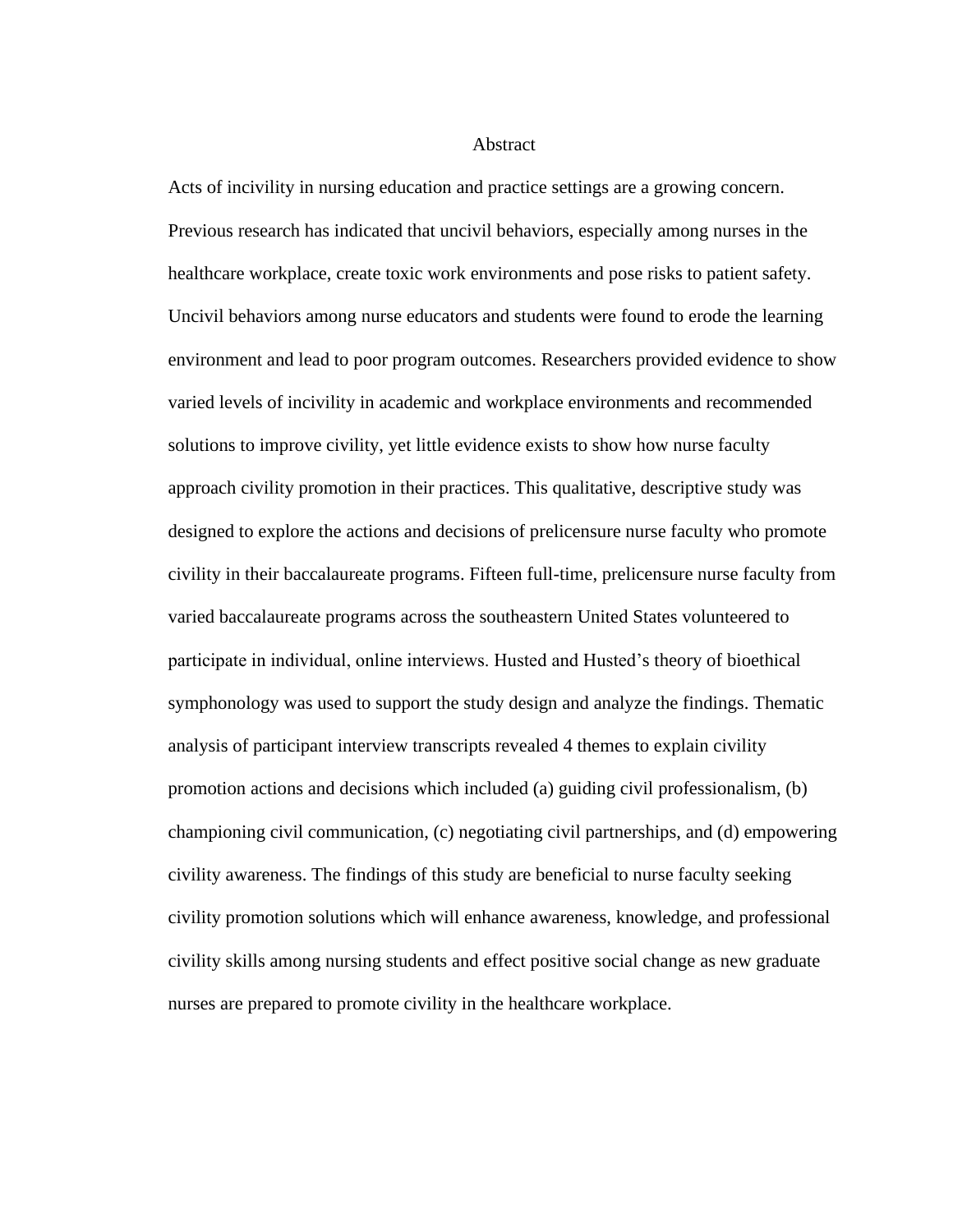#### Abstract

Acts of incivility in nursing education and practice settings are a growing concern. Previous research has indicated that uncivil behaviors, especially among nurses in the healthcare workplace, create toxic work environments and pose risks to patient safety. Uncivil behaviors among nurse educators and students were found to erode the learning environment and lead to poor program outcomes. Researchers provided evidence to show varied levels of incivility in academic and workplace environments and recommended solutions to improve civility, yet little evidence exists to show how nurse faculty approach civility promotion in their practices. This qualitative, descriptive study was designed to explore the actions and decisions of prelicensure nurse faculty who promote civility in their baccalaureate programs. Fifteen full-time, prelicensure nurse faculty from varied baccalaureate programs across the southeastern United States volunteered to participate in individual, online interviews. Husted and Husted's theory of bioethical symphonology was used to support the study design and analyze the findings. Thematic analysis of participant interview transcripts revealed 4 themes to explain civility promotion actions and decisions which included (a) guiding civil professionalism, (b) championing civil communication, (c) negotiating civil partnerships, and (d) empowering civility awareness. The findings of this study are beneficial to nurse faculty seeking civility promotion solutions which will enhance awareness, knowledge, and professional civility skills among nursing students and effect positive social change as new graduate nurses are prepared to promote civility in the healthcare workplace.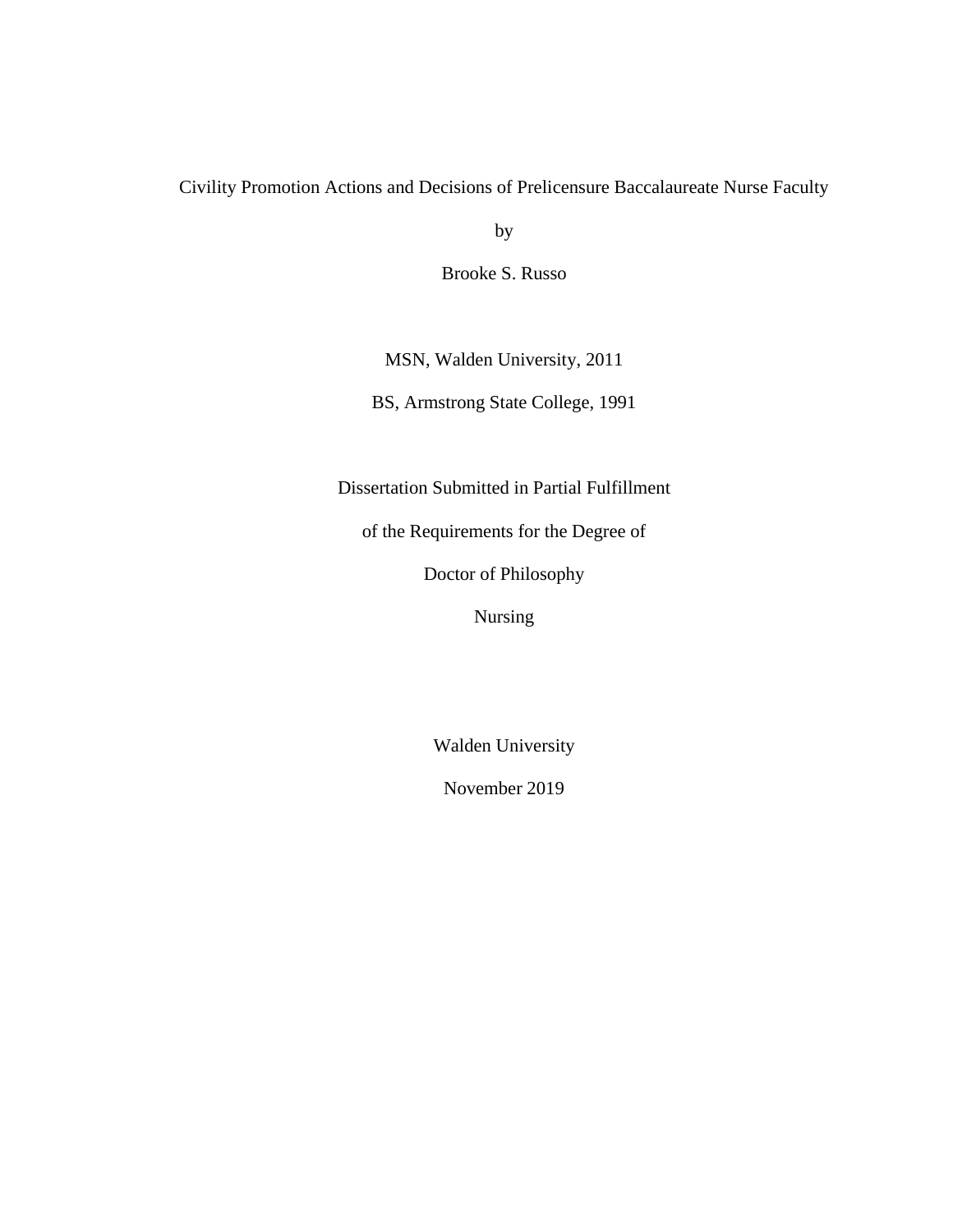### Civility Promotion Actions and Decisions of Prelicensure Baccalaureate Nurse Faculty

by

Brooke S. Russo

MSN, Walden University, 2011

BS, Armstrong State College, 1991

Dissertation Submitted in Partial Fulfillment

of the Requirements for the Degree of

Doctor of Philosophy

Nursing

Walden University

November 2019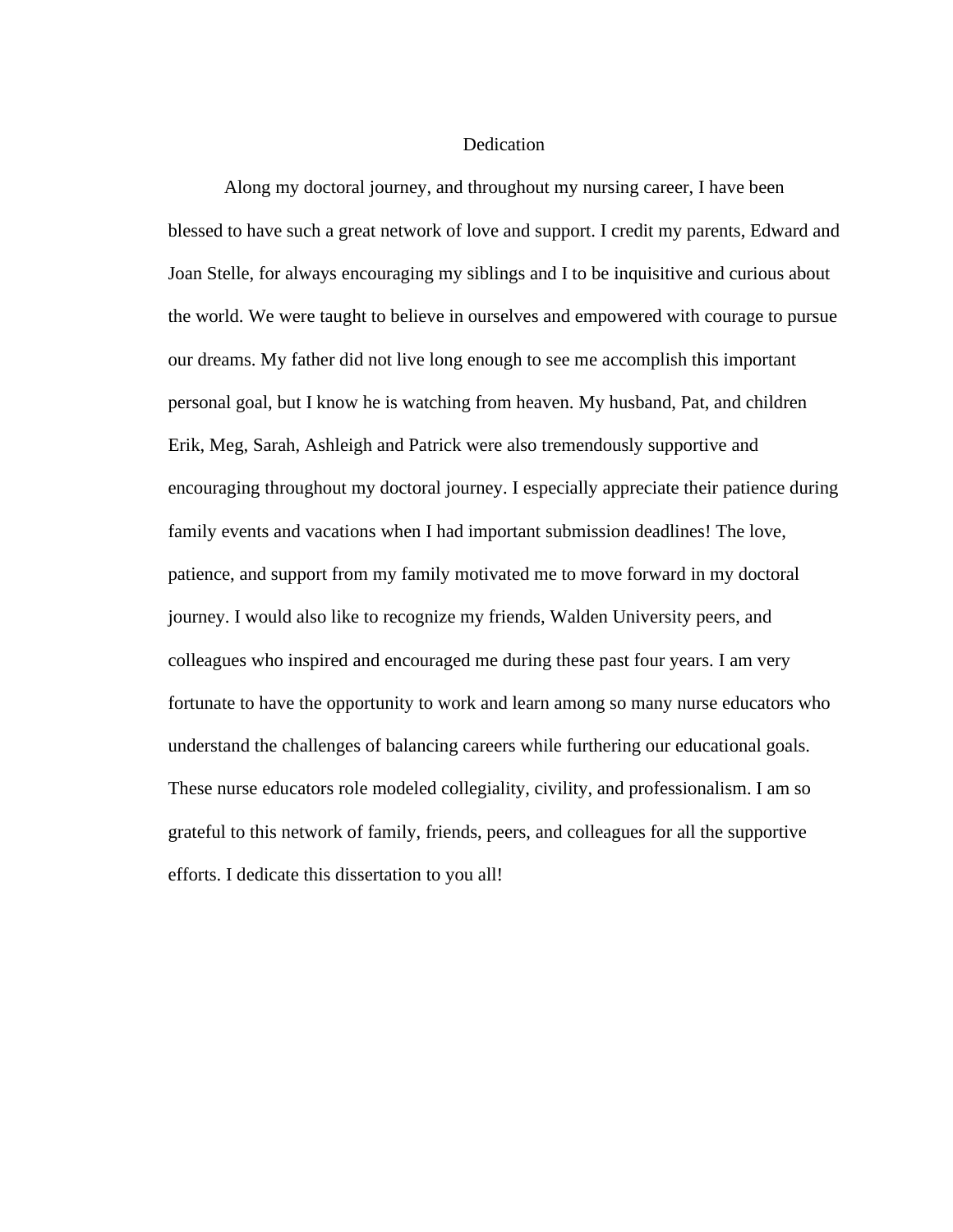#### Dedication

Along my doctoral journey, and throughout my nursing career, I have been blessed to have such a great network of love and support. I credit my parents, Edward and Joan Stelle, for always encouraging my siblings and I to be inquisitive and curious about the world. We were taught to believe in ourselves and empowered with courage to pursue our dreams. My father did not live long enough to see me accomplish this important personal goal, but I know he is watching from heaven. My husband, Pat, and children Erik, Meg, Sarah, Ashleigh and Patrick were also tremendously supportive and encouraging throughout my doctoral journey. I especially appreciate their patience during family events and vacations when I had important submission deadlines! The love, patience, and support from my family motivated me to move forward in my doctoral journey. I would also like to recognize my friends, Walden University peers, and colleagues who inspired and encouraged me during these past four years. I am very fortunate to have the opportunity to work and learn among so many nurse educators who understand the challenges of balancing careers while furthering our educational goals. These nurse educators role modeled collegiality, civility, and professionalism. I am so grateful to this network of family, friends, peers, and colleagues for all the supportive efforts. I dedicate this dissertation to you all!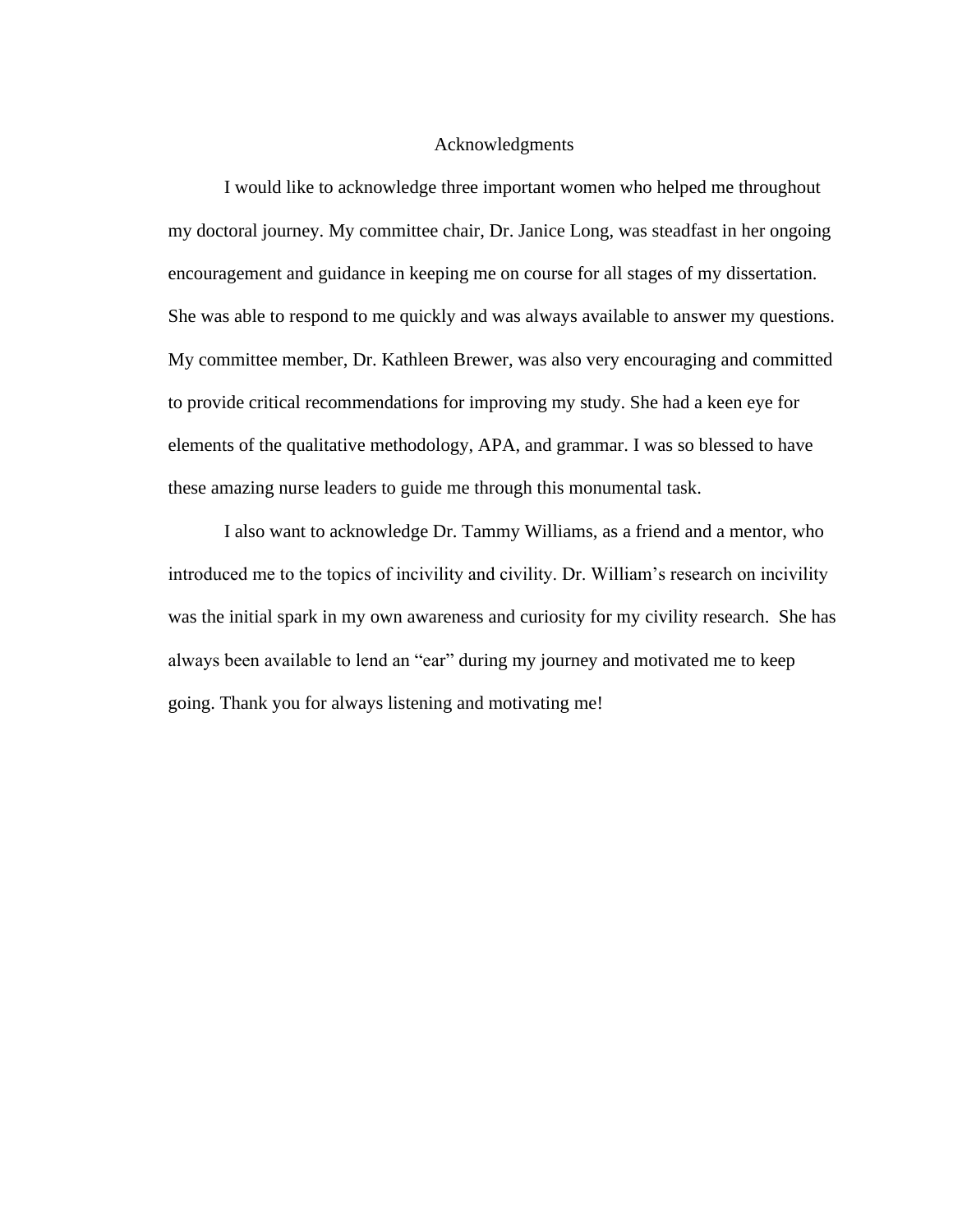#### Acknowledgments

I would like to acknowledge three important women who helped me throughout my doctoral journey. My committee chair, Dr. Janice Long, was steadfast in her ongoing encouragement and guidance in keeping me on course for all stages of my dissertation. She was able to respond to me quickly and was always available to answer my questions. My committee member, Dr. Kathleen Brewer, was also very encouraging and committed to provide critical recommendations for improving my study. She had a keen eye for elements of the qualitative methodology, APA, and grammar. I was so blessed to have these amazing nurse leaders to guide me through this monumental task.

I also want to acknowledge Dr. Tammy Williams, as a friend and a mentor, who introduced me to the topics of incivility and civility. Dr. William's research on incivility was the initial spark in my own awareness and curiosity for my civility research. She has always been available to lend an "ear" during my journey and motivated me to keep going. Thank you for always listening and motivating me!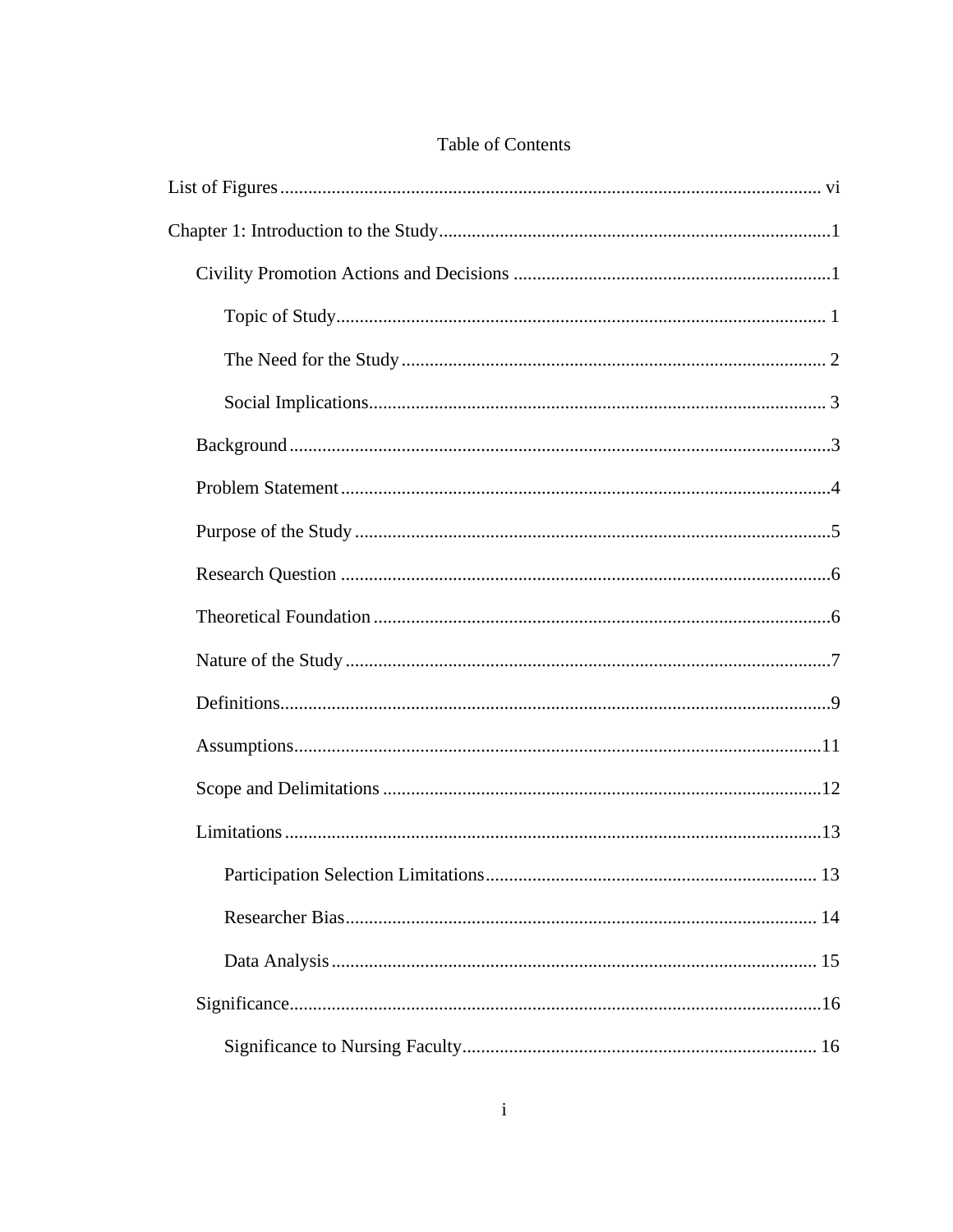### Table of Contents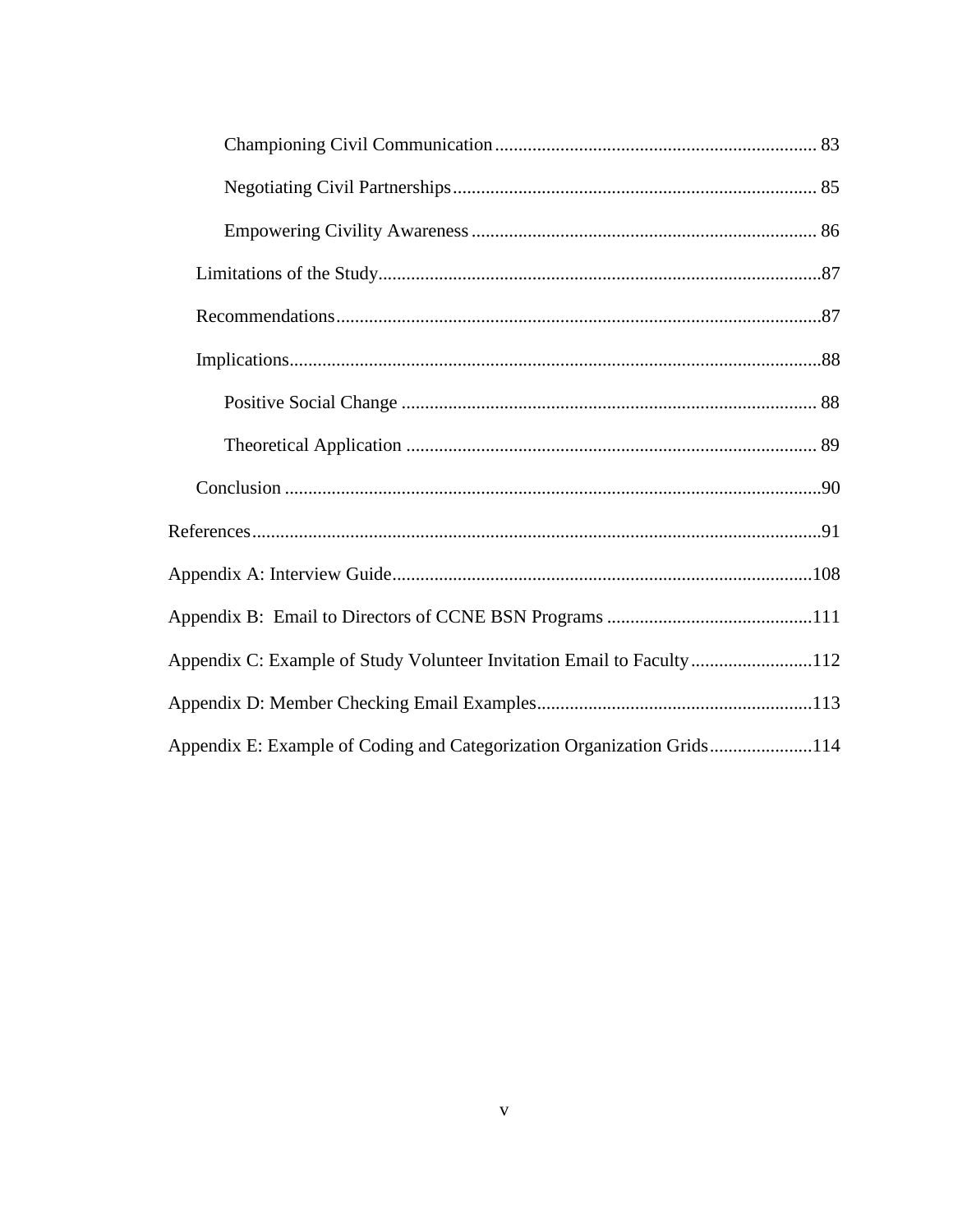| Appendix C: Example of Study Volunteer Invitation Email to Faculty112  |
|------------------------------------------------------------------------|
|                                                                        |
| Appendix E: Example of Coding and Categorization Organization Grids114 |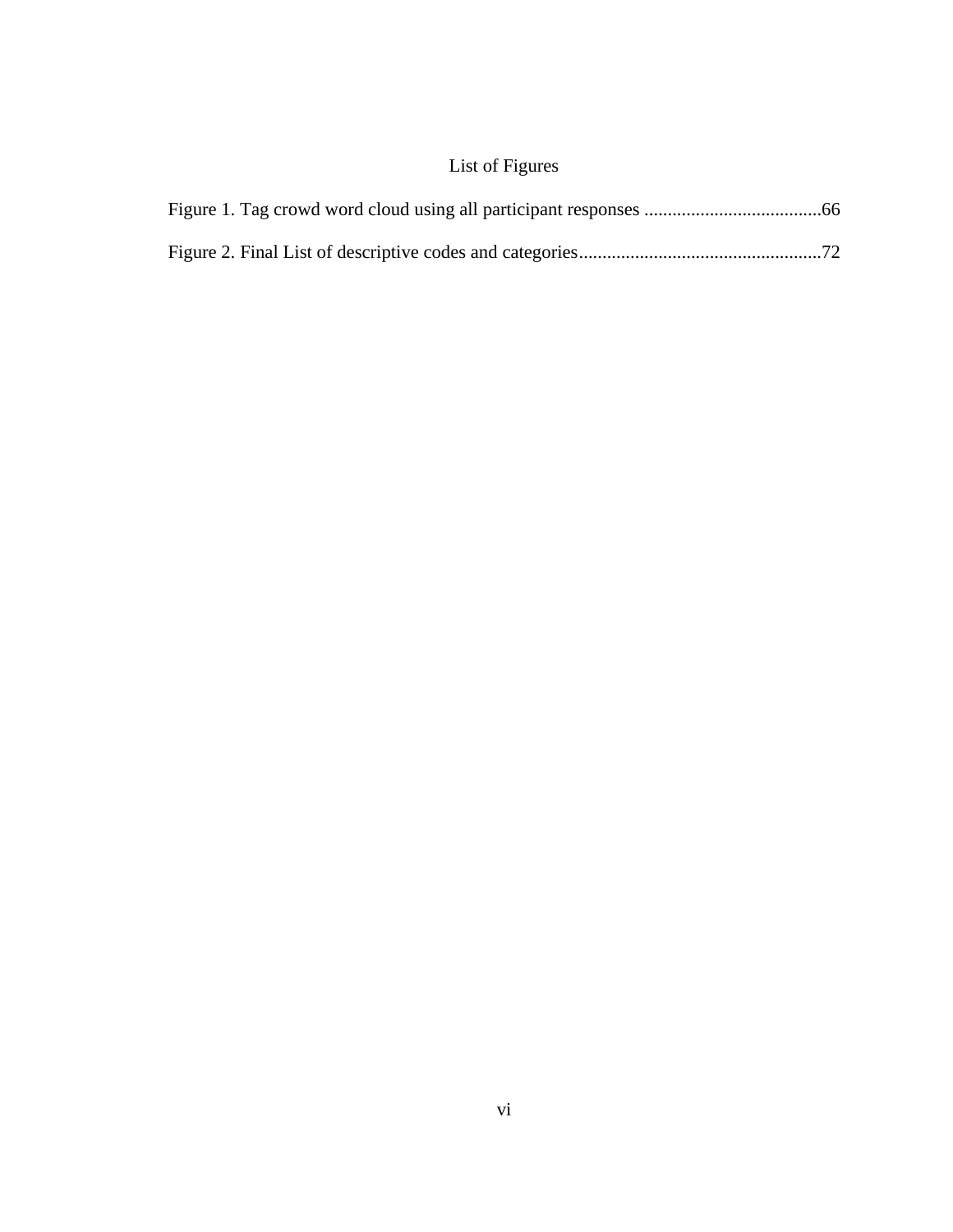## List of Figures

<span id="page-12-0"></span>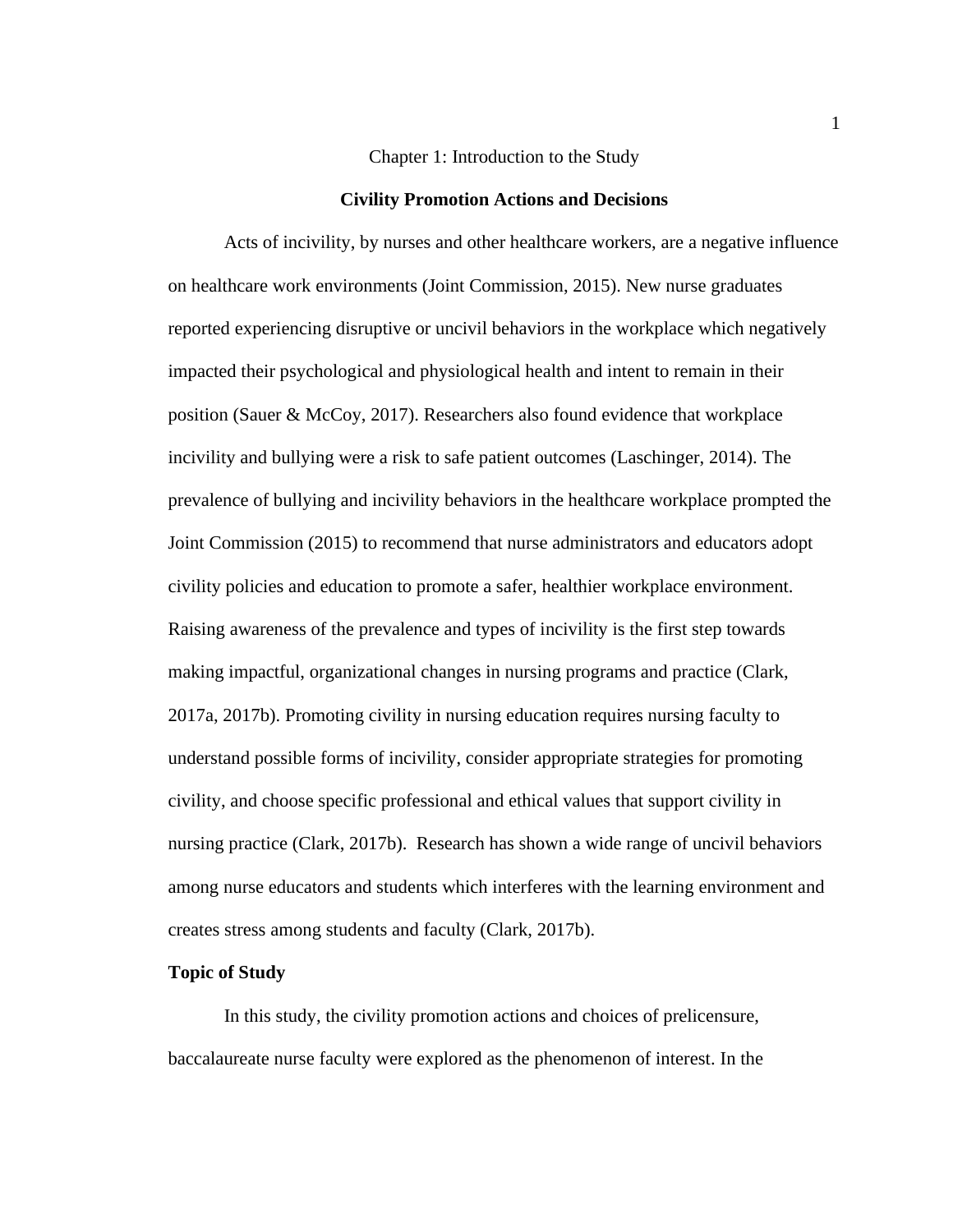#### Chapter 1: Introduction to the Study

#### **Civility Promotion Actions and Decisions**

<span id="page-13-1"></span><span id="page-13-0"></span>Acts of incivility, by nurses and other healthcare workers, are a negative influence on healthcare work environments (Joint Commission, 2015). New nurse graduates reported experiencing disruptive or uncivil behaviors in the workplace which negatively impacted their psychological and physiological health and intent to remain in their position (Sauer & McCoy, 2017). Researchers also found evidence that workplace incivility and bullying were a risk to safe patient outcomes (Laschinger, 2014). The prevalence of bullying and incivility behaviors in the healthcare workplace prompted the Joint Commission (2015) to recommend that nurse administrators and educators adopt civility policies and education to promote a safer, healthier workplace environment. Raising awareness of the prevalence and types of incivility is the first step towards making impactful, organizational changes in nursing programs and practice (Clark, 2017a, 2017b). Promoting civility in nursing education requires nursing faculty to understand possible forms of incivility, consider appropriate strategies for promoting civility, and choose specific professional and ethical values that support civility in nursing practice (Clark, 2017b). Research has shown a wide range of uncivil behaviors among nurse educators and students which interferes with the learning environment and creates stress among students and faculty (Clark, 2017b).

#### <span id="page-13-2"></span>**Topic of Study**

In this study, the civility promotion actions and choices of prelicensure, baccalaureate nurse faculty were explored as the phenomenon of interest. In the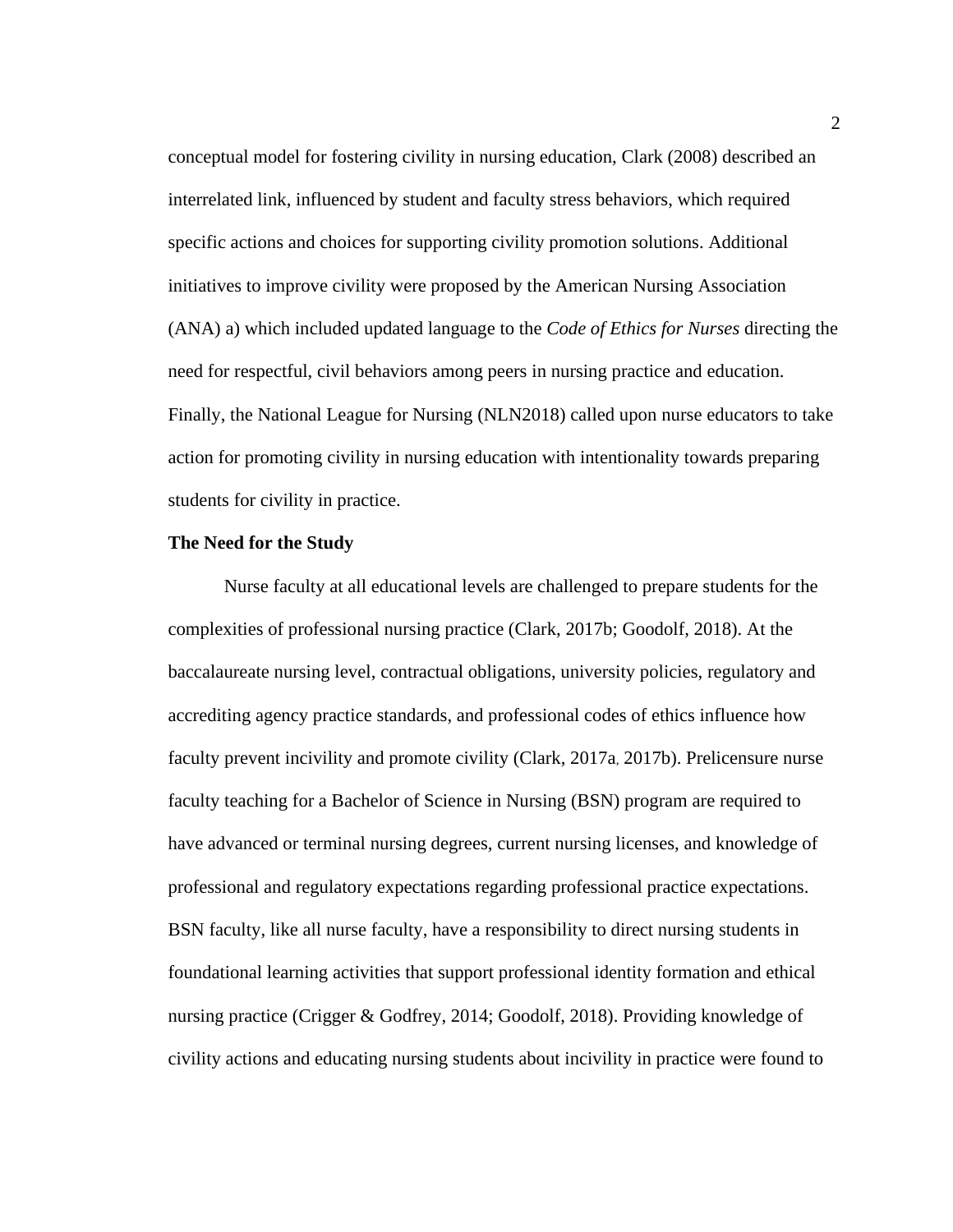conceptual model for fostering civility in nursing education, Clark (2008) described an interrelated link, influenced by student and faculty stress behaviors, which required specific actions and choices for supporting civility promotion solutions. Additional initiatives to improve civility were proposed by the American Nursing Association (ANA) a) which included updated language to the *Code of Ethics for Nurses* directing the need for respectful, civil behaviors among peers in nursing practice and education. Finally, the National League for Nursing (NLN2018) called upon nurse educators to take action for promoting civility in nursing education with intentionality towards preparing students for civility in practice.

#### <span id="page-14-0"></span>**The Need for the Study**

Nurse faculty at all educational levels are challenged to prepare students for the complexities of professional nursing practice (Clark, 2017b; Goodolf, 2018). At the baccalaureate nursing level, contractual obligations, university policies, regulatory and accrediting agency practice standards, and professional codes of ethics influence how faculty prevent incivility and promote civility (Clark, 2017a, 2017b). Prelicensure nurse faculty teaching for a Bachelor of Science in Nursing (BSN) program are required to have advanced or terminal nursing degrees, current nursing licenses, and knowledge of professional and regulatory expectations regarding professional practice expectations. BSN faculty, like all nurse faculty, have a responsibility to direct nursing students in foundational learning activities that support professional identity formation and ethical nursing practice (Crigger & Godfrey, 2014; Goodolf, 2018). Providing knowledge of civility actions and educating nursing students about incivility in practice were found to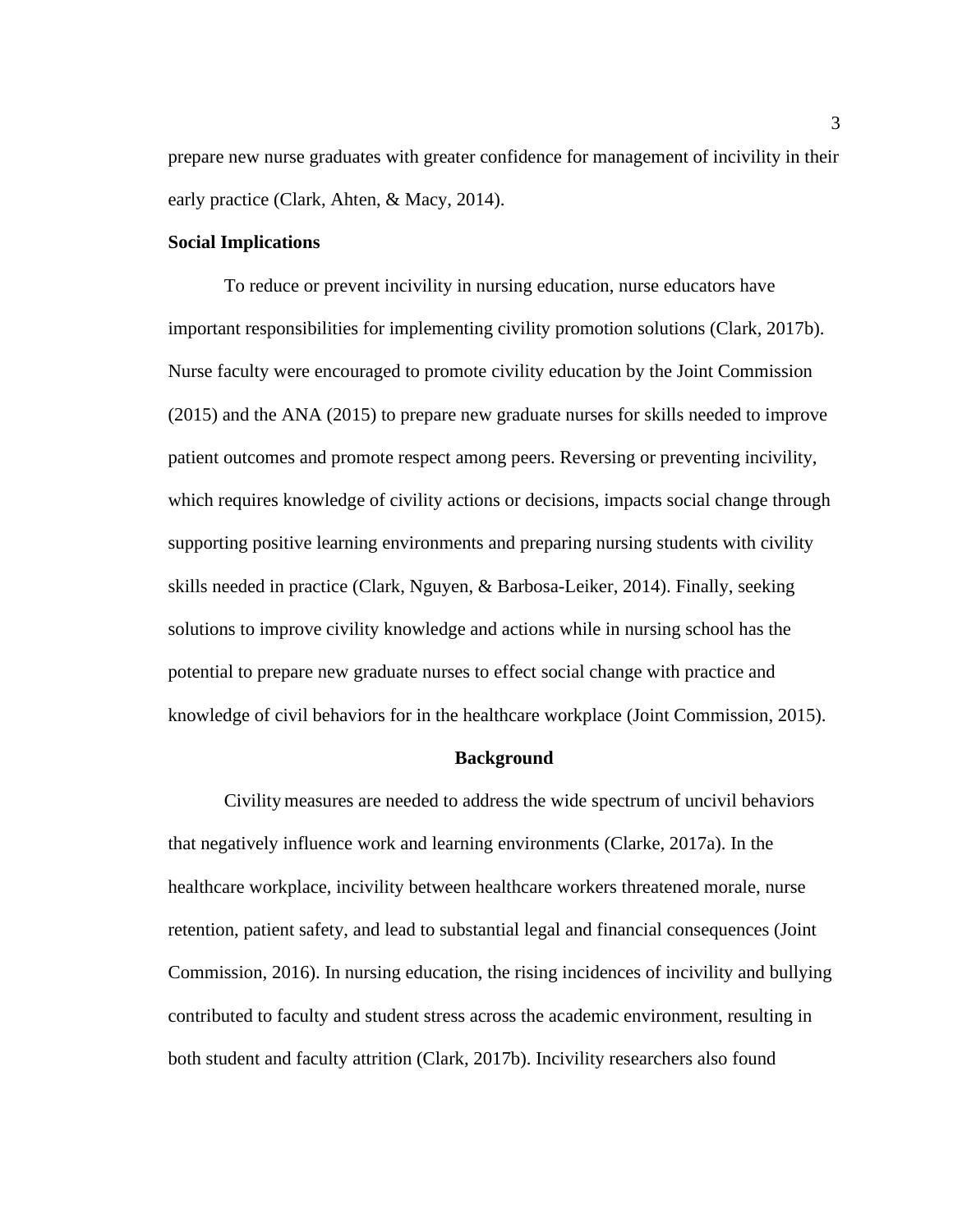prepare new nurse graduates with greater confidence for management of incivility in their early practice (Clark, Ahten, & Macy, 2014).

#### <span id="page-15-0"></span>**Social Implications**

To reduce or prevent incivility in nursing education, nurse educators have important responsibilities for implementing civility promotion solutions (Clark, 2017b). Nurse faculty were encouraged to promote civility education by the Joint Commission (2015) and the ANA (2015) to prepare new graduate nurses for skills needed to improve patient outcomes and promote respect among peers. Reversing or preventing incivility, which requires knowledge of civility actions or decisions, impacts social change through supporting positive learning environments and preparing nursing students with civility skills needed in practice (Clark, Nguyen, & Barbosa-Leiker, 2014). Finally, seeking solutions to improve civility knowledge and actions while in nursing school has the potential to prepare new graduate nurses to effect social change with practice and knowledge of civil behaviors for in the healthcare workplace (Joint Commission, 2015).

#### **Background**

<span id="page-15-1"></span>Civility measures are needed to address the wide spectrum of uncivil behaviors that negatively influence work and learning environments (Clarke, 2017a). In the healthcare workplace, incivility between healthcare workers threatened morale, nurse retention, patient safety, and lead to substantial legal and financial consequences (Joint Commission, 2016). In nursing education, the rising incidences of incivility and bullying contributed to faculty and student stress across the academic environment, resulting in both student and faculty attrition (Clark, 2017b). Incivility researchers also found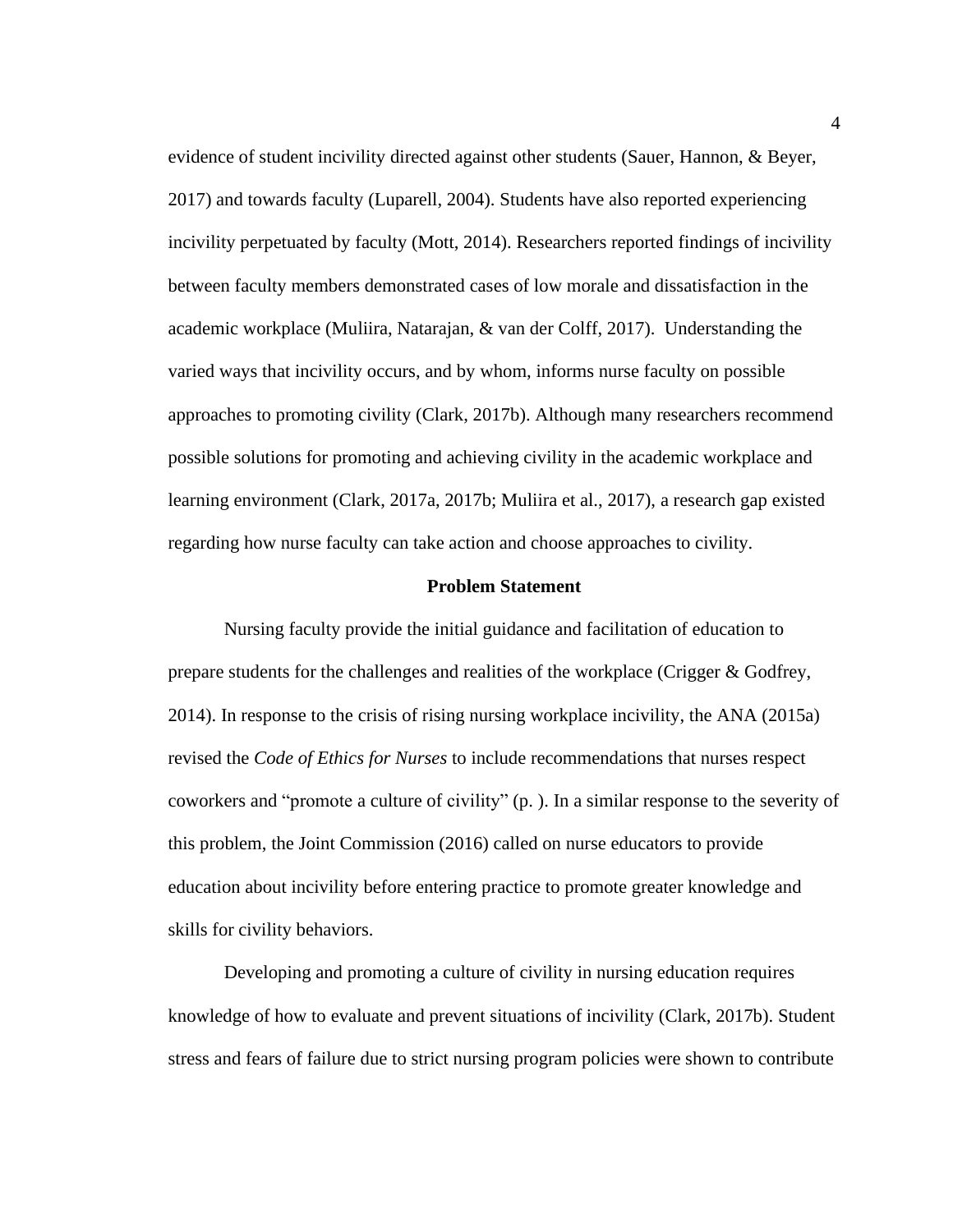evidence of student incivility directed against other students (Sauer, Hannon, & Beyer, 2017) and towards faculty (Luparell, 2004). Students have also reported experiencing incivility perpetuated by faculty (Mott, 2014). Researchers reported findings of incivility between faculty members demonstrated cases of low morale and dissatisfaction in the academic workplace (Muliira, Natarajan, & van der Colff, 2017). Understanding the varied ways that incivility occurs, and by whom, informs nurse faculty on possible approaches to promoting civility (Clark, 2017b). Although many researchers recommend possible solutions for promoting and achieving civility in the academic workplace and learning environment (Clark, 2017a, 2017b; Muliira et al., 2017), a research gap existed regarding how nurse faculty can take action and choose approaches to civility.

#### **Problem Statement**

<span id="page-16-0"></span>Nursing faculty provide the initial guidance and facilitation of education to prepare students for the challenges and realities of the workplace (Crigger & Godfrey, 2014). In response to the crisis of rising nursing workplace incivility, the ANA (2015a) revised the *Code of Ethics for Nurses* to include recommendations that nurses respect coworkers and "promote a culture of civility" (p. ). In a similar response to the severity of this problem, the Joint Commission (2016) called on nurse educators to provide education about incivility before entering practice to promote greater knowledge and skills for civility behaviors.

Developing and promoting a culture of civility in nursing education requires knowledge of how to evaluate and prevent situations of incivility (Clark, 2017b). Student stress and fears of failure due to strict nursing program policies were shown to contribute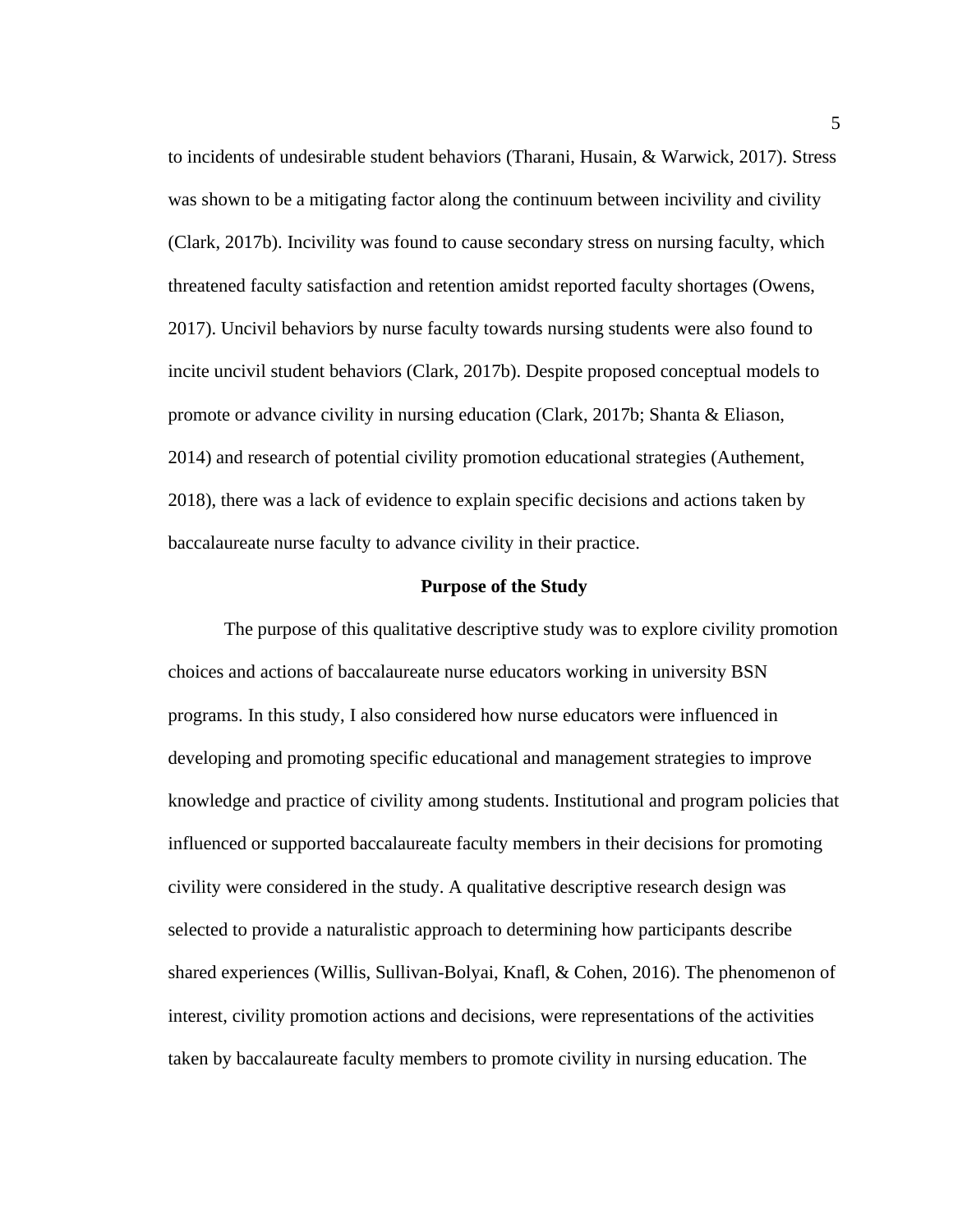to incidents of undesirable student behaviors (Tharani, Husain, & Warwick, 2017). Stress was shown to be a mitigating factor along the continuum between incivility and civility (Clark, 2017b). Incivility was found to cause secondary stress on nursing faculty, which threatened faculty satisfaction and retention amidst reported faculty shortages (Owens, 2017). Uncivil behaviors by nurse faculty towards nursing students were also found to incite uncivil student behaviors (Clark, 2017b). Despite proposed conceptual models to promote or advance civility in nursing education (Clark, 2017b; Shanta & Eliason, 2014) and research of potential civility promotion educational strategies (Authement, 2018), there was a lack of evidence to explain specific decisions and actions taken by baccalaureate nurse faculty to advance civility in their practice.

#### **Purpose of the Study**

<span id="page-17-0"></span>The purpose of this qualitative descriptive study was to explore civility promotion choices and actions of baccalaureate nurse educators working in university BSN programs. In this study, I also considered how nurse educators were influenced in developing and promoting specific educational and management strategies to improve knowledge and practice of civility among students. Institutional and program policies that influenced or supported baccalaureate faculty members in their decisions for promoting civility were considered in the study. A qualitative descriptive research design was selected to provide a naturalistic approach to determining how participants describe shared experiences (Willis, Sullivan-Bolyai, Knafl, & Cohen, 2016). The phenomenon of interest, civility promotion actions and decisions, were representations of the activities taken by baccalaureate faculty members to promote civility in nursing education. The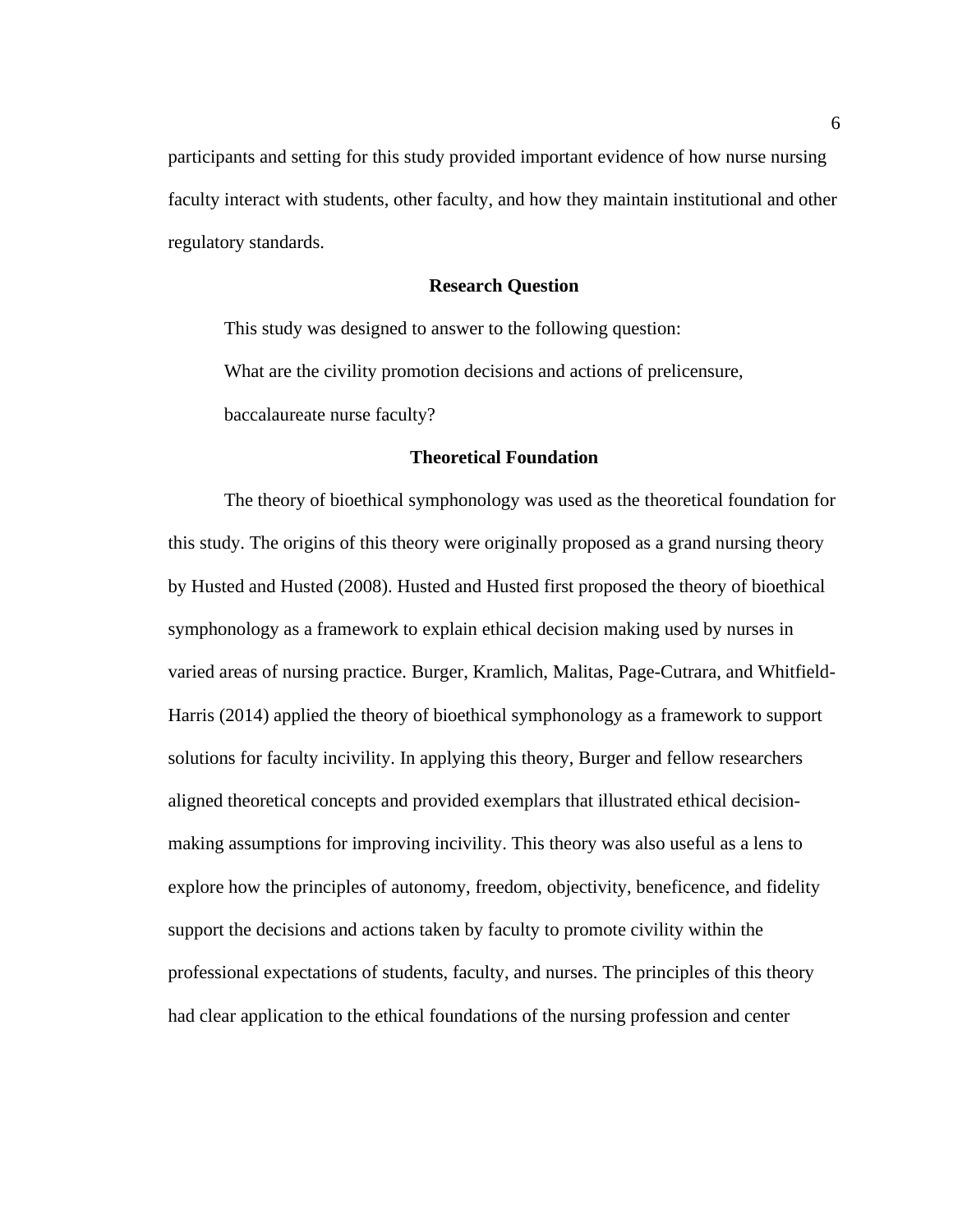participants and setting for this study provided important evidence of how nurse nursing faculty interact with students, other faculty, and how they maintain institutional and other regulatory standards.

#### **Research Question**

<span id="page-18-0"></span>This study was designed to answer to the following question: What are the civility promotion decisions and actions of prelicensure, baccalaureate nurse faculty?

#### **Theoretical Foundation**

<span id="page-18-1"></span>The theory of bioethical symphonology was used as the theoretical foundation for this study. The origins of this theory were originally proposed as a grand nursing theory by Husted and Husted (2008). Husted and Husted first proposed the theory of bioethical symphonology as a framework to explain ethical decision making used by nurses in varied areas of nursing practice. Burger, Kramlich, Malitas, Page-Cutrara, and Whitfield-Harris (2014) applied the theory of bioethical symphonology as a framework to support solutions for faculty incivility. In applying this theory, Burger and fellow researchers aligned theoretical concepts and provided exemplars that illustrated ethical decisionmaking assumptions for improving incivility. This theory was also useful as a lens to explore how the principles of autonomy, freedom, objectivity, beneficence, and fidelity support the decisions and actions taken by faculty to promote civility within the professional expectations of students, faculty, and nurses. The principles of this theory had clear application to the ethical foundations of the nursing profession and center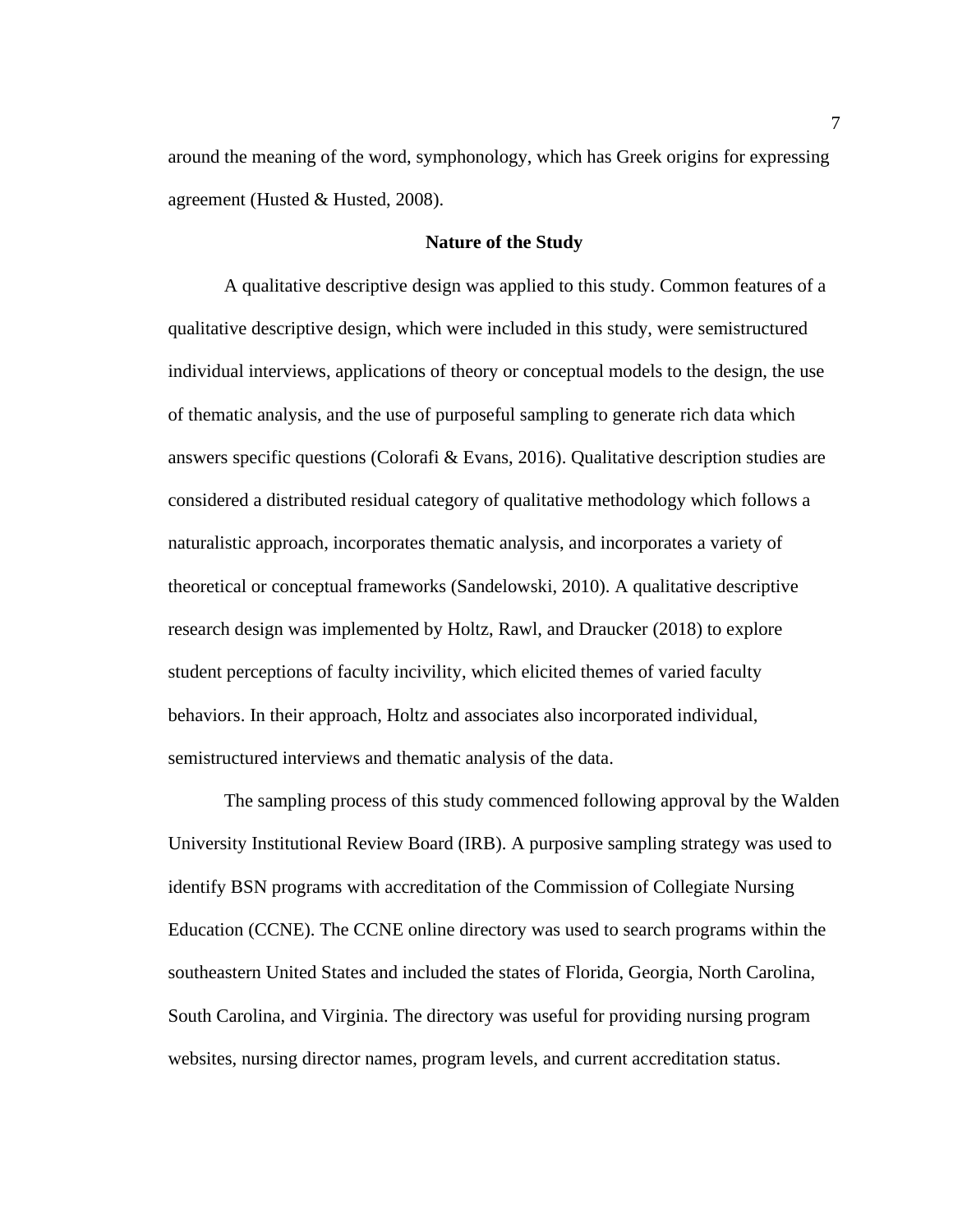around the meaning of the word, symphonology, which has Greek origins for expressing agreement (Husted & Husted, 2008).

#### **Nature of the Study**

<span id="page-19-0"></span>A qualitative descriptive design was applied to this study. Common features of a qualitative descriptive design, which were included in this study, were semistructured individual interviews, applications of theory or conceptual models to the design, the use of thematic analysis, and the use of purposeful sampling to generate rich data which answers specific questions (Colorafi & Evans, 2016). Qualitative description studies are considered a distributed residual category of qualitative methodology which follows a naturalistic approach, incorporates thematic analysis, and incorporates a variety of theoretical or conceptual frameworks (Sandelowski, 2010). A qualitative descriptive research design was implemented by Holtz, Rawl, and Draucker (2018) to explore student perceptions of faculty incivility, which elicited themes of varied faculty behaviors. In their approach, Holtz and associates also incorporated individual, semistructured interviews and thematic analysis of the data.

The sampling process of this study commenced following approval by the Walden University Institutional Review Board (IRB). A purposive sampling strategy was used to identify BSN programs with accreditation of the Commission of Collegiate Nursing Education (CCNE). The CCNE online directory was used to search programs within the southeastern United States and included the states of Florida, Georgia, North Carolina, South Carolina, and Virginia. The directory was useful for providing nursing program websites, nursing director names, program levels, and current accreditation status.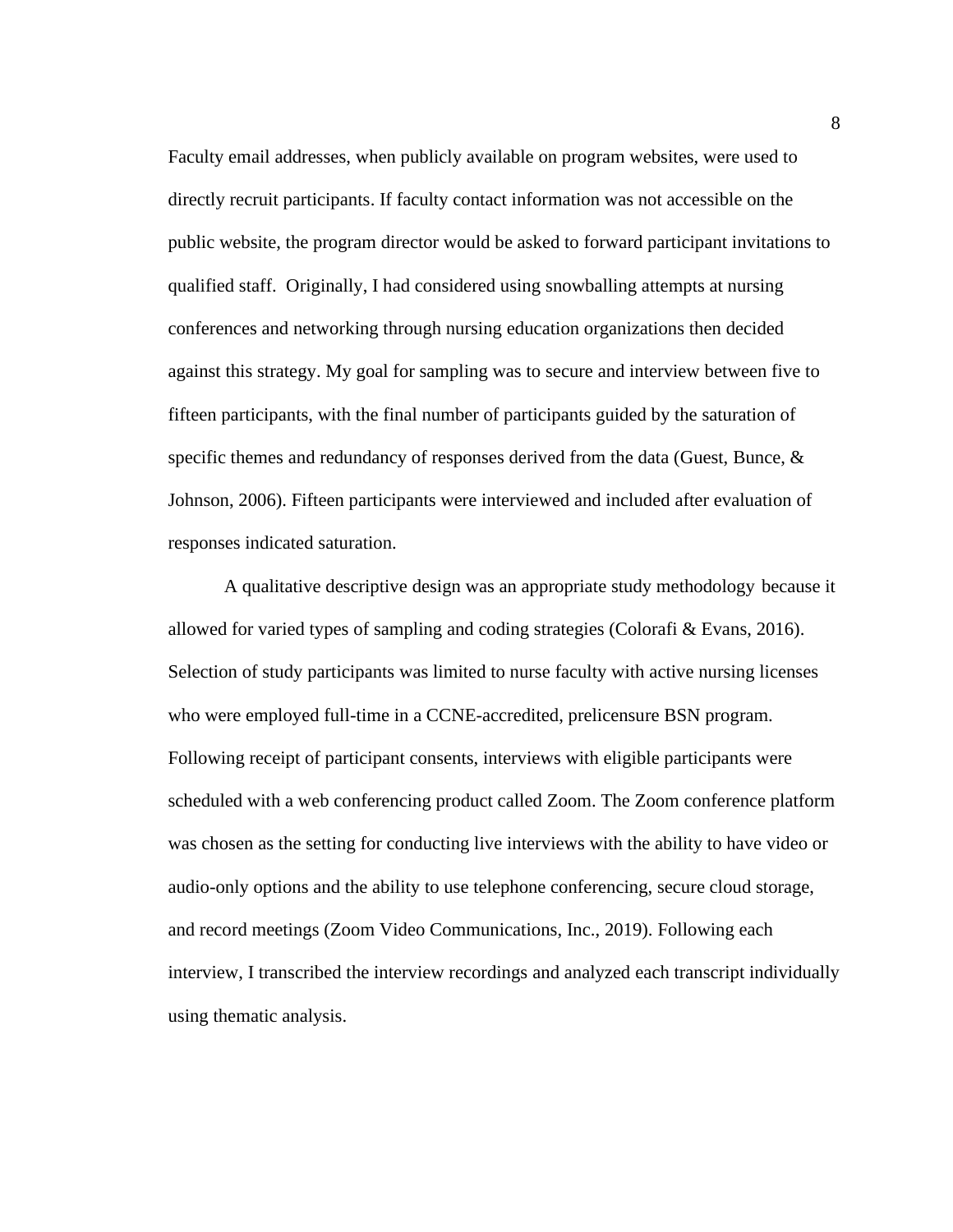Faculty email addresses, when publicly available on program websites, were used to directly recruit participants. If faculty contact information was not accessible on the public website, the program director would be asked to forward participant invitations to qualified staff. Originally, I had considered using snowballing attempts at nursing conferences and networking through nursing education organizations then decided against this strategy. My goal for sampling was to secure and interview between five to fifteen participants, with the final number of participants guided by the saturation of specific themes and redundancy of responses derived from the data (Guest, Bunce, & Johnson, 2006). Fifteen participants were interviewed and included after evaluation of responses indicated saturation.

A qualitative descriptive design was an appropriate study methodology because it allowed for varied types of sampling and coding strategies (Colorafi & Evans, 2016). Selection of study participants was limited to nurse faculty with active nursing licenses who were employed full-time in a CCNE-accredited, prelicensure BSN program. Following receipt of participant consents, interviews with eligible participants were scheduled with a web conferencing product called Zoom. The Zoom conference platform was chosen as the setting for conducting live interviews with the ability to have video or audio-only options and the ability to use telephone conferencing, secure cloud storage, and record meetings (Zoom Video Communications, Inc., 2019). Following each interview, I transcribed the interview recordings and analyzed each transcript individually using thematic analysis.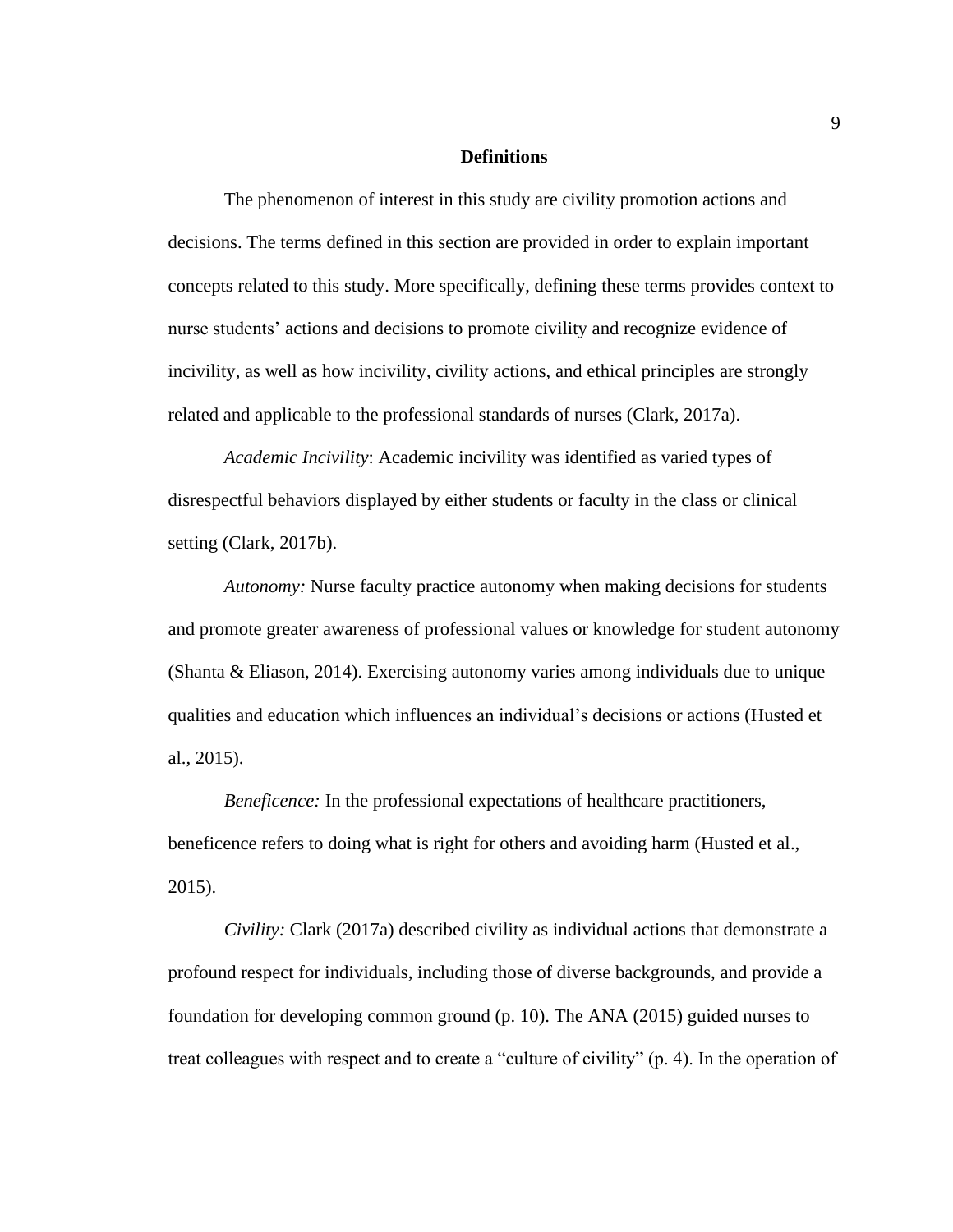#### **Definitions**

<span id="page-21-0"></span>The phenomenon of interest in this study are civility promotion actions and decisions. The terms defined in this section are provided in order to explain important concepts related to this study. More specifically, defining these terms provides context to nurse students' actions and decisions to promote civility and recognize evidence of incivility, as well as how incivility, civility actions, and ethical principles are strongly related and applicable to the professional standards of nurses (Clark, 2017a).

*Academic Incivility*: Academic incivility was identified as varied types of disrespectful behaviors displayed by either students or faculty in the class or clinical setting (Clark, 2017b).

*Autonomy:* Nurse faculty practice autonomy when making decisions for students and promote greater awareness of professional values or knowledge for student autonomy (Shanta & Eliason, 2014). Exercising autonomy varies among individuals due to unique qualities and education which influences an individual's decisions or actions (Husted et al., 2015).

*Beneficence:* In the professional expectations of healthcare practitioners, beneficence refers to doing what is right for others and avoiding harm (Husted et al., 2015).

*Civility:* Clark (2017a) described civility as individual actions that demonstrate a profound respect for individuals, including those of diverse backgrounds, and provide a foundation for developing common ground (p. 10). The ANA (2015) guided nurses to treat colleagues with respect and to create a "culture of civility" (p. 4). In the operation of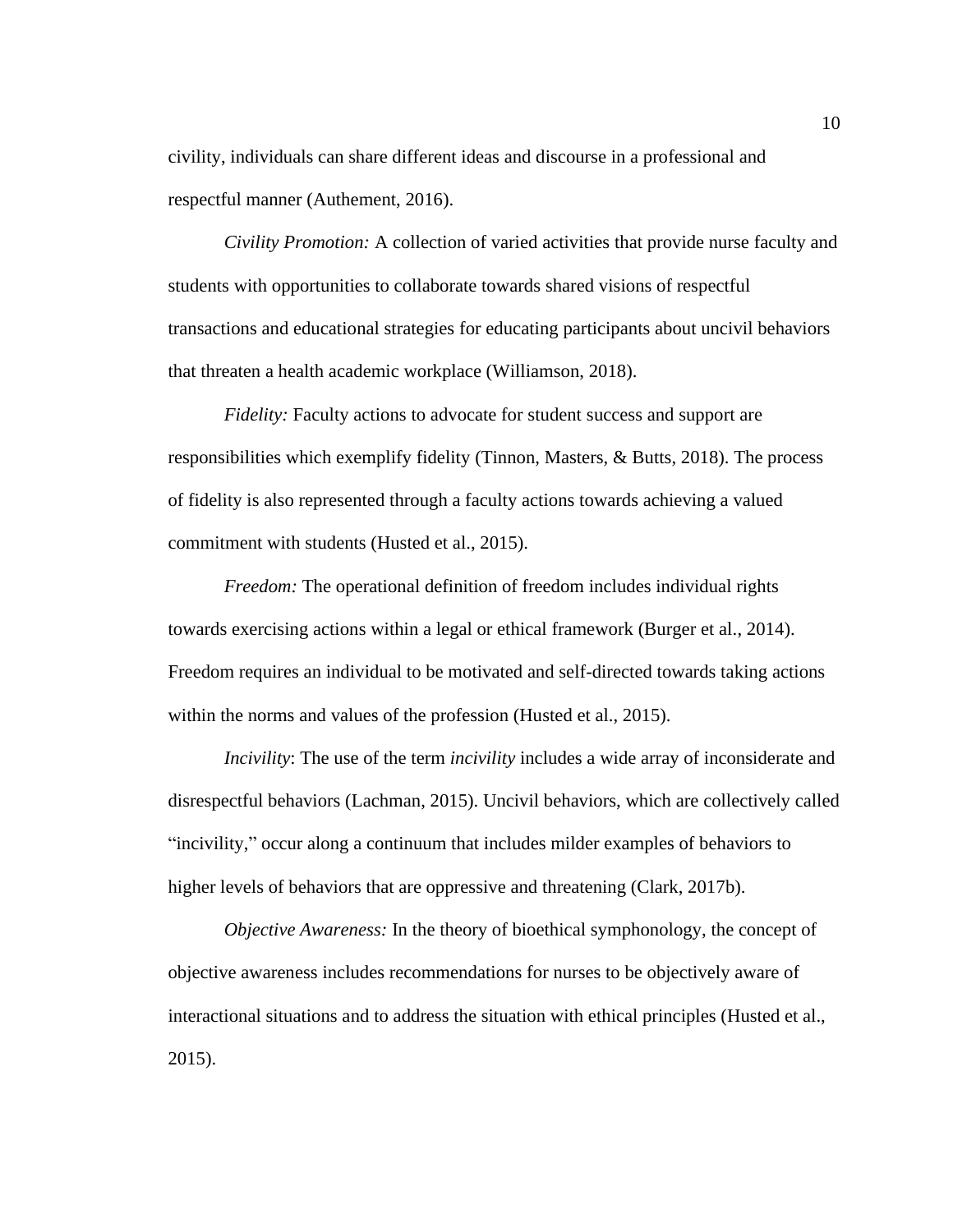civility, individuals can share different ideas and discourse in a professional and respectful manner (Authement, 2016).

*Civility Promotion:* A collection of varied activities that provide nurse faculty and students with opportunities to collaborate towards shared visions of respectful transactions and educational strategies for educating participants about uncivil behaviors that threaten a health academic workplace (Williamson, 2018).

*Fidelity:* Faculty actions to advocate for student success and support are responsibilities which exemplify fidelity (Tinnon, Masters, & Butts, 2018). The process of fidelity is also represented through a faculty actions towards achieving a valued commitment with students (Husted et al., 2015).

*Freedom:* The operational definition of freedom includes individual rights towards exercising actions within a legal or ethical framework (Burger et al., 2014). Freedom requires an individual to be motivated and self-directed towards taking actions within the norms and values of the profession (Husted et al., 2015).

*Incivility*: The use of the term *incivility* includes a wide array of inconsiderate and disrespectful behaviors (Lachman, 2015). Uncivil behaviors, which are collectively called "incivility," occur along a continuum that includes milder examples of behaviors to higher levels of behaviors that are oppressive and threatening (Clark, 2017b).

*Objective Awareness:* In the theory of bioethical symphonology, the concept of objective awareness includes recommendations for nurses to be objectively aware of interactional situations and to address the situation with ethical principles (Husted et al., 2015).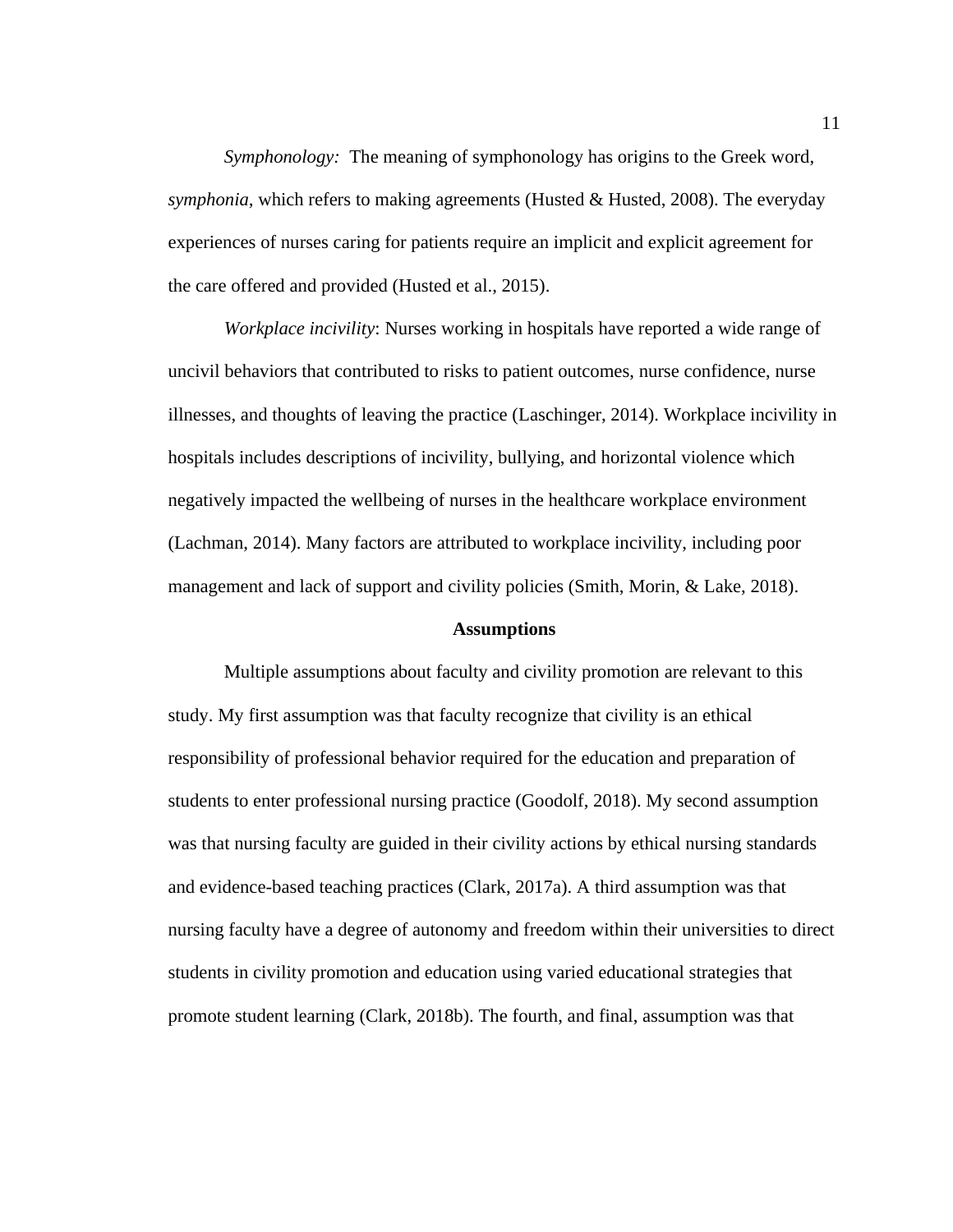*Symphonology:* The meaning of symphonology has origins to the Greek word, *symphonia,* which refers to making agreements (Husted & Husted, 2008). The everyday experiences of nurses caring for patients require an implicit and explicit agreement for the care offered and provided (Husted et al., 2015).

*Workplace incivility*: Nurses working in hospitals have reported a wide range of uncivil behaviors that contributed to risks to patient outcomes, nurse confidence, nurse illnesses, and thoughts of leaving the practice (Laschinger, 2014). Workplace incivility in hospitals includes descriptions of incivility, bullying, and horizontal violence which negatively impacted the wellbeing of nurses in the healthcare workplace environment (Lachman, 2014). Many factors are attributed to workplace incivility, including poor management and lack of support and civility policies (Smith, Morin, & Lake, 2018).

#### **Assumptions**

<span id="page-23-0"></span>Multiple assumptions about faculty and civility promotion are relevant to this study. My first assumption was that faculty recognize that civility is an ethical responsibility of professional behavior required for the education and preparation of students to enter professional nursing practice (Goodolf, 2018). My second assumption was that nursing faculty are guided in their civility actions by ethical nursing standards and evidence-based teaching practices (Clark, 2017a). A third assumption was that nursing faculty have a degree of autonomy and freedom within their universities to direct students in civility promotion and education using varied educational strategies that promote student learning (Clark, 2018b). The fourth, and final, assumption was that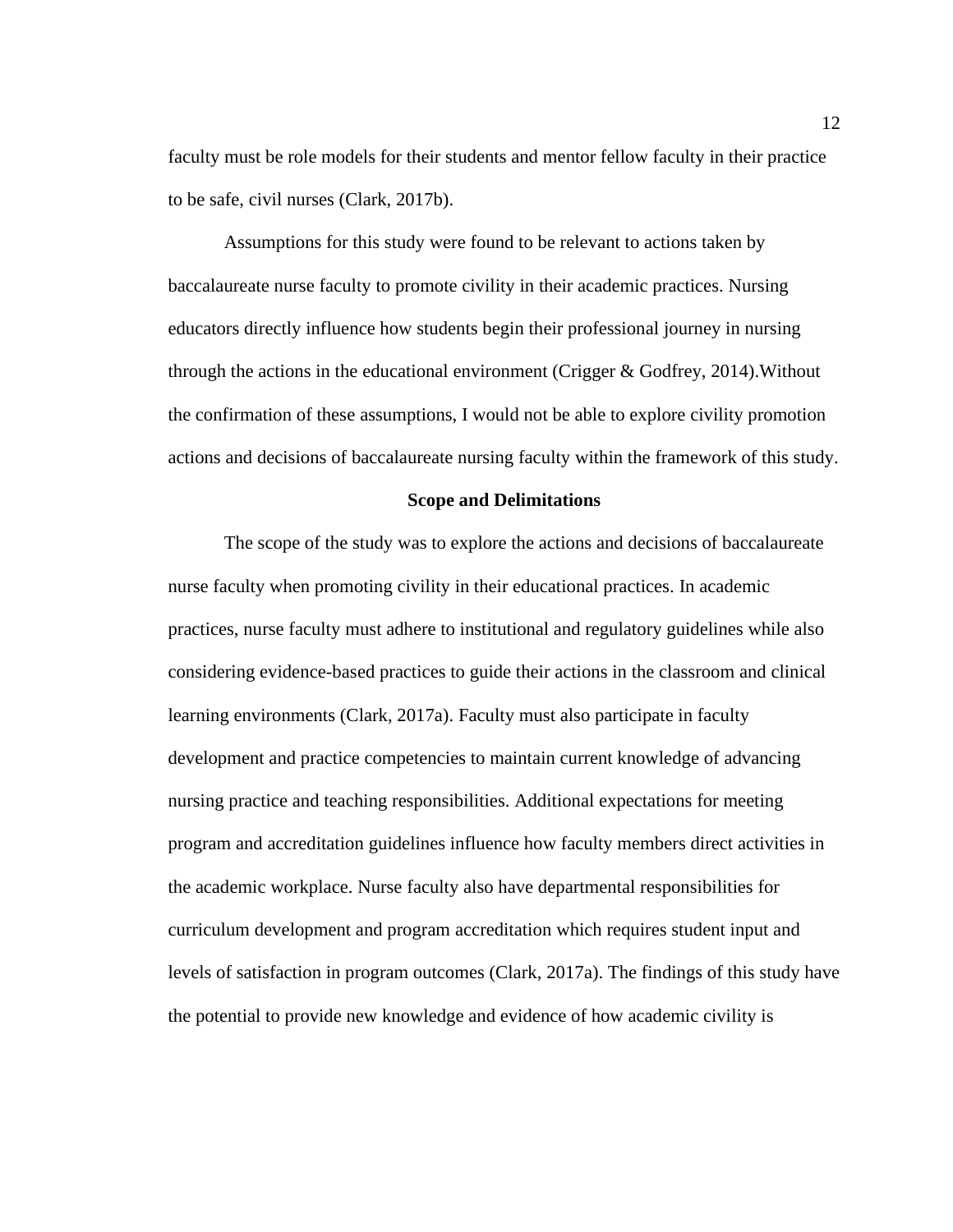faculty must be role models for their students and mentor fellow faculty in their practice to be safe, civil nurses (Clark, 2017b).

Assumptions for this study were found to be relevant to actions taken by baccalaureate nurse faculty to promote civility in their academic practices. Nursing educators directly influence how students begin their professional journey in nursing through the actions in the educational environment (Crigger  $\&$  Godfrey, 2014). Without the confirmation of these assumptions, I would not be able to explore civility promotion actions and decisions of baccalaureate nursing faculty within the framework of this study.

#### **Scope and Delimitations**

<span id="page-24-0"></span>The scope of the study was to explore the actions and decisions of baccalaureate nurse faculty when promoting civility in their educational practices. In academic practices, nurse faculty must adhere to institutional and regulatory guidelines while also considering evidence-based practices to guide their actions in the classroom and clinical learning environments (Clark, 2017a). Faculty must also participate in faculty development and practice competencies to maintain current knowledge of advancing nursing practice and teaching responsibilities. Additional expectations for meeting program and accreditation guidelines influence how faculty members direct activities in the academic workplace. Nurse faculty also have departmental responsibilities for curriculum development and program accreditation which requires student input and levels of satisfaction in program outcomes (Clark, 2017a). The findings of this study have the potential to provide new knowledge and evidence of how academic civility is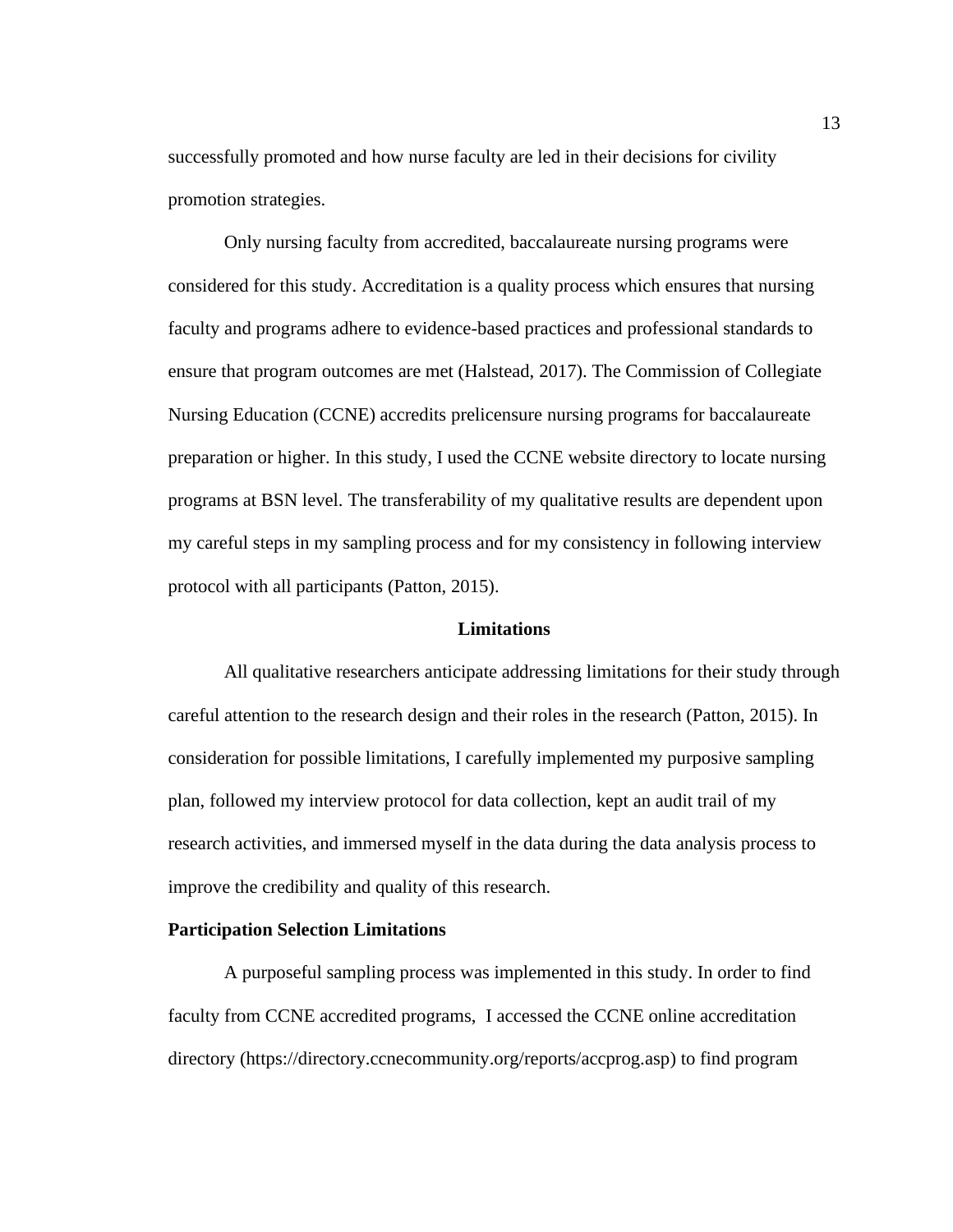successfully promoted and how nurse faculty are led in their decisions for civility promotion strategies.

Only nursing faculty from accredited, baccalaureate nursing programs were considered for this study. Accreditation is a quality process which ensures that nursing faculty and programs adhere to evidence-based practices and professional standards to ensure that program outcomes are met (Halstead, 2017). The Commission of Collegiate Nursing Education (CCNE) accredits prelicensure nursing programs for baccalaureate preparation or higher. In this study, I used the CCNE website directory to locate nursing programs at BSN level. The transferability of my qualitative results are dependent upon my careful steps in my sampling process and for my consistency in following interview protocol with all participants (Patton, 2015).

#### **Limitations**

<span id="page-25-0"></span>All qualitative researchers anticipate addressing limitations for their study through careful attention to the research design and their roles in the research (Patton, 2015). In consideration for possible limitations, I carefully implemented my purposive sampling plan, followed my interview protocol for data collection, kept an audit trail of my research activities, and immersed myself in the data during the data analysis process to improve the credibility and quality of this research.

#### <span id="page-25-1"></span>**Participation Selection Limitations**

A purposeful sampling process was implemented in this study. In order to find faculty from CCNE accredited programs, I accessed the CCNE online accreditation directory (https://directory.ccnecommunity.org/reports/accprog.asp) to find program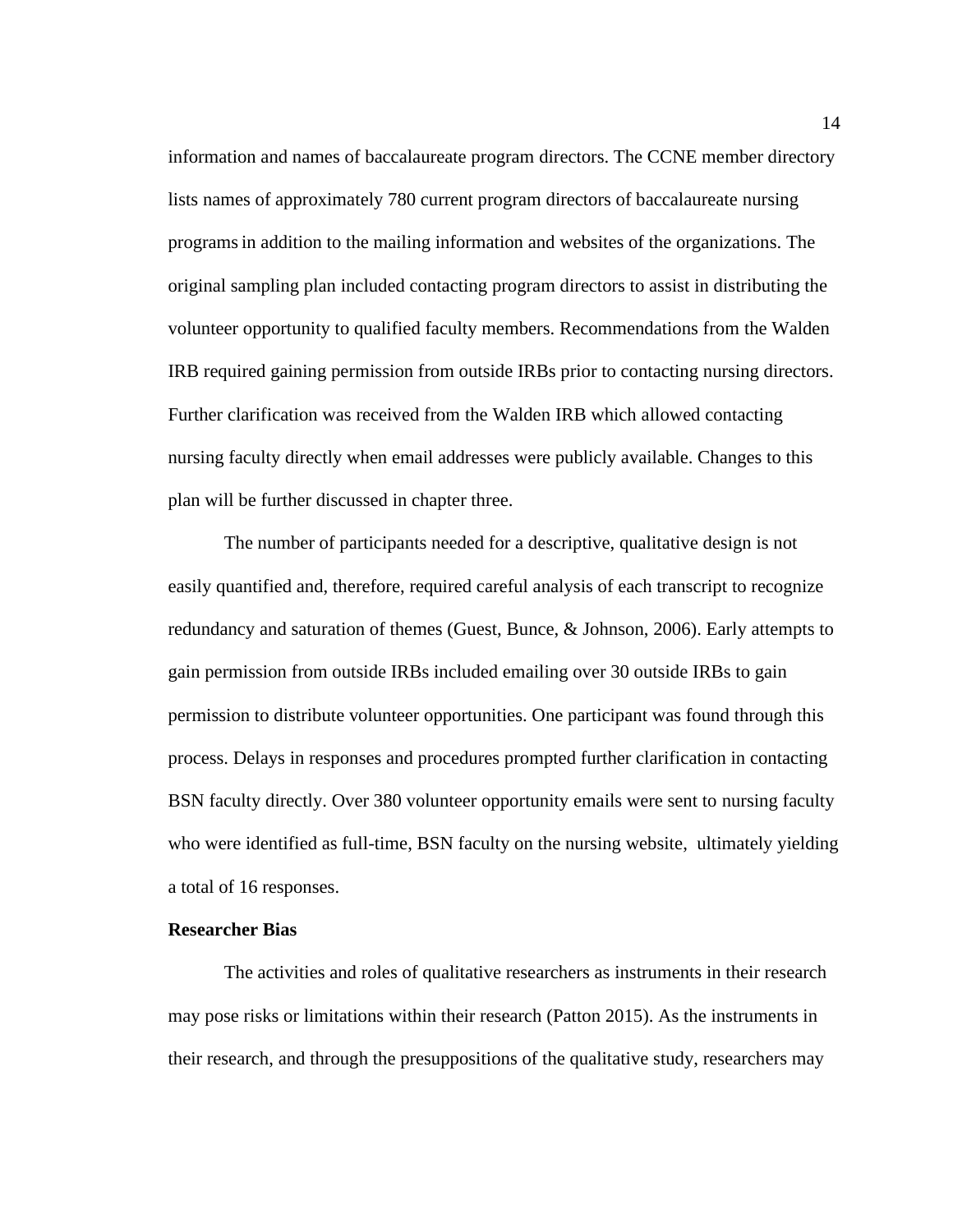information and names of baccalaureate program directors. The CCNE member directory lists names of approximately 780 current program directors of baccalaureate nursing programsin addition to the mailing information and websites of the organizations. The original sampling plan included contacting program directors to assist in distributing the volunteer opportunity to qualified faculty members. Recommendations from the Walden IRB required gaining permission from outside IRBs prior to contacting nursing directors. Further clarification was received from the Walden IRB which allowed contacting nursing faculty directly when email addresses were publicly available. Changes to this plan will be further discussed in chapter three.

The number of participants needed for a descriptive, qualitative design is not easily quantified and, therefore, required careful analysis of each transcript to recognize redundancy and saturation of themes (Guest, Bunce, & Johnson, 2006). Early attempts to gain permission from outside IRBs included emailing over 30 outside IRBs to gain permission to distribute volunteer opportunities. One participant was found through this process. Delays in responses and procedures prompted further clarification in contacting BSN faculty directly. Over 380 volunteer opportunity emails were sent to nursing faculty who were identified as full-time, BSN faculty on the nursing website, ultimately yielding a total of 16 responses.

#### <span id="page-26-0"></span>**Researcher Bias**

The activities and roles of qualitative researchers as instruments in their research may pose risks or limitations within their research (Patton 2015). As the instruments in their research, and through the presuppositions of the qualitative study, researchers may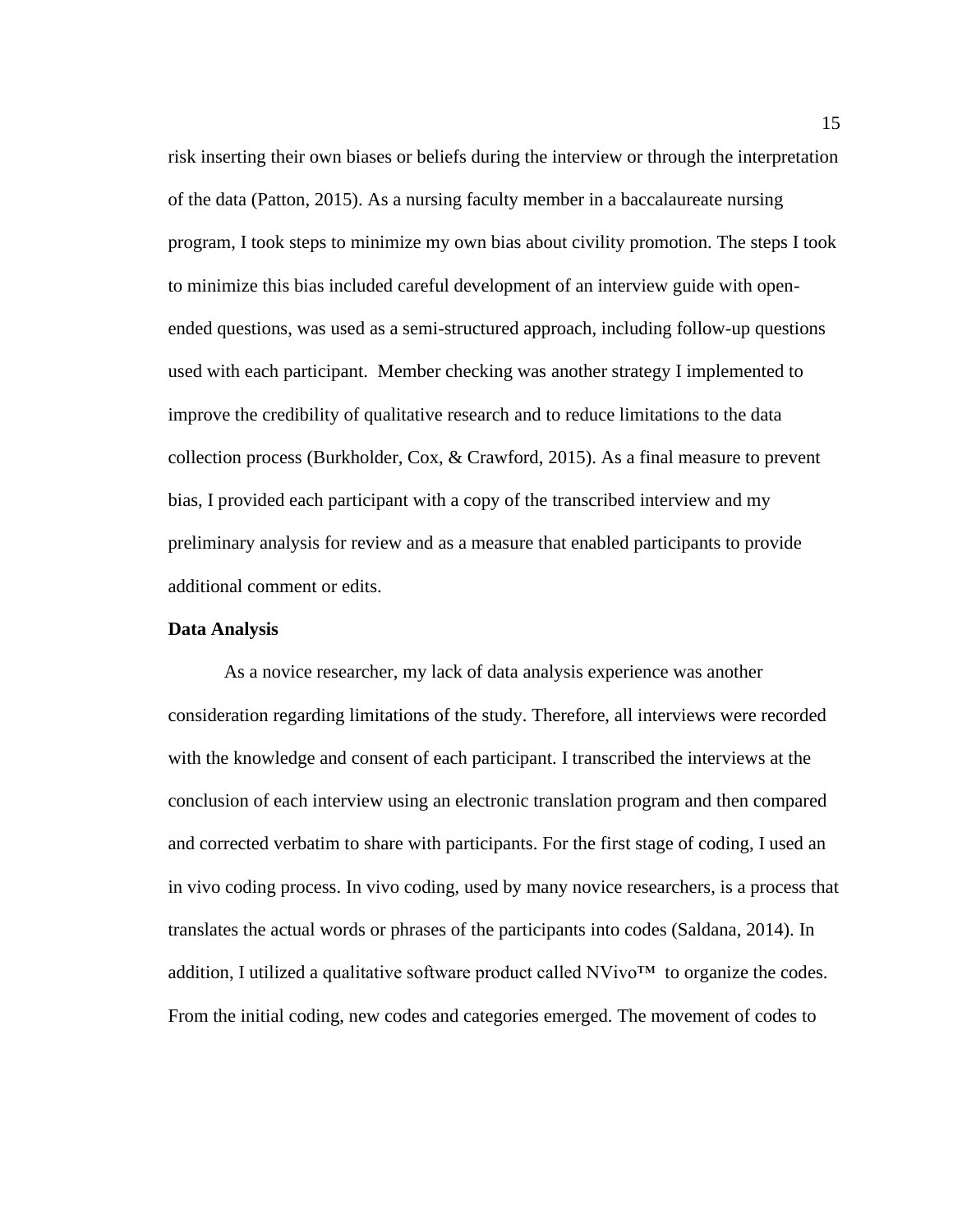risk inserting their own biases or beliefs during the interview or through the interpretation of the data (Patton, 2015). As a nursing faculty member in a baccalaureate nursing program, I took steps to minimize my own bias about civility promotion. The steps I took to minimize this bias included careful development of an interview guide with openended questions, was used as a semi-structured approach, including follow-up questions used with each participant. Member checking was another strategy I implemented to improve the credibility of qualitative research and to reduce limitations to the data collection process (Burkholder, Cox, & Crawford, 2015). As a final measure to prevent bias, I provided each participant with a copy of the transcribed interview and my preliminary analysis for review and as a measure that enabled participants to provide additional comment or edits.

#### <span id="page-27-0"></span>**Data Analysis**

As a novice researcher, my lack of data analysis experience was another consideration regarding limitations of the study. Therefore, all interviews were recorded with the knowledge and consent of each participant. I transcribed the interviews at the conclusion of each interview using an electronic translation program and then compared and corrected verbatim to share with participants. For the first stage of coding, I used an in vivo coding process. In vivo coding, used by many novice researchers, is a process that translates the actual words or phrases of the participants into codes (Saldana, 2014). In addition, I utilized a qualitative software product called  $N$ Vivo<sup>™</sup> to organize the codes. From the initial coding, new codes and categories emerged. The movement of codes to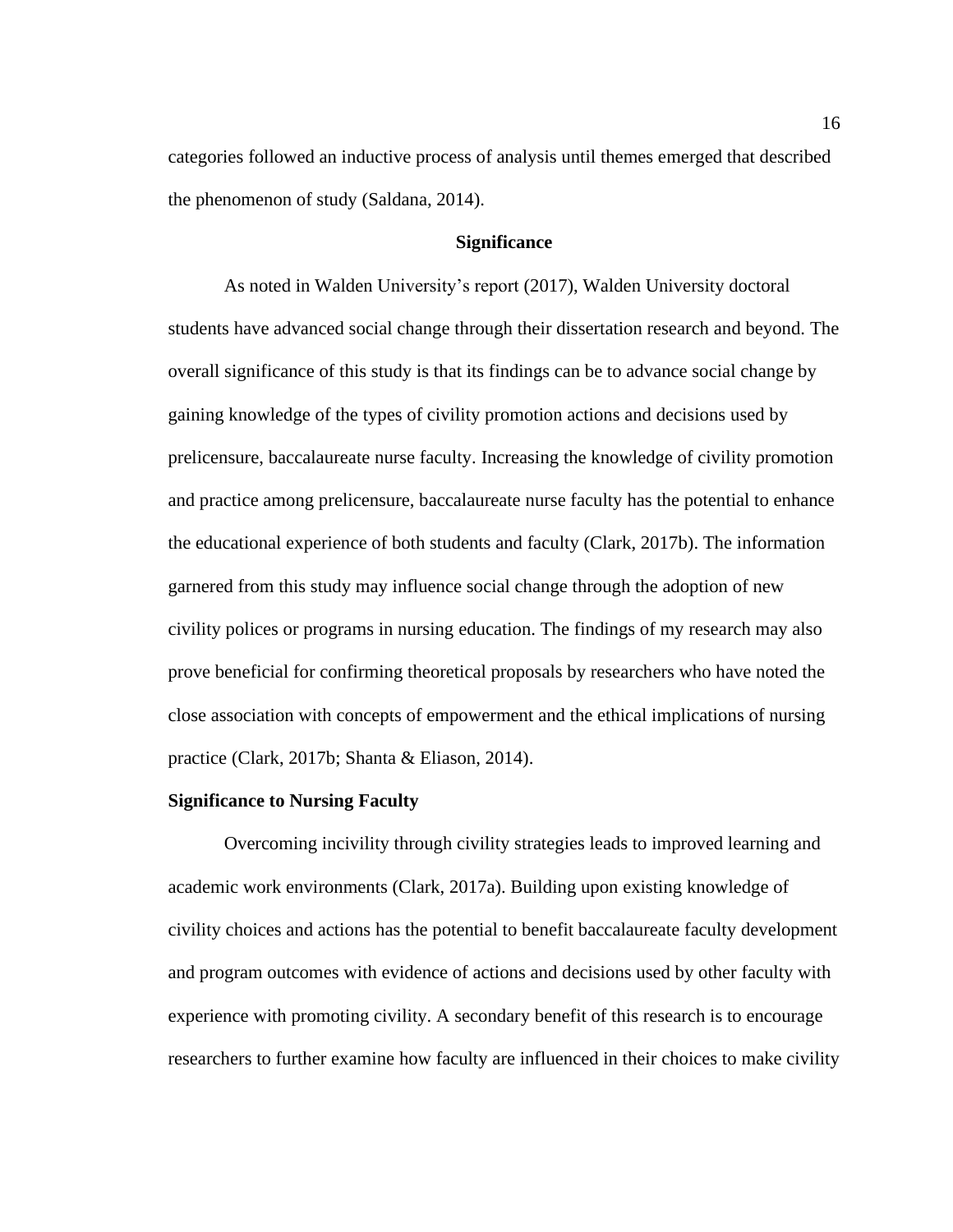categories followed an inductive process of analysis until themes emerged that described the phenomenon of study (Saldana, 2014).

#### **Significance**

<span id="page-28-0"></span>As noted in Walden University's report (2017), Walden University doctoral students have advanced social change through their dissertation research and beyond. The overall significance of this study is that its findings can be to advance social change by gaining knowledge of the types of civility promotion actions and decisions used by prelicensure, baccalaureate nurse faculty. Increasing the knowledge of civility promotion and practice among prelicensure, baccalaureate nurse faculty has the potential to enhance the educational experience of both students and faculty (Clark, 2017b). The information garnered from this study may influence social change through the adoption of new civility polices or programs in nursing education. The findings of my research may also prove beneficial for confirming theoretical proposals by researchers who have noted the close association with concepts of empowerment and the ethical implications of nursing practice (Clark, 2017b; Shanta & Eliason, 2014).

#### <span id="page-28-1"></span>**Significance to Nursing Faculty**

Overcoming incivility through civility strategies leads to improved learning and academic work environments (Clark, 2017a). Building upon existing knowledge of civility choices and actions has the potential to benefit baccalaureate faculty development and program outcomes with evidence of actions and decisions used by other faculty with experience with promoting civility. A secondary benefit of this research is to encourage researchers to further examine how faculty are influenced in their choices to make civility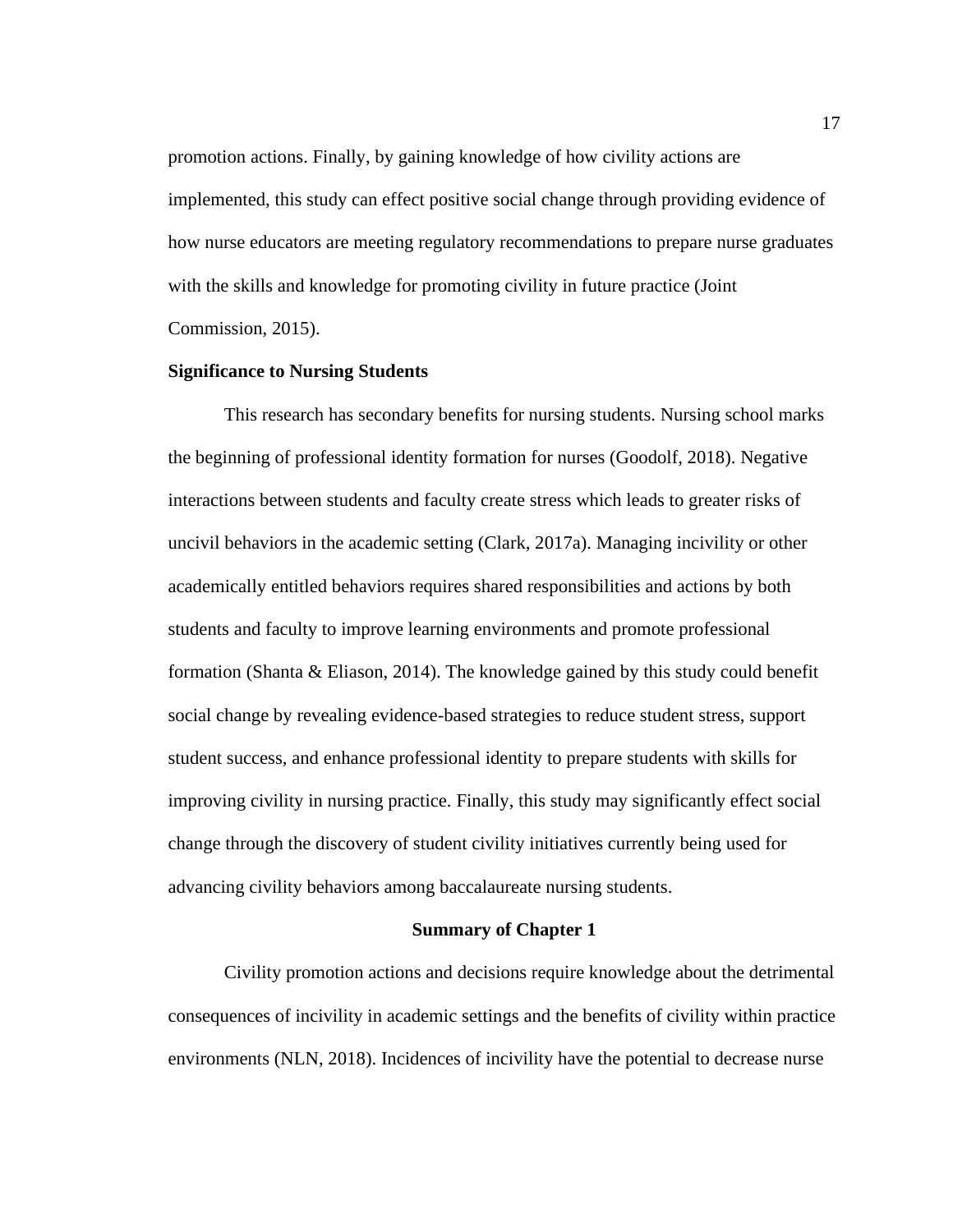promotion actions. Finally, by gaining knowledge of how civility actions are implemented, this study can effect positive social change through providing evidence of how nurse educators are meeting regulatory recommendations to prepare nurse graduates with the skills and knowledge for promoting civility in future practice (Joint Commission, 2015).

#### **Significance to Nursing Students**

This research has secondary benefits for nursing students. Nursing school marks the beginning of professional identity formation for nurses (Goodolf, 2018). Negative interactions between students and faculty create stress which leads to greater risks of uncivil behaviors in the academic setting (Clark, 2017a). Managing incivility or other academically entitled behaviors requires shared responsibilities and actions by both students and faculty to improve learning environments and promote professional formation (Shanta & Eliason, 2014). The knowledge gained by this study could benefit social change by revealing evidence-based strategies to reduce student stress, support student success, and enhance professional identity to prepare students with skills for improving civility in nursing practice. Finally, this study may significantly effect social change through the discovery of student civility initiatives currently being used for advancing civility behaviors among baccalaureate nursing students.

#### **Summary of Chapter 1**

<span id="page-29-0"></span>Civility promotion actions and decisions require knowledge about the detrimental consequences of incivility in academic settings and the benefits of civility within practice environments (NLN, 2018). Incidences of incivility have the potential to decrease nurse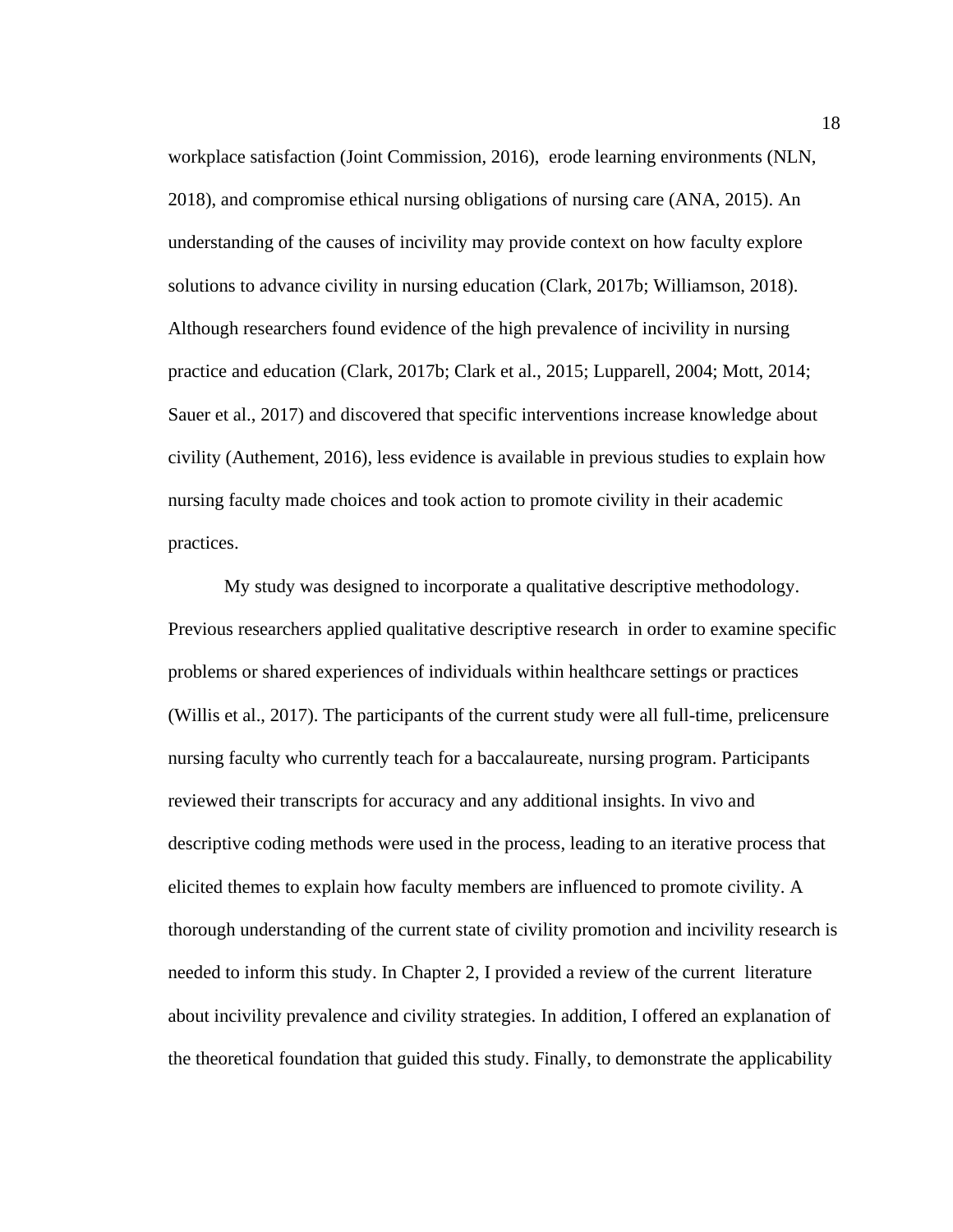workplace satisfaction (Joint Commission, 2016), erode learning environments (NLN, 2018), and compromise ethical nursing obligations of nursing care (ANA, 2015). An understanding of the causes of incivility may provide context on how faculty explore solutions to advance civility in nursing education (Clark, 2017b; Williamson, 2018). Although researchers found evidence of the high prevalence of incivility in nursing practice and education (Clark, 2017b; Clark et al., 2015; Lupparell, 2004; Mott, 2014; Sauer et al., 2017) and discovered that specific interventions increase knowledge about civility (Authement, 2016), less evidence is available in previous studies to explain how nursing faculty made choices and took action to promote civility in their academic practices.

My study was designed to incorporate a qualitative descriptive methodology. Previous researchers applied qualitative descriptive research in order to examine specific problems or shared experiences of individuals within healthcare settings or practices (Willis et al., 2017). The participants of the current study were all full-time, prelicensure nursing faculty who currently teach for a baccalaureate, nursing program. Participants reviewed their transcripts for accuracy and any additional insights. In vivo and descriptive coding methods were used in the process, leading to an iterative process that elicited themes to explain how faculty members are influenced to promote civility. A thorough understanding of the current state of civility promotion and incivility research is needed to inform this study. In Chapter 2, I provided a review of the current literature about incivility prevalence and civility strategies. In addition, I offered an explanation of the theoretical foundation that guided this study. Finally, to demonstrate the applicability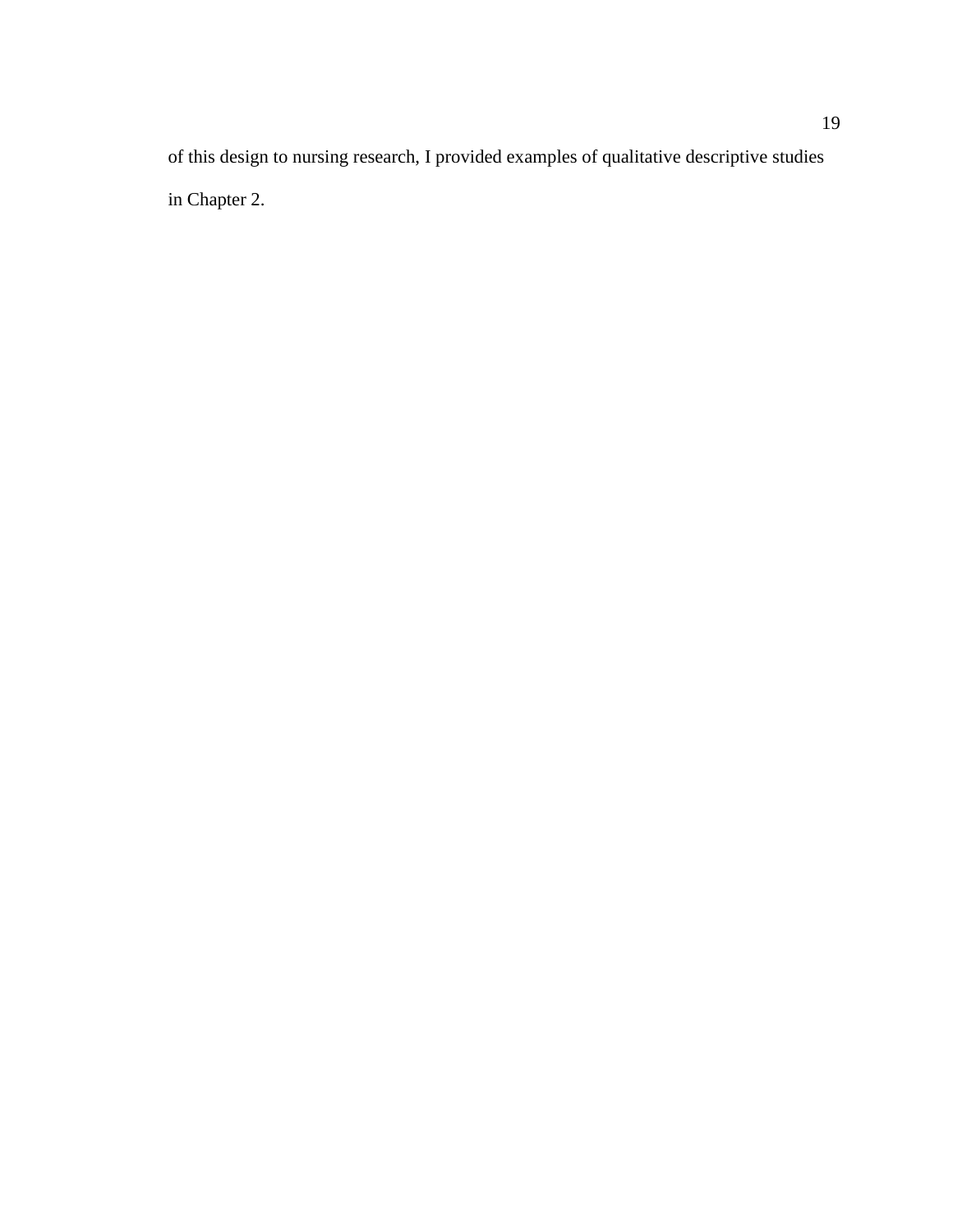of this design to nursing research, I provided examples of qualitative descriptive studies in Chapter 2.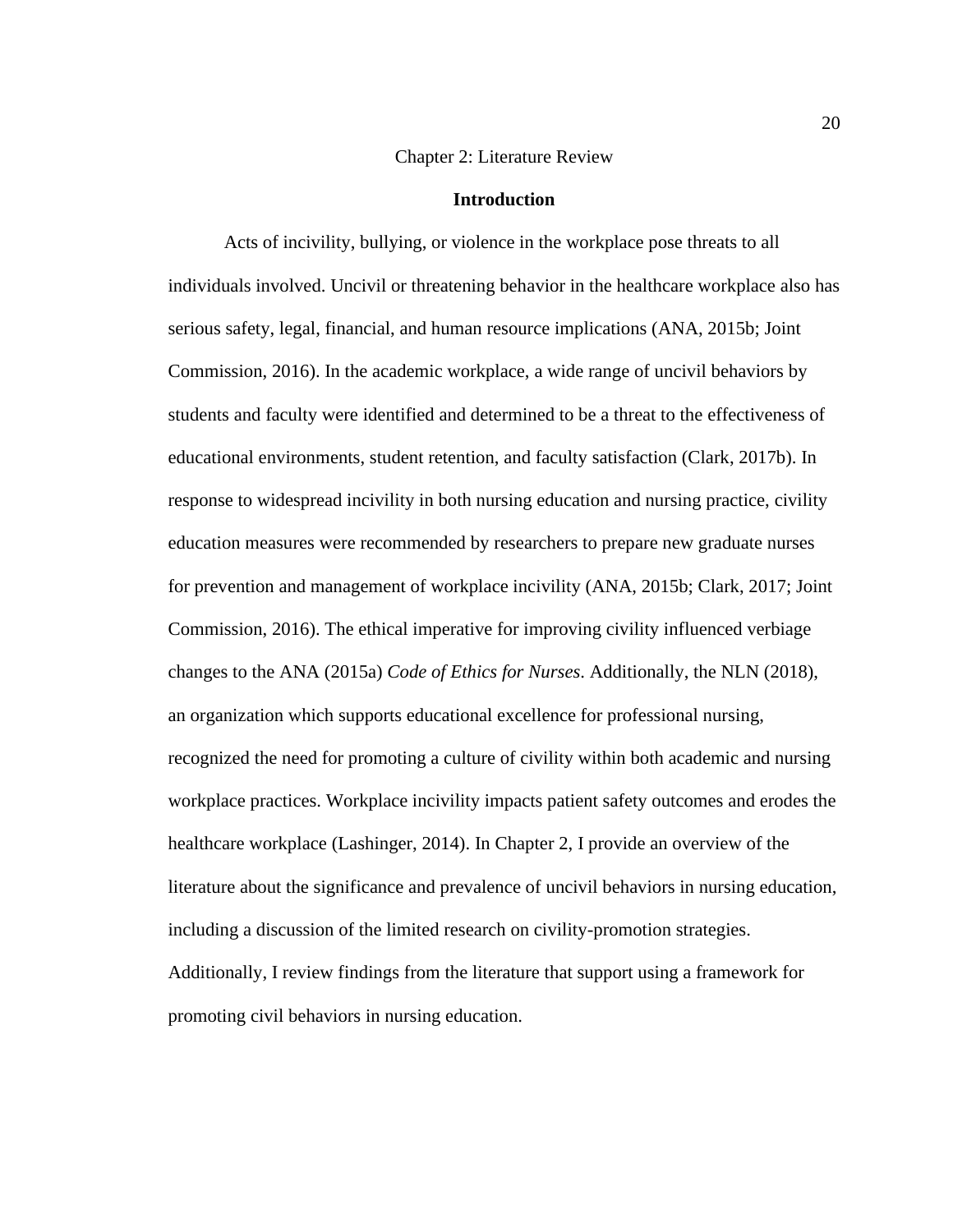#### Chapter 2: Literature Review

#### **Introduction**

<span id="page-32-1"></span><span id="page-32-0"></span>Acts of incivility, bullying, or violence in the workplace pose threats to all individuals involved. Uncivil or threatening behavior in the healthcare workplace also has serious safety, legal, financial, and human resource implications (ANA, 2015b; Joint Commission, 2016). In the academic workplace, a wide range of uncivil behaviors by students and faculty were identified and determined to be a threat to the effectiveness of educational environments, student retention, and faculty satisfaction (Clark, 2017b). In response to widespread incivility in both nursing education and nursing practice, civility education measures were recommended by researchers to prepare new graduate nurses for prevention and management of workplace incivility (ANA, 2015b; Clark, 2017; Joint Commission, 2016). The ethical imperative for improving civility influenced verbiage changes to the ANA (2015a) *Code of Ethics for Nurses*. Additionally, the NLN (2018), an organization which supports educational excellence for professional nursing, recognized the need for promoting a culture of civility within both academic and nursing workplace practices. Workplace incivility impacts patient safety outcomes and erodes the healthcare workplace (Lashinger, 2014). In Chapter 2, I provide an overview of the literature about the significance and prevalence of uncivil behaviors in nursing education, including a discussion of the limited research on civility-promotion strategies. Additionally, I review findings from the literature that support using a framework for promoting civil behaviors in nursing education.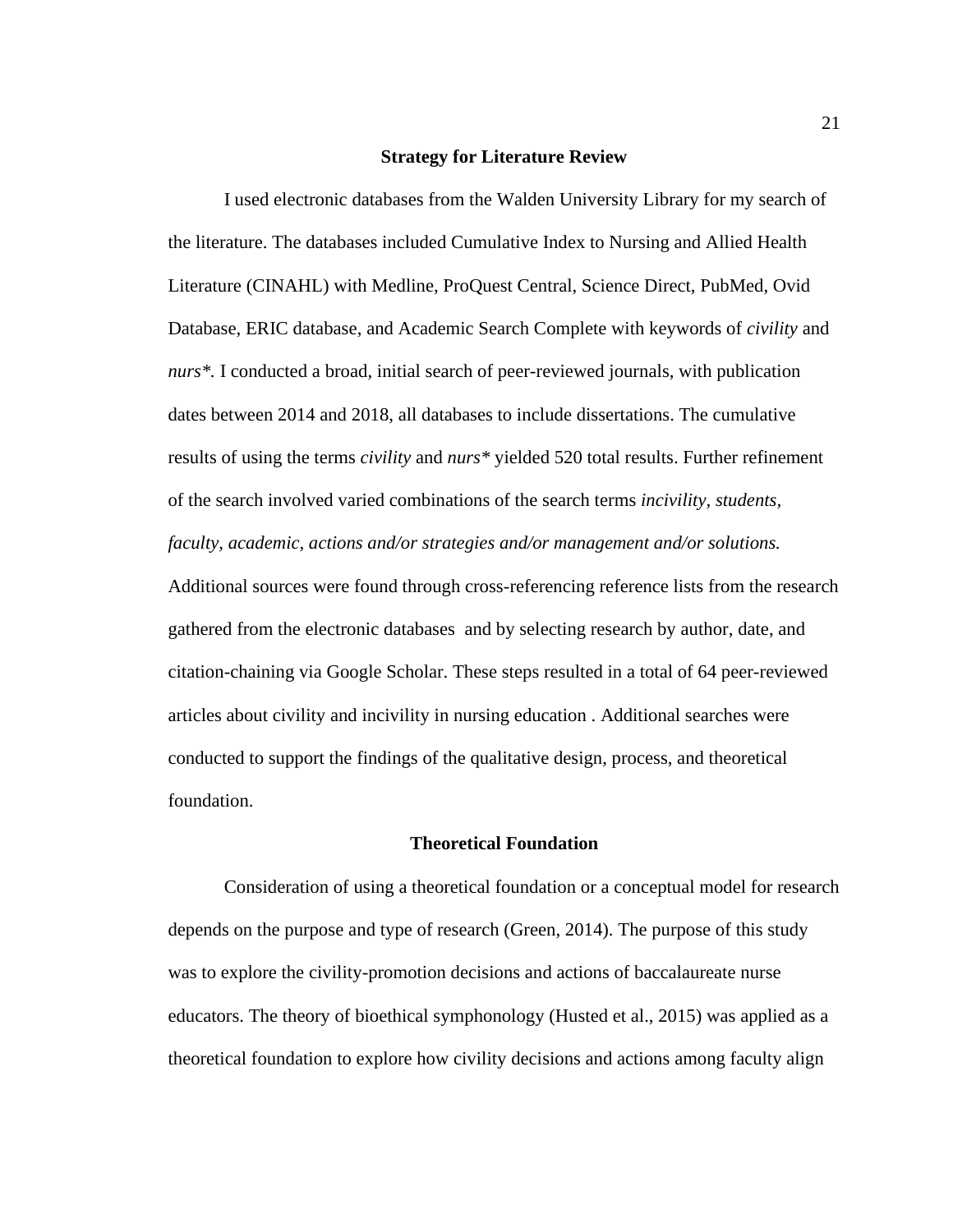#### **Strategy for Literature Review**

<span id="page-33-0"></span>I used electronic databases from the Walden University Library for my search of the literature. The databases included Cumulative Index to Nursing and Allied Health Literature (CINAHL) with Medline, ProQuest Central, Science Direct, PubMed, Ovid Database, ERIC database, and Academic Search Complete with keywords of *civility* and *nurs\*.* I conducted a broad, initial search of peer-reviewed journals, with publication dates between 2014 and 2018, all databases to include dissertations. The cumulative results of using the terms *civility* and *nurs\** yielded 520 total results. Further refinement of the search involved varied combinations of the search terms *incivility, students, faculty, academic, actions and/or strategies and/or management and/or solutions.* Additional sources were found through cross-referencing reference lists from the research

gathered from the electronic databases and by selecting research by author, date, and citation-chaining via Google Scholar. These steps resulted in a total of 64 peer-reviewed articles about civility and incivility in nursing education . Additional searches were conducted to support the findings of the qualitative design, process, and theoretical foundation.

#### **Theoretical Foundation**

<span id="page-33-1"></span>Consideration of using a theoretical foundation or a conceptual model for research depends on the purpose and type of research (Green, 2014). The purpose of this study was to explore the civility-promotion decisions and actions of baccalaureate nurse educators. The theory of bioethical symphonology (Husted et al., 2015) was applied as a theoretical foundation to explore how civility decisions and actions among faculty align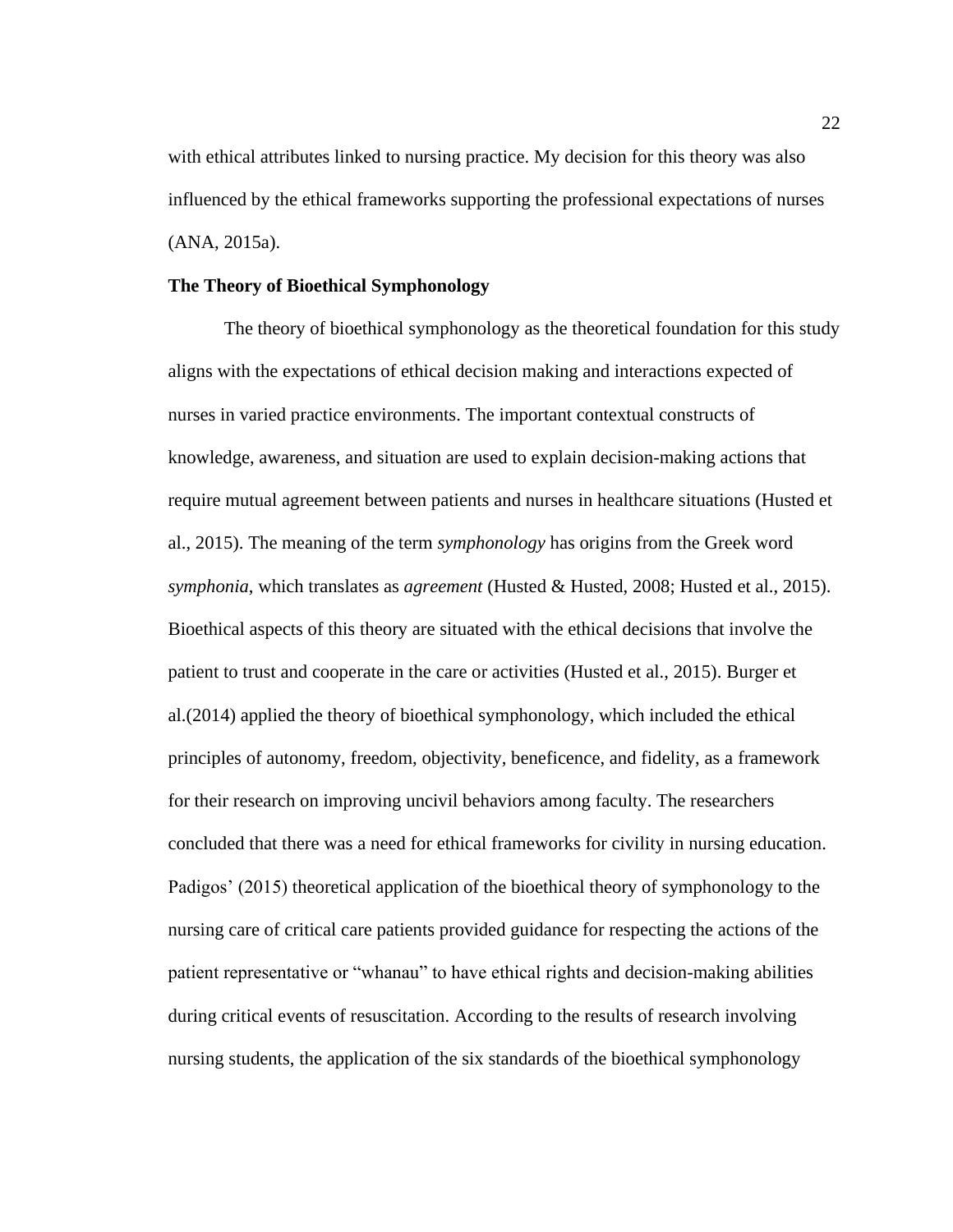with ethical attributes linked to nursing practice. My decision for this theory was also influenced by the ethical frameworks supporting the professional expectations of nurses (ANA, 2015a).

#### <span id="page-34-0"></span>**The Theory of Bioethical Symphonology**

The theory of bioethical symphonology as the theoretical foundation for this study aligns with the expectations of ethical decision making and interactions expected of nurses in varied practice environments. The important contextual constructs of knowledge, awareness, and situation are used to explain decision-making actions that require mutual agreement between patients and nurses in healthcare situations (Husted et al., 2015). The meaning of the term *symphonology* has origins from the Greek word *symphonia*, which translates as *agreement* (Husted & Husted, 2008; Husted et al., 2015). Bioethical aspects of this theory are situated with the ethical decisions that involve the patient to trust and cooperate in the care or activities (Husted et al., 2015). Burger et al.(2014) applied the theory of bioethical symphonology, which included the ethical principles of autonomy, freedom, objectivity, beneficence, and fidelity, as a framework for their research on improving uncivil behaviors among faculty. The researchers concluded that there was a need for ethical frameworks for civility in nursing education. Padigos' (2015) theoretical application of the bioethical theory of symphonology to the nursing care of critical care patients provided guidance for respecting the actions of the patient representative or "whanau" to have ethical rights and decision-making abilities during critical events of resuscitation. According to the results of research involving nursing students, the application of the six standards of the bioethical symphonology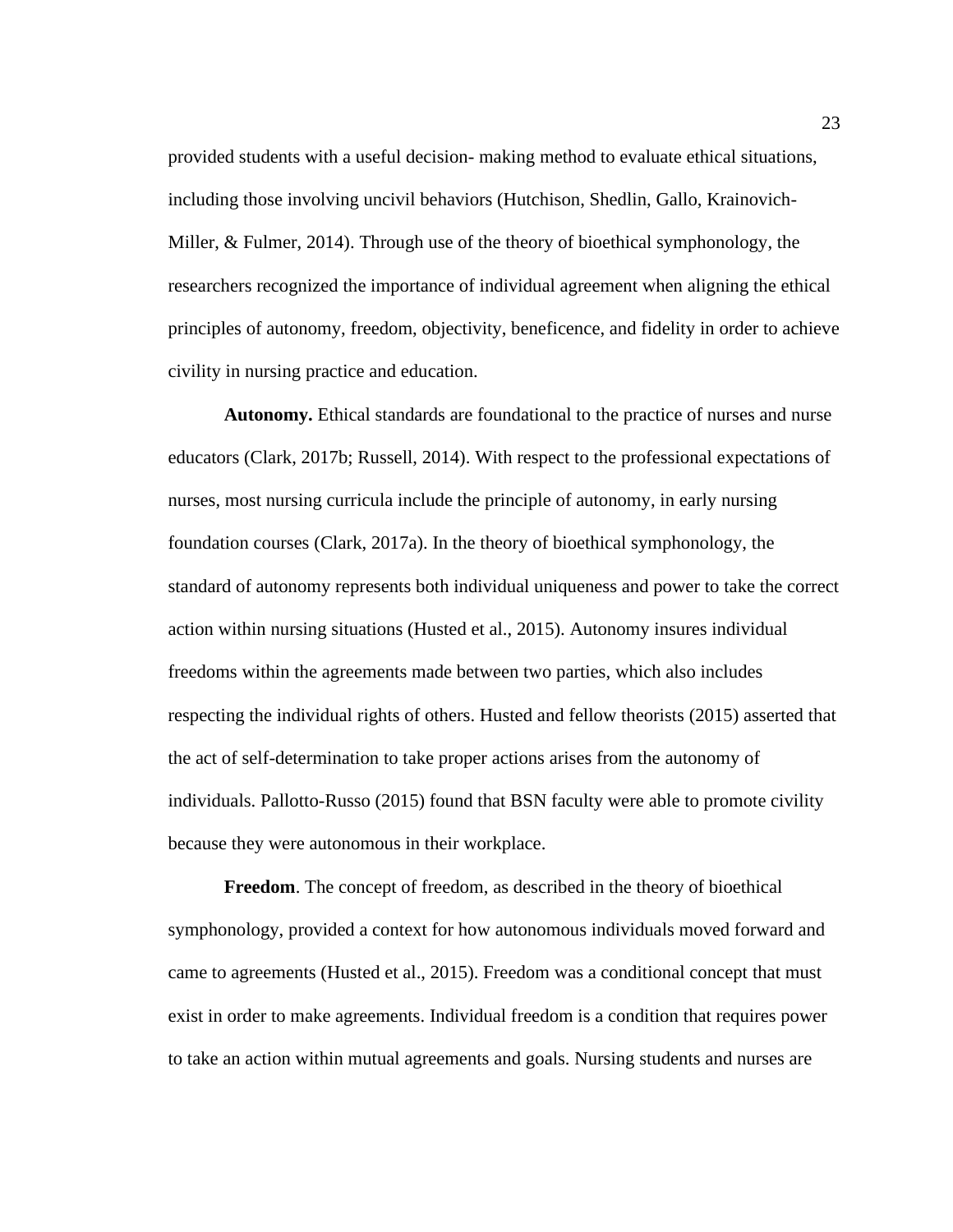provided students with a useful decision- making method to evaluate ethical situations, including those involving uncivil behaviors (Hutchison, Shedlin, Gallo, Krainovich-Miller, & Fulmer, 2014). Through use of the theory of bioethical symphonology, the researchers recognized the importance of individual agreement when aligning the ethical principles of autonomy, freedom, objectivity, beneficence, and fidelity in order to achieve civility in nursing practice and education.

**Autonomy.** Ethical standards are foundational to the practice of nurses and nurse educators (Clark, 2017b; Russell, 2014). With respect to the professional expectations of nurses, most nursing curricula include the principle of autonomy, in early nursing foundation courses (Clark, 2017a). In the theory of bioethical symphonology, the standard of autonomy represents both individual uniqueness and power to take the correct action within nursing situations (Husted et al., 2015). Autonomy insures individual freedoms within the agreements made between two parties, which also includes respecting the individual rights of others. Husted and fellow theorists (2015) asserted that the act of self-determination to take proper actions arises from the autonomy of individuals. Pallotto-Russo (2015) found that BSN faculty were able to promote civility because they were autonomous in their workplace.

**Freedom**. The concept of freedom, as described in the theory of bioethical symphonology, provided a context for how autonomous individuals moved forward and came to agreements (Husted et al., 2015). Freedom was a conditional concept that must exist in order to make agreements. Individual freedom is a condition that requires power to take an action within mutual agreements and goals. Nursing students and nurses are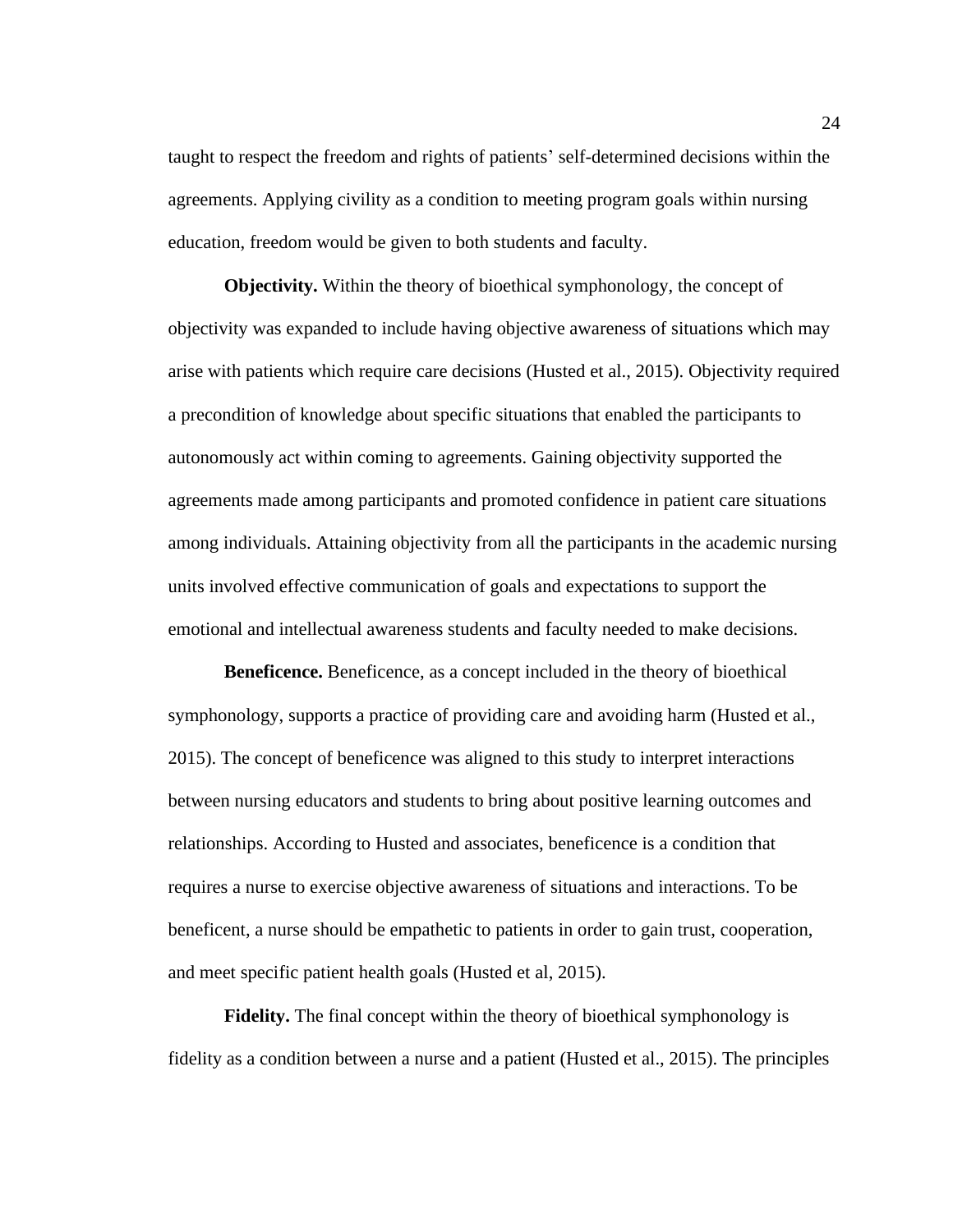taught to respect the freedom and rights of patients' self-determined decisions within the agreements. Applying civility as a condition to meeting program goals within nursing education, freedom would be given to both students and faculty.

**Objectivity.** Within the theory of bioethical symphonology, the concept of objectivity was expanded to include having objective awareness of situations which may arise with patients which require care decisions (Husted et al., 2015). Objectivity required a precondition of knowledge about specific situations that enabled the participants to autonomously act within coming to agreements. Gaining objectivity supported the agreements made among participants and promoted confidence in patient care situations among individuals. Attaining objectivity from all the participants in the academic nursing units involved effective communication of goals and expectations to support the emotional and intellectual awareness students and faculty needed to make decisions.

**Beneficence.** Beneficence, as a concept included in the theory of bioethical symphonology, supports a practice of providing care and avoiding harm (Husted et al., 2015). The concept of beneficence was aligned to this study to interpret interactions between nursing educators and students to bring about positive learning outcomes and relationships. According to Husted and associates, beneficence is a condition that requires a nurse to exercise objective awareness of situations and interactions. To be beneficent, a nurse should be empathetic to patients in order to gain trust, cooperation, and meet specific patient health goals (Husted et al, 2015).

**Fidelity.** The final concept within the theory of bioethical symphonology is fidelity as a condition between a nurse and a patient (Husted et al., 2015). The principles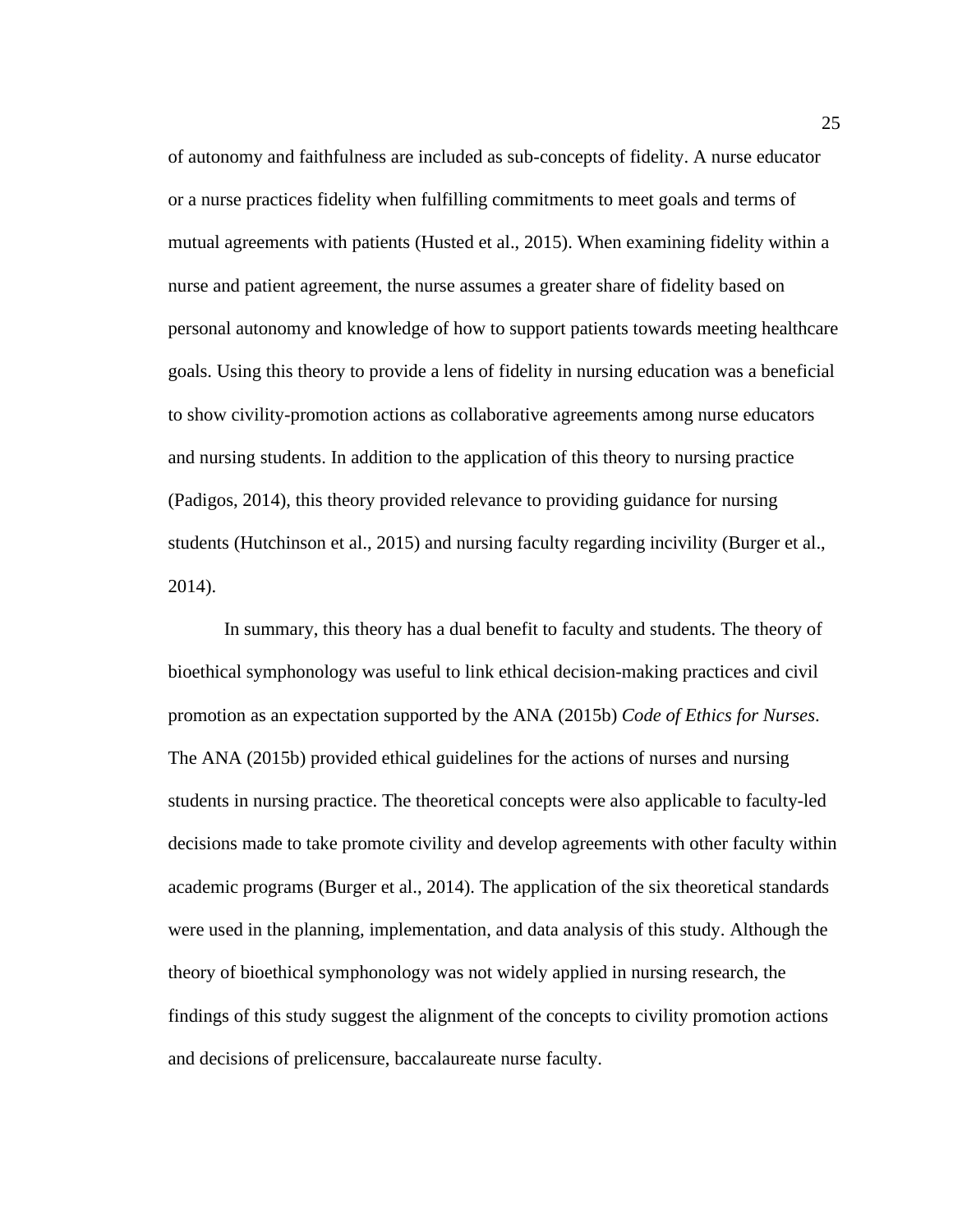of autonomy and faithfulness are included as sub-concepts of fidelity. A nurse educator or a nurse practices fidelity when fulfilling commitments to meet goals and terms of mutual agreements with patients (Husted et al., 2015). When examining fidelity within a nurse and patient agreement, the nurse assumes a greater share of fidelity based on personal autonomy and knowledge of how to support patients towards meeting healthcare goals. Using this theory to provide a lens of fidelity in nursing education was a beneficial to show civility-promotion actions as collaborative agreements among nurse educators and nursing students. In addition to the application of this theory to nursing practice (Padigos, 2014), this theory provided relevance to providing guidance for nursing students (Hutchinson et al., 2015) and nursing faculty regarding incivility (Burger et al., 2014).

In summary, this theory has a dual benefit to faculty and students. The theory of bioethical symphonology was useful to link ethical decision-making practices and civil promotion as an expectation supported by the ANA (2015b) *Code of Ethics for Nurses*. The ANA (2015b) provided ethical guidelines for the actions of nurses and nursing students in nursing practice. The theoretical concepts were also applicable to faculty-led decisions made to take promote civility and develop agreements with other faculty within academic programs (Burger et al., 2014). The application of the six theoretical standards were used in the planning, implementation, and data analysis of this study. Although the theory of bioethical symphonology was not widely applied in nursing research, the findings of this study suggest the alignment of the concepts to civility promotion actions and decisions of prelicensure, baccalaureate nurse faculty.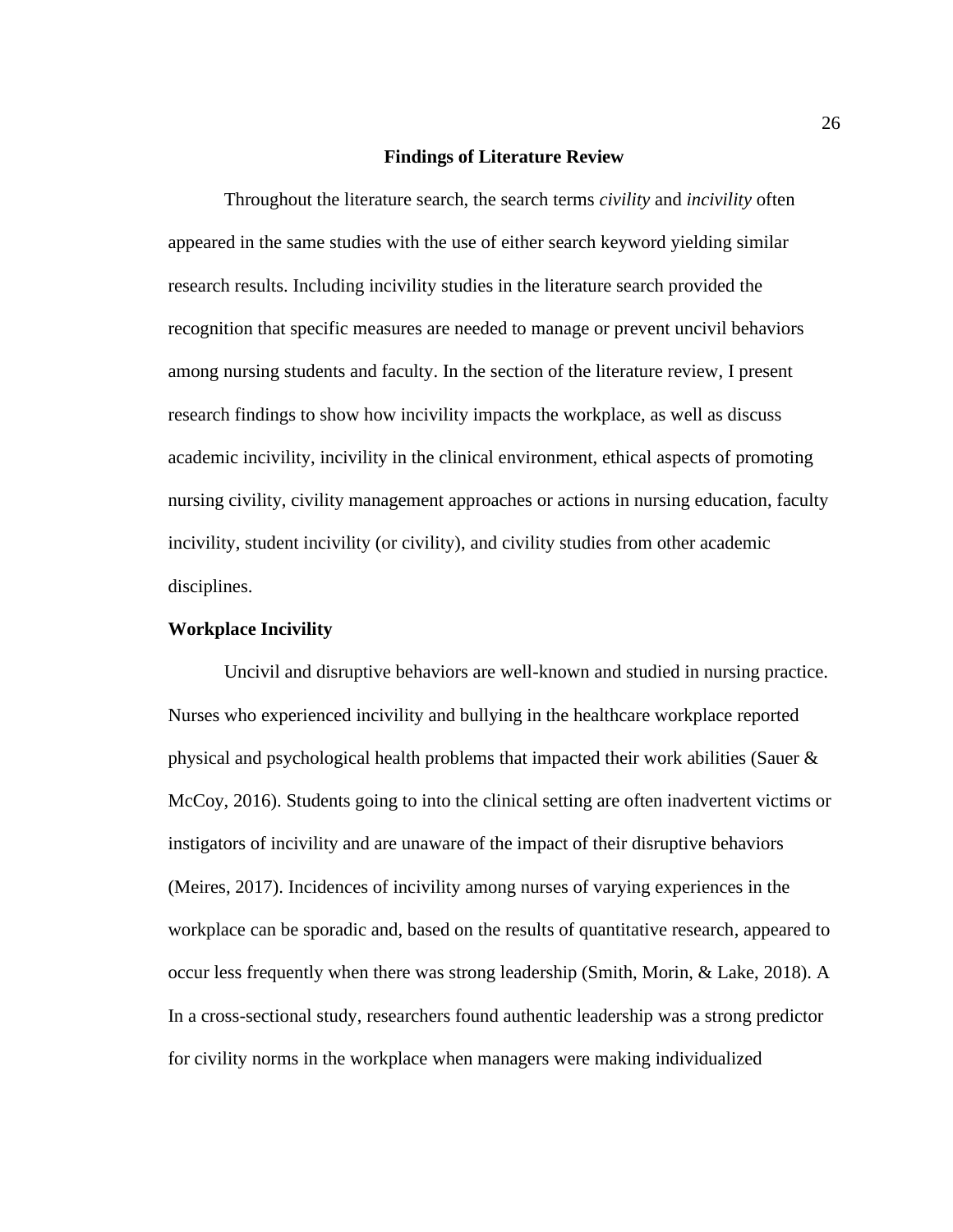## **Findings of Literature Review**

Throughout the literature search, the search terms *civility* and *incivility* often appeared in the same studies with the use of either search keyword yielding similar research results. Including incivility studies in the literature search provided the recognition that specific measures are needed to manage or prevent uncivil behaviors among nursing students and faculty. In the section of the literature review, I present research findings to show how incivility impacts the workplace, as well as discuss academic incivility, incivility in the clinical environment, ethical aspects of promoting nursing civility, civility management approaches or actions in nursing education, faculty incivility, student incivility (or civility), and civility studies from other academic disciplines.

# **Workplace Incivility**

Uncivil and disruptive behaviors are well-known and studied in nursing practice. Nurses who experienced incivility and bullying in the healthcare workplace reported physical and psychological health problems that impacted their work abilities (Sauer & McCoy, 2016). Students going to into the clinical setting are often inadvertent victims or instigators of incivility and are unaware of the impact of their disruptive behaviors (Meires, 2017). Incidences of incivility among nurses of varying experiences in the workplace can be sporadic and, based on the results of quantitative research, appeared to occur less frequently when there was strong leadership (Smith, Morin, & Lake, 2018). A In a cross-sectional study, researchers found authentic leadership was a strong predictor for civility norms in the workplace when managers were making individualized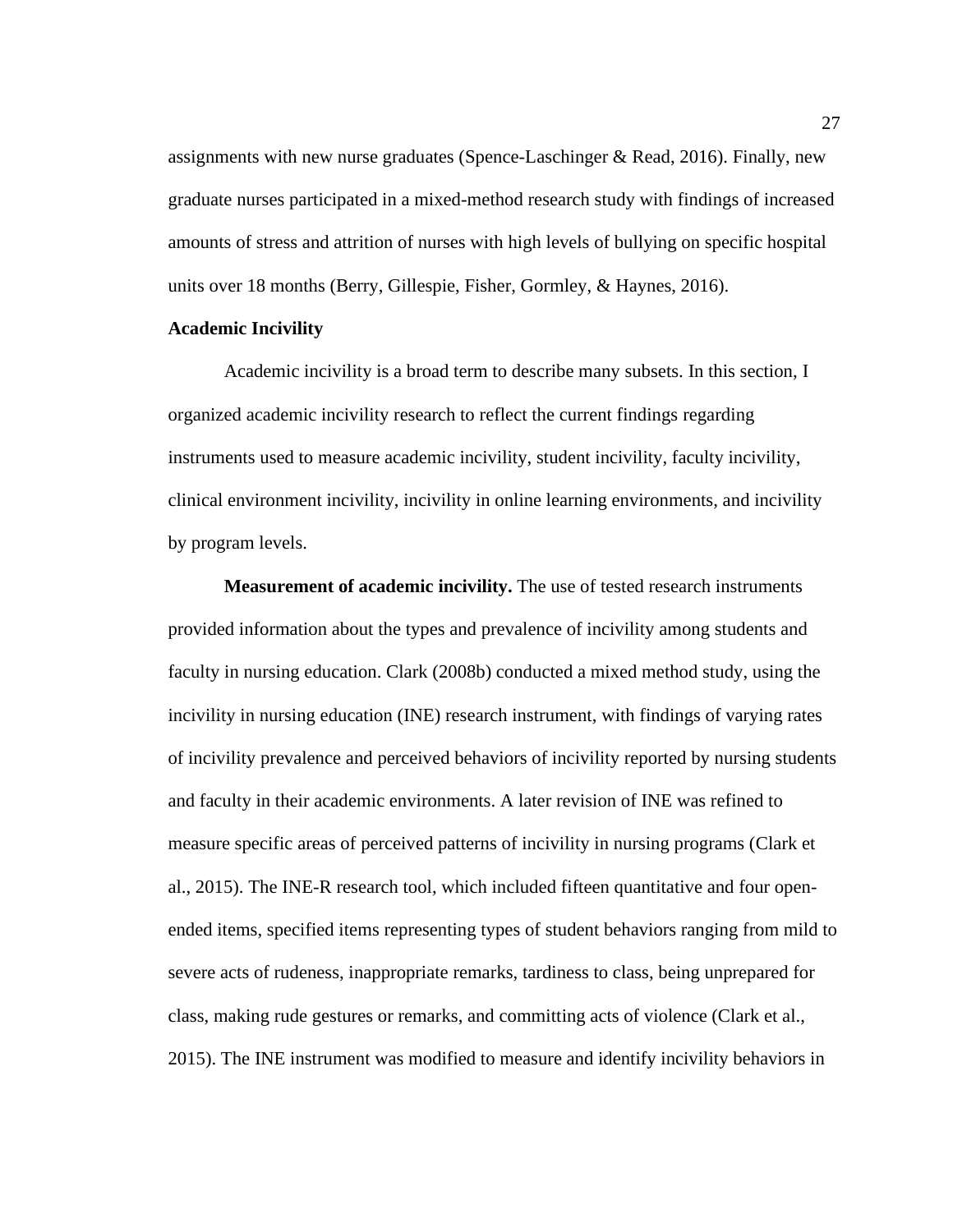assignments with new nurse graduates (Spence-Laschinger & Read, 2016). Finally, new graduate nurses participated in a mixed-method research study with findings of increased amounts of stress and attrition of nurses with high levels of bullying on specific hospital units over 18 months (Berry, Gillespie, Fisher, Gormley, & Haynes, 2016).

### **Academic Incivility**

Academic incivility is a broad term to describe many subsets. In this section, I organized academic incivility research to reflect the current findings regarding instruments used to measure academic incivility, student incivility, faculty incivility, clinical environment incivility, incivility in online learning environments, and incivility by program levels.

**Measurement of academic incivility.** The use of tested research instruments provided information about the types and prevalence of incivility among students and faculty in nursing education. Clark (2008b) conducted a mixed method study, using the incivility in nursing education (INE) research instrument, with findings of varying rates of incivility prevalence and perceived behaviors of incivility reported by nursing students and faculty in their academic environments. A later revision of INE was refined to measure specific areas of perceived patterns of incivility in nursing programs (Clark et al., 2015). The INE-R research tool, which included fifteen quantitative and four openended items, specified items representing types of student behaviors ranging from mild to severe acts of rudeness, inappropriate remarks, tardiness to class, being unprepared for class, making rude gestures or remarks, and committing acts of violence (Clark et al., 2015). The INE instrument was modified to measure and identify incivility behaviors in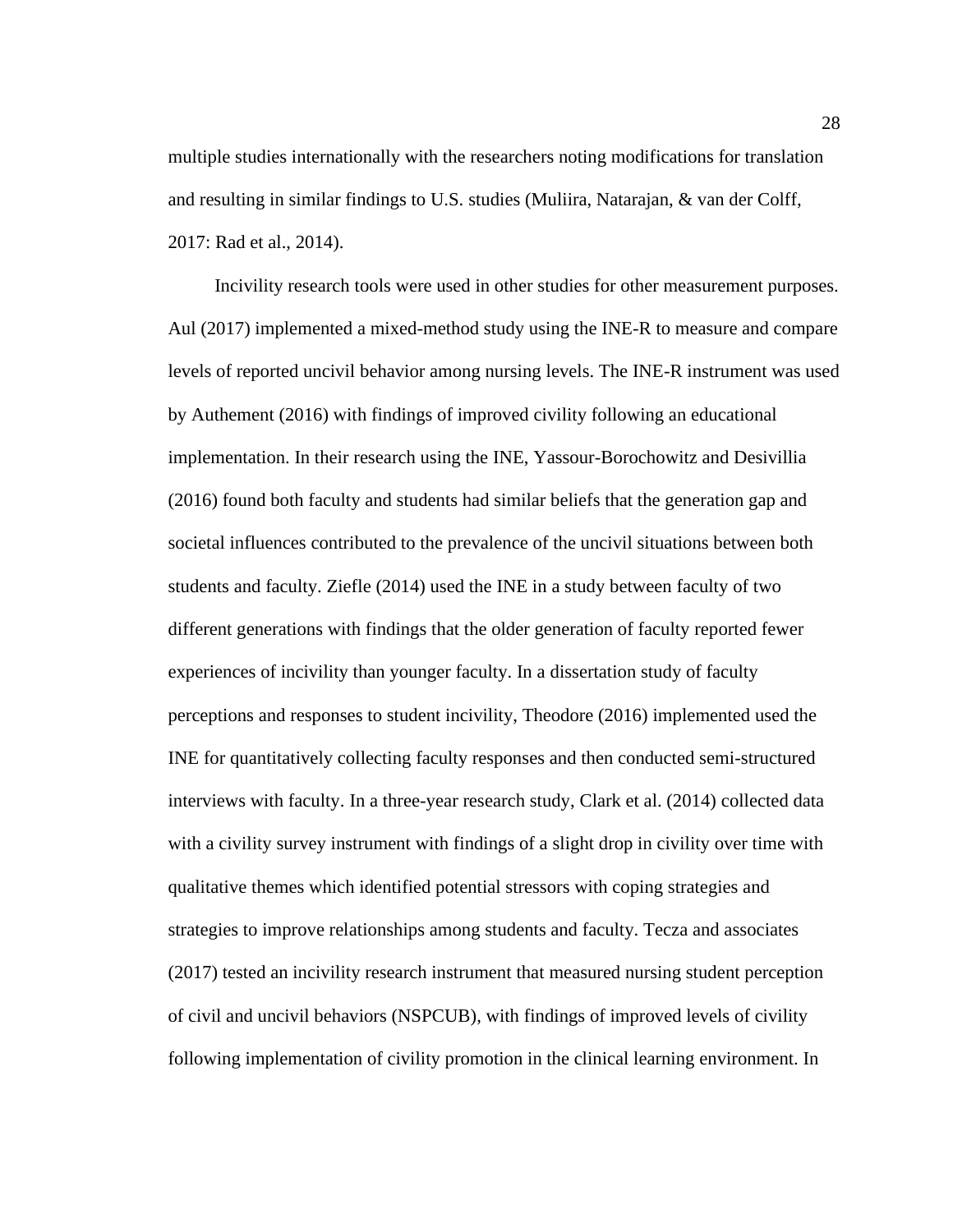multiple studies internationally with the researchers noting modifications for translation and resulting in similar findings to U.S. studies (Muliira, Natarajan, & van der Colff, 2017: Rad et al., 2014).

 Incivility research tools were used in other studies for other measurement purposes. Aul (2017) implemented a mixed-method study using the INE-R to measure and compare levels of reported uncivil behavior among nursing levels. The INE-R instrument was used by Authement (2016) with findings of improved civility following an educational implementation. In their research using the INE, Yassour-Borochowitz and Desivillia (2016) found both faculty and students had similar beliefs that the generation gap and societal influences contributed to the prevalence of the uncivil situations between both students and faculty. Ziefle (2014) used the INE in a study between faculty of two different generations with findings that the older generation of faculty reported fewer experiences of incivility than younger faculty. In a dissertation study of faculty perceptions and responses to student incivility, Theodore (2016) implemented used the INE for quantitatively collecting faculty responses and then conducted semi-structured interviews with faculty. In a three-year research study, Clark et al. (2014) collected data with a civility survey instrument with findings of a slight drop in civility over time with qualitative themes which identified potential stressors with coping strategies and strategies to improve relationships among students and faculty. Tecza and associates (2017) tested an incivility research instrument that measured nursing student perception of civil and uncivil behaviors (NSPCUB), with findings of improved levels of civility following implementation of civility promotion in the clinical learning environment. In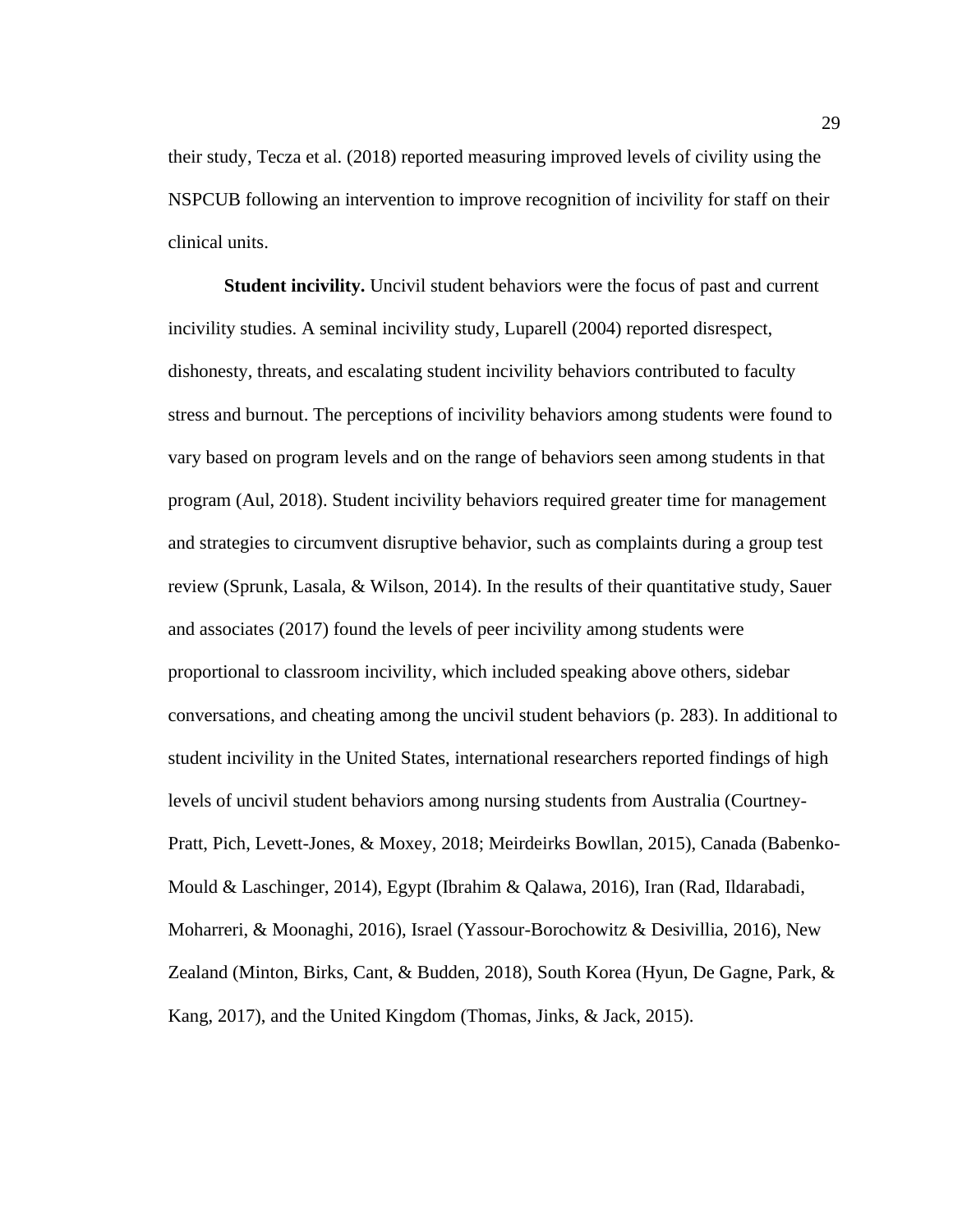their study, Tecza et al. (2018) reported measuring improved levels of civility using the NSPCUB following an intervention to improve recognition of incivility for staff on their clinical units.

**Student incivility.** Uncivil student behaviors were the focus of past and current incivility studies. A seminal incivility study, Luparell (2004) reported disrespect, dishonesty, threats, and escalating student incivility behaviors contributed to faculty stress and burnout. The perceptions of incivility behaviors among students were found to vary based on program levels and on the range of behaviors seen among students in that program (Aul, 2018). Student incivility behaviors required greater time for management and strategies to circumvent disruptive behavior, such as complaints during a group test review (Sprunk, Lasala, & Wilson, 2014). In the results of their quantitative study, Sauer and associates (2017) found the levels of peer incivility among students were proportional to classroom incivility, which included speaking above others, sidebar conversations, and cheating among the uncivil student behaviors (p. 283). In additional to student incivility in the United States, international researchers reported findings of high levels of uncivil student behaviors among nursing students from Australia (Courtney-Pratt, Pich, Levett-Jones, & Moxey, 2018; Meirdeirks Bowllan, 2015), Canada (Babenko-Mould & Laschinger, 2014), Egypt (Ibrahim & Qalawa, 2016), Iran (Rad, Ildarabadi, Moharreri, & Moonaghi, 2016), Israel (Yassour-Borochowitz & Desivillia, 2016), New Zealand (Minton, Birks, Cant, & Budden, 2018), South Korea (Hyun, De Gagne, Park, & Kang, 2017), and the United Kingdom (Thomas, Jinks, & Jack, 2015).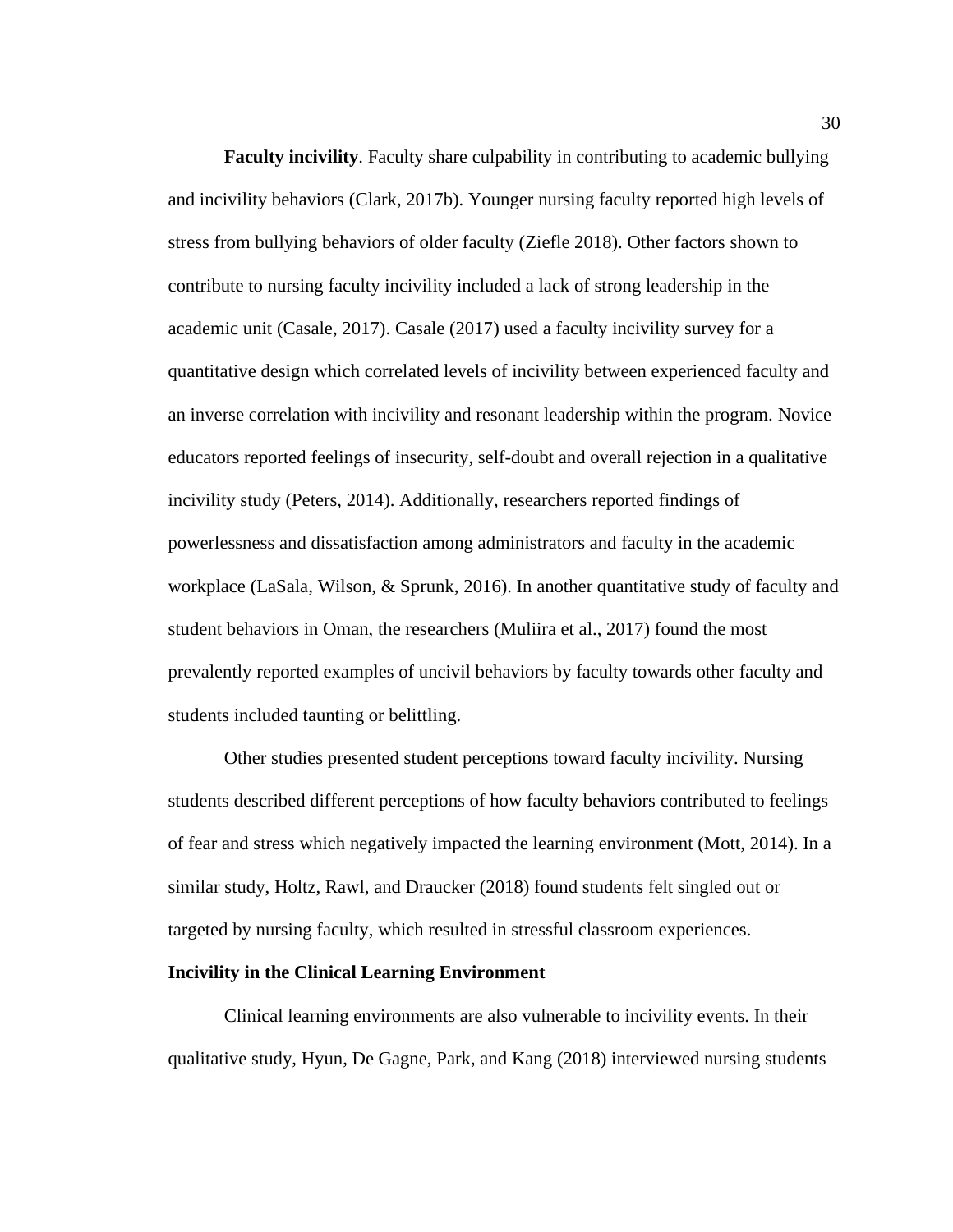**Faculty incivility**. Faculty share culpability in contributing to academic bullying and incivility behaviors (Clark, 2017b). Younger nursing faculty reported high levels of stress from bullying behaviors of older faculty (Ziefle 2018). Other factors shown to contribute to nursing faculty incivility included a lack of strong leadership in the academic unit (Casale, 2017). Casale (2017) used a faculty incivility survey for a quantitative design which correlated levels of incivility between experienced faculty and an inverse correlation with incivility and resonant leadership within the program. Novice educators reported feelings of insecurity, self-doubt and overall rejection in a qualitative incivility study (Peters, 2014). Additionally, researchers reported findings of powerlessness and dissatisfaction among administrators and faculty in the academic workplace (LaSala, Wilson, & Sprunk, 2016). In another quantitative study of faculty and student behaviors in Oman, the researchers (Muliira et al., 2017) found the most prevalently reported examples of uncivil behaviors by faculty towards other faculty and students included taunting or belittling.

Other studies presented student perceptions toward faculty incivility. Nursing students described different perceptions of how faculty behaviors contributed to feelings of fear and stress which negatively impacted the learning environment (Mott, 2014). In a similar study, Holtz, Rawl, and Draucker (2018) found students felt singled out or targeted by nursing faculty, which resulted in stressful classroom experiences.

### **Incivility in the Clinical Learning Environment**

Clinical learning environments are also vulnerable to incivility events. In their qualitative study, Hyun, De Gagne, Park, and Kang (2018) interviewed nursing students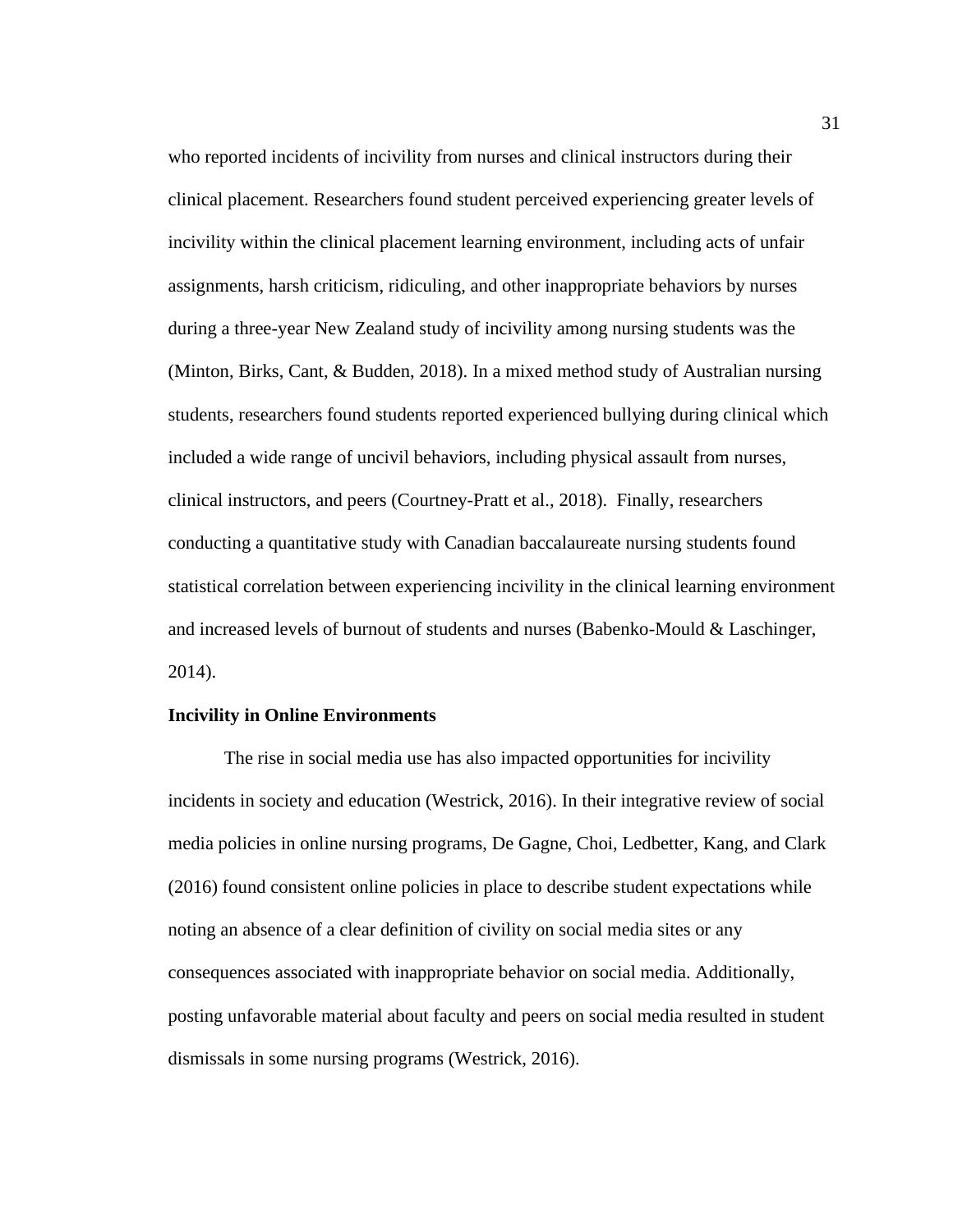who reported incidents of incivility from nurses and clinical instructors during their clinical placement. Researchers found student perceived experiencing greater levels of incivility within the clinical placement learning environment, including acts of unfair assignments, harsh criticism, ridiculing, and other inappropriate behaviors by nurses during a three-year New Zealand study of incivility among nursing students was the (Minton, Birks, Cant, & Budden, 2018). In a mixed method study of Australian nursing students, researchers found students reported experienced bullying during clinical which included a wide range of uncivil behaviors, including physical assault from nurses, clinical instructors, and peers (Courtney-Pratt et al., 2018). Finally, researchers conducting a quantitative study with Canadian baccalaureate nursing students found statistical correlation between experiencing incivility in the clinical learning environment and increased levels of burnout of students and nurses (Babenko-Mould & Laschinger, 2014).

### **Incivility in Online Environments**

The rise in social media use has also impacted opportunities for incivility incidents in society and education (Westrick, 2016). In their integrative review of social media policies in online nursing programs, De Gagne, Choi, Ledbetter, Kang, and Clark (2016) found consistent online policies in place to describe student expectations while noting an absence of a clear definition of civility on social media sites or any consequences associated with inappropriate behavior on social media. Additionally, posting unfavorable material about faculty and peers on social media resulted in student dismissals in some nursing programs (Westrick, 2016).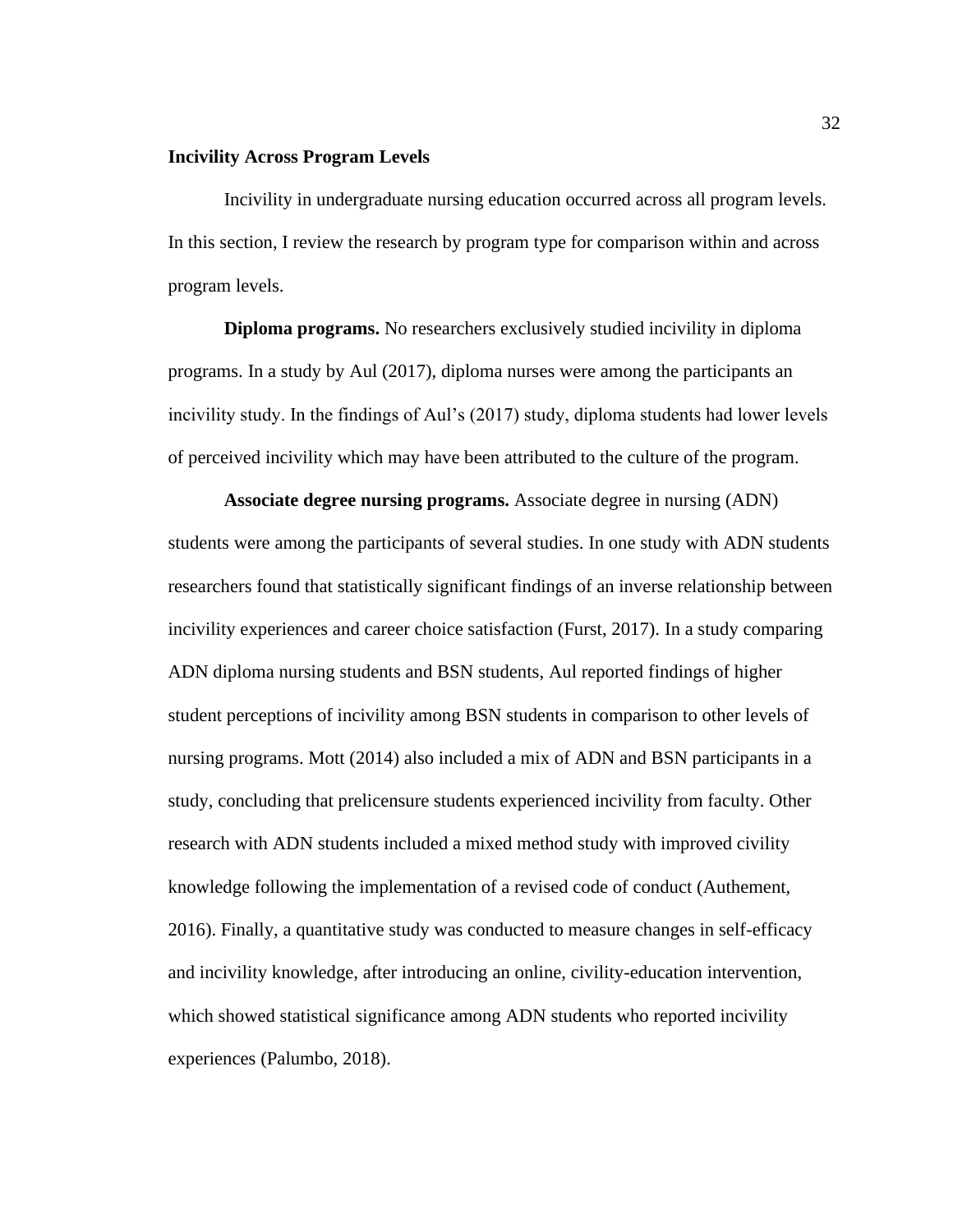# **Incivility Across Program Levels**

Incivility in undergraduate nursing education occurred across all program levels. In this section, I review the research by program type for comparison within and across program levels.

**Diploma programs.** No researchers exclusively studied incivility in diploma programs. In a study by Aul (2017), diploma nurses were among the participants an incivility study. In the findings of Aul's (2017) study, diploma students had lower levels of perceived incivility which may have been attributed to the culture of the program.

**Associate degree nursing programs.** Associate degree in nursing (ADN) students were among the participants of several studies. In one study with ADN students researchers found that statistically significant findings of an inverse relationship between incivility experiences and career choice satisfaction (Furst, 2017). In a study comparing ADN diploma nursing students and BSN students, Aul reported findings of higher student perceptions of incivility among BSN students in comparison to other levels of nursing programs. Mott (2014) also included a mix of ADN and BSN participants in a study, concluding that prelicensure students experienced incivility from faculty. Other research with ADN students included a mixed method study with improved civility knowledge following the implementation of a revised code of conduct (Authement, 2016). Finally, a quantitative study was conducted to measure changes in self-efficacy and incivility knowledge, after introducing an online, civility-education intervention, which showed statistical significance among ADN students who reported incivility experiences (Palumbo, 2018).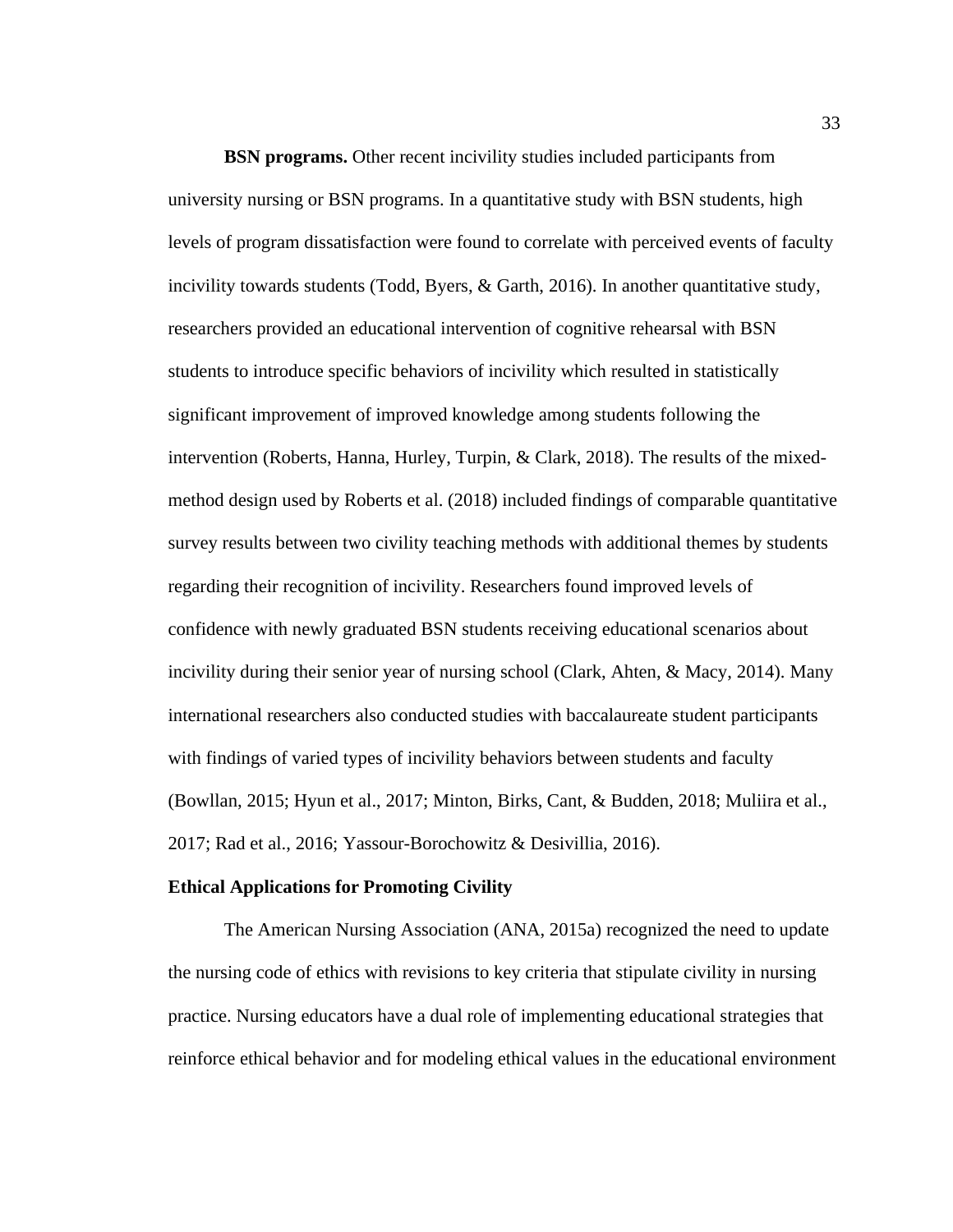**BSN programs.** Other recent incivility studies included participants from university nursing or BSN programs. In a quantitative study with BSN students, high levels of program dissatisfaction were found to correlate with perceived events of faculty incivility towards students (Todd, Byers,  $\&$  Garth, 2016). In another quantitative study, researchers provided an educational intervention of cognitive rehearsal with BSN students to introduce specific behaviors of incivility which resulted in statistically significant improvement of improved knowledge among students following the intervention (Roberts, Hanna, Hurley, Turpin, & Clark, 2018). The results of the mixedmethod design used by Roberts et al. (2018) included findings of comparable quantitative survey results between two civility teaching methods with additional themes by students regarding their recognition of incivility. Researchers found improved levels of confidence with newly graduated BSN students receiving educational scenarios about incivility during their senior year of nursing school (Clark, Ahten, & Macy, 2014). Many international researchers also conducted studies with baccalaureate student participants with findings of varied types of incivility behaviors between students and faculty (Bowllan, 2015; Hyun et al., 2017; Minton, Birks, Cant, & Budden, 2018; Muliira et al., 2017; Rad et al., 2016; Yassour-Borochowitz & Desivillia, 2016).

### **Ethical Applications for Promoting Civility**

The American Nursing Association (ANA, 2015a) recognized the need to update the nursing code of ethics with revisions to key criteria that stipulate civility in nursing practice. Nursing educators have a dual role of implementing educational strategies that reinforce ethical behavior and for modeling ethical values in the educational environment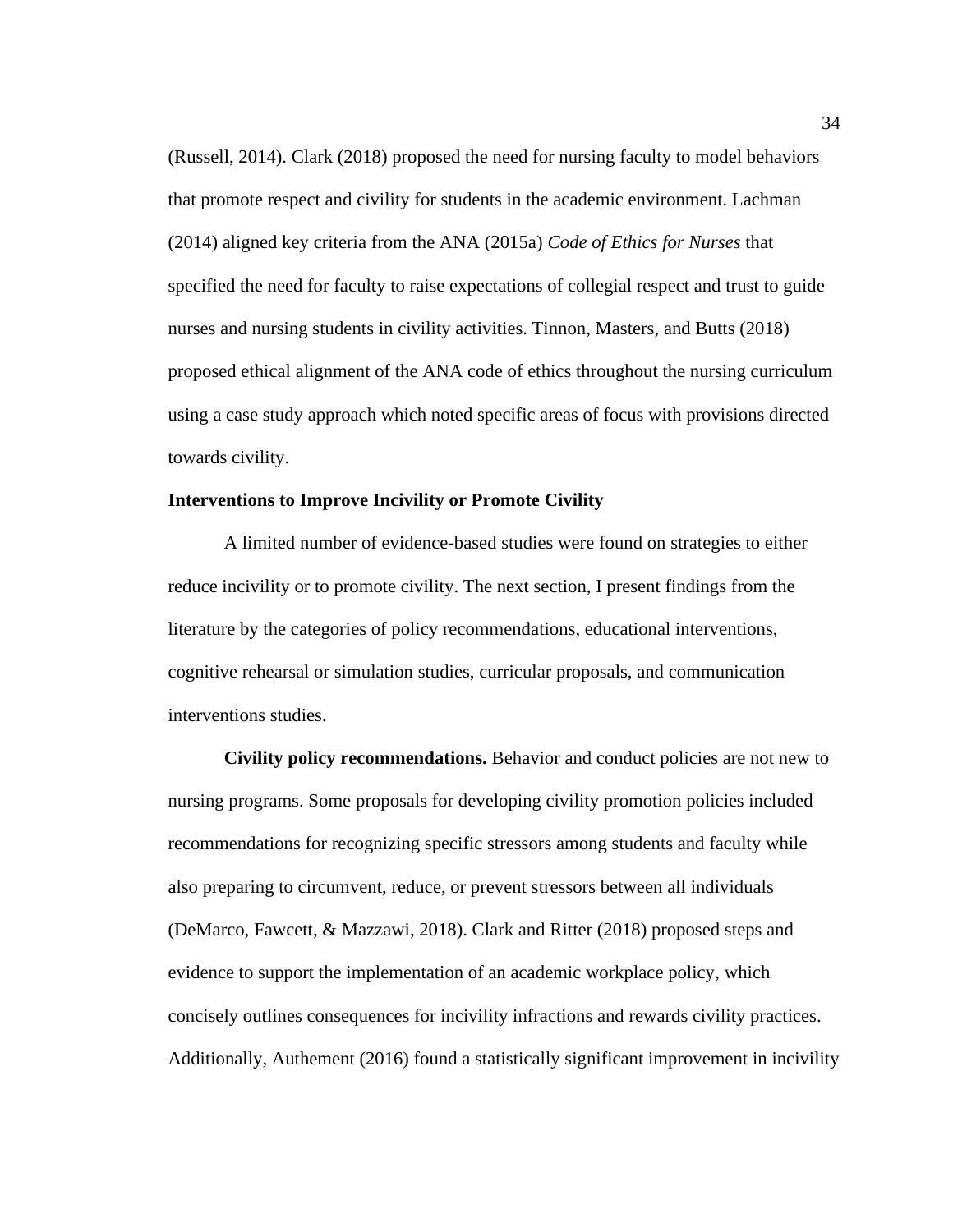(Russell, 2014). Clark (2018) proposed the need for nursing faculty to model behaviors that promote respect and civility for students in the academic environment. Lachman (2014) aligned key criteria from the ANA (2015a) *Code of Ethics for Nurses* that specified the need for faculty to raise expectations of collegial respect and trust to guide nurses and nursing students in civility activities. Tinnon, Masters, and Butts (2018) proposed ethical alignment of the ANA code of ethics throughout the nursing curriculum using a case study approach which noted specific areas of focus with provisions directed towards civility.

### **Interventions to Improve Incivility or Promote Civility**

A limited number of evidence-based studies were found on strategies to either reduce incivility or to promote civility. The next section, I present findings from the literature by the categories of policy recommendations, educational interventions, cognitive rehearsal or simulation studies, curricular proposals, and communication interventions studies.

**Civility policy recommendations.** Behavior and conduct policies are not new to nursing programs. Some proposals for developing civility promotion policies included recommendations for recognizing specific stressors among students and faculty while also preparing to circumvent, reduce, or prevent stressors between all individuals (DeMarco, Fawcett, & Mazzawi, 2018). Clark and Ritter (2018) proposed steps and evidence to support the implementation of an academic workplace policy, which concisely outlines consequences for incivility infractions and rewards civility practices. Additionally, Authement (2016) found a statistically significant improvement in incivility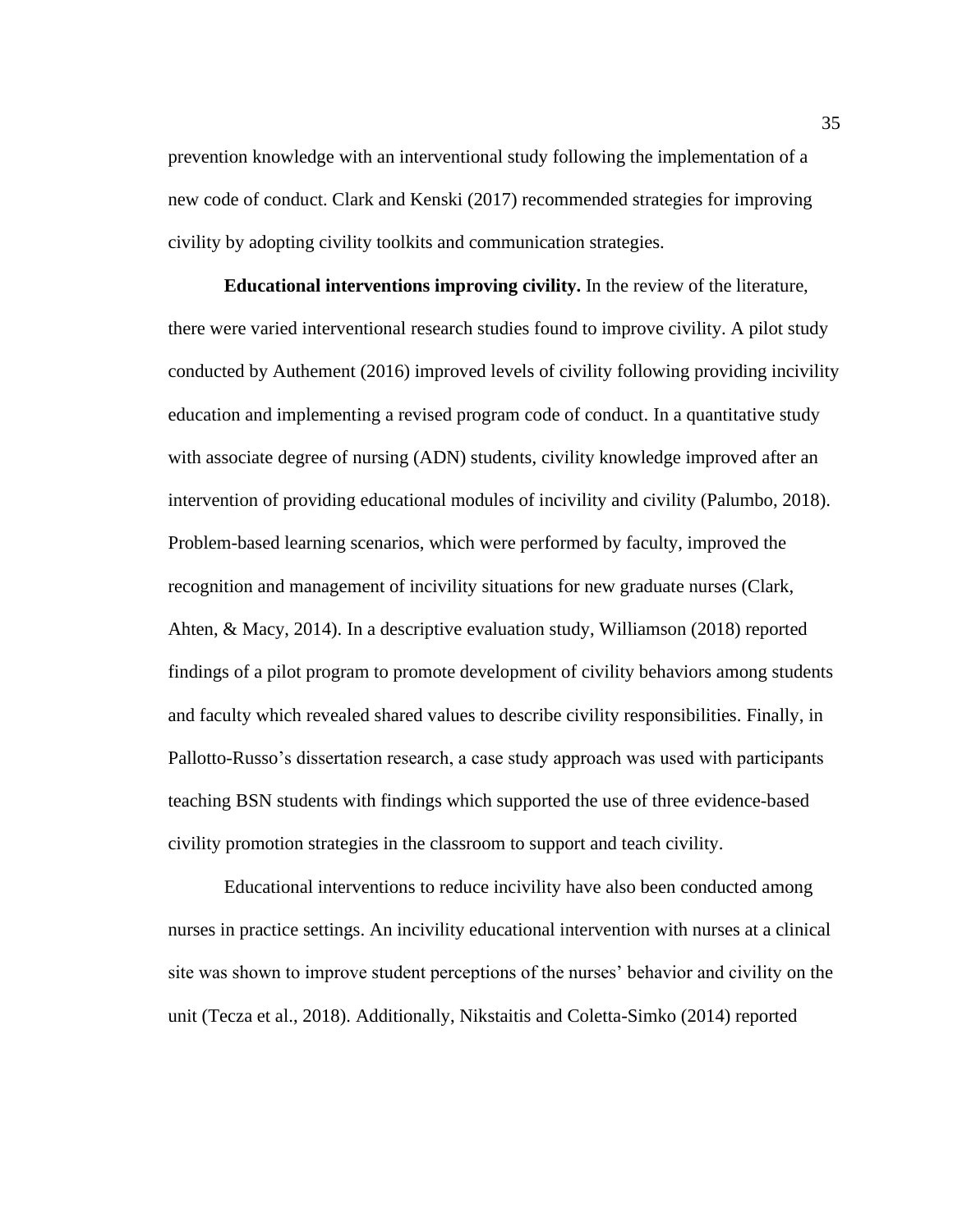prevention knowledge with an interventional study following the implementation of a new code of conduct. Clark and Kenski (2017) recommended strategies for improving civility by adopting civility toolkits and communication strategies.

**Educational interventions improving civility.** In the review of the literature, there were varied interventional research studies found to improve civility. A pilot study conducted by Authement (2016) improved levels of civility following providing incivility education and implementing a revised program code of conduct. In a quantitative study with associate degree of nursing (ADN) students, civility knowledge improved after an intervention of providing educational modules of incivility and civility (Palumbo, 2018). Problem-based learning scenarios, which were performed by faculty, improved the recognition and management of incivility situations for new graduate nurses (Clark, Ahten, & Macy, 2014). In a descriptive evaluation study, Williamson (2018) reported findings of a pilot program to promote development of civility behaviors among students and faculty which revealed shared values to describe civility responsibilities. Finally, in Pallotto-Russo's dissertation research, a case study approach was used with participants teaching BSN students with findings which supported the use of three evidence-based civility promotion strategies in the classroom to support and teach civility.

Educational interventions to reduce incivility have also been conducted among nurses in practice settings. An incivility educational intervention with nurses at a clinical site was shown to improve student perceptions of the nurses' behavior and civility on the unit (Tecza et al., 2018). Additionally, Nikstaitis and Coletta-Simko (2014) reported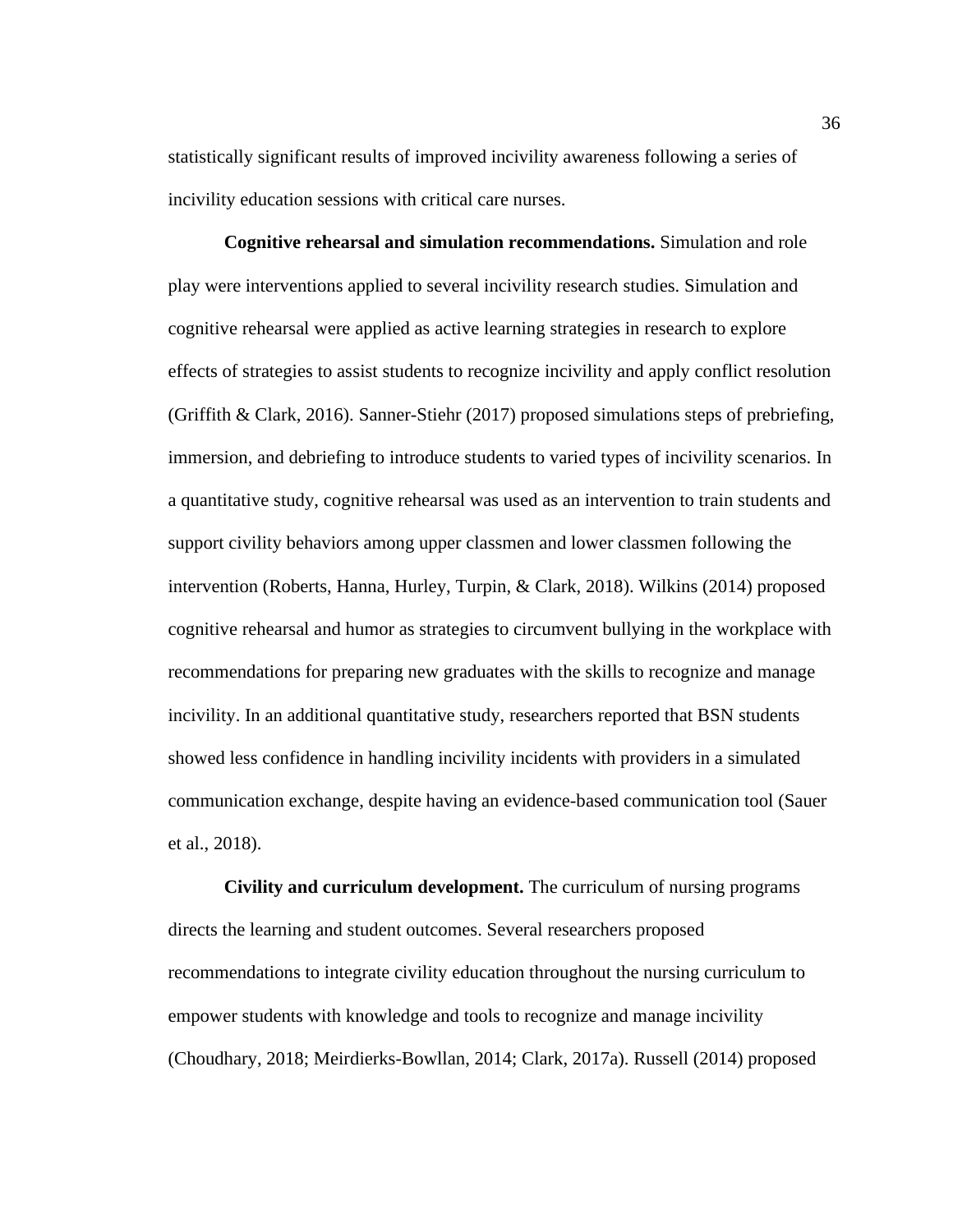statistically significant results of improved incivility awareness following a series of incivility education sessions with critical care nurses.

**Cognitive rehearsal and simulation recommendations.** Simulation and role play were interventions applied to several incivility research studies. Simulation and cognitive rehearsal were applied as active learning strategies in research to explore effects of strategies to assist students to recognize incivility and apply conflict resolution (Griffith & Clark, 2016). Sanner-Stiehr (2017) proposed simulations steps of prebriefing, immersion, and debriefing to introduce students to varied types of incivility scenarios. In a quantitative study, cognitive rehearsal was used as an intervention to train students and support civility behaviors among upper classmen and lower classmen following the intervention (Roberts, Hanna, Hurley, Turpin, & Clark, 2018). Wilkins (2014) proposed cognitive rehearsal and humor as strategies to circumvent bullying in the workplace with recommendations for preparing new graduates with the skills to recognize and manage incivility. In an additional quantitative study, researchers reported that BSN students showed less confidence in handling incivility incidents with providers in a simulated communication exchange, despite having an evidence-based communication tool (Sauer et al., 2018).

**Civility and curriculum development.** The curriculum of nursing programs directs the learning and student outcomes. Several researchers proposed recommendations to integrate civility education throughout the nursing curriculum to empower students with knowledge and tools to recognize and manage incivility (Choudhary, 2018; Meirdierks-Bowllan, 2014; Clark, 2017a). Russell (2014) proposed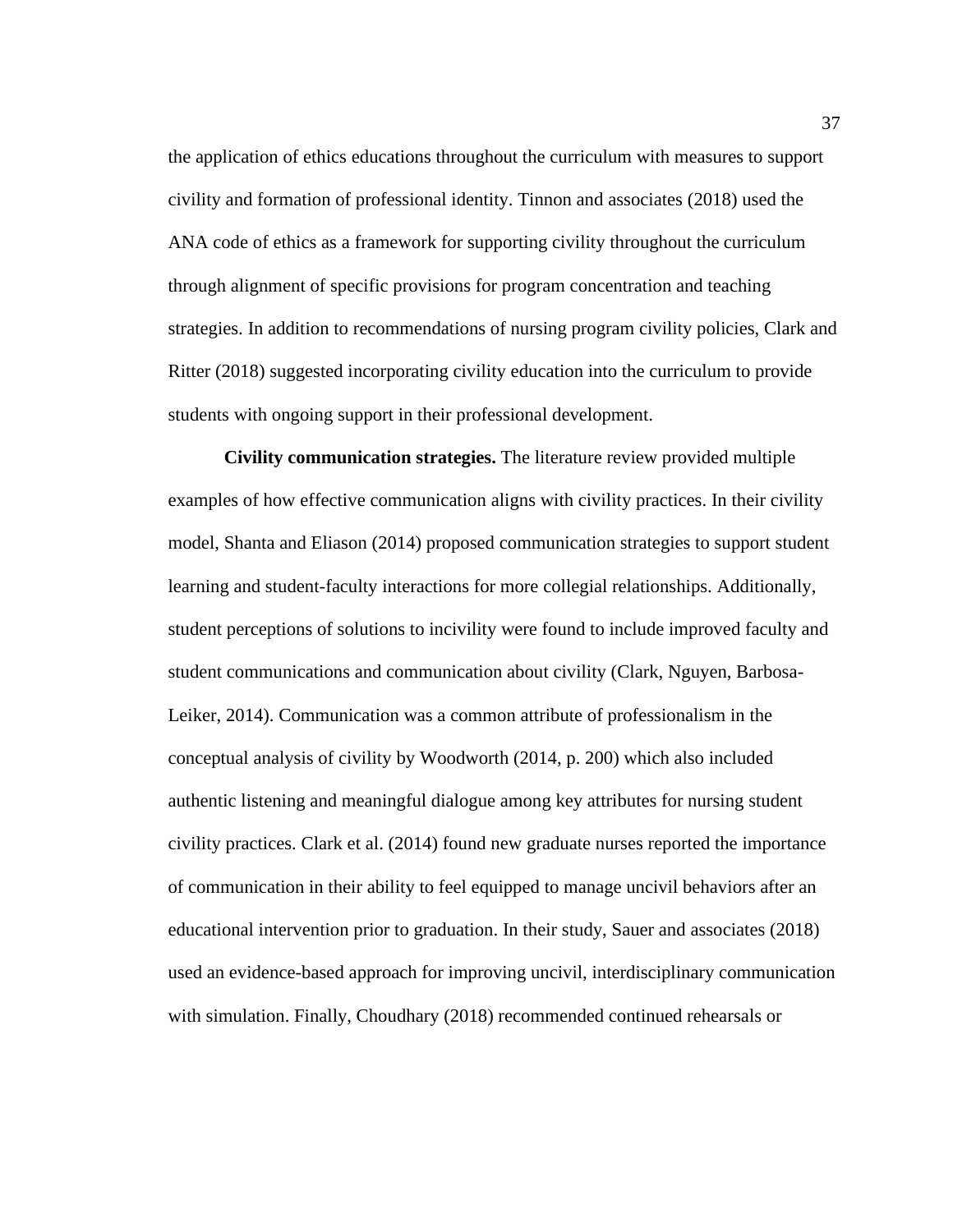the application of ethics educations throughout the curriculum with measures to support civility and formation of professional identity. Tinnon and associates (2018) used the ANA code of ethics as a framework for supporting civility throughout the curriculum through alignment of specific provisions for program concentration and teaching strategies. In addition to recommendations of nursing program civility policies, Clark and Ritter (2018) suggested incorporating civility education into the curriculum to provide students with ongoing support in their professional development.

**Civility communication strategies.** The literature review provided multiple examples of how effective communication aligns with civility practices. In their civility model, Shanta and Eliason (2014) proposed communication strategies to support student learning and student-faculty interactions for more collegial relationships. Additionally, student perceptions of solutions to incivility were found to include improved faculty and student communications and communication about civility (Clark, Nguyen, Barbosa-Leiker, 2014). Communication was a common attribute of professionalism in the conceptual analysis of civility by Woodworth (2014, p. 200) which also included authentic listening and meaningful dialogue among key attributes for nursing student civility practices. Clark et al. (2014) found new graduate nurses reported the importance of communication in their ability to feel equipped to manage uncivil behaviors after an educational intervention prior to graduation. In their study, Sauer and associates (2018) used an evidence-based approach for improving uncivil, interdisciplinary communication with simulation. Finally, Choudhary (2018) recommended continued rehearsals or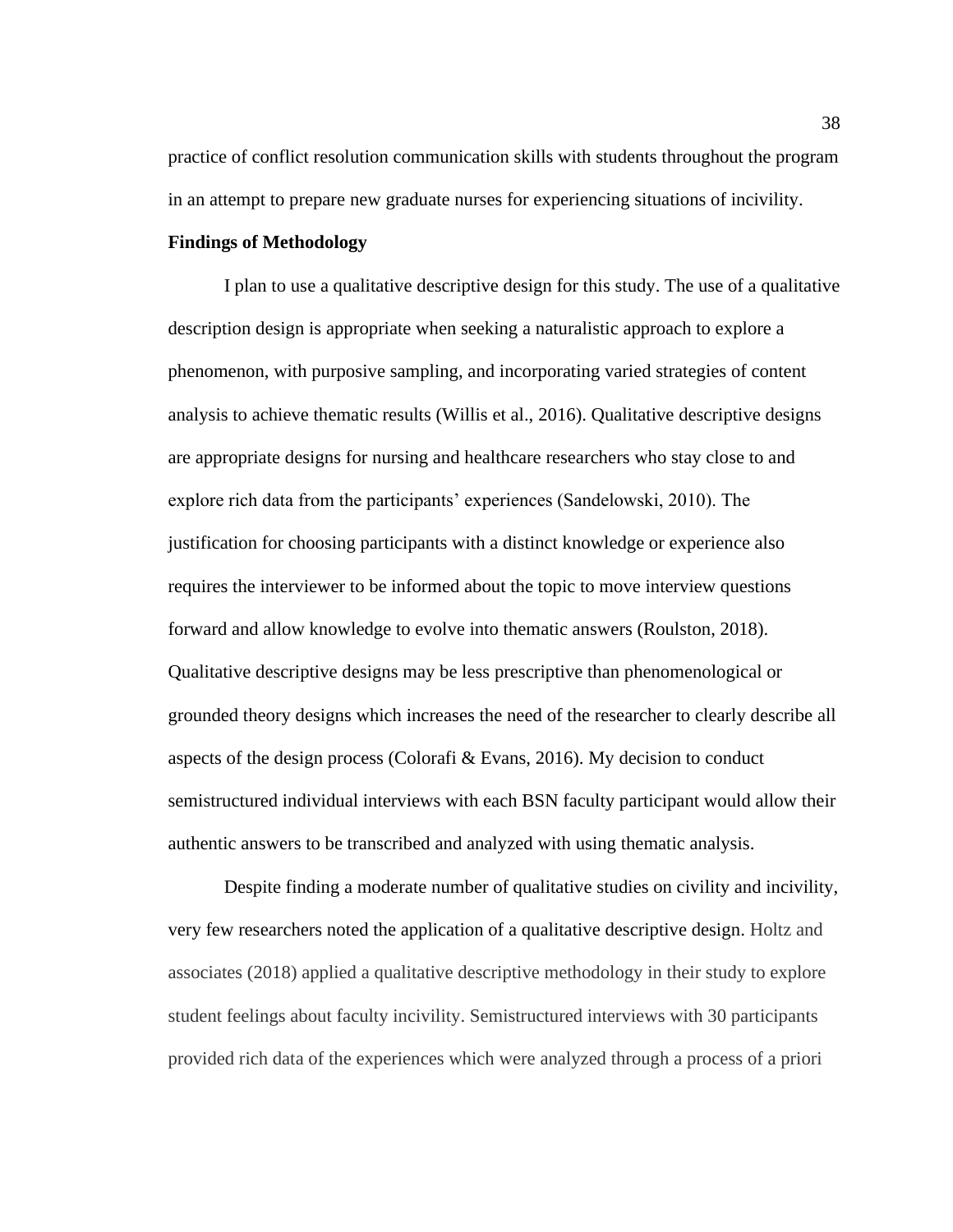practice of conflict resolution communication skills with students throughout the program in an attempt to prepare new graduate nurses for experiencing situations of incivility.

### **Findings of Methodology**

I plan to use a qualitative descriptive design for this study. The use of a qualitative description design is appropriate when seeking a naturalistic approach to explore a phenomenon, with purposive sampling, and incorporating varied strategies of content analysis to achieve thematic results (Willis et al., 2016). Qualitative descriptive designs are appropriate designs for nursing and healthcare researchers who stay close to and explore rich data from the participants' experiences (Sandelowski, 2010). The justification for choosing participants with a distinct knowledge or experience also requires the interviewer to be informed about the topic to move interview questions forward and allow knowledge to evolve into thematic answers (Roulston, 2018). Qualitative descriptive designs may be less prescriptive than phenomenological or grounded theory designs which increases the need of the researcher to clearly describe all aspects of the design process (Colorafi & Evans, 2016). My decision to conduct semistructured individual interviews with each BSN faculty participant would allow their authentic answers to be transcribed and analyzed with using thematic analysis.

Despite finding a moderate number of qualitative studies on civility and incivility, very few researchers noted the application of a qualitative descriptive design. Holtz and associates (2018) applied a qualitative descriptive methodology in their study to explore student feelings about faculty incivility. Semistructured interviews with 30 participants provided rich data of the experiences which were analyzed through a process of a priori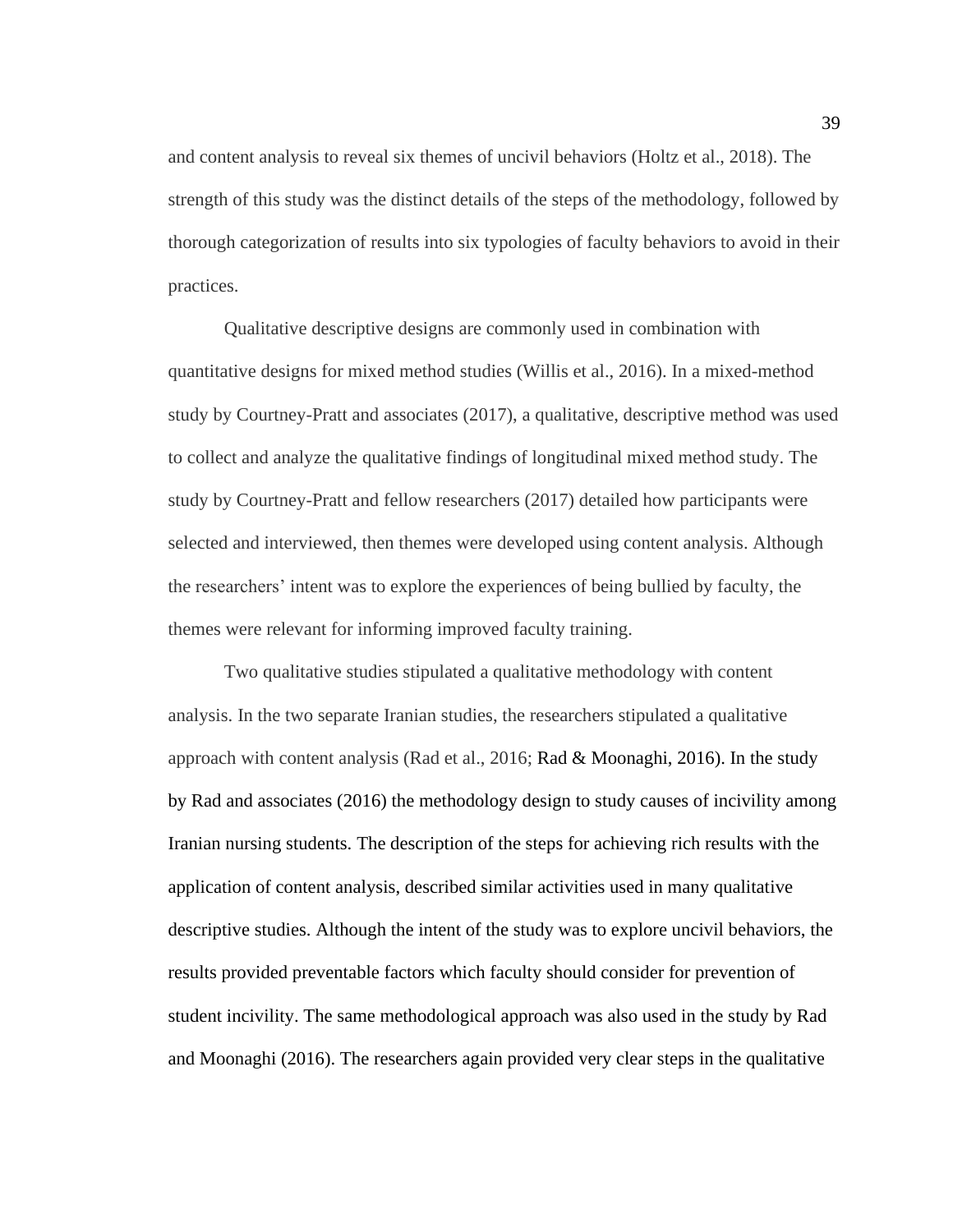and content analysis to reveal six themes of uncivil behaviors (Holtz et al., 2018). The strength of this study was the distinct details of the steps of the methodology, followed by thorough categorization of results into six typologies of faculty behaviors to avoid in their practices.

Qualitative descriptive designs are commonly used in combination with quantitative designs for mixed method studies (Willis et al., 2016). In a mixed-method study by Courtney-Pratt and associates (2017), a qualitative, descriptive method was used to collect and analyze the qualitative findings of longitudinal mixed method study. The study by Courtney-Pratt and fellow researchers (2017) detailed how participants were selected and interviewed, then themes were developed using content analysis. Although the researchers' intent was to explore the experiences of being bullied by faculty, the themes were relevant for informing improved faculty training.

Two qualitative studies stipulated a qualitative methodology with content analysis. In the two separate Iranian studies, the researchers stipulated a qualitative approach with content analysis (Rad et al., 2016; Rad  $&$  Moonaghi, 2016). In the study by Rad and associates (2016) the methodology design to study causes of incivility among Iranian nursing students. The description of the steps for achieving rich results with the application of content analysis, described similar activities used in many qualitative descriptive studies. Although the intent of the study was to explore uncivil behaviors, the results provided preventable factors which faculty should consider for prevention of student incivility. The same methodological approach was also used in the study by Rad and Moonaghi (2016). The researchers again provided very clear steps in the qualitative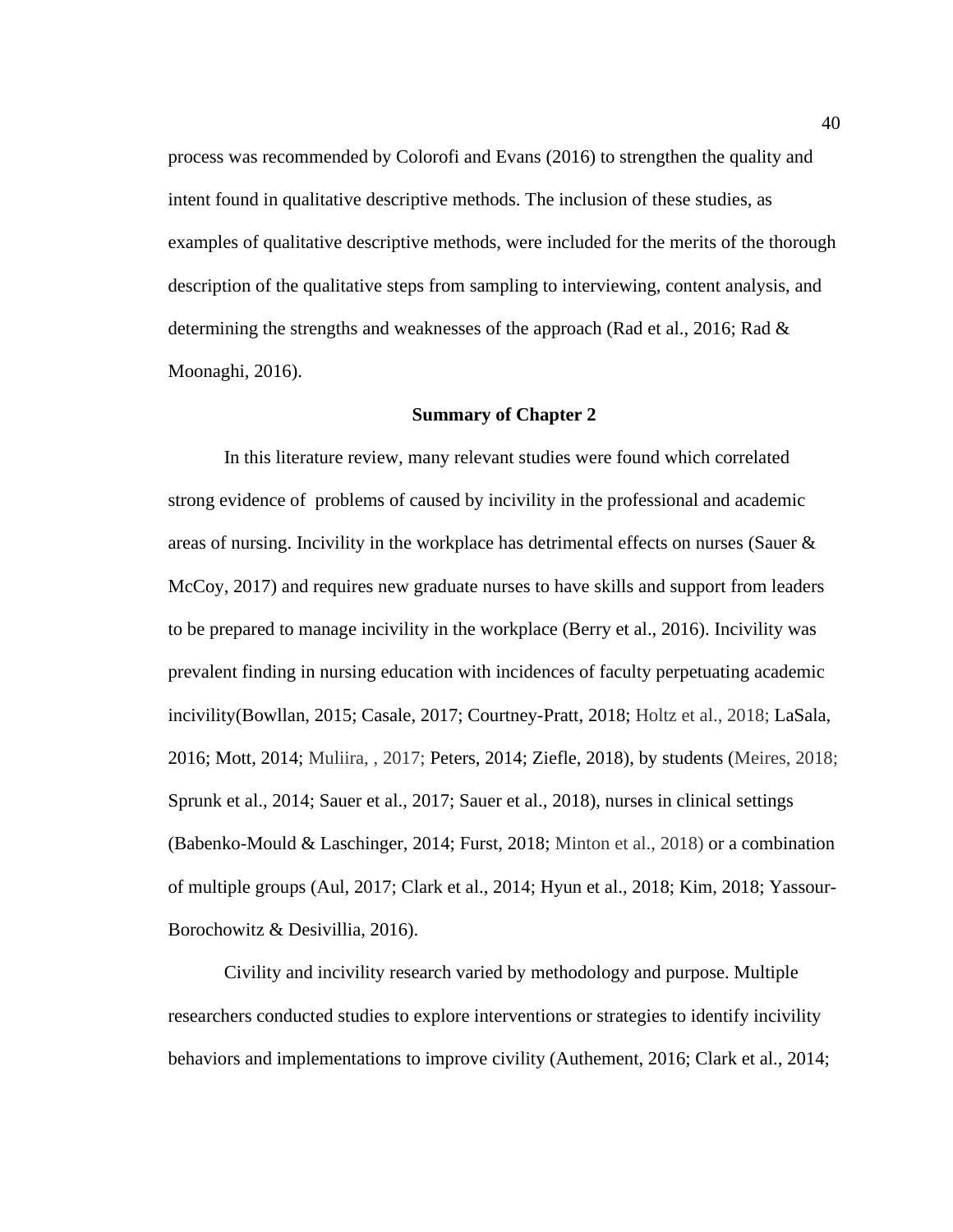process was recommended by Colorofi and Evans (2016) to strengthen the quality and intent found in qualitative descriptive methods. The inclusion of these studies, as examples of qualitative descriptive methods, were included for the merits of the thorough description of the qualitative steps from sampling to interviewing, content analysis, and determining the strengths and weaknesses of the approach (Rad et al., 2016; Rad  $\&$ Moonaghi, 2016).

### **Summary of Chapter 2**

In this literature review, many relevant studies were found which correlated strong evidence of problems of caused by incivility in the professional and academic areas of nursing. Incivility in the workplace has detrimental effects on nurses (Sauer & McCoy, 2017) and requires new graduate nurses to have skills and support from leaders to be prepared to manage incivility in the workplace (Berry et al., 2016). Incivility was prevalent finding in nursing education with incidences of faculty perpetuating academic incivility(Bowllan, 2015; Casale, 2017; Courtney-Pratt, 2018; Holtz et al., 2018; LaSala, 2016; Mott, 2014; Muliira, , 2017; Peters, 2014; Ziefle, 2018), by students (Meires, 2018; Sprunk et al., 2014; Sauer et al., 2017; Sauer et al., 2018), nurses in clinical settings (Babenko-Mould & Laschinger, 2014; Furst, 2018; Minton et al., 2018) or a combination of multiple groups (Aul, 2017; Clark et al., 2014; Hyun et al., 2018; Kim, 2018; Yassour-Borochowitz & Desivillia, 2016).

Civility and incivility research varied by methodology and purpose. Multiple researchers conducted studies to explore interventions or strategies to identify incivility behaviors and implementations to improve civility (Authement, 2016; Clark et al., 2014;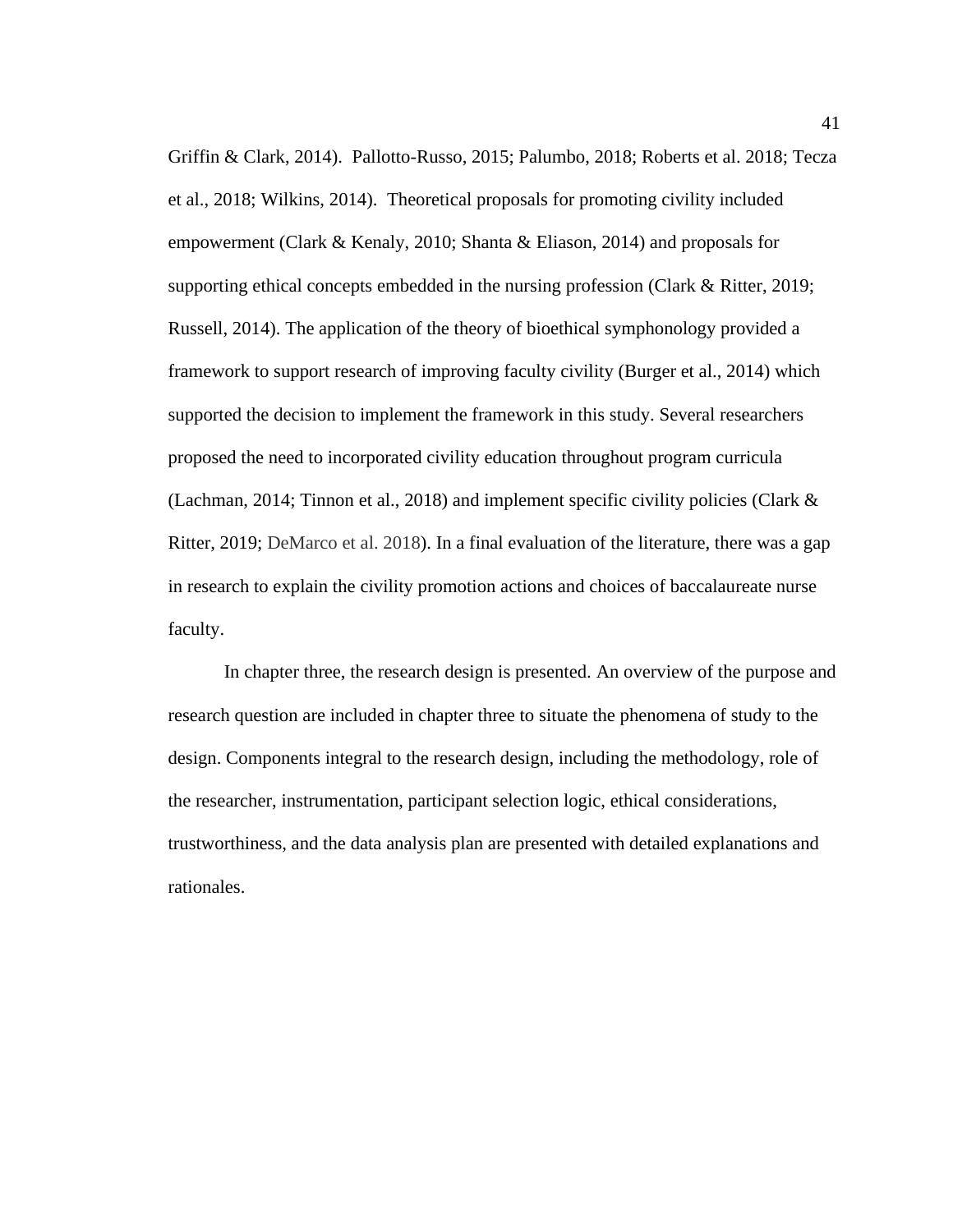Griffin & Clark, 2014). Pallotto-Russo, 2015; Palumbo, 2018; Roberts et al. 2018; Tecza et al., 2018; Wilkins, 2014). Theoretical proposals for promoting civility included empowerment (Clark & Kenaly, 2010; Shanta & Eliason, 2014) and proposals for supporting ethical concepts embedded in the nursing profession (Clark & Ritter, 2019; Russell, 2014). The application of the theory of bioethical symphonology provided a framework to support research of improving faculty civility (Burger et al., 2014) which supported the decision to implement the framework in this study. Several researchers proposed the need to incorporated civility education throughout program curricula (Lachman, 2014; Tinnon et al., 2018) and implement specific civility policies (Clark  $\&$ Ritter, 2019; DeMarco et al. 2018). In a final evaluation of the literature, there was a gap in research to explain the civility promotion actions and choices of baccalaureate nurse faculty.

In chapter three, the research design is presented. An overview of the purpose and research question are included in chapter three to situate the phenomena of study to the design. Components integral to the research design, including the methodology, role of the researcher, instrumentation, participant selection logic, ethical considerations, trustworthiness, and the data analysis plan are presented with detailed explanations and rationales.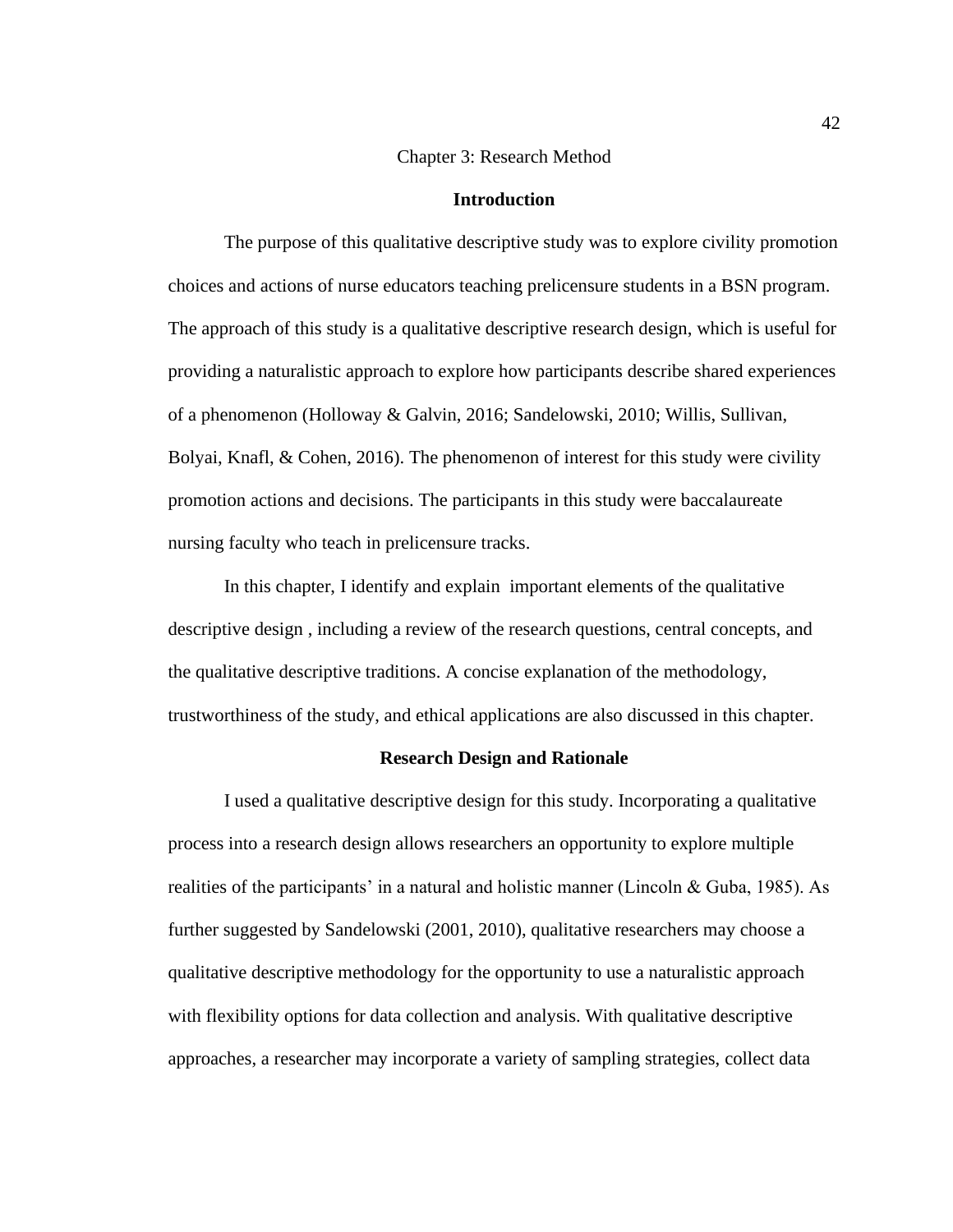# Chapter 3: Research Method

### **Introduction**

The purpose of this qualitative descriptive study was to explore civility promotion choices and actions of nurse educators teaching prelicensure students in a BSN program. The approach of this study is a qualitative descriptive research design, which is useful for providing a naturalistic approach to explore how participants describe shared experiences of a phenomenon (Holloway & Galvin, 2016; Sandelowski, 2010; Willis, Sullivan, Bolyai, Knafl, & Cohen, 2016). The phenomenon of interest for this study were civility promotion actions and decisions. The participants in this study were baccalaureate nursing faculty who teach in prelicensure tracks.

In this chapter, I identify and explain important elements of the qualitative descriptive design , including a review of the research questions, central concepts, and the qualitative descriptive traditions. A concise explanation of the methodology, trustworthiness of the study, and ethical applications are also discussed in this chapter.

### **Research Design and Rationale**

I used a qualitative descriptive design for this study. Incorporating a qualitative process into a research design allows researchers an opportunity to explore multiple realities of the participants' in a natural and holistic manner (Lincoln & Guba, 1985). As further suggested by Sandelowski (2001, 2010), qualitative researchers may choose a qualitative descriptive methodology for the opportunity to use a naturalistic approach with flexibility options for data collection and analysis. With qualitative descriptive approaches, a researcher may incorporate a variety of sampling strategies, collect data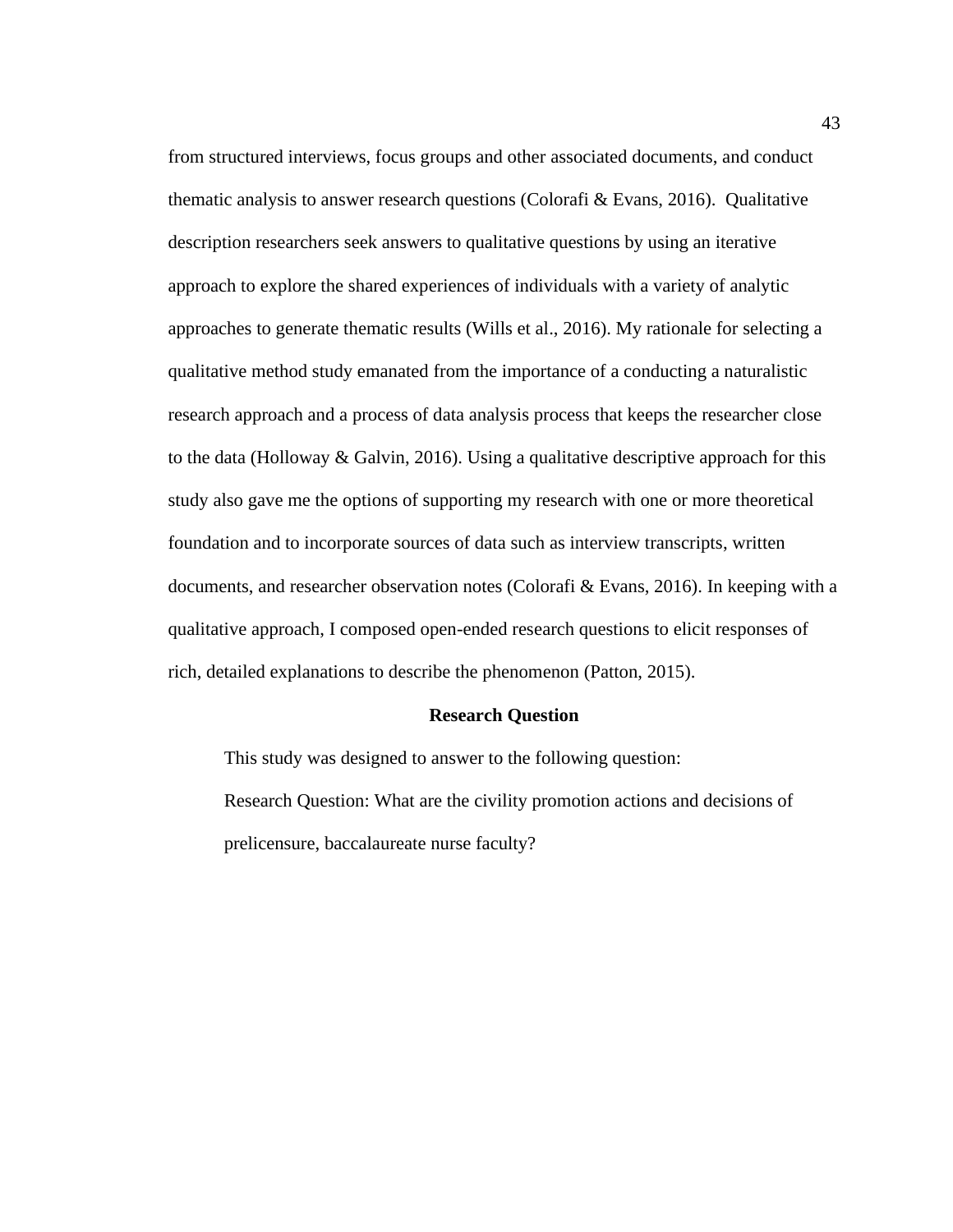from structured interviews, focus groups and other associated documents, and conduct thematic analysis to answer research questions (Colorafi & Evans, 2016). Qualitative description researchers seek answers to qualitative questions by using an iterative approach to explore the shared experiences of individuals with a variety of analytic approaches to generate thematic results (Wills et al., 2016). My rationale for selecting a qualitative method study emanated from the importance of a conducting a naturalistic research approach and a process of data analysis process that keeps the researcher close to the data (Holloway  $& Galvin, 2016$ ). Using a qualitative descriptive approach for this study also gave me the options of supporting my research with one or more theoretical foundation and to incorporate sources of data such as interview transcripts, written documents, and researcher observation notes (Colorafi & Evans, 2016). In keeping with a qualitative approach, I composed open-ended research questions to elicit responses of rich, detailed explanations to describe the phenomenon (Patton, 2015).

### **Research Question**

This study was designed to answer to the following question: Research Question: What are the civility promotion actions and decisions of prelicensure, baccalaureate nurse faculty?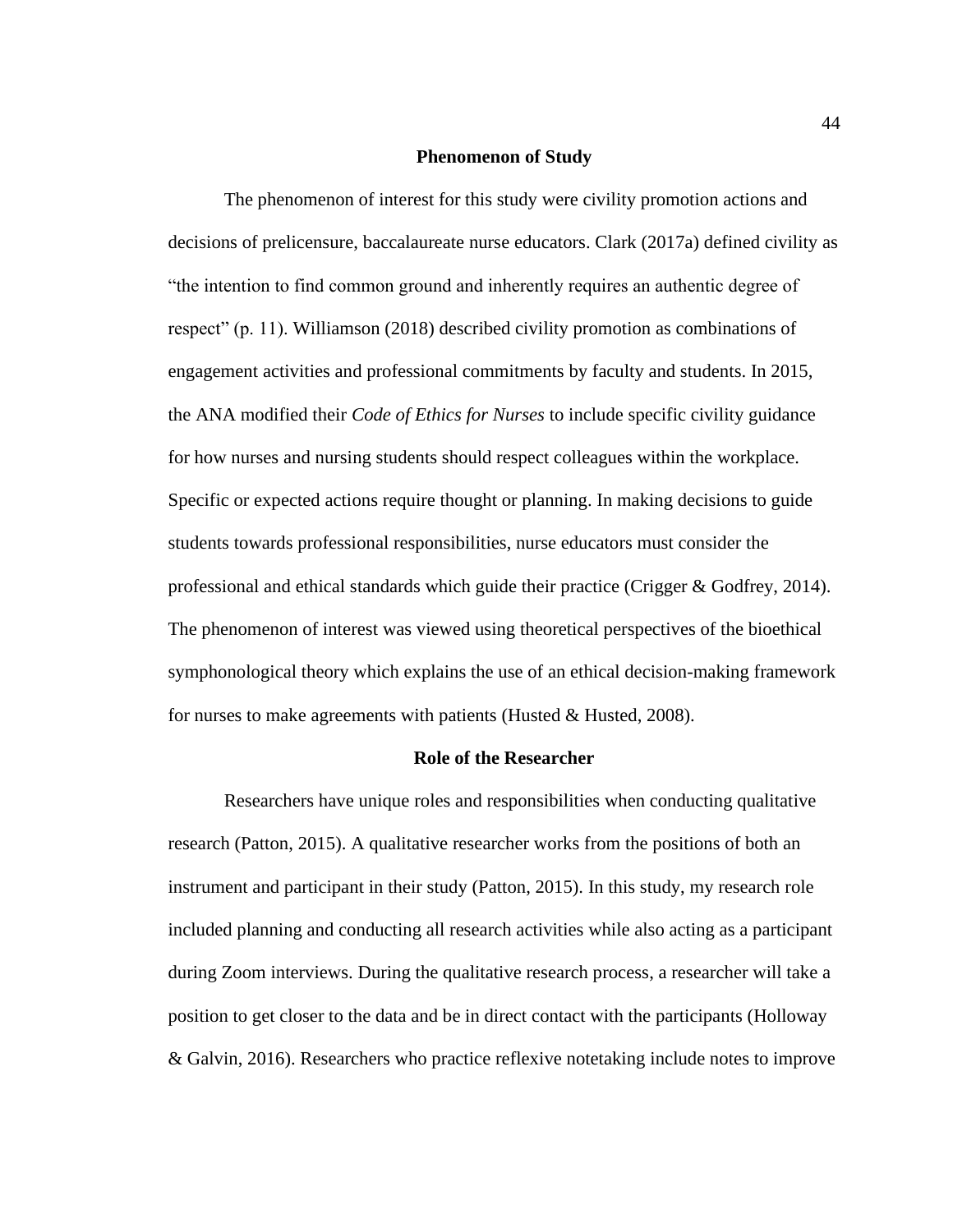## **Phenomenon of Study**

The phenomenon of interest for this study were civility promotion actions and decisions of prelicensure, baccalaureate nurse educators. Clark (2017a) defined civility as "the intention to find common ground and inherently requires an authentic degree of respect" (p. 11). Williamson (2018) described civility promotion as combinations of engagement activities and professional commitments by faculty and students. In 2015, the ANA modified their *Code of Ethics for Nurses* to include specific civility guidance for how nurses and nursing students should respect colleagues within the workplace. Specific or expected actions require thought or planning. In making decisions to guide students towards professional responsibilities, nurse educators must consider the professional and ethical standards which guide their practice (Crigger & Godfrey, 2014). The phenomenon of interest was viewed using theoretical perspectives of the bioethical symphonological theory which explains the use of an ethical decision-making framework for nurses to make agreements with patients (Husted & Husted, 2008).

### **Role of the Researcher**

Researchers have unique roles and responsibilities when conducting qualitative research (Patton, 2015). A qualitative researcher works from the positions of both an instrument and participant in their study (Patton, 2015). In this study, my research role included planning and conducting all research activities while also acting as a participant during Zoom interviews. During the qualitative research process, a researcher will take a position to get closer to the data and be in direct contact with the participants (Holloway & Galvin, 2016). Researchers who practice reflexive notetaking include notes to improve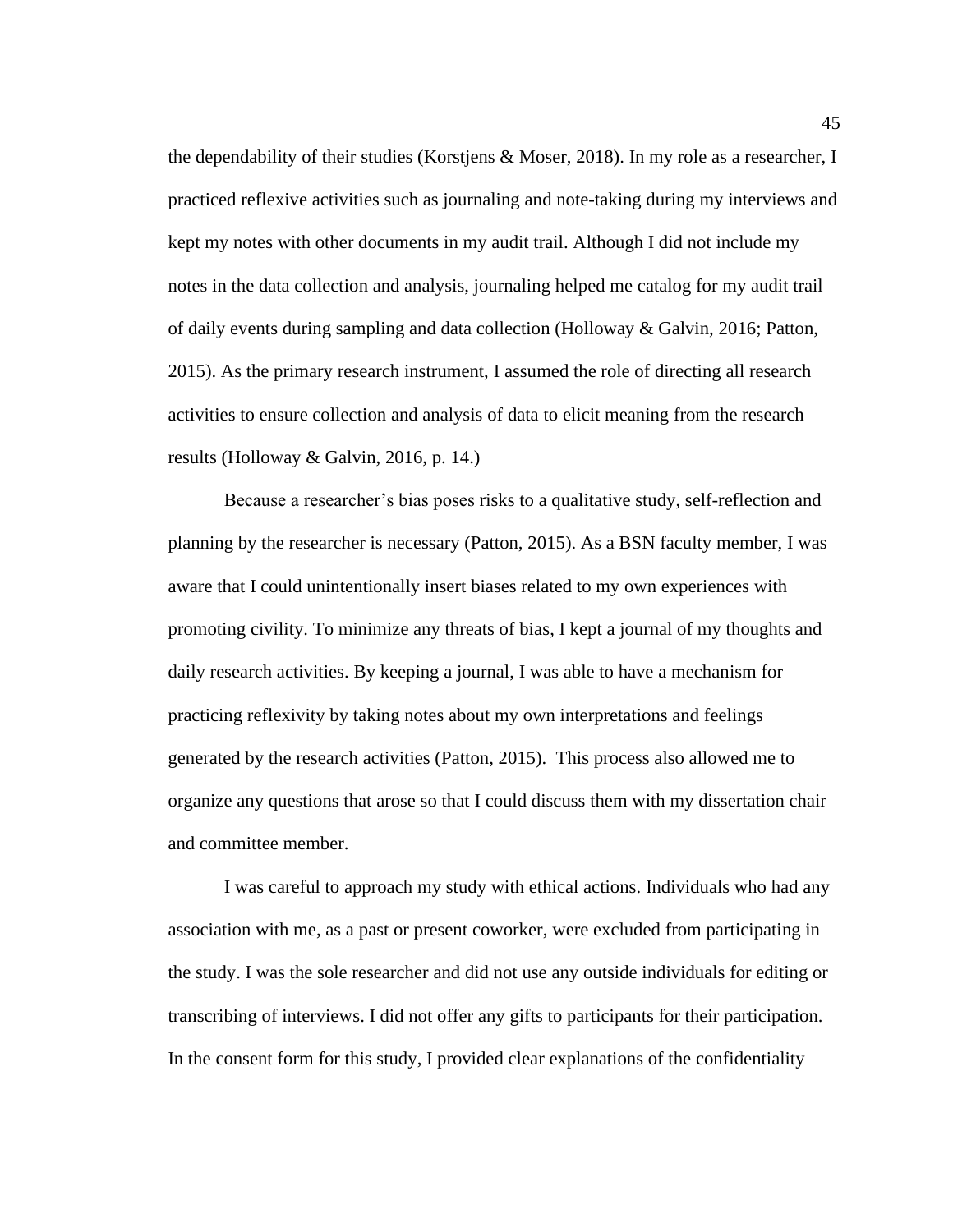the dependability of their studies (Korstjens & Moser, 2018). In my role as a researcher, I practiced reflexive activities such as journaling and note-taking during my interviews and kept my notes with other documents in my audit trail. Although I did not include my notes in the data collection and analysis, journaling helped me catalog for my audit trail of daily events during sampling and data collection (Holloway & Galvin, 2016; Patton, 2015). As the primary research instrument, I assumed the role of directing all research activities to ensure collection and analysis of data to elicit meaning from the research results (Holloway & Galvin, 2016, p. 14.)

Because a researcher's bias poses risks to a qualitative study, self-reflection and planning by the researcher is necessary (Patton, 2015). As a BSN faculty member, I was aware that I could unintentionally insert biases related to my own experiences with promoting civility. To minimize any threats of bias, I kept a journal of my thoughts and daily research activities. By keeping a journal, I was able to have a mechanism for practicing reflexivity by taking notes about my own interpretations and feelings generated by the research activities (Patton, 2015). This process also allowed me to organize any questions that arose so that I could discuss them with my dissertation chair and committee member.

I was careful to approach my study with ethical actions. Individuals who had any association with me, as a past or present coworker, were excluded from participating in the study. I was the sole researcher and did not use any outside individuals for editing or transcribing of interviews. I did not offer any gifts to participants for their participation. In the consent form for this study, I provided clear explanations of the confidentiality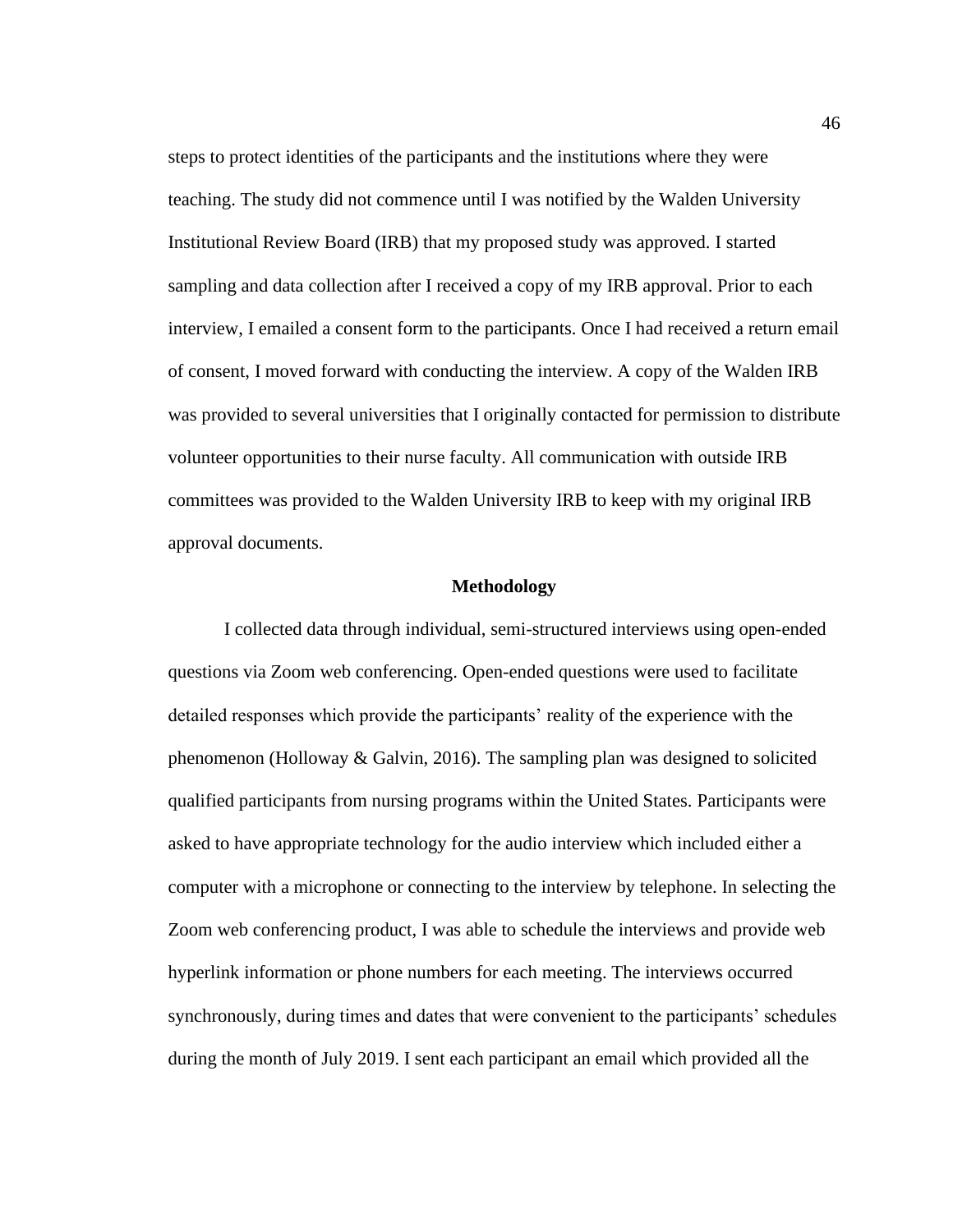steps to protect identities of the participants and the institutions where they were teaching. The study did not commence until I was notified by the Walden University Institutional Review Board (IRB) that my proposed study was approved. I started sampling and data collection after I received a copy of my IRB approval. Prior to each interview, I emailed a consent form to the participants. Once I had received a return email of consent, I moved forward with conducting the interview. A copy of the Walden IRB was provided to several universities that I originally contacted for permission to distribute volunteer opportunities to their nurse faculty. All communication with outside IRB committees was provided to the Walden University IRB to keep with my original IRB approval documents.

# **Methodology**

I collected data through individual, semi-structured interviews using open-ended questions via Zoom web conferencing. Open-ended questions were used to facilitate detailed responses which provide the participants' reality of the experience with the phenomenon (Holloway & Galvin, 2016). The sampling plan was designed to solicited qualified participants from nursing programs within the United States. Participants were asked to have appropriate technology for the audio interview which included either a computer with a microphone or connecting to the interview by telephone. In selecting the Zoom web conferencing product, I was able to schedule the interviews and provide web hyperlink information or phone numbers for each meeting. The interviews occurred synchronously, during times and dates that were convenient to the participants' schedules during the month of July 2019. I sent each participant an email which provided all the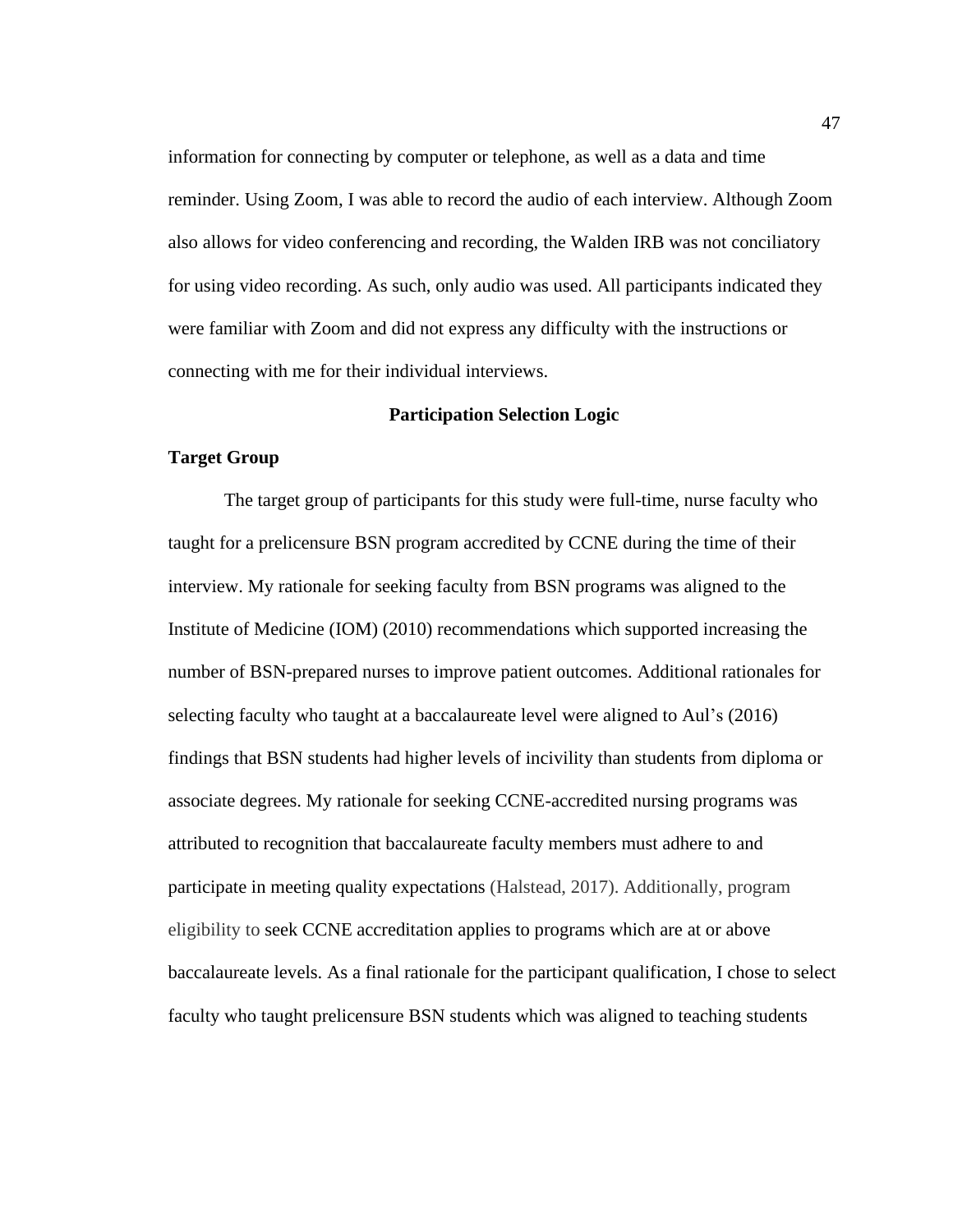information for connecting by computer or telephone, as well as a data and time reminder. Using Zoom, I was able to record the audio of each interview. Although Zoom also allows for video conferencing and recording, the Walden IRB was not conciliatory for using video recording. As such, only audio was used. All participants indicated they were familiar with Zoom and did not express any difficulty with the instructions or connecting with me for their individual interviews.

# **Participation Selection Logic**

# **Target Group**

The target group of participants for this study were full-time, nurse faculty who taught for a prelicensure BSN program accredited by CCNE during the time of their interview. My rationale for seeking faculty from BSN programs was aligned to the Institute of Medicine (IOM) (2010) recommendations which supported increasing the number of BSN-prepared nurses to improve patient outcomes. Additional rationales for selecting faculty who taught at a baccalaureate level were aligned to Aul's (2016) findings that BSN students had higher levels of incivility than students from diploma or associate degrees. My rationale for seeking CCNE-accredited nursing programs was attributed to recognition that baccalaureate faculty members must adhere to and participate in meeting quality expectations (Halstead, 2017). Additionally, program eligibility to seek CCNE accreditation applies to programs which are at or above baccalaureate levels. As a final rationale for the participant qualification, I chose to select faculty who taught prelicensure BSN students which was aligned to teaching students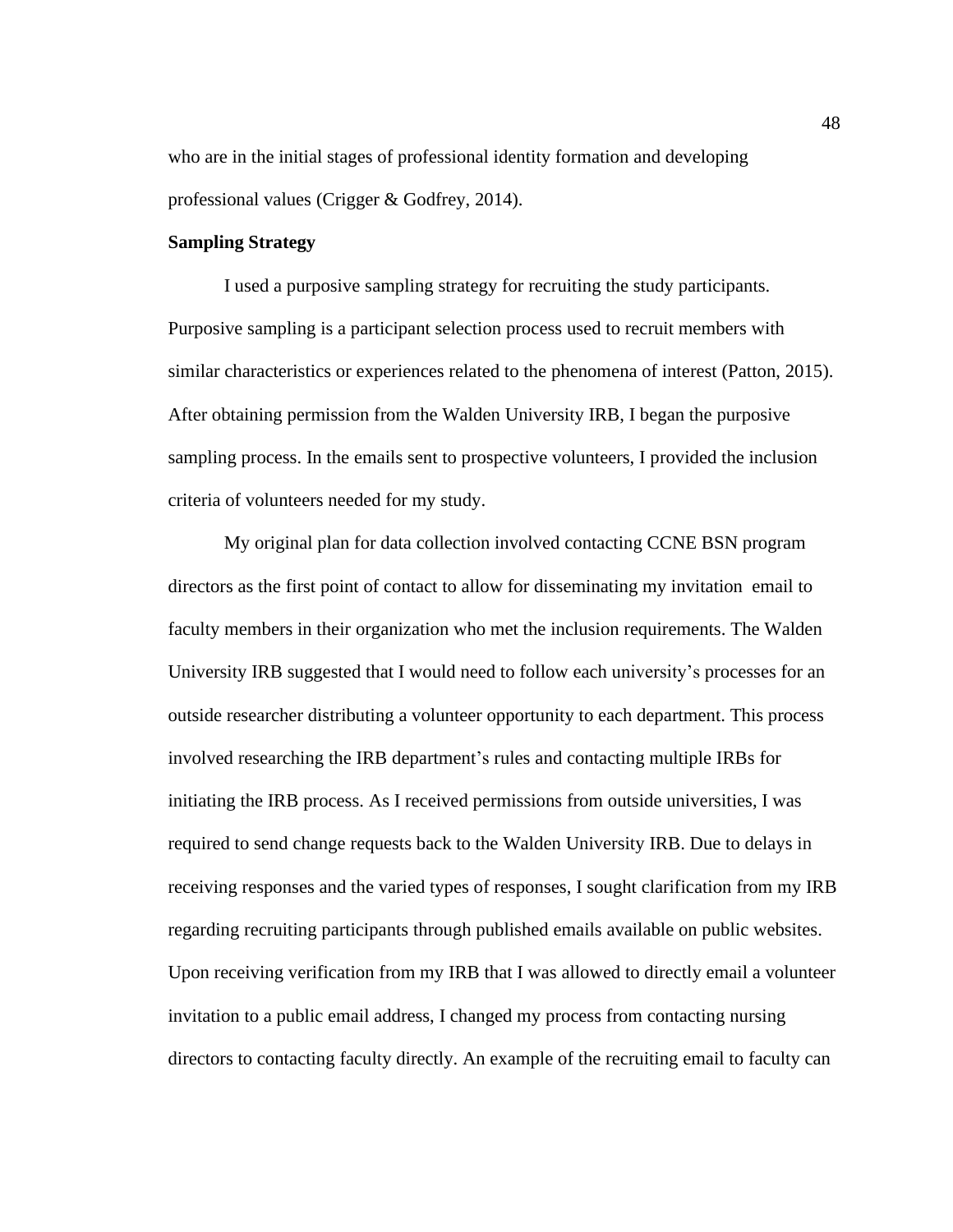who are in the initial stages of professional identity formation and developing professional values (Crigger & Godfrey, 2014).

## **Sampling Strategy**

I used a purposive sampling strategy for recruiting the study participants. Purposive sampling is a participant selection process used to recruit members with similar characteristics or experiences related to the phenomena of interest (Patton, 2015). After obtaining permission from the Walden University IRB, I began the purposive sampling process. In the emails sent to prospective volunteers, I provided the inclusion criteria of volunteers needed for my study.

My original plan for data collection involved contacting CCNE BSN program directors as the first point of contact to allow for disseminating my invitation email to faculty members in their organization who met the inclusion requirements. The Walden University IRB suggested that I would need to follow each university's processes for an outside researcher distributing a volunteer opportunity to each department. This process involved researching the IRB department's rules and contacting multiple IRBs for initiating the IRB process. As I received permissions from outside universities, I was required to send change requests back to the Walden University IRB. Due to delays in receiving responses and the varied types of responses, I sought clarification from my IRB regarding recruiting participants through published emails available on public websites. Upon receiving verification from my IRB that I was allowed to directly email a volunteer invitation to a public email address, I changed my process from contacting nursing directors to contacting faculty directly. An example of the recruiting email to faculty can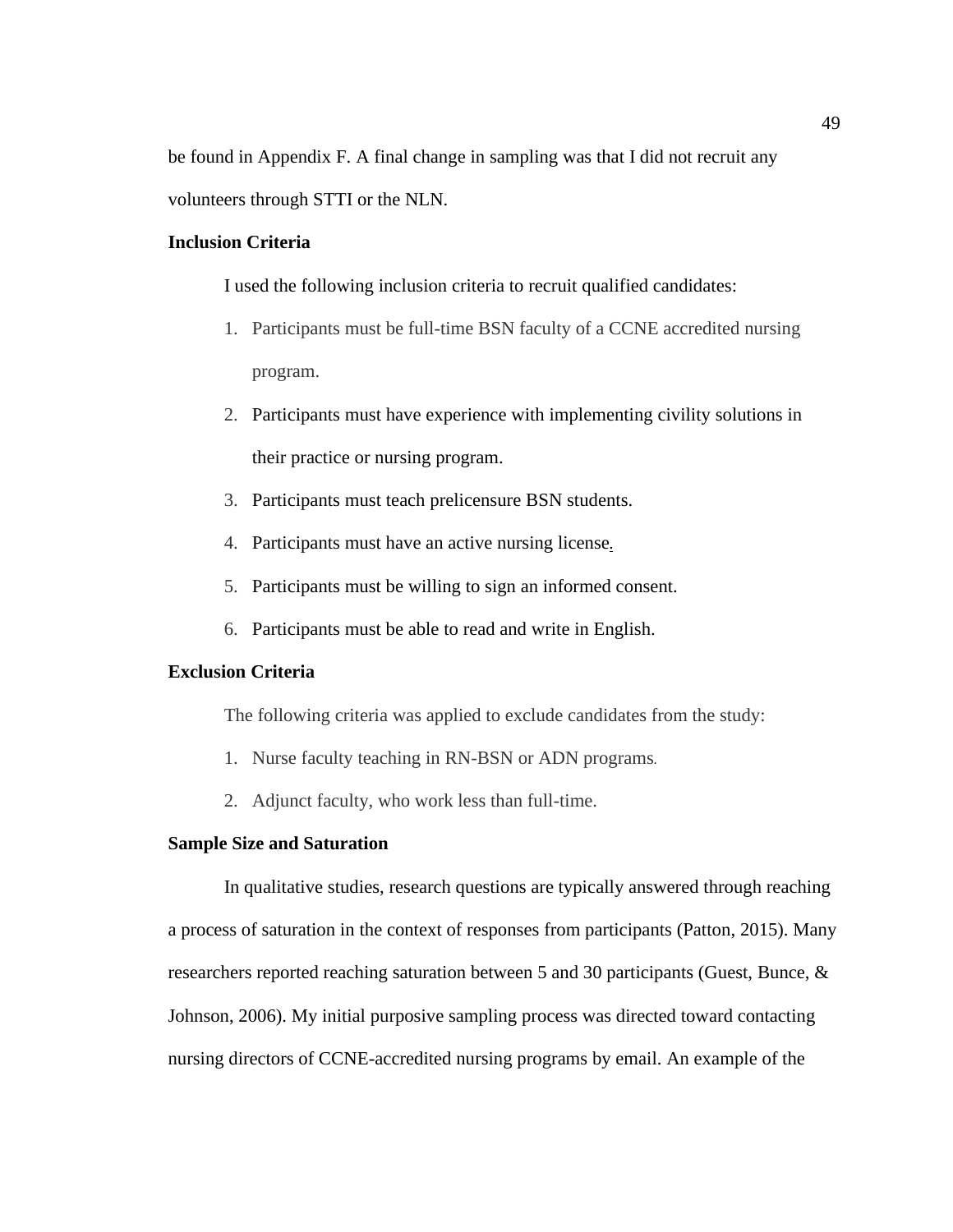be found in Appendix F. A final change in sampling was that I did not recruit any volunteers through STTI or the NLN.

# **Inclusion Criteria**

I used the following inclusion criteria to recruit qualified candidates:

- 1. Participants must be full-time BSN faculty of a CCNE accredited nursing program.
- 2. Participants must have experience with implementing civility solutions in their practice or nursing program.
- 3. Participants must teach prelicensure BSN students.
- 4. Participants must have an active nursing license**.**
- 5. Participants must be willing to sign an informed consent.
- 6. Participants must be able to read and write in English.

# **Exclusion Criteria**

The following criteria was applied to exclude candidates from the study:

- 1. Nurse faculty teaching in RN-BSN or ADN programs.
- 2. Adjunct faculty, who work less than full-time.

# **Sample Size and Saturation**

In qualitative studies, research questions are typically answered through reaching a process of saturation in the context of responses from participants (Patton, 2015). Many researchers reported reaching saturation between 5 and 30 participants (Guest, Bunce, & Johnson, 2006). My initial purposive sampling process was directed toward contacting nursing directors of CCNE-accredited nursing programs by email. An example of the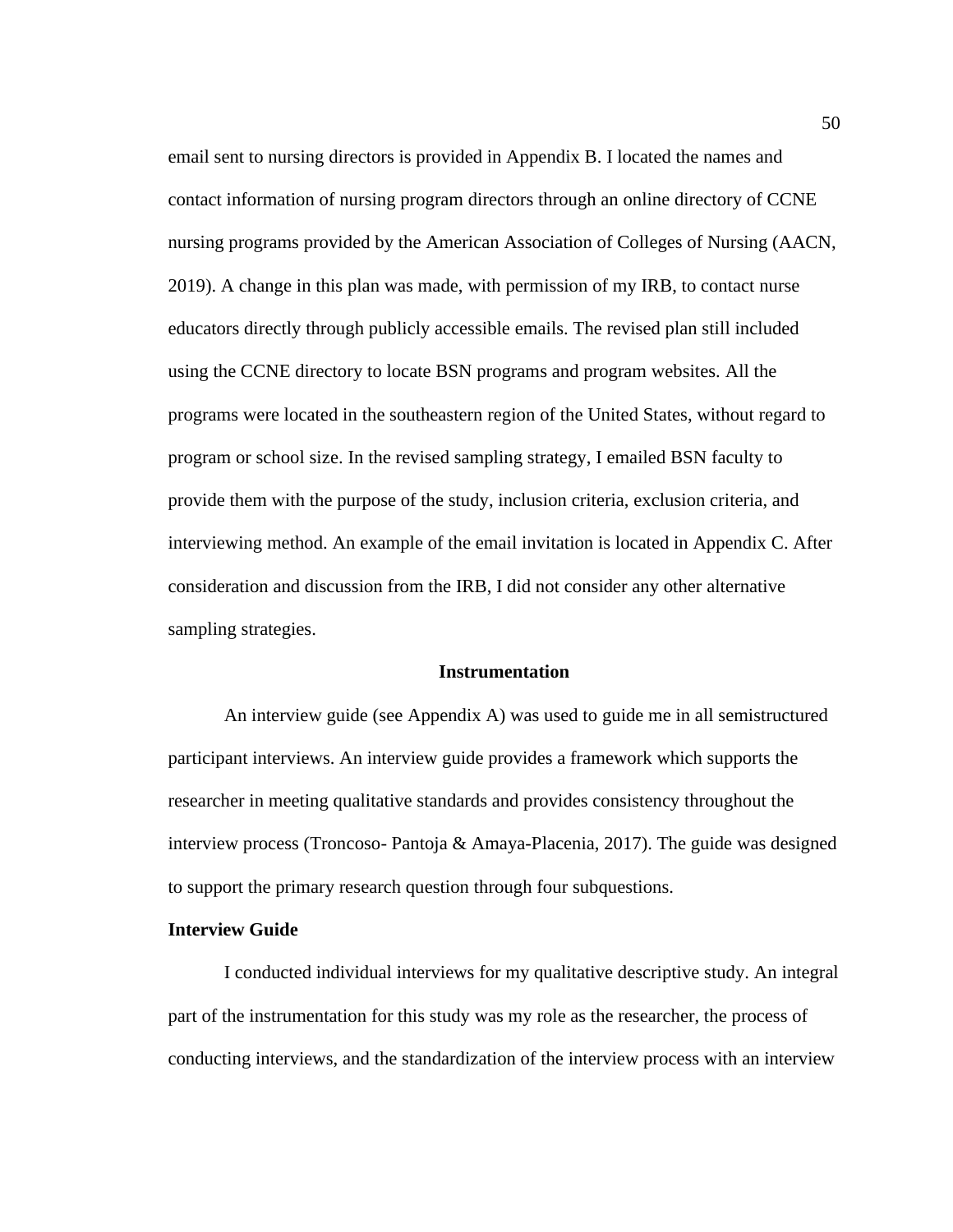email sent to nursing directors is provided in Appendix B. I located the names and contact information of nursing program directors through an online directory of CCNE nursing programs provided by the American Association of Colleges of Nursing (AACN, 2019). A change in this plan was made, with permission of my IRB, to contact nurse educators directly through publicly accessible emails. The revised plan still included using the CCNE directory to locate BSN programs and program websites. All the programs were located in the southeastern region of the United States, without regard to program or school size. In the revised sampling strategy, I emailed BSN faculty to provide them with the purpose of the study, inclusion criteria, exclusion criteria, and interviewing method. An example of the email invitation is located in Appendix C. After consideration and discussion from the IRB, I did not consider any other alternative sampling strategies.

## **Instrumentation**

An interview guide (see Appendix A) was used to guide me in all semistructured participant interviews. An interview guide provides a framework which supports the researcher in meeting qualitative standards and provides consistency throughout the interview process (Troncoso- Pantoja & Amaya-Placenia, 2017). The guide was designed to support the primary research question through four subquestions.

## **Interview Guide**

I conducted individual interviews for my qualitative descriptive study. An integral part of the instrumentation for this study was my role as the researcher, the process of conducting interviews, and the standardization of the interview process with an interview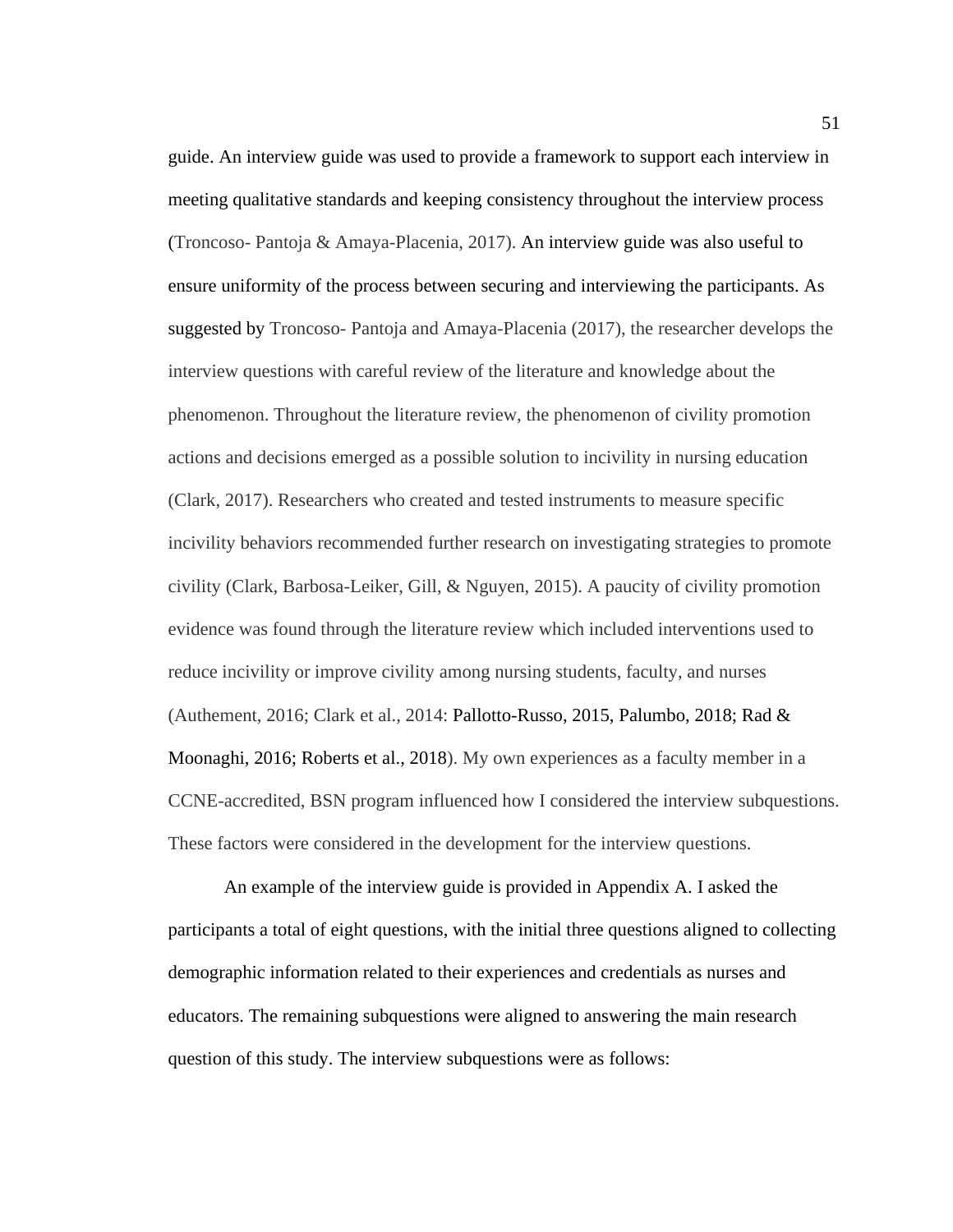guide. An interview guide was used to provide a framework to support each interview in meeting qualitative standards and keeping consistency throughout the interview process (Troncoso- Pantoja & Amaya-Placenia, 2017). An interview guide was also useful to ensure uniformity of the process between securing and interviewing the participants. As suggested by Troncoso- Pantoja and Amaya-Placenia (2017), the researcher develops the interview questions with careful review of the literature and knowledge about the phenomenon. Throughout the literature review, the phenomenon of civility promotion actions and decisions emerged as a possible solution to incivility in nursing education (Clark, 2017). Researchers who created and tested instruments to measure specific incivility behaviors recommended further research on investigating strategies to promote civility (Clark, Barbosa-Leiker, Gill, & Nguyen, 2015). A paucity of civility promotion evidence was found through the literature review which included interventions used to reduce incivility or improve civility among nursing students, faculty, and nurses (Authement, 2016; Clark et al., 2014: Pallotto-Russo, 2015, Palumbo, 2018; Rad & Moonaghi, 2016; Roberts et al., 2018). My own experiences as a faculty member in a CCNE-accredited, BSN program influenced how I considered the interview subquestions. These factors were considered in the development for the interview questions.

An example of the interview guide is provided in Appendix A. I asked the participants a total of eight questions, with the initial three questions aligned to collecting demographic information related to their experiences and credentials as nurses and educators. The remaining subquestions were aligned to answering the main research question of this study. The interview subquestions were as follows: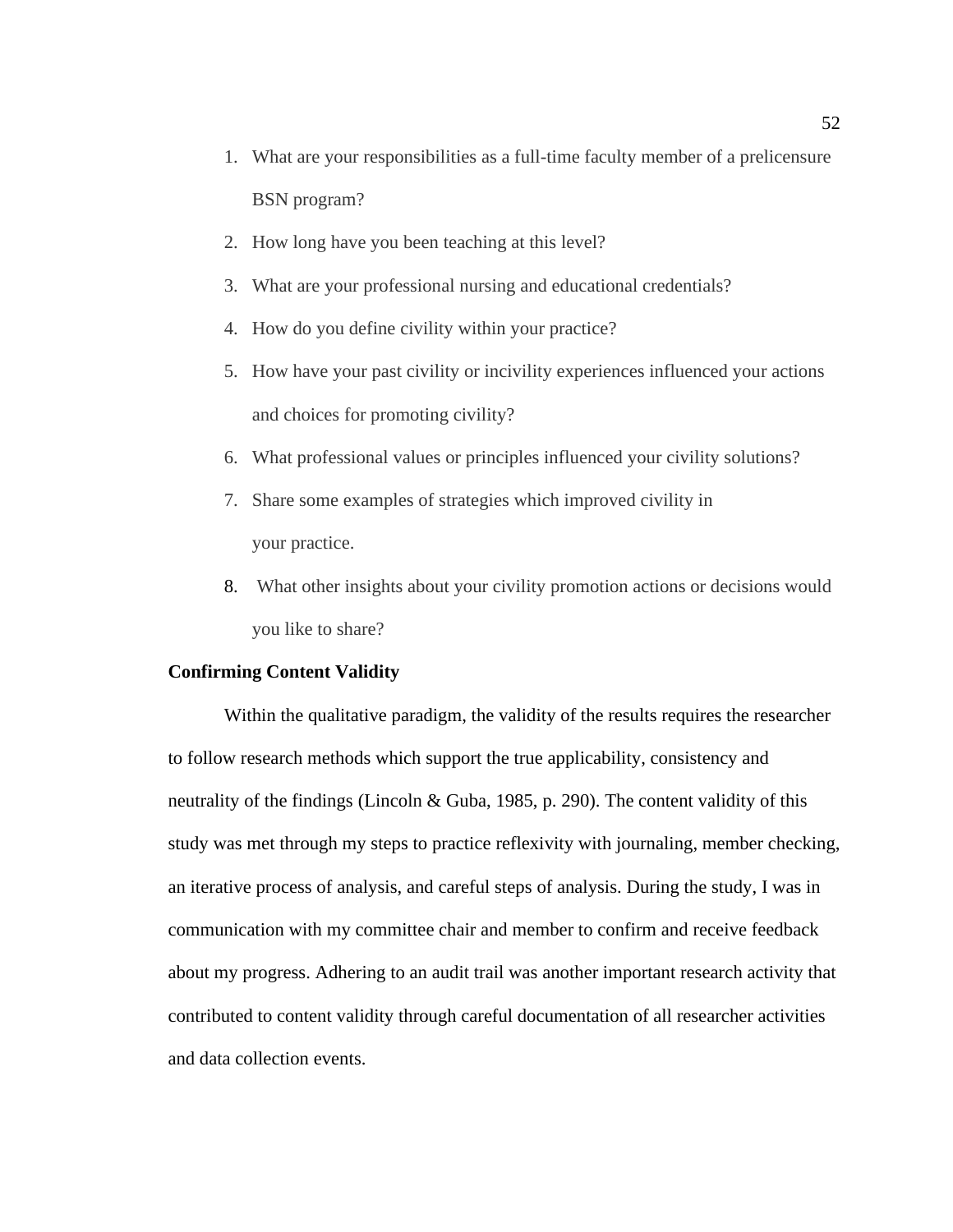- 1. What are your responsibilities as a full-time faculty member of a prelicensure BSN program?
- 2. How long have you been teaching at this level?
- 3. What are your professional nursing and educational credentials?
- 4. How do you define civility within your practice?
- 5. How have your past civility or incivility experiences influenced your actions and choices for promoting civility?
- 6. What professional values or principles influenced your civility solutions?
- 7. Share some examples of strategies which improved civility in your practice.
- 8. What other insights about your civility promotion actions or decisions would you like to share?

# **Confirming Content Validity**

Within the qualitative paradigm, the validity of the results requires the researcher to follow research methods which support the true applicability, consistency and neutrality of the findings (Lincoln & Guba, 1985, p. 290). The content validity of this study was met through my steps to practice reflexivity with journaling, member checking, an iterative process of analysis, and careful steps of analysis. During the study, I was in communication with my committee chair and member to confirm and receive feedback about my progress. Adhering to an audit trail was another important research activity that contributed to content validity through careful documentation of all researcher activities and data collection events.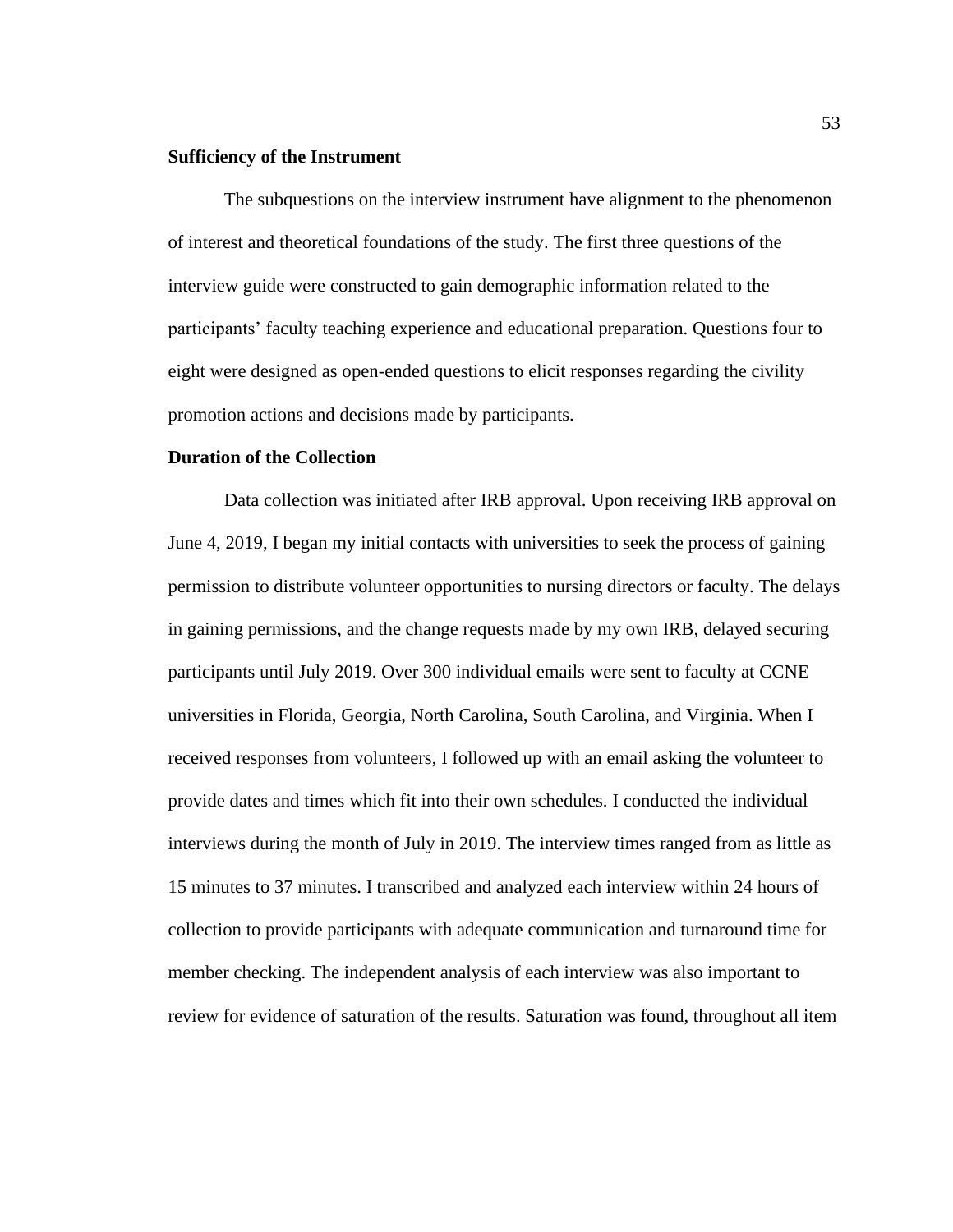# **Sufficiency of the Instrument**

The subquestions on the interview instrument have alignment to the phenomenon of interest and theoretical foundations of the study. The first three questions of the interview guide were constructed to gain demographic information related to the participants' faculty teaching experience and educational preparation. Questions four to eight were designed as open-ended questions to elicit responses regarding the civility promotion actions and decisions made by participants.

# **Duration of the Collection**

Data collection was initiated after IRB approval. Upon receiving IRB approval on June 4, 2019, I began my initial contacts with universities to seek the process of gaining permission to distribute volunteer opportunities to nursing directors or faculty. The delays in gaining permissions, and the change requests made by my own IRB, delayed securing participants until July 2019. Over 300 individual emails were sent to faculty at CCNE universities in Florida, Georgia, North Carolina, South Carolina, and Virginia. When I received responses from volunteers, I followed up with an email asking the volunteer to provide dates and times which fit into their own schedules. I conducted the individual interviews during the month of July in 2019. The interview times ranged from as little as 15 minutes to 37 minutes. I transcribed and analyzed each interview within 24 hours of collection to provide participants with adequate communication and turnaround time for member checking. The independent analysis of each interview was also important to review for evidence of saturation of the results. Saturation was found, throughout all item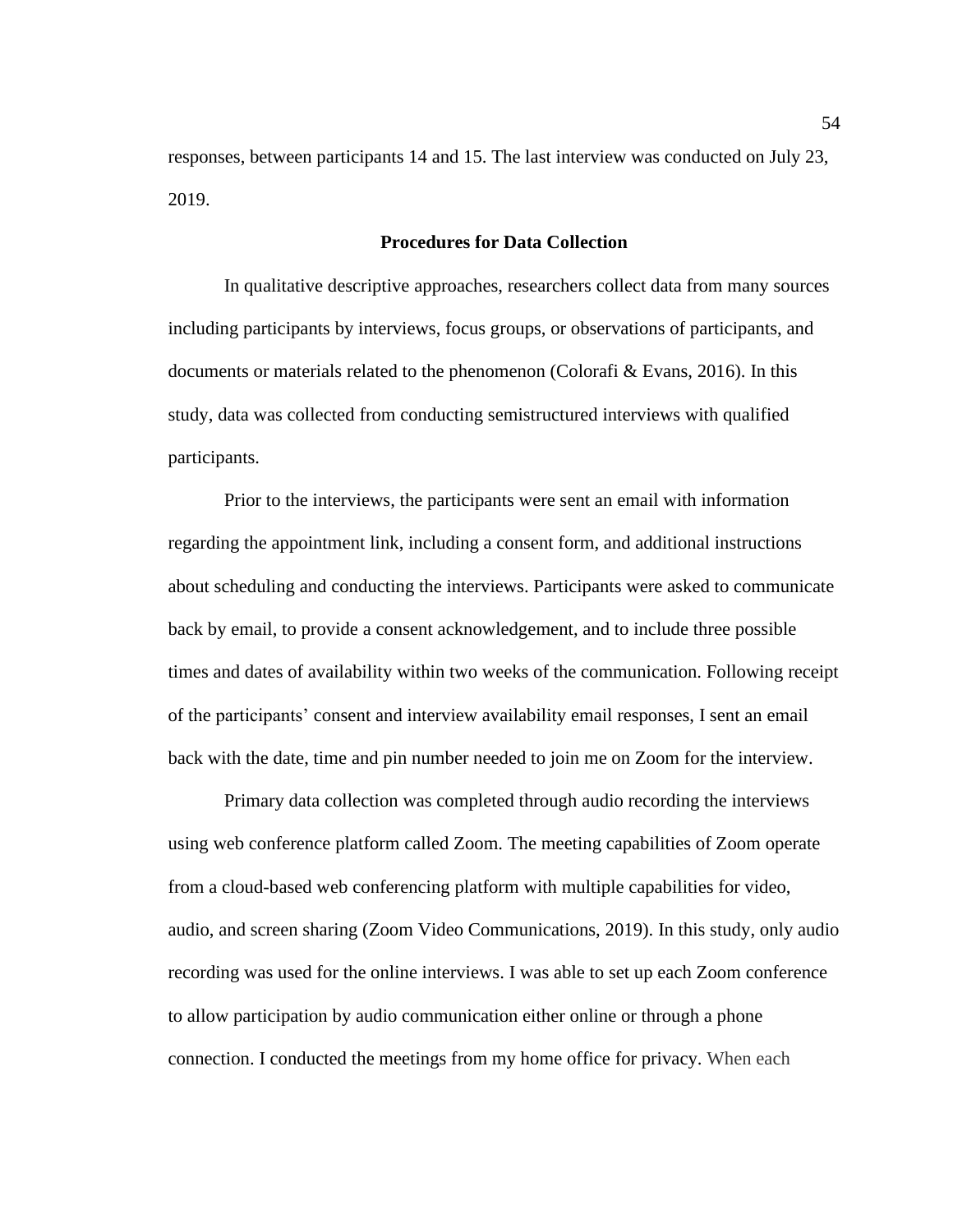responses, between participants 14 and 15. The last interview was conducted on July 23, 2019.

## **Procedures for Data Collection**

In qualitative descriptive approaches, researchers collect data from many sources including participants by interviews, focus groups, or observations of participants, and documents or materials related to the phenomenon (Colorafi & Evans, 2016). In this study, data was collected from conducting semistructured interviews with qualified participants.

Prior to the interviews, the participants were sent an email with information regarding the appointment link, including a consent form, and additional instructions about scheduling and conducting the interviews. Participants were asked to communicate back by email, to provide a consent acknowledgement, and to include three possible times and dates of availability within two weeks of the communication. Following receipt of the participants' consent and interview availability email responses, I sent an email back with the date, time and pin number needed to join me on Zoom for the interview.

Primary data collection was completed through audio recording the interviews using web conference platform called Zoom. The meeting capabilities of Zoom operate from a cloud-based web conferencing platform with multiple capabilities for video, audio, and screen sharing (Zoom Video Communications, 2019). In this study, only audio recording was used for the online interviews. I was able to set up each Zoom conference to allow participation by audio communication either online or through a phone connection. I conducted the meetings from my home office for privacy. When each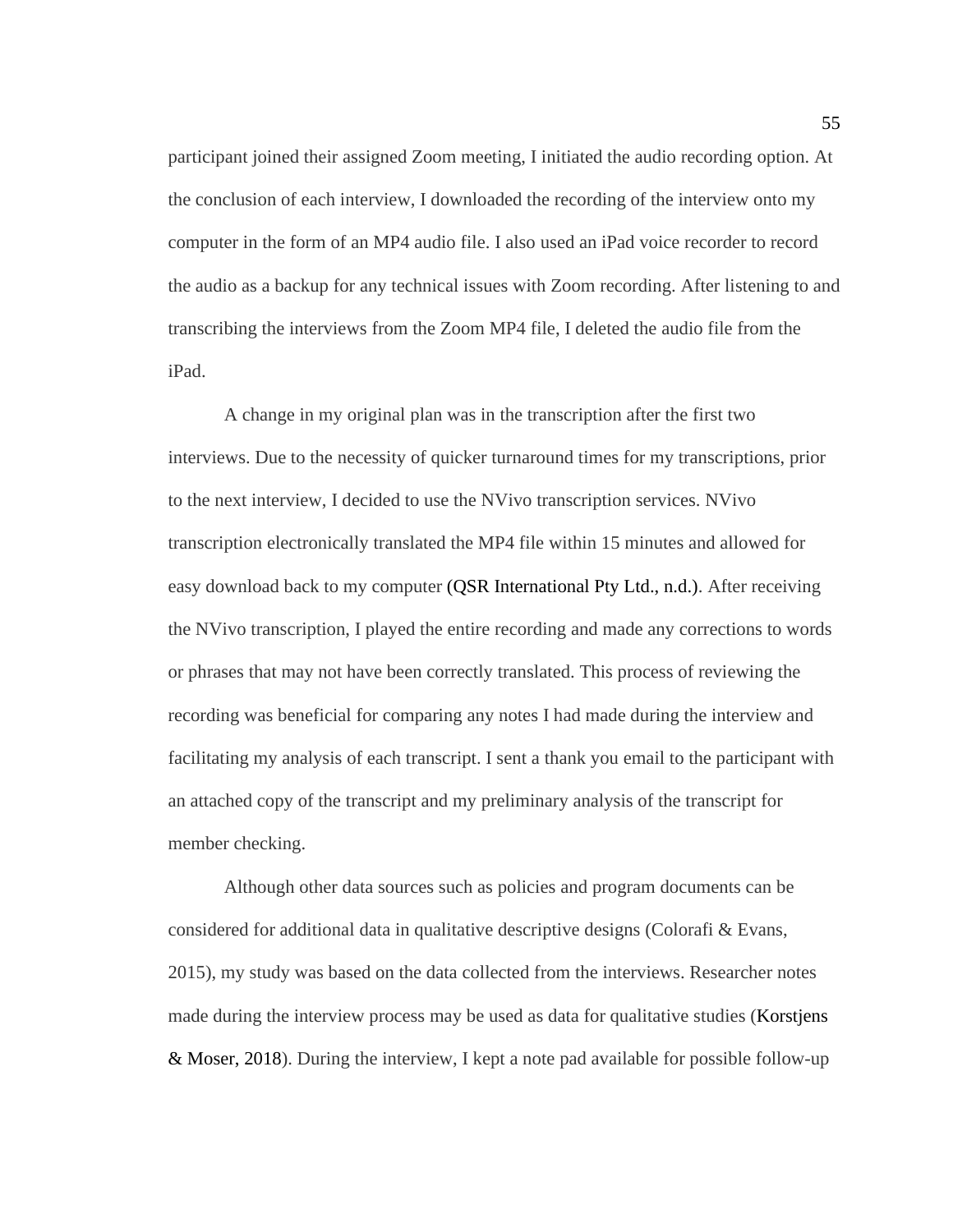participant joined their assigned Zoom meeting, I initiated the audio recording option. At the conclusion of each interview, I downloaded the recording of the interview onto my computer in the form of an MP4 audio file. I also used an iPad voice recorder to record the audio as a backup for any technical issues with Zoom recording. After listening to and transcribing the interviews from the Zoom MP4 file, I deleted the audio file from the iPad.

A change in my original plan was in the transcription after the first two interviews. Due to the necessity of quicker turnaround times for my transcriptions, prior to the next interview, I decided to use the NVivo transcription services. NVivo transcription electronically translated the MP4 file within 15 minutes and allowed for easy download back to my computer (QSR International Pty Ltd., n.d.). After receiving the NVivo transcription, I played the entire recording and made any corrections to words or phrases that may not have been correctly translated. This process of reviewing the recording was beneficial for comparing any notes I had made during the interview and facilitating my analysis of each transcript. I sent a thank you email to the participant with an attached copy of the transcript and my preliminary analysis of the transcript for member checking.

Although other data sources such as policies and program documents can be considered for additional data in qualitative descriptive designs (Colorafi & Evans, 2015), my study was based on the data collected from the interviews. Researcher notes made during the interview process may be used as data for qualitative studies (Korstjens & Moser, 2018). During the interview, I kept a note pad available for possible follow-up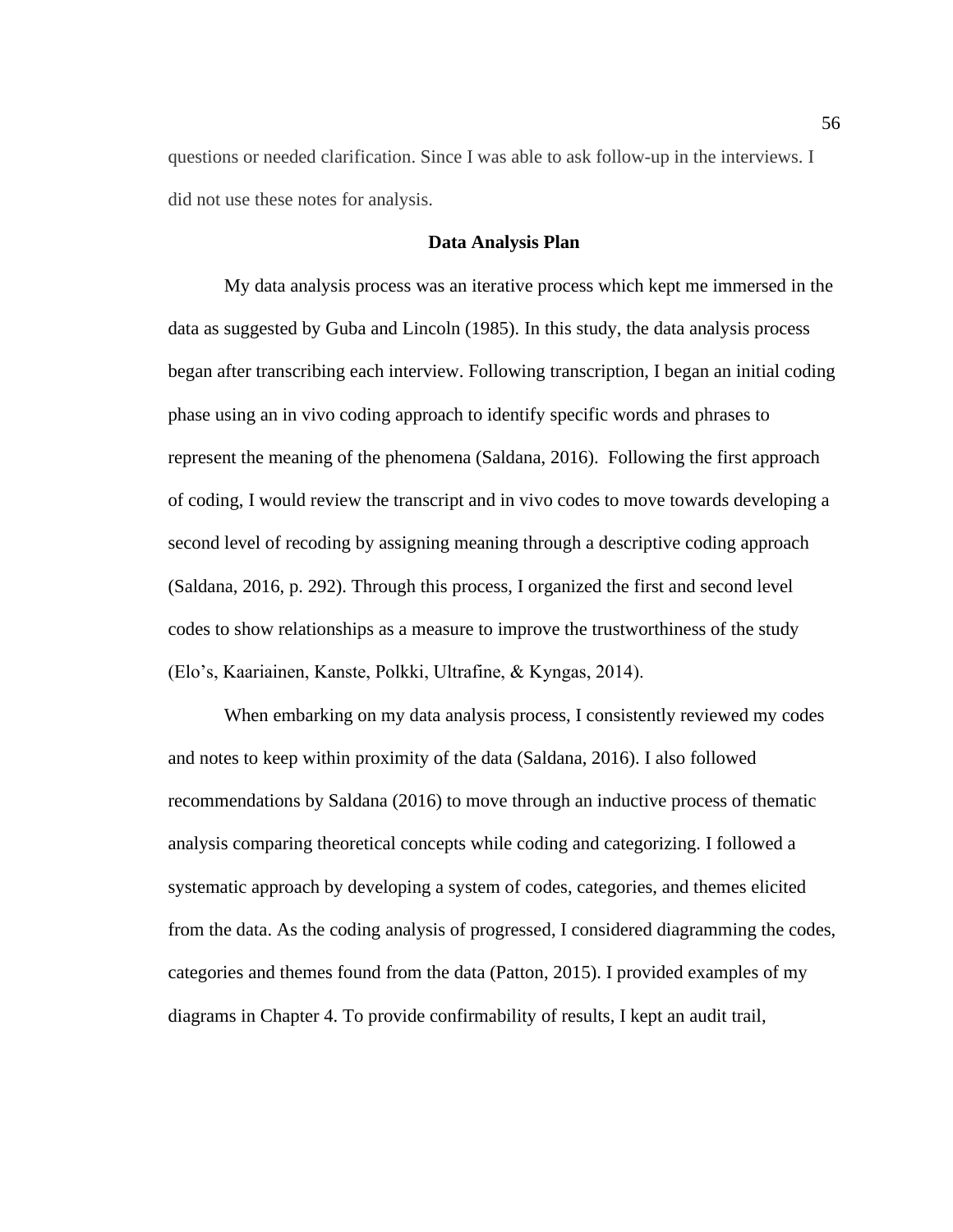questions or needed clarification. Since I was able to ask follow-up in the interviews. I did not use these notes for analysis.

# **Data Analysis Plan**

My data analysis process was an iterative process which kept me immersed in the data as suggested by Guba and Lincoln (1985). In this study, the data analysis process began after transcribing each interview. Following transcription, I began an initial coding phase using an in vivo coding approach to identify specific words and phrases to represent the meaning of the phenomena (Saldana, 2016). Following the first approach of coding, I would review the transcript and in vivo codes to move towards developing a second level of recoding by assigning meaning through a descriptive coding approach (Saldana, 2016, p. 292). Through this process, I organized the first and second level codes to show relationships as a measure to improve the trustworthiness of the study (Elo's, Kaariainen, Kanste, Polkki, Ultrafine, & Kyngas, 2014).

When embarking on my data analysis process, I consistently reviewed my codes and notes to keep within proximity of the data (Saldana, 2016). I also followed recommendations by Saldana (2016) to move through an inductive process of thematic analysis comparing theoretical concepts while coding and categorizing. I followed a systematic approach by developing a system of codes, categories, and themes elicited from the data. As the coding analysis of progressed, I considered diagramming the codes, categories and themes found from the data (Patton, 2015). I provided examples of my diagrams in Chapter 4. To provide confirmability of results, I kept an audit trail,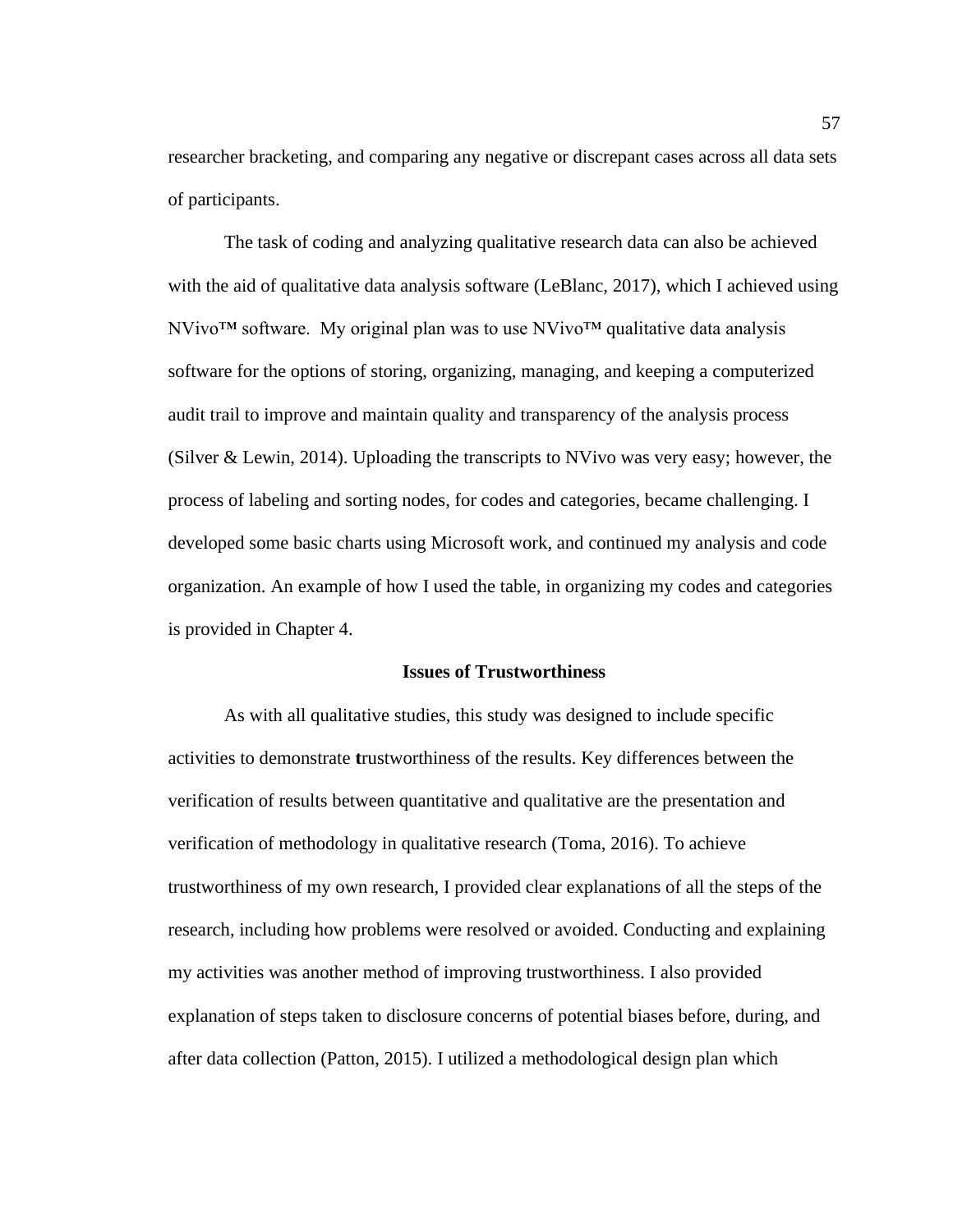researcher bracketing, and comparing any negative or discrepant cases across all data sets of participants.

The task of coding and analyzing qualitative research data can also be achieved with the aid of qualitative data analysis software (LeBlanc, 2017), which I achieved using NVivo™ software. My original plan was to use NVivo™ qualitative data analysis software for the options of storing, organizing, managing, and keeping a computerized audit trail to improve and maintain quality and transparency of the analysis process (Silver & Lewin, 2014). Uploading the transcripts to NVivo was very easy; however, the process of labeling and sorting nodes, for codes and categories, became challenging. I developed some basic charts using Microsoft work, and continued my analysis and code organization. An example of how I used the table, in organizing my codes and categories is provided in Chapter 4.

## **Issues of Trustworthiness**

As with all qualitative studies, this study was designed to include specific activities to demonstrate **t**rustworthiness of the results. Key differences between the verification of results between quantitative and qualitative are the presentation and verification of methodology in qualitative research (Toma, 2016). To achieve trustworthiness of my own research, I provided clear explanations of all the steps of the research, including how problems were resolved or avoided. Conducting and explaining my activities was another method of improving trustworthiness. I also provided explanation of steps taken to disclosure concerns of potential biases before, during, and after data collection (Patton, 2015). I utilized a methodological design plan which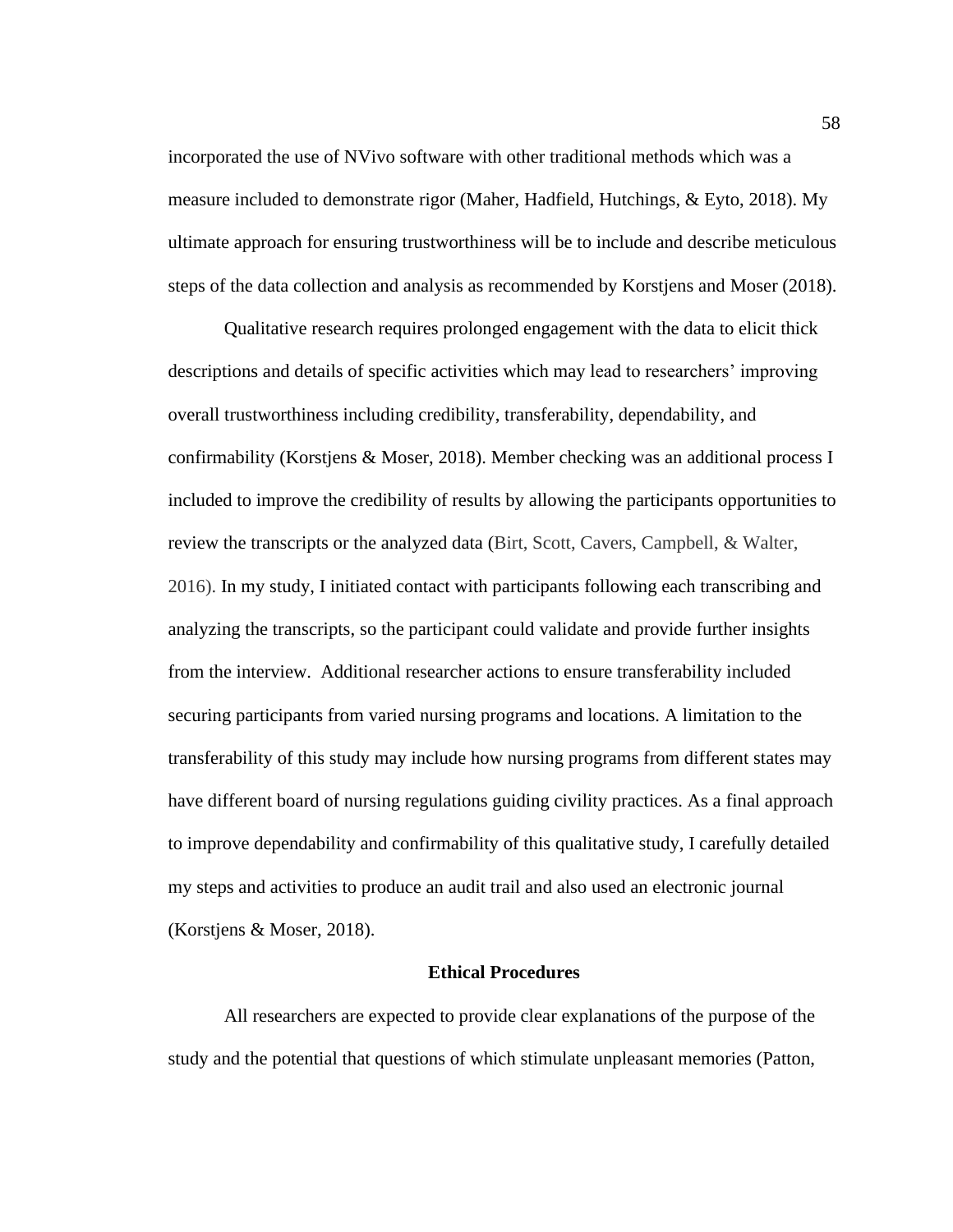incorporated the use of NVivo software with other traditional methods which was a measure included to demonstrate rigor (Maher, Hadfield, Hutchings, & Eyto, 2018). My ultimate approach for ensuring trustworthiness will be to include and describe meticulous steps of the data collection and analysis as recommended by Korstjens and Moser (2018).

Qualitative research requires prolonged engagement with the data to elicit thick descriptions and details of specific activities which may lead to researchers' improving overall trustworthiness including credibility, transferability, dependability, and confirmability (Korstjens & Moser, 2018). Member checking was an additional process I included to improve the credibility of results by allowing the participants opportunities to review the transcripts or the analyzed data (Birt, Scott, Cavers, Campbell, & Walter, 2016). In my study, I initiated contact with participants following each transcribing and analyzing the transcripts, so the participant could validate and provide further insights from the interview. Additional researcher actions to ensure transferability included securing participants from varied nursing programs and locations. A limitation to the transferability of this study may include how nursing programs from different states may have different board of nursing regulations guiding civility practices. As a final approach to improve dependability and confirmability of this qualitative study, I carefully detailed my steps and activities to produce an audit trail and also used an electronic journal (Korstjens & Moser, 2018).

## **Ethical Procedures**

All researchers are expected to provide clear explanations of the purpose of the study and the potential that questions of which stimulate unpleasant memories (Patton,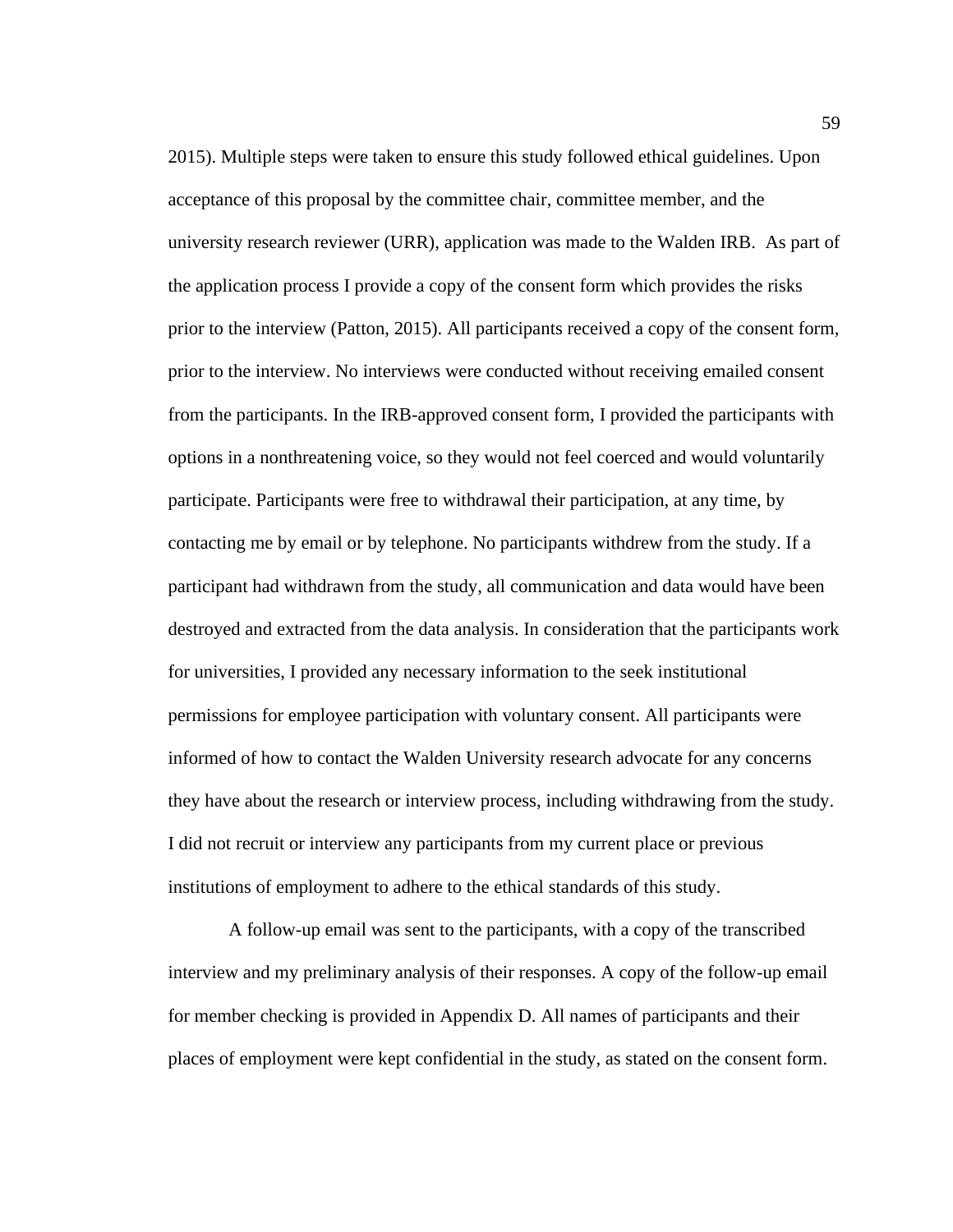2015). Multiple steps were taken to ensure this study followed ethical guidelines. Upon acceptance of this proposal by the committee chair, committee member, and the university research reviewer (URR), application was made to the Walden IRB. As part of the application process I provide a copy of the consent form which provides the risks prior to the interview (Patton, 2015). All participants received a copy of the consent form, prior to the interview. No interviews were conducted without receiving emailed consent from the participants. In the IRB-approved consent form, I provided the participants with options in a nonthreatening voice, so they would not feel coerced and would voluntarily participate. Participants were free to withdrawal their participation, at any time, by contacting me by email or by telephone. No participants withdrew from the study. If a participant had withdrawn from the study, all communication and data would have been destroyed and extracted from the data analysis. In consideration that the participants work for universities, I provided any necessary information to the seek institutional permissions for employee participation with voluntary consent. All participants were informed of how to contact the Walden University research advocate for any concerns they have about the research or interview process, including withdrawing from the study. I did not recruit or interview any participants from my current place or previous institutions of employment to adhere to the ethical standards of this study.

A follow-up email was sent to the participants, with a copy of the transcribed interview and my preliminary analysis of their responses. A copy of the follow-up email for member checking is provided in Appendix D. All names of participants and their places of employment were kept confidential in the study, as stated on the consent form.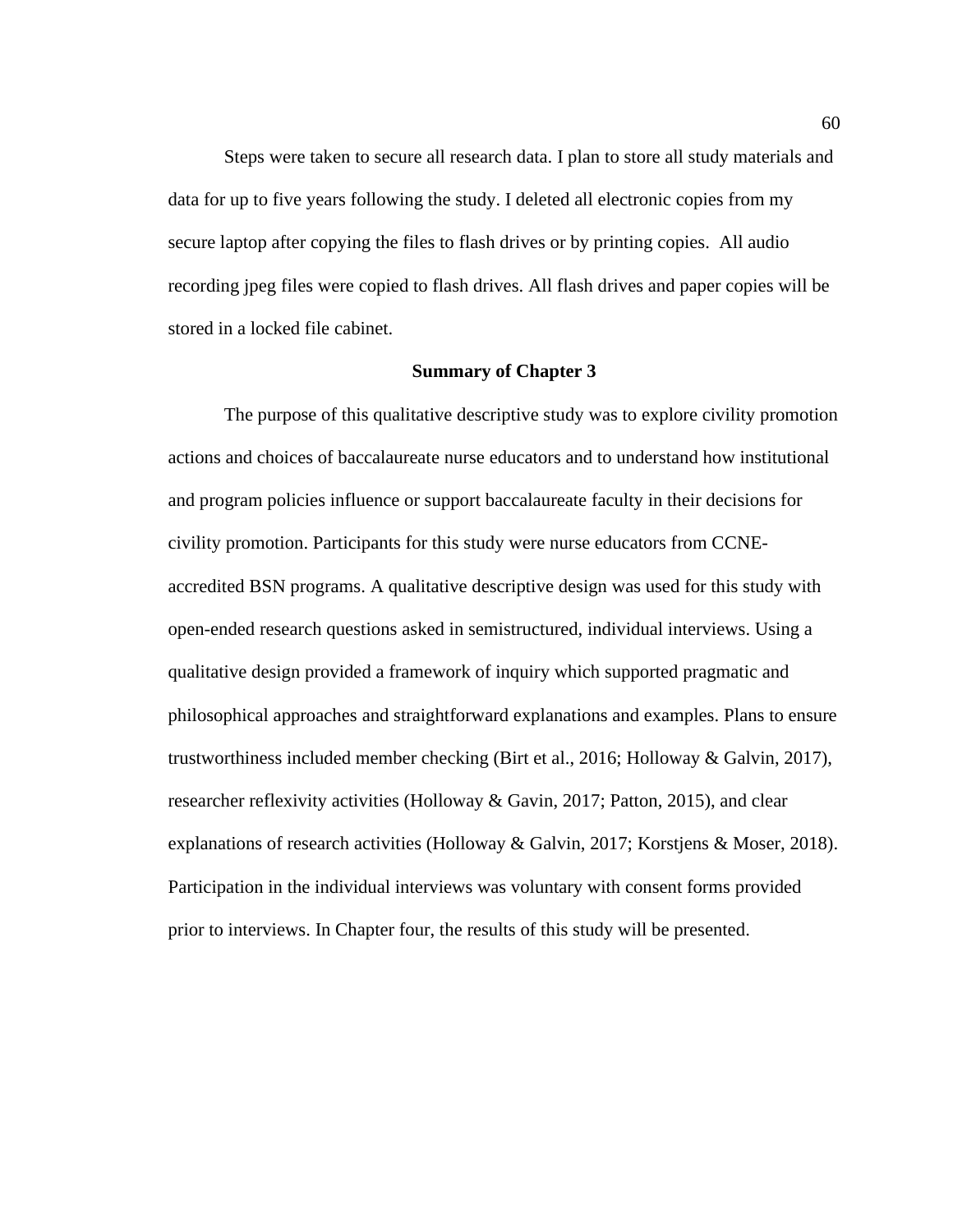Steps were taken to secure all research data. I plan to store all study materials and data for up to five years following the study. I deleted all electronic copies from my secure laptop after copying the files to flash drives or by printing copies. All audio recording jpeg files were copied to flash drives. All flash drives and paper copies will be stored in a locked file cabinet.

## **Summary of Chapter 3**

The purpose of this qualitative descriptive study was to explore civility promotion actions and choices of baccalaureate nurse educators and to understand how institutional and program policies influence or support baccalaureate faculty in their decisions for civility promotion. Participants for this study were nurse educators from CCNEaccredited BSN programs. A qualitative descriptive design was used for this study with open-ended research questions asked in semistructured, individual interviews. Using a qualitative design provided a framework of inquiry which supported pragmatic and philosophical approaches and straightforward explanations and examples. Plans to ensure trustworthiness included member checking (Birt et al., 2016; Holloway & Galvin, 2017), researcher reflexivity activities (Holloway & Gavin, 2017; Patton, 2015), and clear explanations of research activities (Holloway & Galvin, 2017; Korstjens & Moser, 2018). Participation in the individual interviews was voluntary with consent forms provided prior to interviews. In Chapter four, the results of this study will be presented.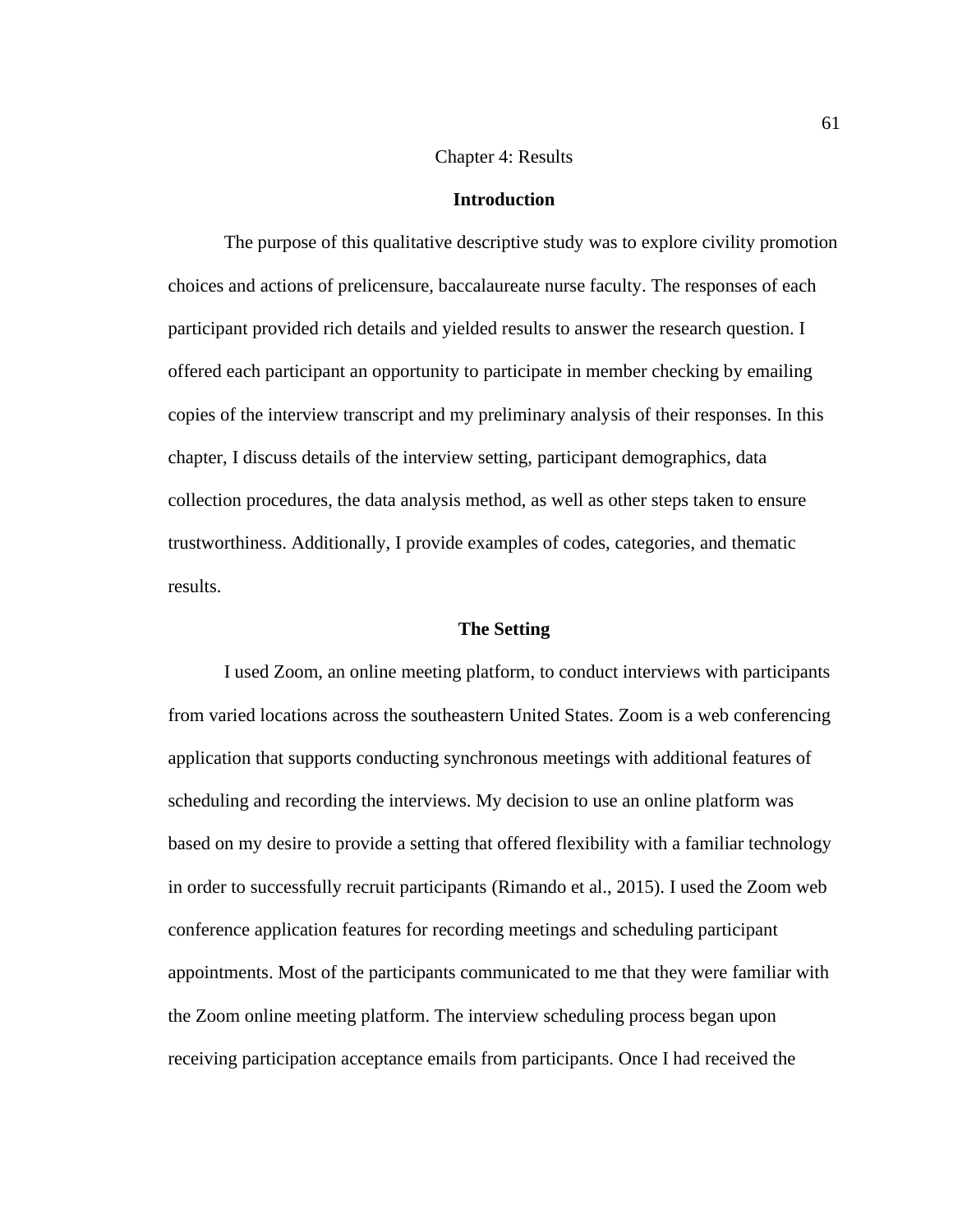# Chapter 4: Results

### **Introduction**

The purpose of this qualitative descriptive study was to explore civility promotion choices and actions of prelicensure, baccalaureate nurse faculty. The responses of each participant provided rich details and yielded results to answer the research question. I offered each participant an opportunity to participate in member checking by emailing copies of the interview transcript and my preliminary analysis of their responses. In this chapter, I discuss details of the interview setting, participant demographics, data collection procedures, the data analysis method, as well as other steps taken to ensure trustworthiness. Additionally, I provide examples of codes, categories, and thematic results.

# **The Setting**

I used Zoom, an online meeting platform, to conduct interviews with participants from varied locations across the southeastern United States. Zoom is a web conferencing application that supports conducting synchronous meetings with additional features of scheduling and recording the interviews. My decision to use an online platform was based on my desire to provide a setting that offered flexibility with a familiar technology in order to successfully recruit participants (Rimando et al., 2015). I used the Zoom web conference application features for recording meetings and scheduling participant appointments. Most of the participants communicated to me that they were familiar with the Zoom online meeting platform. The interview scheduling process began upon receiving participation acceptance emails from participants. Once I had received the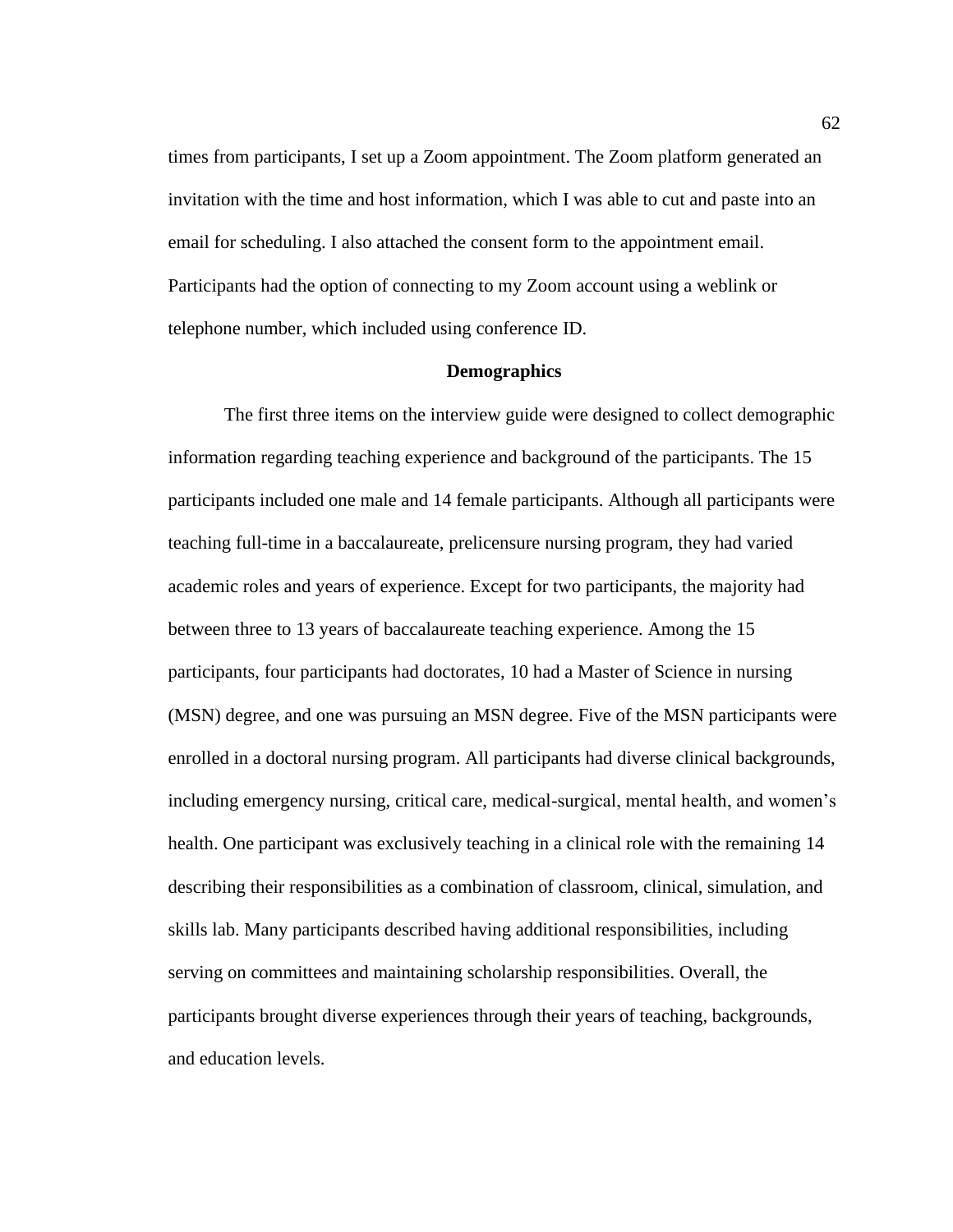times from participants, I set up a Zoom appointment. The Zoom platform generated an invitation with the time and host information, which I was able to cut and paste into an email for scheduling. I also attached the consent form to the appointment email. Participants had the option of connecting to my Zoom account using a weblink or telephone number, which included using conference ID.

# **Demographics**

The first three items on the interview guide were designed to collect demographic information regarding teaching experience and background of the participants. The 15 participants included one male and 14 female participants. Although all participants were teaching full-time in a baccalaureate, prelicensure nursing program, they had varied academic roles and years of experience. Except for two participants, the majority had between three to 13 years of baccalaureate teaching experience. Among the 15 participants, four participants had doctorates, 10 had a Master of Science in nursing (MSN) degree, and one was pursuing an MSN degree. Five of the MSN participants were enrolled in a doctoral nursing program. All participants had diverse clinical backgrounds, including emergency nursing, critical care, medical-surgical, mental health, and women's health. One participant was exclusively teaching in a clinical role with the remaining 14 describing their responsibilities as a combination of classroom, clinical, simulation, and skills lab. Many participants described having additional responsibilities, including serving on committees and maintaining scholarship responsibilities. Overall, the participants brought diverse experiences through their years of teaching, backgrounds, and education levels.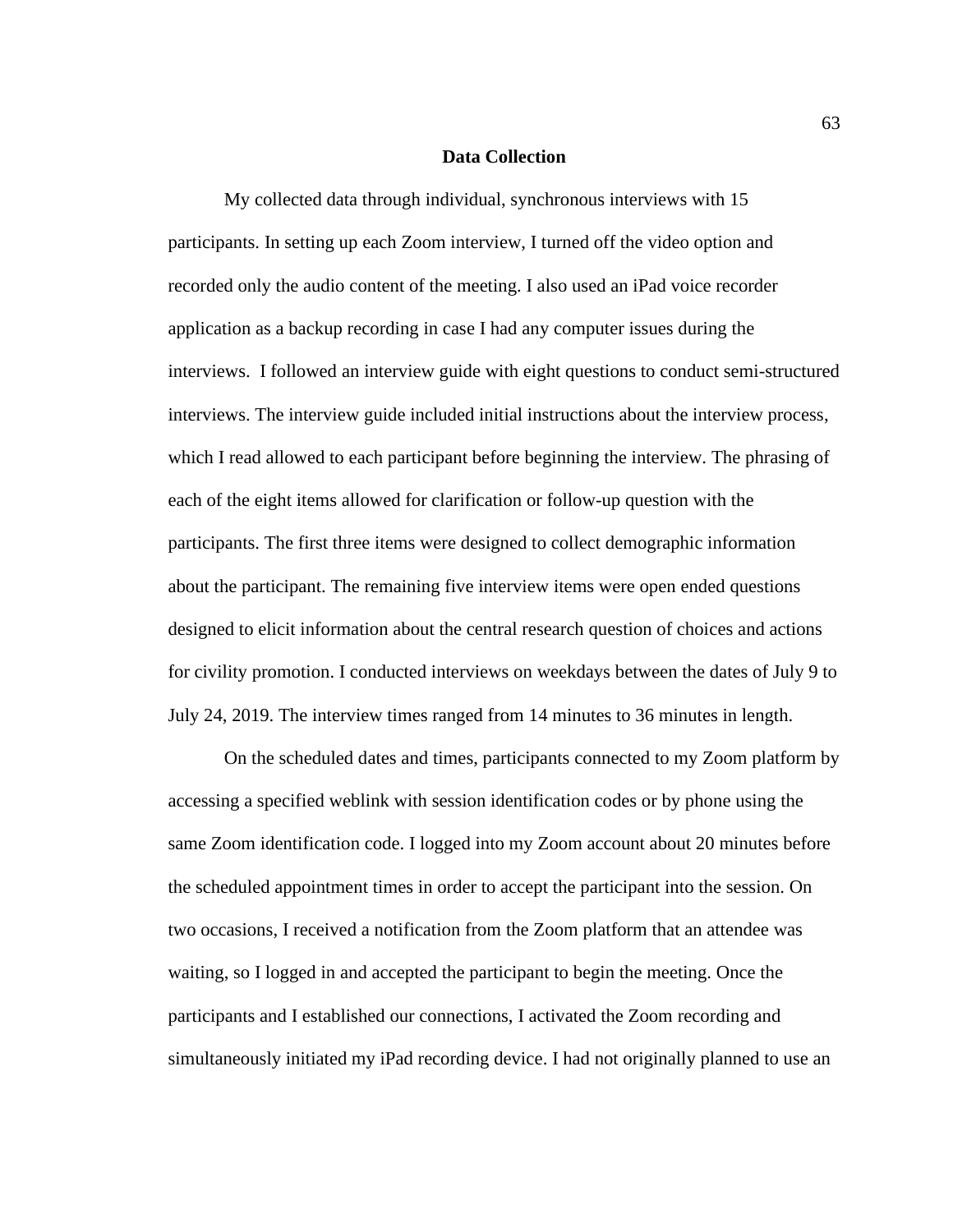### **Data Collection**

My collected data through individual, synchronous interviews with 15 participants. In setting up each Zoom interview, I turned off the video option and recorded only the audio content of the meeting. I also used an iPad voice recorder application as a backup recording in case I had any computer issues during the interviews. I followed an interview guide with eight questions to conduct semi-structured interviews. The interview guide included initial instructions about the interview process, which I read allowed to each participant before beginning the interview. The phrasing of each of the eight items allowed for clarification or follow-up question with the participants. The first three items were designed to collect demographic information about the participant. The remaining five interview items were open ended questions designed to elicit information about the central research question of choices and actions for civility promotion. I conducted interviews on weekdays between the dates of July 9 to July 24, 2019. The interview times ranged from 14 minutes to 36 minutes in length.

On the scheduled dates and times, participants connected to my Zoom platform by accessing a specified weblink with session identification codes or by phone using the same Zoom identification code. I logged into my Zoom account about 20 minutes before the scheduled appointment times in order to accept the participant into the session. On two occasions, I received a notification from the Zoom platform that an attendee was waiting, so I logged in and accepted the participant to begin the meeting. Once the participants and I established our connections, I activated the Zoom recording and simultaneously initiated my iPad recording device. I had not originally planned to use an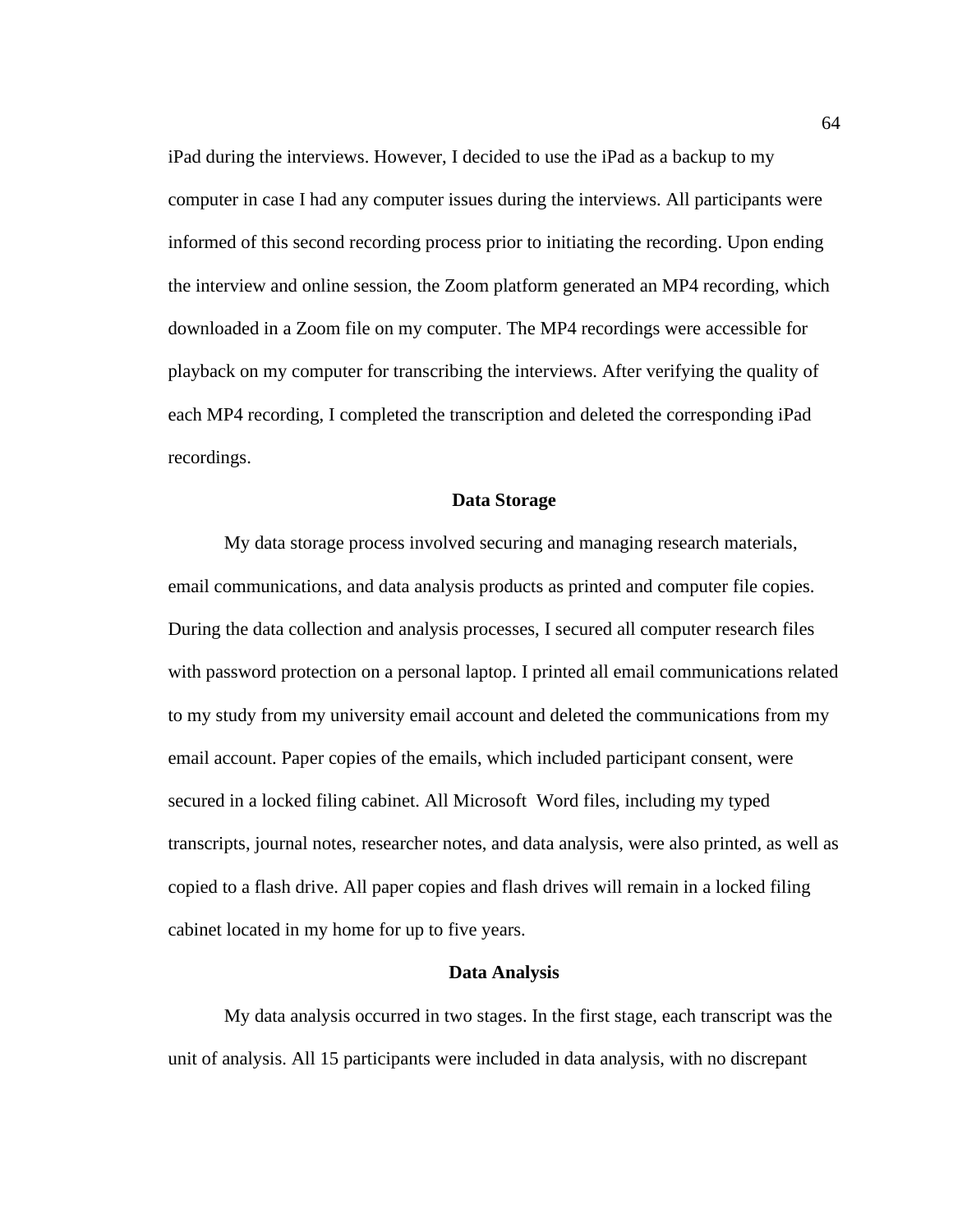iPad during the interviews. However, I decided to use the iPad as a backup to my computer in case I had any computer issues during the interviews. All participants were informed of this second recording process prior to initiating the recording. Upon ending the interview and online session, the Zoom platform generated an MP4 recording, which downloaded in a Zoom file on my computer. The MP4 recordings were accessible for playback on my computer for transcribing the interviews. After verifying the quality of each MP4 recording, I completed the transcription and deleted the corresponding iPad recordings.

## **Data Storage**

My data storage process involved securing and managing research materials, email communications, and data analysis products as printed and computer file copies. During the data collection and analysis processes, I secured all computer research files with password protection on a personal laptop. I printed all email communications related to my study from my university email account and deleted the communications from my email account. Paper copies of the emails, which included participant consent, were secured in a locked filing cabinet. All Microsoft Word files, including my typed transcripts, journal notes, researcher notes, and data analysis, were also printed, as well as copied to a flash drive. All paper copies and flash drives will remain in a locked filing cabinet located in my home for up to five years.

### **Data Analysis**

My data analysis occurred in two stages. In the first stage, each transcript was the unit of analysis. All 15 participants were included in data analysis, with no discrepant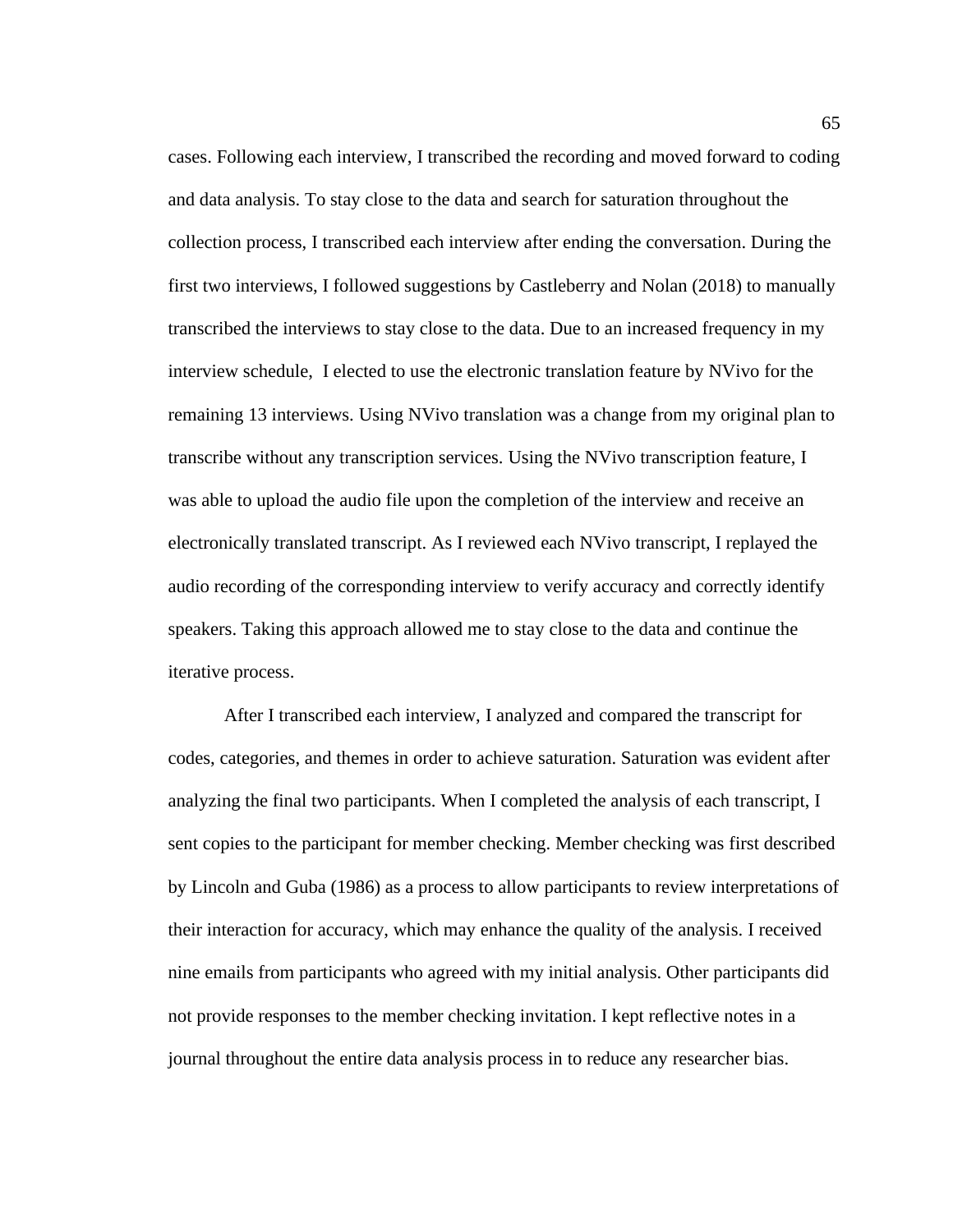cases. Following each interview, I transcribed the recording and moved forward to coding and data analysis. To stay close to the data and search for saturation throughout the collection process, I transcribed each interview after ending the conversation. During the first two interviews, I followed suggestions by Castleberry and Nolan (2018) to manually transcribed the interviews to stay close to the data. Due to an increased frequency in my interview schedule, I elected to use the electronic translation feature by NVivo for the remaining 13 interviews. Using NVivo translation was a change from my original plan to transcribe without any transcription services. Using the NVivo transcription feature, I was able to upload the audio file upon the completion of the interview and receive an electronically translated transcript. As I reviewed each NVivo transcript, I replayed the audio recording of the corresponding interview to verify accuracy and correctly identify speakers. Taking this approach allowed me to stay close to the data and continue the iterative process.

After I transcribed each interview, I analyzed and compared the transcript for codes, categories, and themes in order to achieve saturation. Saturation was evident after analyzing the final two participants. When I completed the analysis of each transcript, I sent copies to the participant for member checking. Member checking was first described by Lincoln and Guba (1986) as a process to allow participants to review interpretations of their interaction for accuracy, which may enhance the quality of the analysis. I received nine emails from participants who agreed with my initial analysis. Other participants did not provide responses to the member checking invitation. I kept reflective notes in a journal throughout the entire data analysis process in to reduce any researcher bias.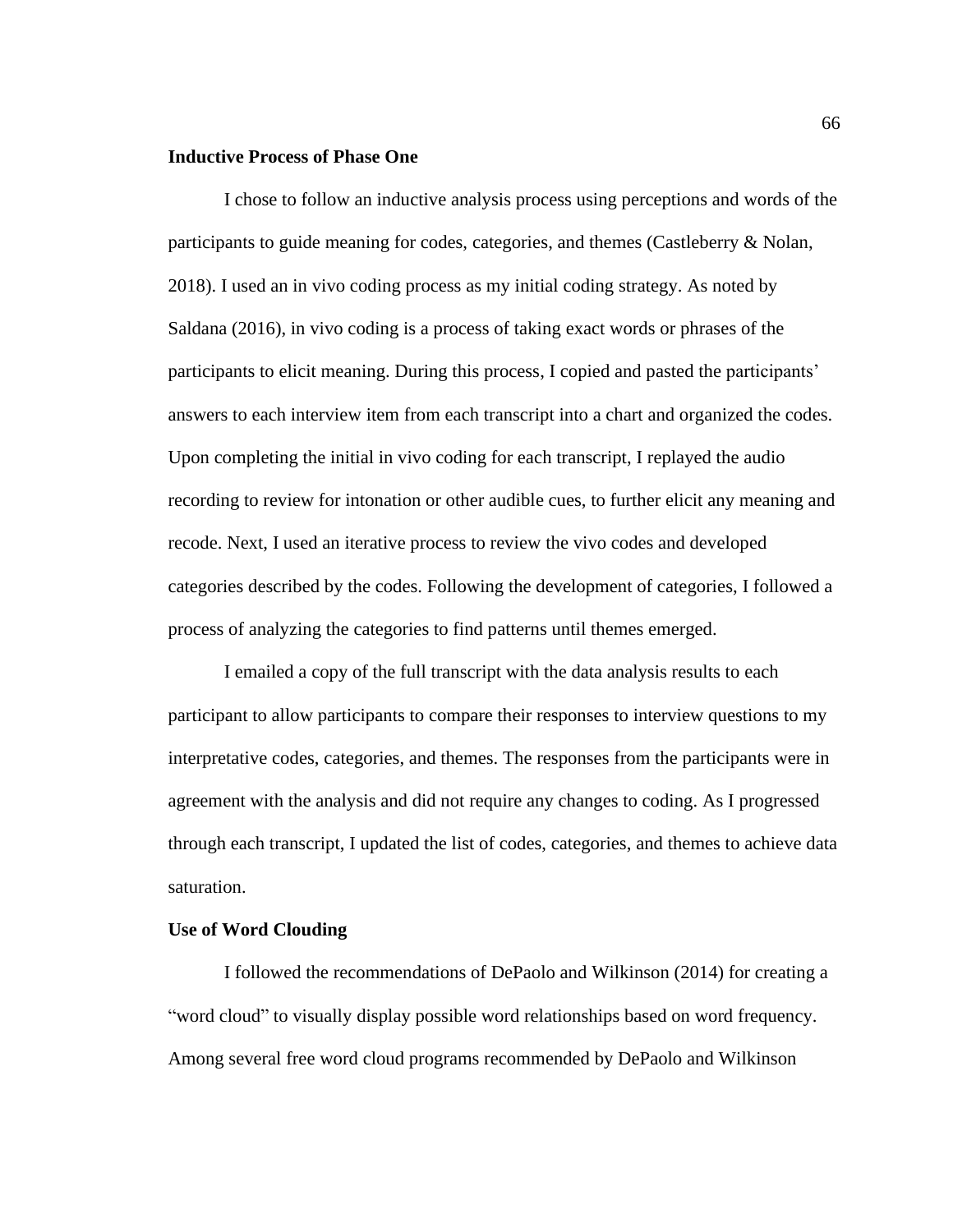## **Inductive Process of Phase One**

I chose to follow an inductive analysis process using perceptions and words of the participants to guide meaning for codes, categories, and themes (Castleberry & Nolan, 2018). I used an in vivo coding process as my initial coding strategy. As noted by Saldana (2016), in vivo coding is a process of taking exact words or phrases of the participants to elicit meaning. During this process, I copied and pasted the participants' answers to each interview item from each transcript into a chart and organized the codes. Upon completing the initial in vivo coding for each transcript, I replayed the audio recording to review for intonation or other audible cues, to further elicit any meaning and recode. Next, I used an iterative process to review the vivo codes and developed categories described by the codes. Following the development of categories, I followed a process of analyzing the categories to find patterns until themes emerged.

I emailed a copy of the full transcript with the data analysis results to each participant to allow participants to compare their responses to interview questions to my interpretative codes, categories, and themes. The responses from the participants were in agreement with the analysis and did not require any changes to coding. As I progressed through each transcript, I updated the list of codes, categories, and themes to achieve data saturation.

# **Use of Word Clouding**

I followed the recommendations of DePaolo and Wilkinson (2014) for creating a "word cloud" to visually display possible word relationships based on word frequency. Among several free word cloud programs recommended by DePaolo and Wilkinson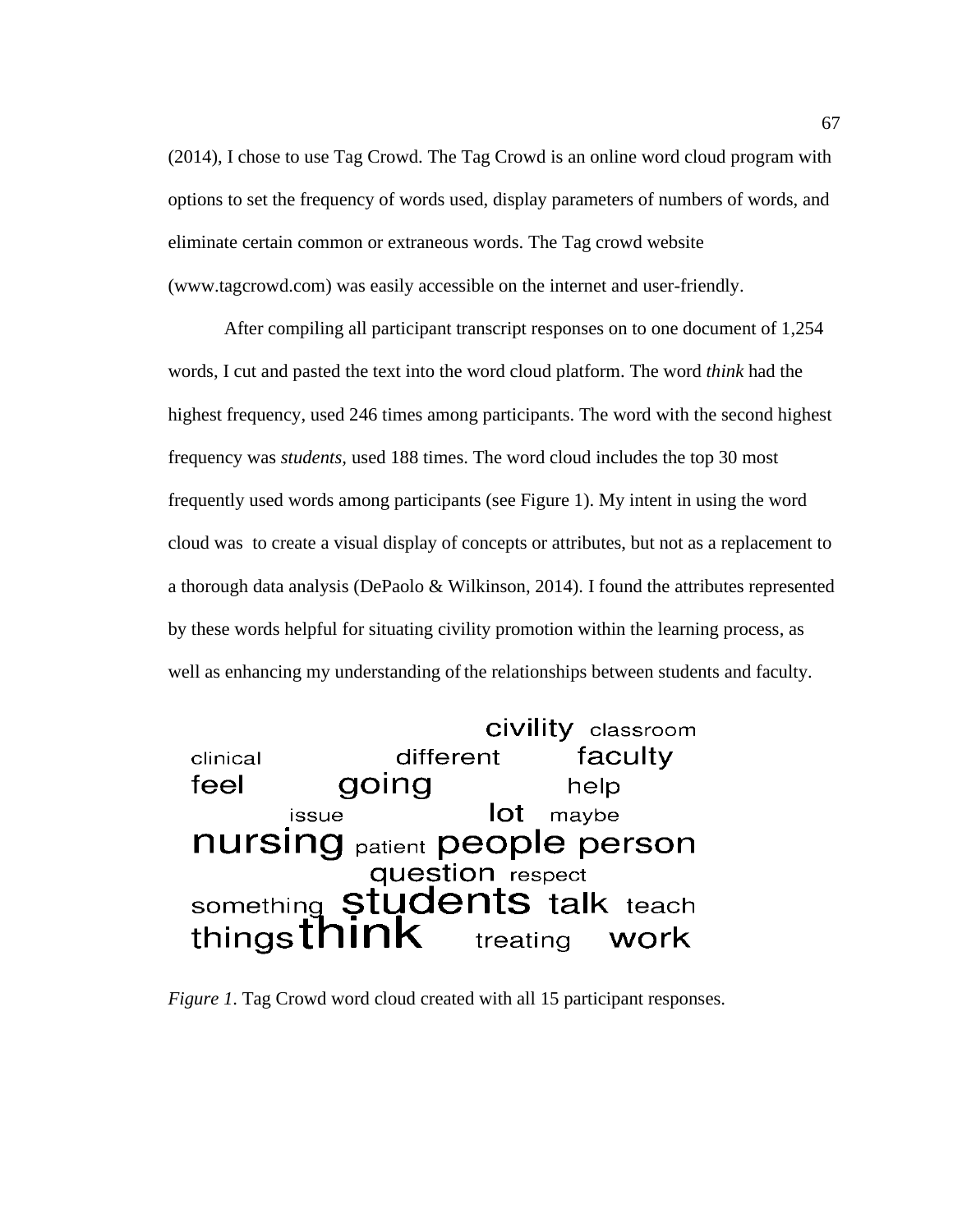(2014), I chose to use Tag Crowd. The Tag Crowd is an online word cloud program with options to set the frequency of words used, display parameters of numbers of words, and eliminate certain common or extraneous words. The Tag crowd website (www.tagcrowd.com) was easily accessible on the internet and user-friendly.

After compiling all participant transcript responses on to one document of 1,254 words, I cut and pasted the text into the word cloud platform. The word *think* had the highest frequency, used 246 times among participants. The word with the second highest frequency was *students,* used 188 times. The word cloud includes the top 30 most frequently used words among participants (see Figure 1). My intent in using the word cloud was to create a visual display of concepts or attributes, but not as a replacement to a thorough data analysis (DePaolo & Wilkinson, 2014). I found the attributes represented by these words helpful for situating civility promotion within the learning process, as well as enhancing my understanding of the relationships between students and faculty.

**Civility** classroom faculty different clinical going feel help lot maybe issue nursing patient people person question respect something Students talk teach thingsthink work treating

*Figure 1*. Tag Crowd word cloud created with all 15 participant responses.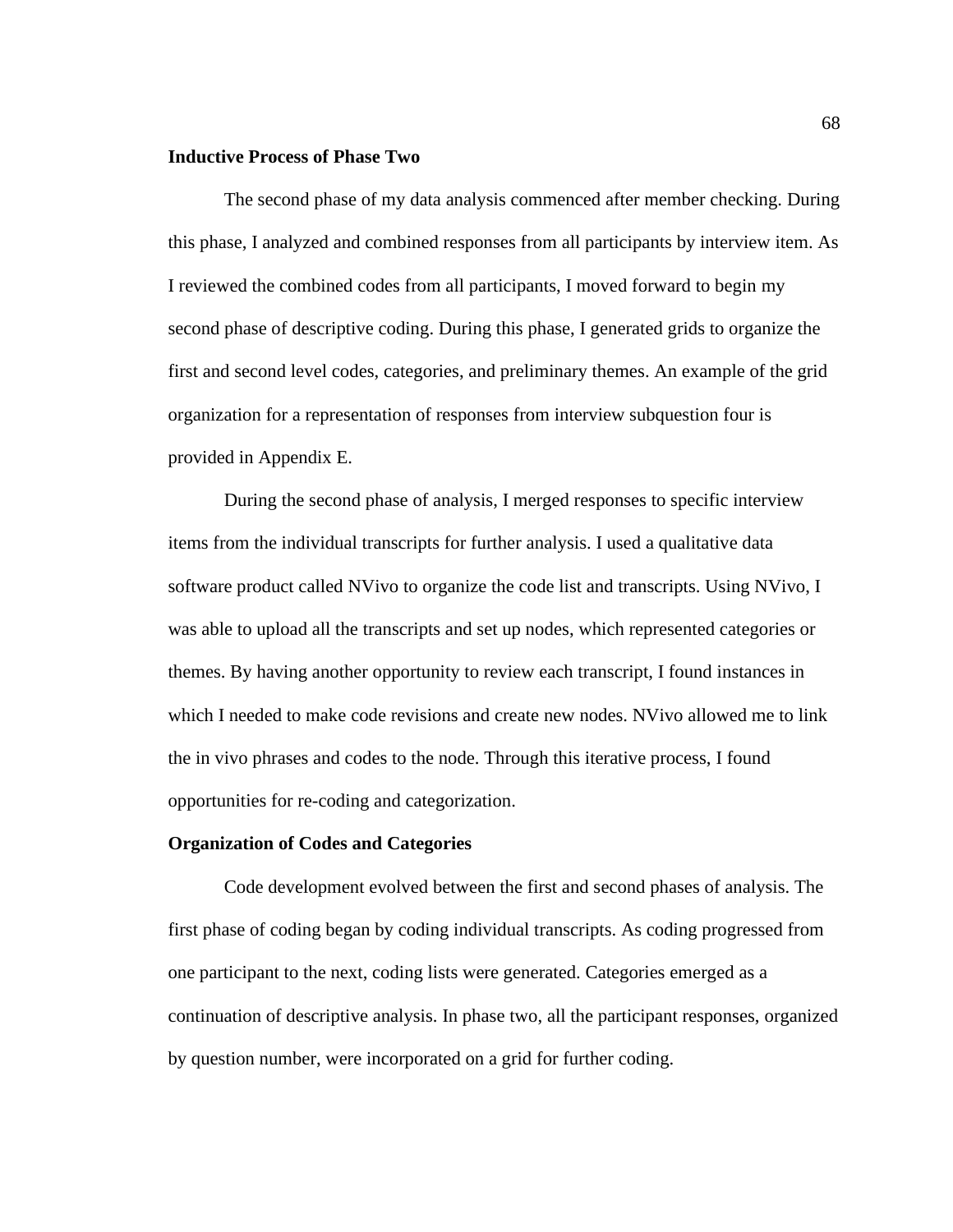## **Inductive Process of Phase Two**

The second phase of my data analysis commenced after member checking. During this phase, I analyzed and combined responses from all participants by interview item. As I reviewed the combined codes from all participants, I moved forward to begin my second phase of descriptive coding. During this phase, I generated grids to organize the first and second level codes, categories, and preliminary themes. An example of the grid organization for a representation of responses from interview subquestion four is provided in Appendix E.

During the second phase of analysis, I merged responses to specific interview items from the individual transcripts for further analysis. I used a qualitative data software product called NVivo to organize the code list and transcripts. Using NVivo, I was able to upload all the transcripts and set up nodes, which represented categories or themes. By having another opportunity to review each transcript, I found instances in which I needed to make code revisions and create new nodes. NVivo allowed me to link the in vivo phrases and codes to the node. Through this iterative process, I found opportunities for re-coding and categorization.

## **Organization of Codes and Categories**

Code development evolved between the first and second phases of analysis. The first phase of coding began by coding individual transcripts. As coding progressed from one participant to the next, coding lists were generated. Categories emerged as a continuation of descriptive analysis. In phase two, all the participant responses, organized by question number, were incorporated on a grid for further coding.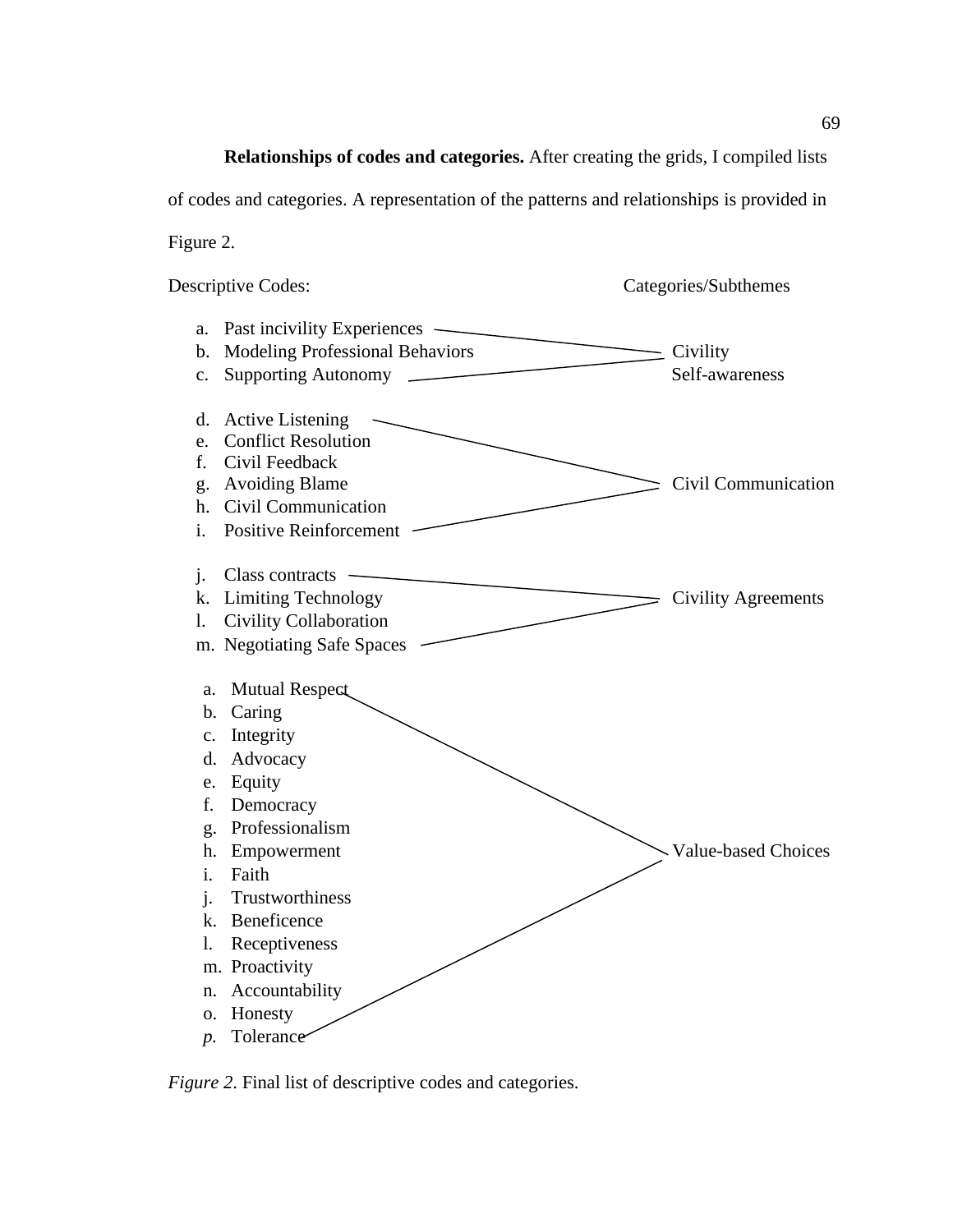**Relationships of codes and categories.** After creating the grids, I compiled lists of codes and categories. A representation of the patterns and relationships is provided in Figure 2.



*Figure 2*. Final list of descriptive codes and categories.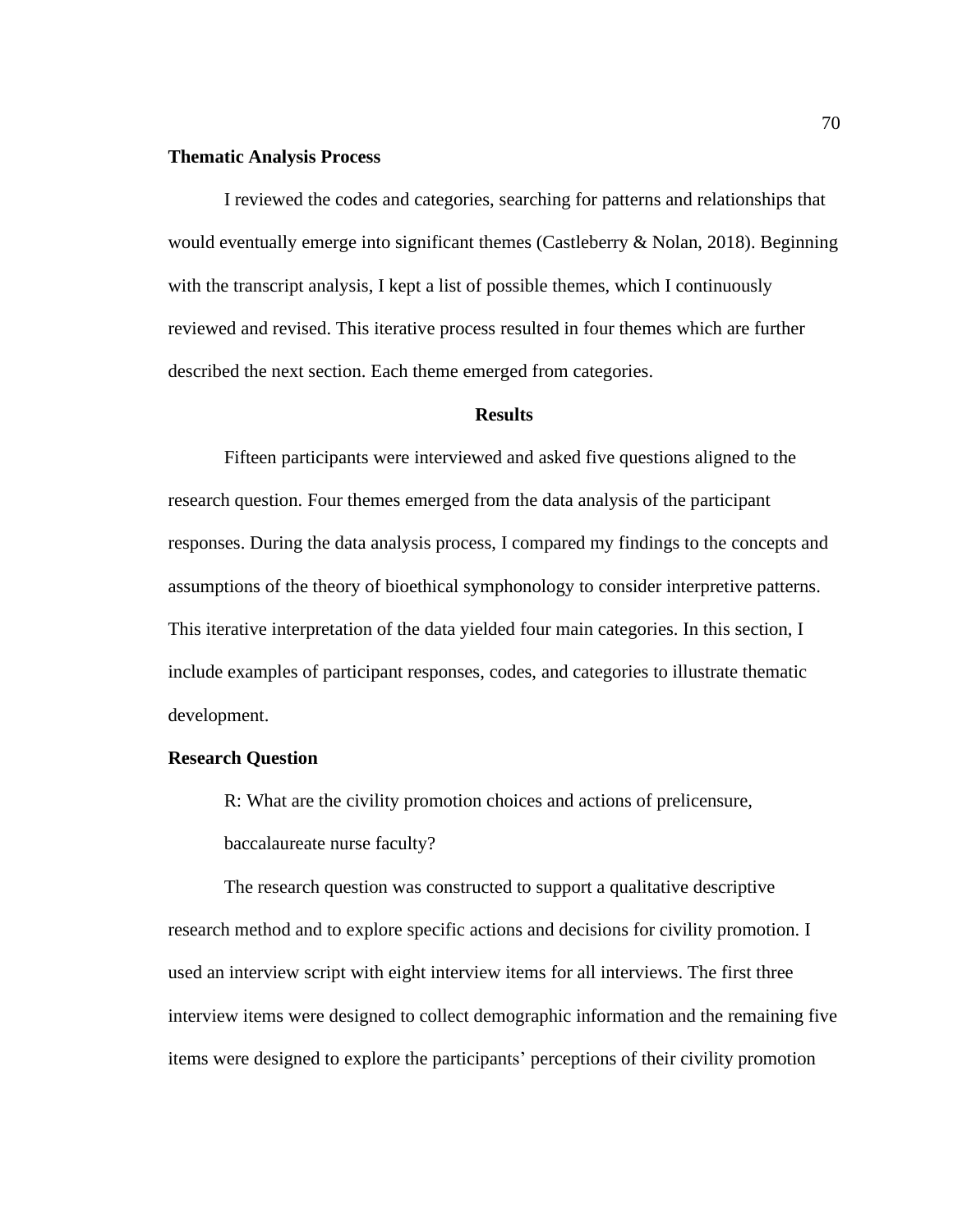# **Thematic Analysis Process**

I reviewed the codes and categories, searching for patterns and relationships that would eventually emerge into significant themes (Castleberry & Nolan, 2018). Beginning with the transcript analysis, I kept a list of possible themes, which I continuously reviewed and revised. This iterative process resulted in four themes which are further described the next section. Each theme emerged from categories.

## **Results**

Fifteen participants were interviewed and asked five questions aligned to the research question. Four themes emerged from the data analysis of the participant responses. During the data analysis process, I compared my findings to the concepts and assumptions of the theory of bioethical symphonology to consider interpretive patterns. This iterative interpretation of the data yielded four main categories. In this section, I include examples of participant responses, codes, and categories to illustrate thematic development.

### **Research Question**

R: What are the civility promotion choices and actions of prelicensure,

baccalaureate nurse faculty?

The research question was constructed to support a qualitative descriptive research method and to explore specific actions and decisions for civility promotion. I used an interview script with eight interview items for all interviews. The first three interview items were designed to collect demographic information and the remaining five items were designed to explore the participants' perceptions of their civility promotion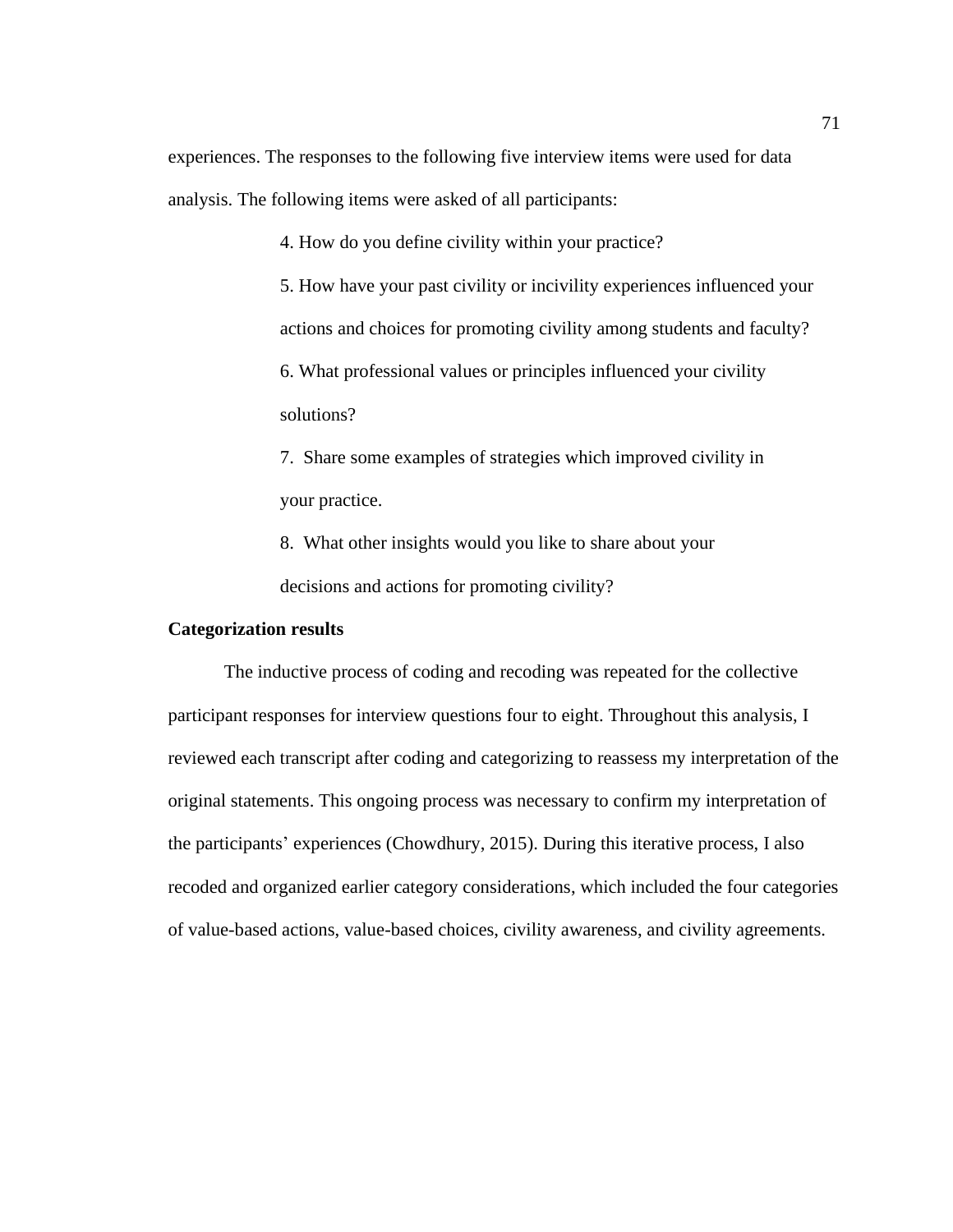experiences. The responses to the following five interview items were used for data analysis. The following items were asked of all participants:

4. How do you define civility within your practice?

5. How have your past civility or incivility experiences influenced your actions and choices for promoting civility among students and faculty? 6. What professional values or principles influenced your civility solutions?

7. Share some examples of strategies which improved civility in your practice.

8. What other insights would you like to share about your decisions and actions for promoting civility?

# **Categorization results**

The inductive process of coding and recoding was repeated for the collective participant responses for interview questions four to eight. Throughout this analysis, I reviewed each transcript after coding and categorizing to reassess my interpretation of the original statements. This ongoing process was necessary to confirm my interpretation of the participants' experiences (Chowdhury, 2015). During this iterative process, I also recoded and organized earlier category considerations, which included the four categories of value-based actions, value-based choices, civility awareness, and civility agreements.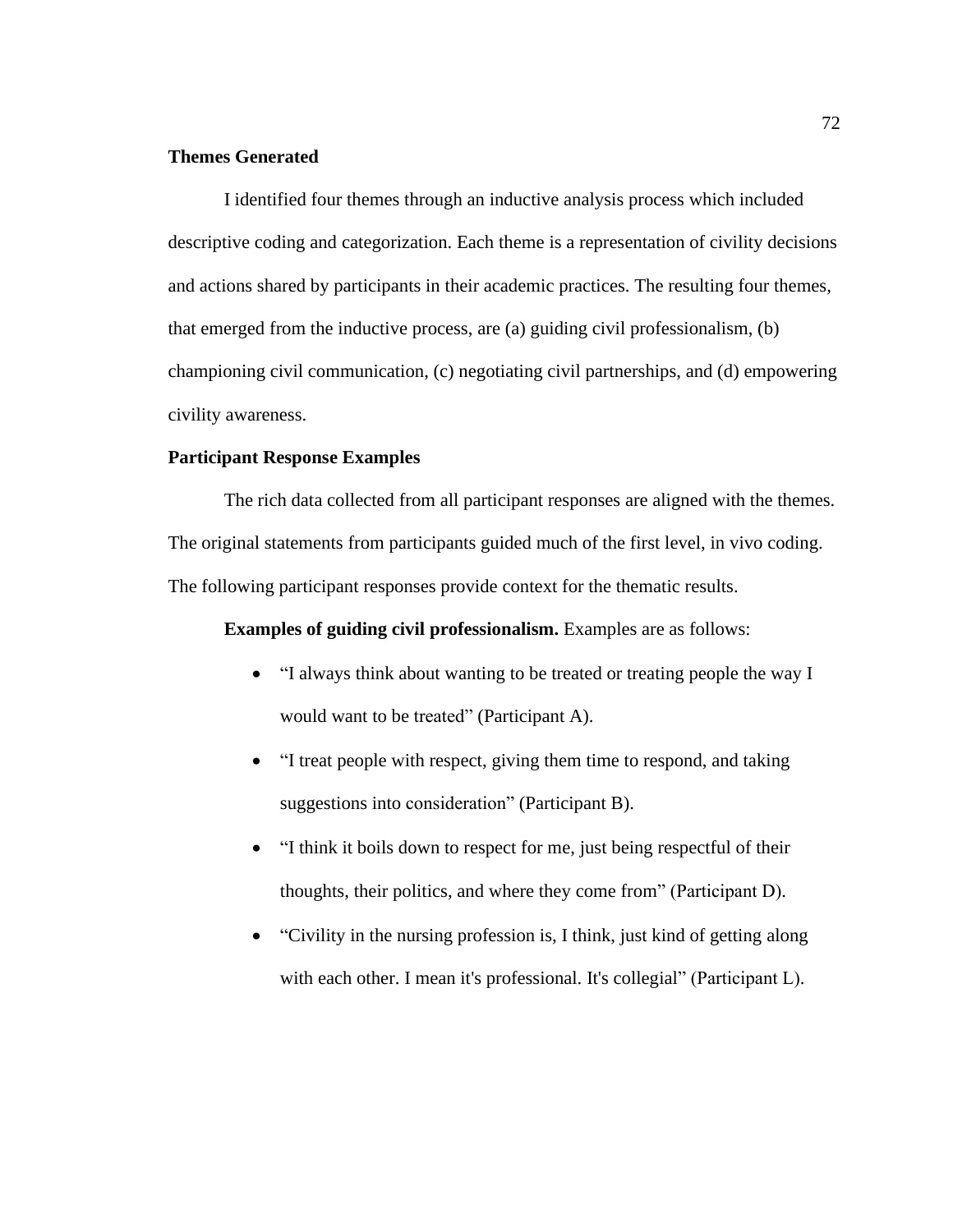# **Themes Generated**

I identified four themes through an inductive analysis process which included descriptive coding and categorization. Each theme is a representation of civility decisions and actions shared by participants in their academic practices. The resulting four themes, that emerged from the inductive process, are (a) guiding civil professionalism, (b) championing civil communication, (c) negotiating civil partnerships, and (d) empowering civility awareness.

# **Participant Response Examples**

The rich data collected from all participant responses are aligned with the themes. The original statements from participants guided much of the first level, in vivo coding. The following participant responses provide context for the thematic results.

**Examples of guiding civil professionalism.** Examples are as follows:

- "I always think about wanting to be treated or treating people the way I would want to be treated" (Participant A).
- "I treat people with respect, giving them time to respond, and taking suggestions into consideration" (Participant B).
- "I think it boils down to respect for me, just being respectful of their thoughts, their politics, and where they come from" (Participant D).
- "Civility in the nursing profession is, I think, just kind of getting along with each other. I mean it's professional. It's collegial" (Participant L).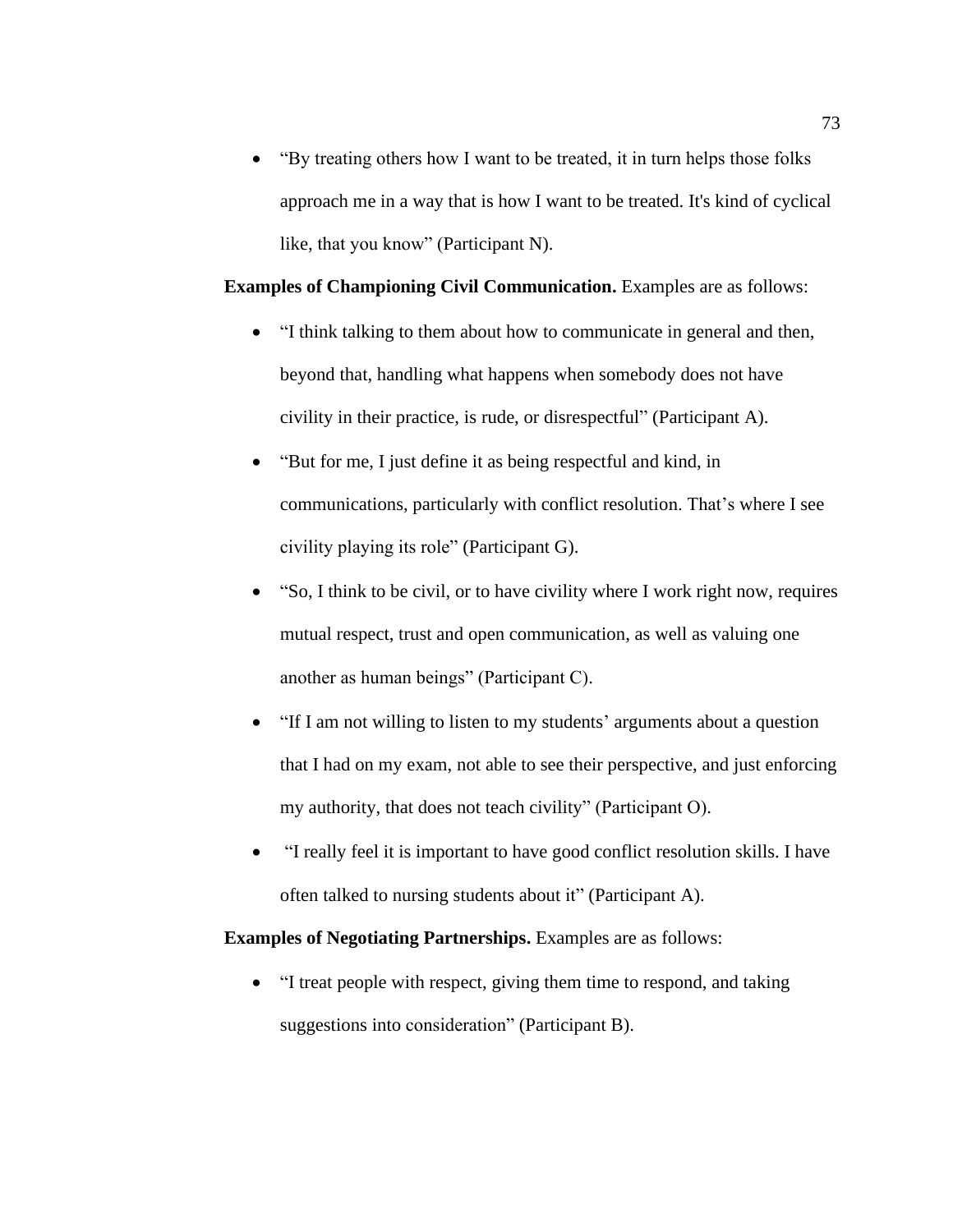• "By treating others how I want to be treated, it in turn helps those folks approach me in a way that is how I want to be treated. It's kind of cyclical like, that you know" (Participant N).

**Examples of Championing Civil Communication.** Examples are as follows:

- "I think talking to them about how to communicate in general and then, beyond that, handling what happens when somebody does not have civility in their practice, is rude, or disrespectful" (Participant A).
- "But for me, I just define it as being respectful and kind, in communications, particularly with conflict resolution. That's where I see civility playing its role" (Participant G).
- "So, I think to be civil, or to have civility where I work right now, requires mutual respect, trust and open communication, as well as valuing one another as human beings" (Participant C).
- "If I am not willing to listen to my students' arguments about a question that I had on my exam, not able to see their perspective, and just enforcing my authority, that does not teach civility" (Participant O).
- "I really feel it is important to have good conflict resolution skills. I have often talked to nursing students about it" (Participant A).

**Examples of Negotiating Partnerships.** Examples are as follows:

• "I treat people with respect, giving them time to respond, and taking suggestions into consideration" (Participant B).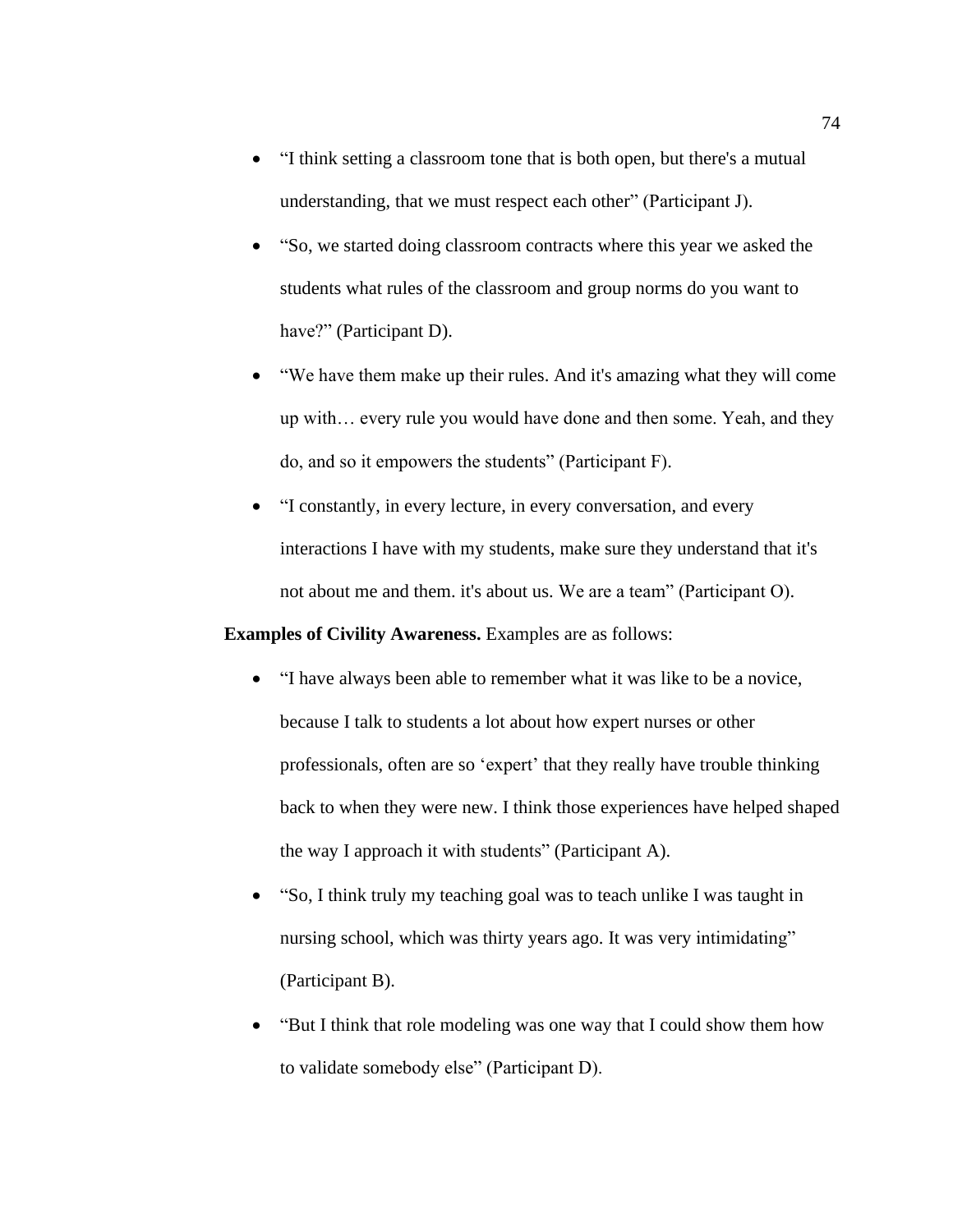- "I think setting a classroom tone that is both open, but there's a mutual understanding, that we must respect each other" (Participant J).
- "So, we started doing classroom contracts where this year we asked the students what rules of the classroom and group norms do you want to have?" (Participant D).
- "We have them make up their rules. And it's amazing what they will come up with… every rule you would have done and then some. Yeah, and they do, and so it empowers the students" (Participant F).
- "I constantly, in every lecture, in every conversation, and every interactions I have with my students, make sure they understand that it's not about me and them. it's about us. We are a team" (Participant O).

**Examples of Civility Awareness.** Examples are as follows:

- "I have always been able to remember what it was like to be a novice, because I talk to students a lot about how expert nurses or other professionals, often are so 'expert' that they really have trouble thinking back to when they were new. I think those experiences have helped shaped the way I approach it with students" (Participant A).
- "So, I think truly my teaching goal was to teach unlike I was taught in nursing school, which was thirty years ago. It was very intimidating" (Participant B).
- "But I think that role modeling was one way that I could show them how to validate somebody else" (Participant D).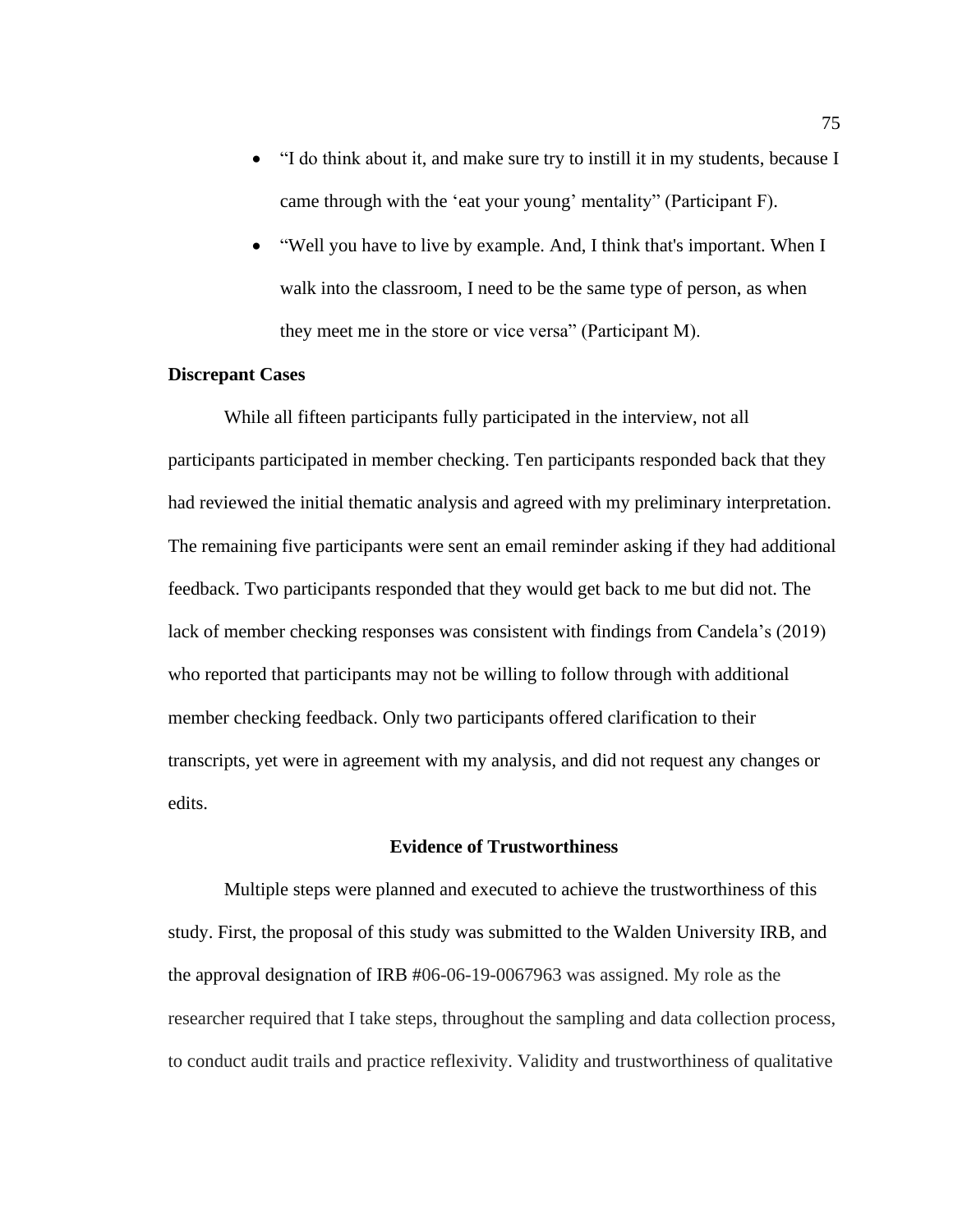- "I do think about it, and make sure try to instill it in my students, because I came through with the 'eat your young' mentality" (Participant F).
- "Well you have to live by example. And, I think that's important. When I walk into the classroom, I need to be the same type of person, as when they meet me in the store or vice versa" (Participant M).

## **Discrepant Cases**

While all fifteen participants fully participated in the interview, not all participants participated in member checking. Ten participants responded back that they had reviewed the initial thematic analysis and agreed with my preliminary interpretation. The remaining five participants were sent an email reminder asking if they had additional feedback. Two participants responded that they would get back to me but did not. The lack of member checking responses was consistent with findings from Candela's (2019) who reported that participants may not be willing to follow through with additional member checking feedback. Only two participants offered clarification to their transcripts, yet were in agreement with my analysis, and did not request any changes or edits.

## **Evidence of Trustworthiness**

Multiple steps were planned and executed to achieve the trustworthiness of this study. First, the proposal of this study was submitted to the Walden University IRB, and the approval designation of IRB #06-06-19-0067963 was assigned. My role as the researcher required that I take steps, throughout the sampling and data collection process, to conduct audit trails and practice reflexivity. Validity and trustworthiness of qualitative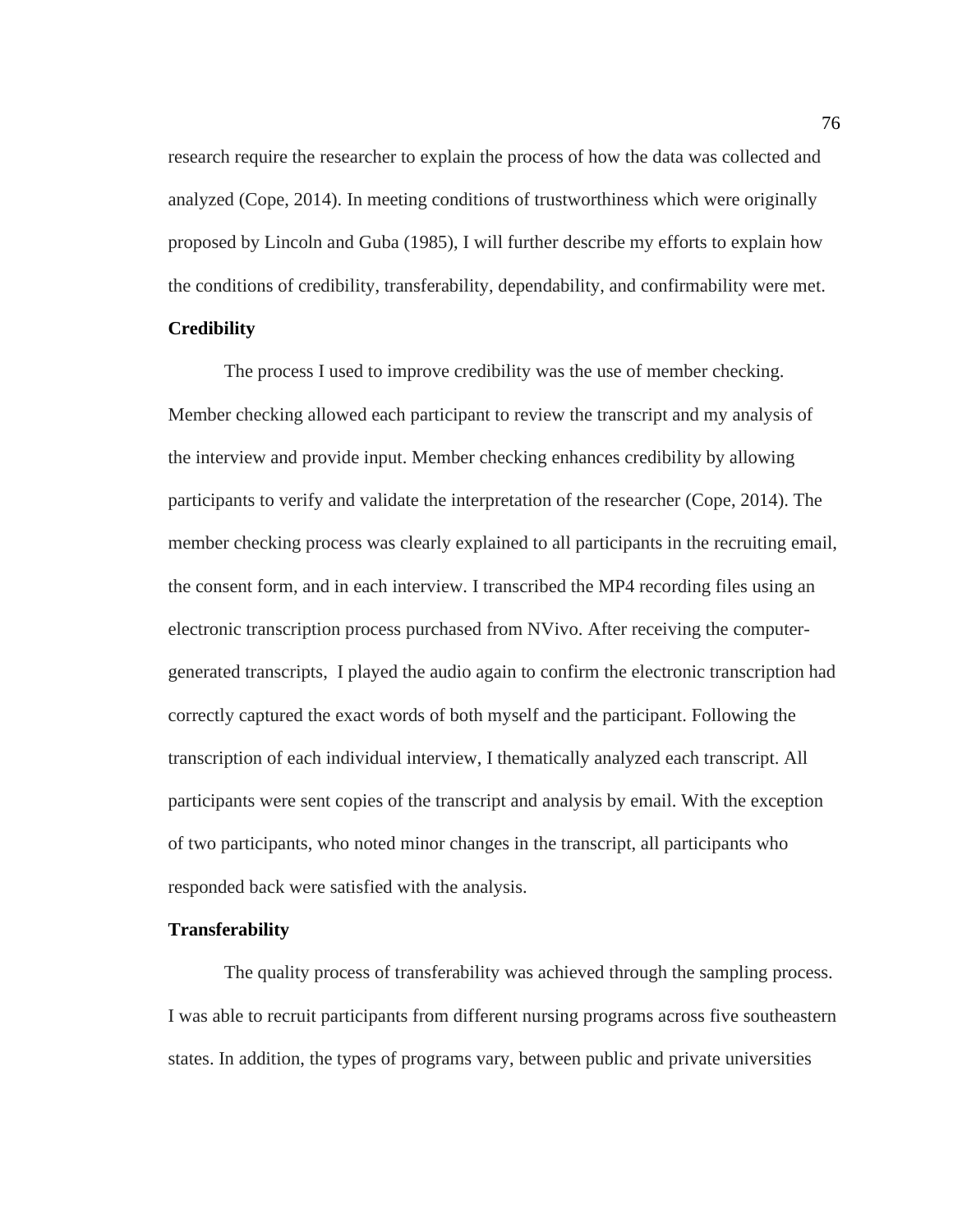research require the researcher to explain the process of how the data was collected and analyzed (Cope, 2014). In meeting conditions of trustworthiness which were originally proposed by Lincoln and Guba (1985), I will further describe my efforts to explain how the conditions of credibility, transferability, dependability, and confirmability were met. **Credibility**

# The process I used to improve credibility was the use of member checking. Member checking allowed each participant to review the transcript and my analysis of the interview and provide input. Member checking enhances credibility by allowing participants to verify and validate the interpretation of the researcher (Cope, 2014). The member checking process was clearly explained to all participants in the recruiting email, the consent form, and in each interview. I transcribed the MP4 recording files using an electronic transcription process purchased from NVivo. After receiving the computergenerated transcripts, I played the audio again to confirm the electronic transcription had correctly captured the exact words of both myself and the participant. Following the transcription of each individual interview, I thematically analyzed each transcript. All participants were sent copies of the transcript and analysis by email. With the exception of two participants, who noted minor changes in the transcript, all participants who responded back were satisfied with the analysis.

## **Transferability**

The quality process of transferability was achieved through the sampling process. I was able to recruit participants from different nursing programs across five southeastern states. In addition, the types of programs vary, between public and private universities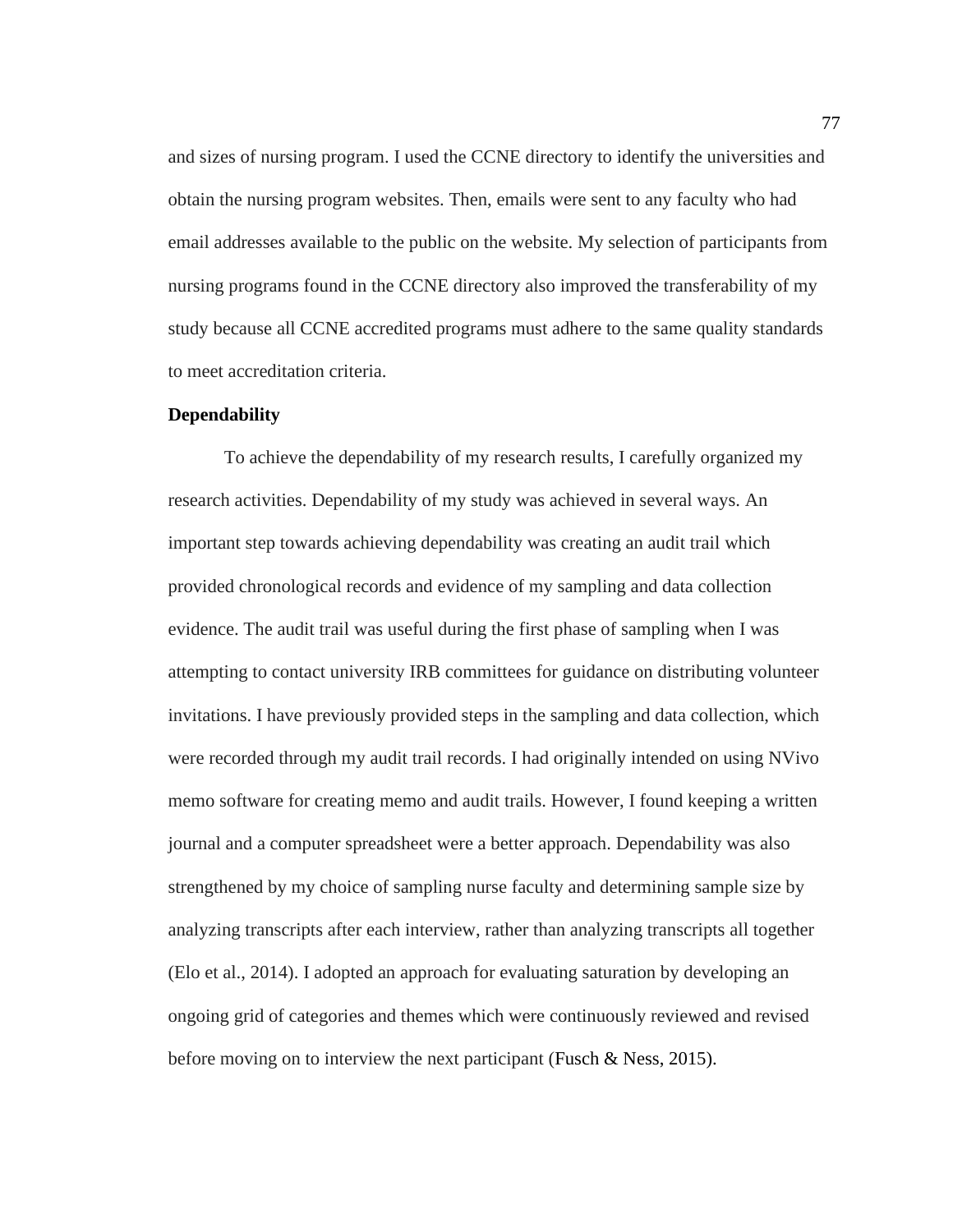and sizes of nursing program. I used the CCNE directory to identify the universities and obtain the nursing program websites. Then, emails were sent to any faculty who had email addresses available to the public on the website. My selection of participants from nursing programs found in the CCNE directory also improved the transferability of my study because all CCNE accredited programs must adhere to the same quality standards to meet accreditation criteria.

# **Dependability**

To achieve the dependability of my research results, I carefully organized my research activities. Dependability of my study was achieved in several ways. An important step towards achieving dependability was creating an audit trail which provided chronological records and evidence of my sampling and data collection evidence. The audit trail was useful during the first phase of sampling when I was attempting to contact university IRB committees for guidance on distributing volunteer invitations. I have previously provided steps in the sampling and data collection, which were recorded through my audit trail records. I had originally intended on using NVivo memo software for creating memo and audit trails. However, I found keeping a written journal and a computer spreadsheet were a better approach. Dependability was also strengthened by my choice of sampling nurse faculty and determining sample size by analyzing transcripts after each interview, rather than analyzing transcripts all together (Elo et al., 2014). I adopted an approach for evaluating saturation by developing an ongoing grid of categories and themes which were continuously reviewed and revised before moving on to interview the next participant (Fusch  $\&$  Ness, 2015).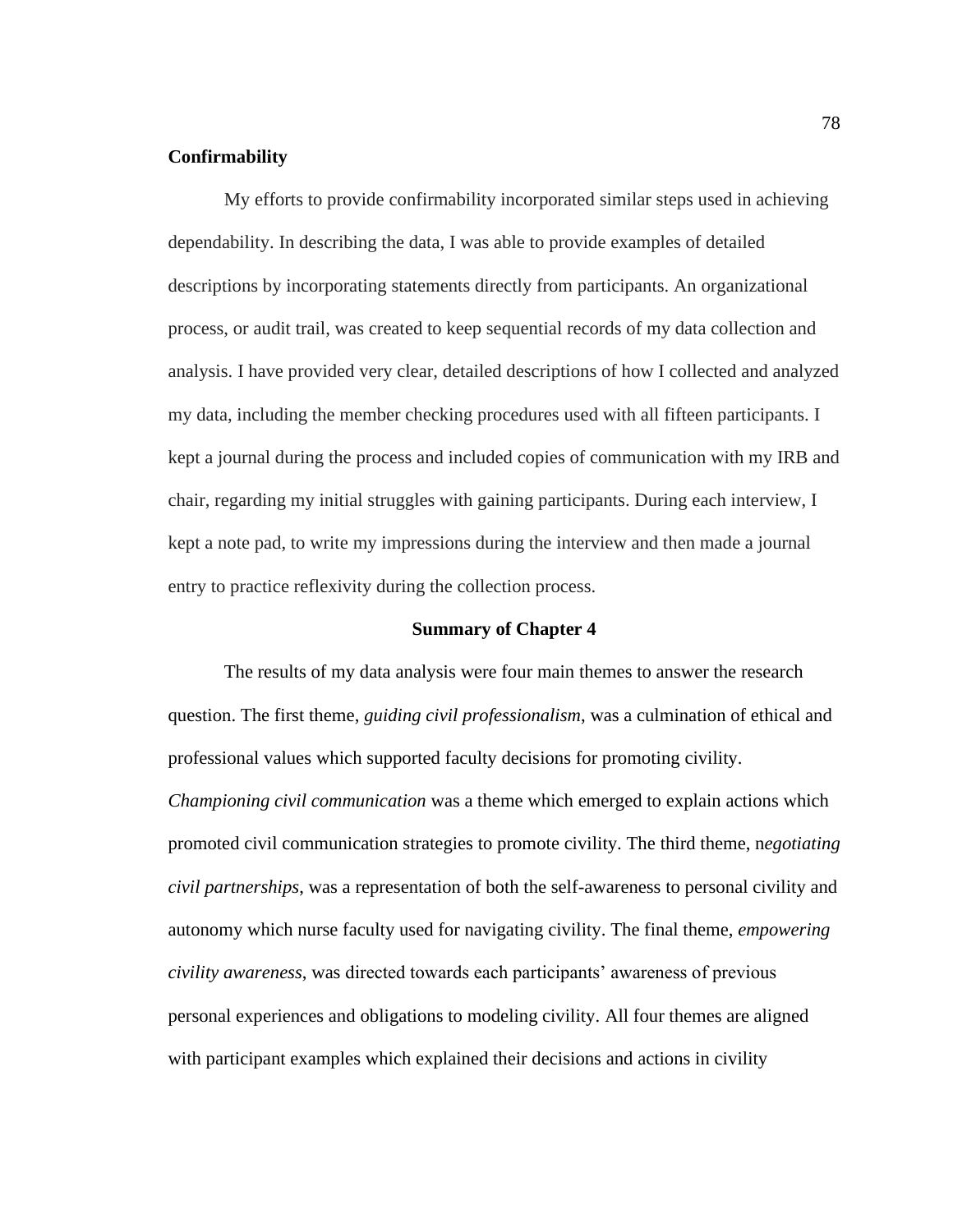# **Confirmability**

My efforts to provide confirmability incorporated similar steps used in achieving dependability. In describing the data, I was able to provide examples of detailed descriptions by incorporating statements directly from participants. An organizational process, or audit trail, was created to keep sequential records of my data collection and analysis. I have provided very clear, detailed descriptions of how I collected and analyzed my data, including the member checking procedures used with all fifteen participants. I kept a journal during the process and included copies of communication with my IRB and chair, regarding my initial struggles with gaining participants. During each interview, I kept a note pad, to write my impressions during the interview and then made a journal entry to practice reflexivity during the collection process.

# **Summary of Chapter 4**

The results of my data analysis were four main themes to answer the research question. The first theme, *guiding civil professionalism*, was a culmination of ethical and professional values which supported faculty decisions for promoting civility. *Championing civil communication* was a theme which emerged to explain actions which promoted civil communication strategies to promote civility. The third theme, n*egotiating civil partnerships*, was a representation of both the self-awareness to personal civility and autonomy which nurse faculty used for navigating civility. The final theme, *empowering civility awareness*, was directed towards each participants' awareness of previous personal experiences and obligations to modeling civility. All four themes are aligned with participant examples which explained their decisions and actions in civility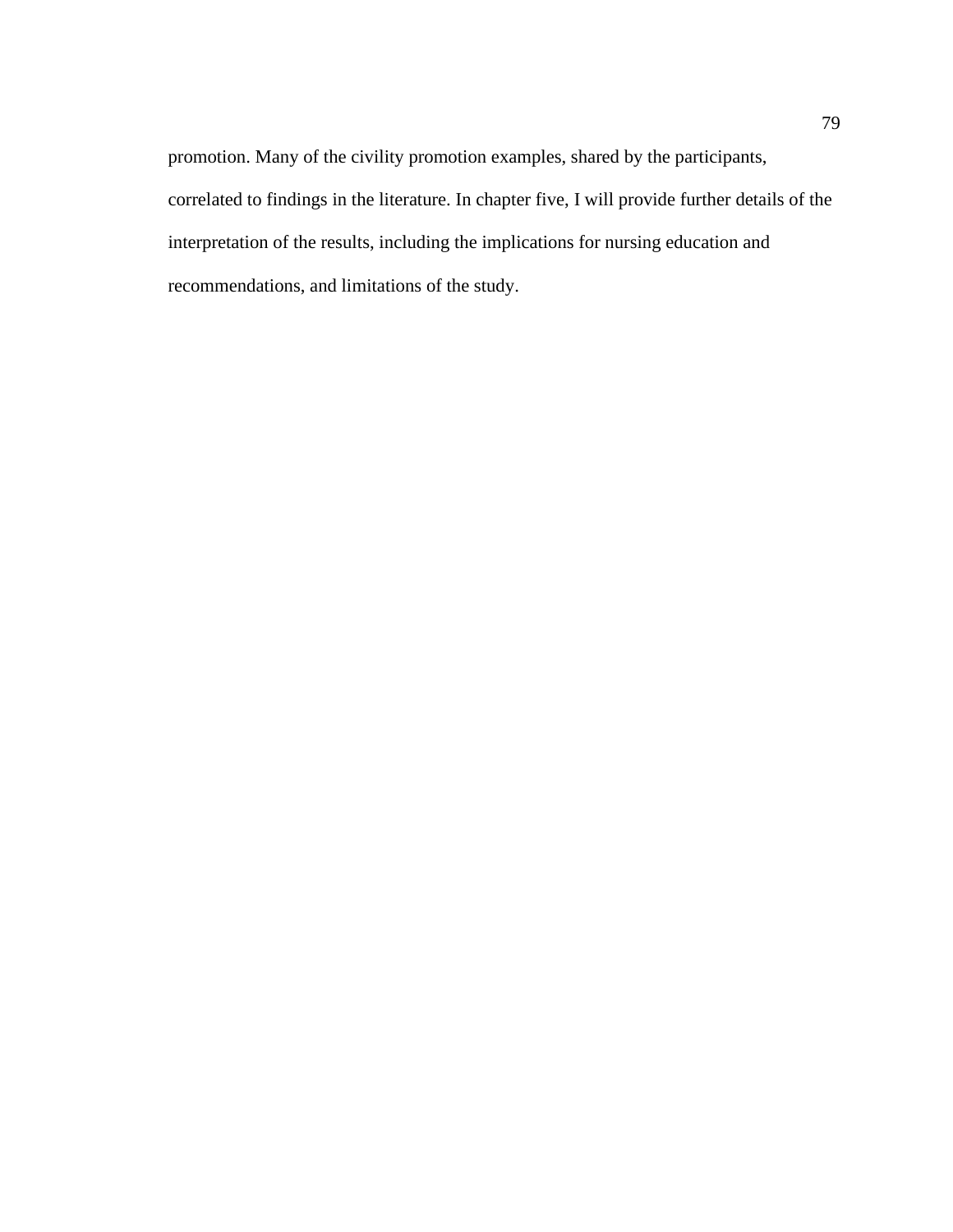promotion. Many of the civility promotion examples, shared by the participants, correlated to findings in the literature. In chapter five, I will provide further details of the interpretation of the results, including the implications for nursing education and recommendations, and limitations of the study.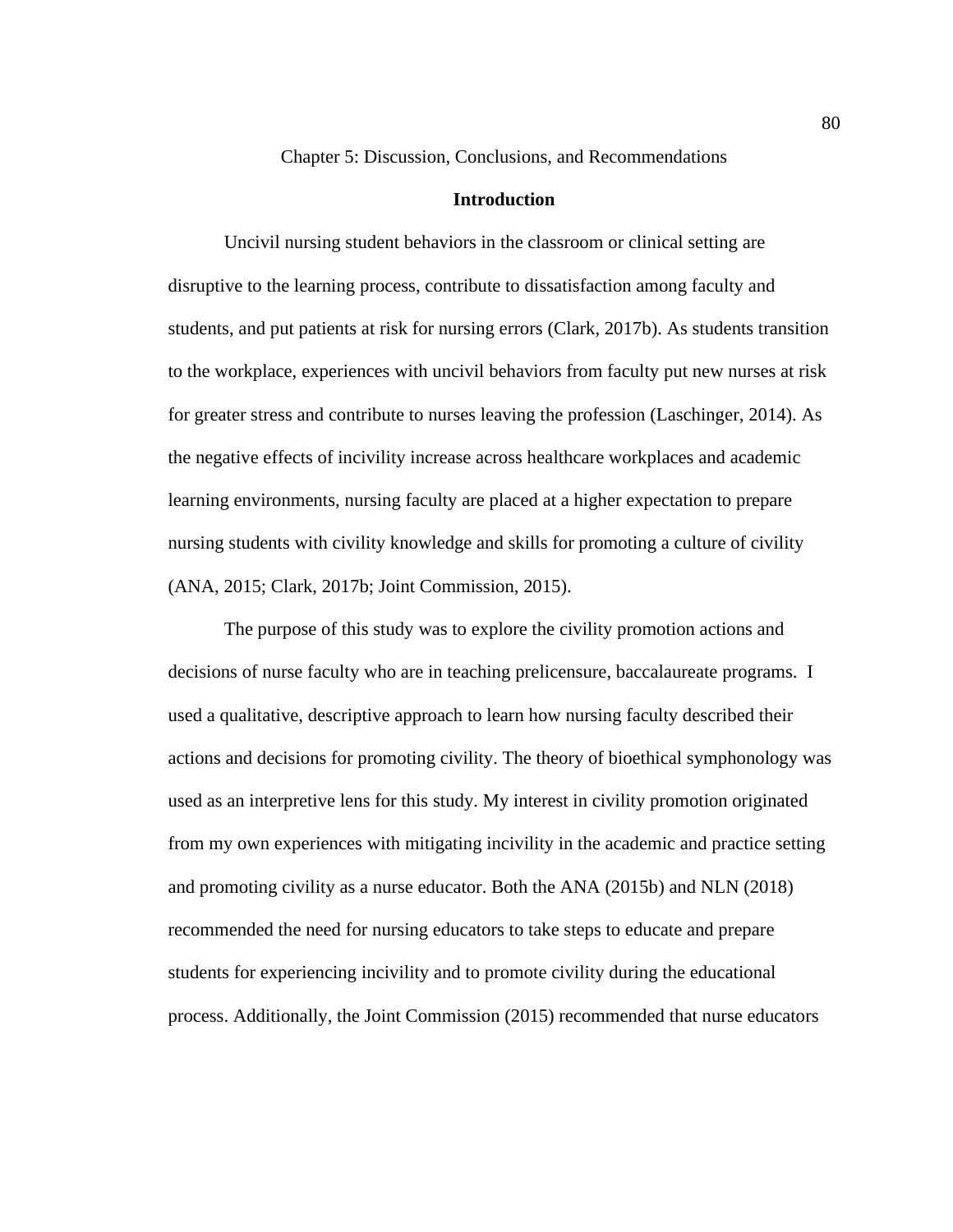Chapter 5: Discussion, Conclusions, and Recommendations

## **Introduction**

Uncivil nursing student behaviors in the classroom or clinical setting are disruptive to the learning process, contribute to dissatisfaction among faculty and students, and put patients at risk for nursing errors (Clark, 2017b). As students transition to the workplace, experiences with uncivil behaviors from faculty put new nurses at risk for greater stress and contribute to nurses leaving the profession (Laschinger, 2014). As the negative effects of incivility increase across healthcare workplaces and academic learning environments, nursing faculty are placed at a higher expectation to prepare nursing students with civility knowledge and skills for promoting a culture of civility (ANA, 2015; Clark, 2017b; Joint Commission, 2015).

The purpose of this study was to explore the civility promotion actions and decisions of nurse faculty who are in teaching prelicensure, baccalaureate programs. I used a qualitative, descriptive approach to learn how nursing faculty described their actions and decisions for promoting civility. The theory of bioethical symphonology was used as an interpretive lens for this study. My interest in civility promotion originated from my own experiences with mitigating incivility in the academic and practice setting and promoting civility as a nurse educator. Both the ANA (2015b) and NLN (2018) recommended the need for nursing educators to take steps to educate and prepare students for experiencing incivility and to promote civility during the educational process. Additionally, the Joint Commission (2015) recommended that nurse educators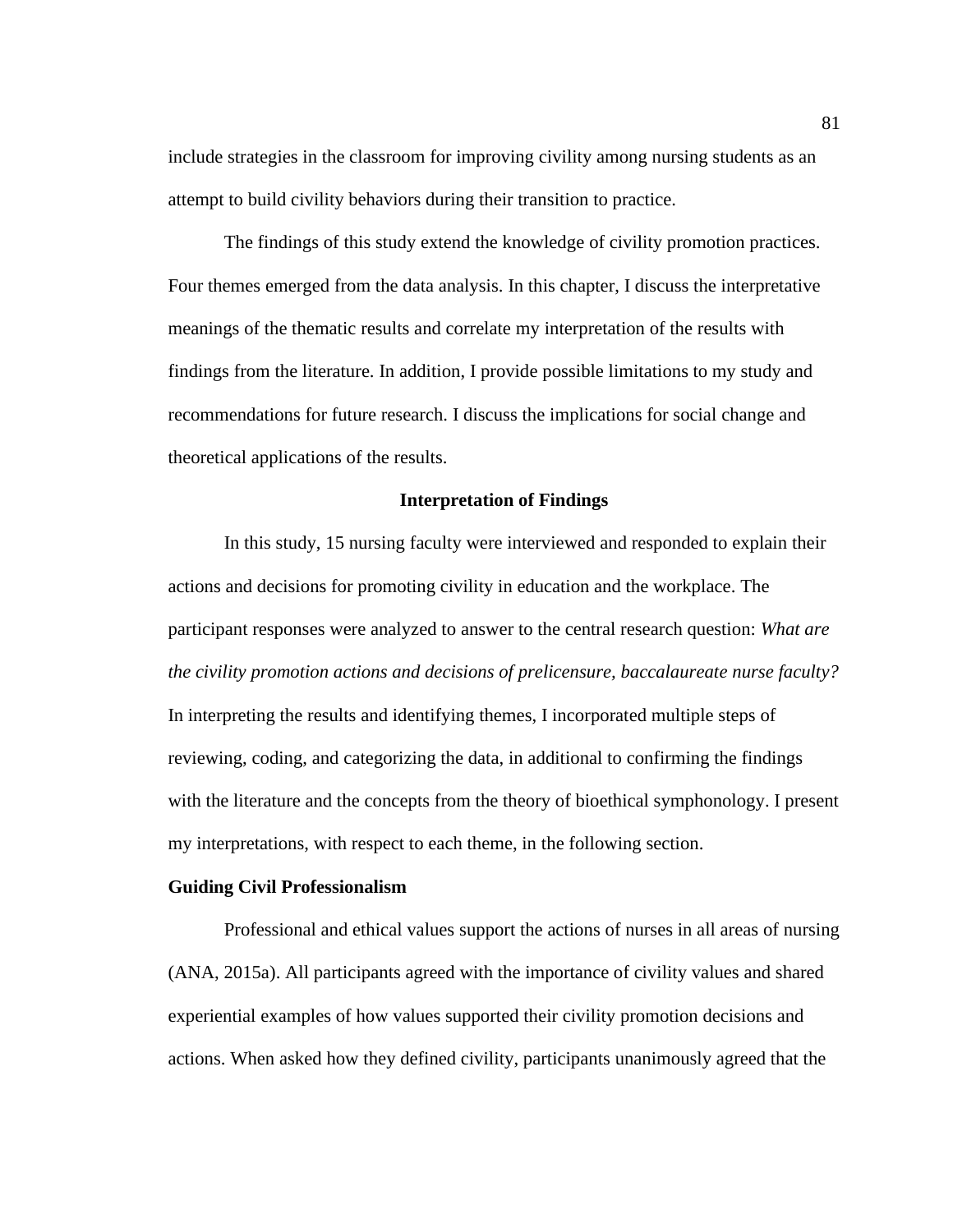include strategies in the classroom for improving civility among nursing students as an attempt to build civility behaviors during their transition to practice.

The findings of this study extend the knowledge of civility promotion practices. Four themes emerged from the data analysis. In this chapter, I discuss the interpretative meanings of the thematic results and correlate my interpretation of the results with findings from the literature. In addition, I provide possible limitations to my study and recommendations for future research. I discuss the implications for social change and theoretical applications of the results.

### **Interpretation of Findings**

In this study, 15 nursing faculty were interviewed and responded to explain their actions and decisions for promoting civility in education and the workplace. The participant responses were analyzed to answer to the central research question: *What are the civility promotion actions and decisions of prelicensure, baccalaureate nurse faculty?* In interpreting the results and identifying themes, I incorporated multiple steps of reviewing, coding, and categorizing the data, in additional to confirming the findings with the literature and the concepts from the theory of bioethical symphonology. I present my interpretations, with respect to each theme, in the following section.

### **Guiding Civil Professionalism**

Professional and ethical values support the actions of nurses in all areas of nursing (ANA, 2015a). All participants agreed with the importance of civility values and shared experiential examples of how values supported their civility promotion decisions and actions. When asked how they defined civility, participants unanimously agreed that the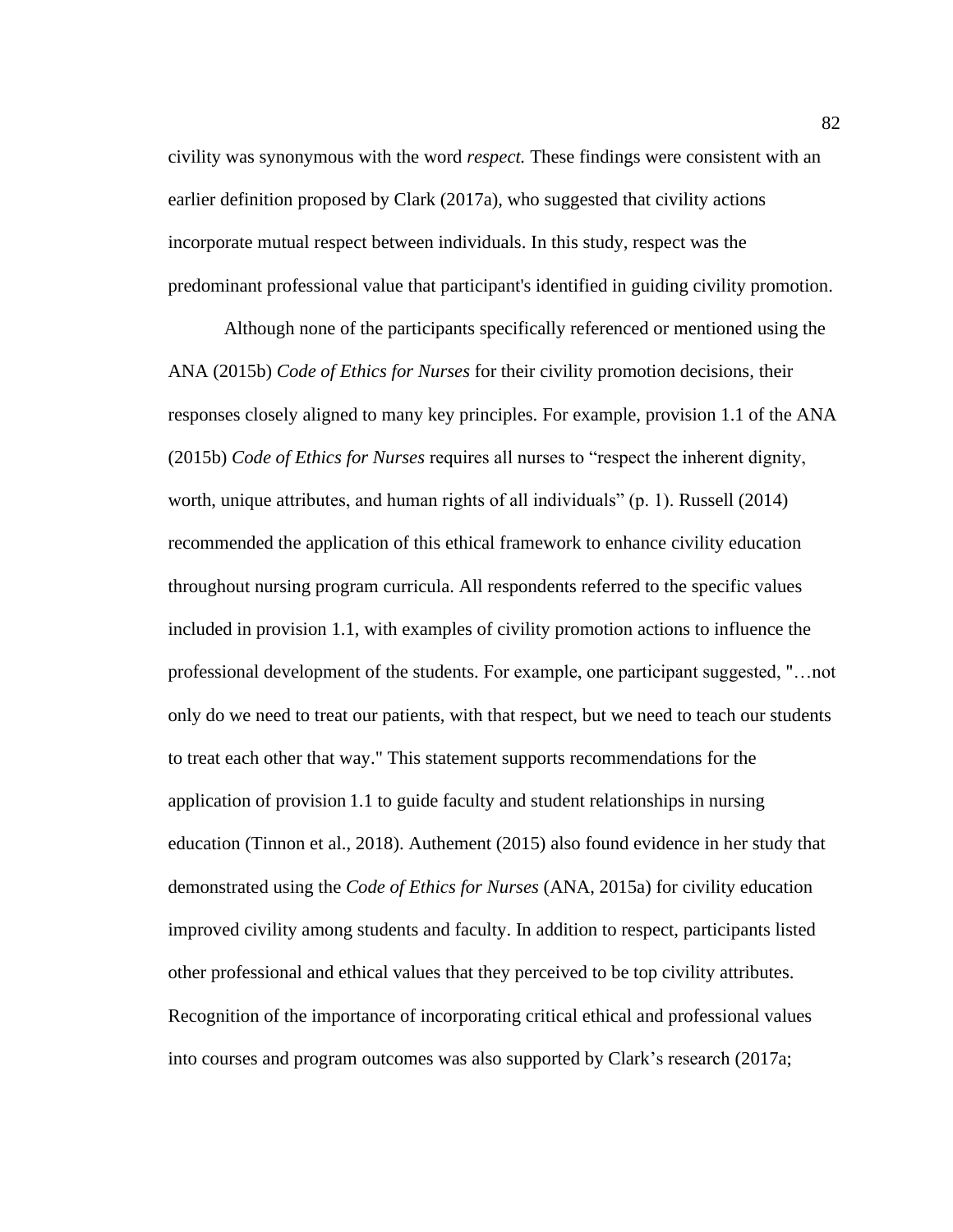civility was synonymous with the word *respect.* These findings were consistent with an earlier definition proposed by Clark (2017a), who suggested that civility actions incorporate mutual respect between individuals. In this study, respect was the predominant professional value that participant's identified in guiding civility promotion.

Although none of the participants specifically referenced or mentioned using the ANA (2015b) *Code of Ethics for Nurses* for their civility promotion decisions*,* their responses closely aligned to many key principles. For example, provision 1.1 of the ANA (2015b) *Code of Ethics for Nurses* requires all nurses to "respect the inherent dignity, worth, unique attributes, and human rights of all individuals" (p. 1). Russell (2014) recommended the application of this ethical framework to enhance civility education throughout nursing program curricula. All respondents referred to the specific values included in provision 1.1, with examples of civility promotion actions to influence the professional development of the students. For example, one participant suggested, "…not only do we need to treat our patients, with that respect, but we need to teach our students to treat each other that way." This statement supports recommendations for the application of provision 1.1 to guide faculty and student relationships in nursing education (Tinnon et al., 2018). Authement (2015) also found evidence in her study that demonstrated using the *Code of Ethics for Nurses* (ANA, 2015a) for civility education improved civility among students and faculty. In addition to respect, participants listed other professional and ethical values that they perceived to be top civility attributes. Recognition of the importance of incorporating critical ethical and professional values into courses and program outcomes was also supported by Clark's research (2017a;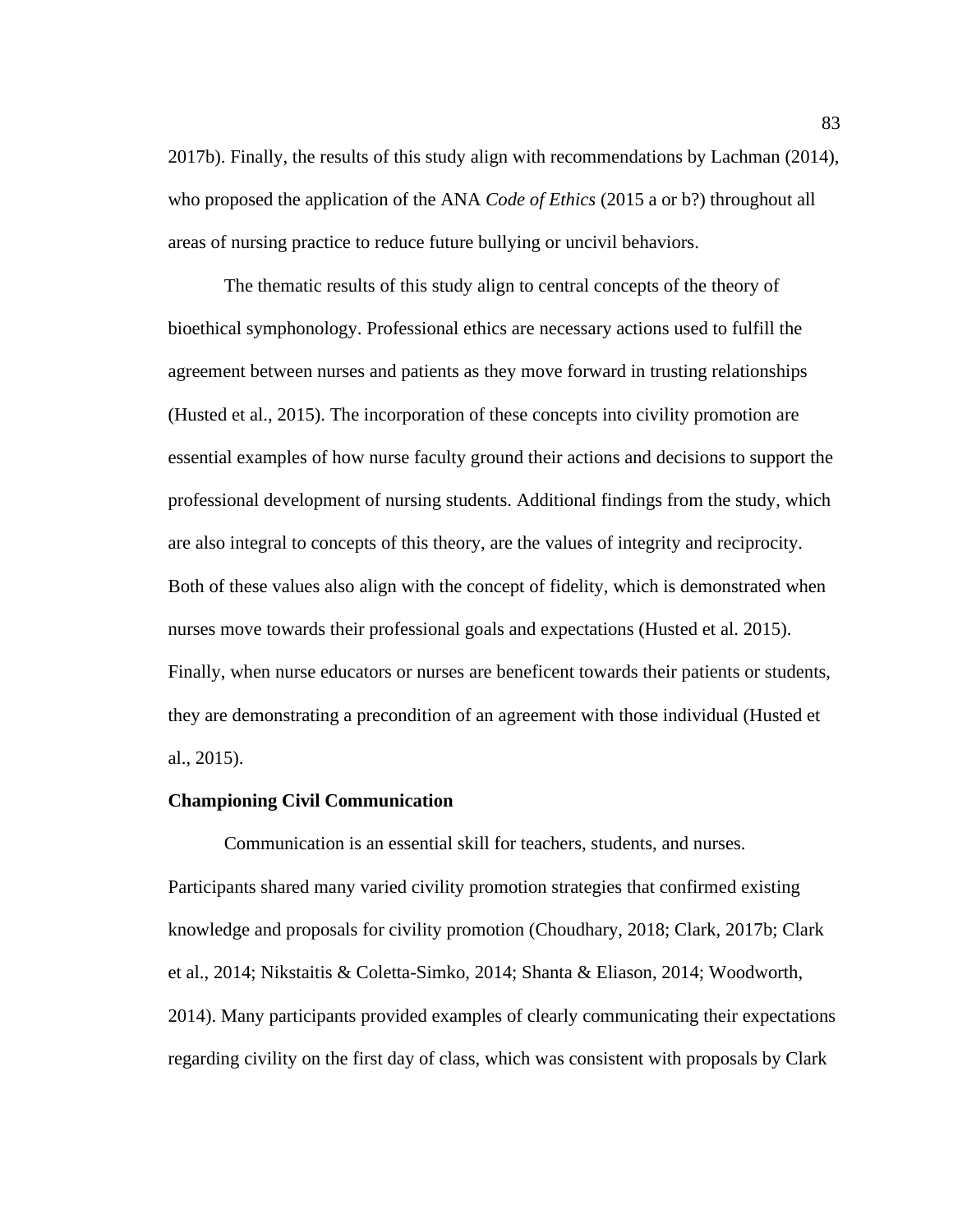2017b). Finally, the results of this study align with recommendations by Lachman (2014), who proposed the application of the ANA *Code of Ethics* (2015 a or b?) throughout all areas of nursing practice to reduce future bullying or uncivil behaviors.

The thematic results of this study align to central concepts of the theory of bioethical symphonology. Professional ethics are necessary actions used to fulfill the agreement between nurses and patients as they move forward in trusting relationships (Husted et al., 2015). The incorporation of these concepts into civility promotion are essential examples of how nurse faculty ground their actions and decisions to support the professional development of nursing students. Additional findings from the study, which are also integral to concepts of this theory, are the values of integrity and reciprocity. Both of these values also align with the concept of fidelity, which is demonstrated when nurses move towards their professional goals and expectations (Husted et al. 2015). Finally, when nurse educators or nurses are beneficent towards their patients or students, they are demonstrating a precondition of an agreement with those individual (Husted et al., 2015).

#### **Championing Civil Communication**

Communication is an essential skill for teachers, students, and nurses. Participants shared many varied civility promotion strategies that confirmed existing knowledge and proposals for civility promotion (Choudhary, 2018; Clark, 2017b; Clark et al., 2014; Nikstaitis & Coletta-Simko, 2014; Shanta & Eliason, 2014; Woodworth, 2014). Many participants provided examples of clearly communicating their expectations regarding civility on the first day of class, which was consistent with proposals by Clark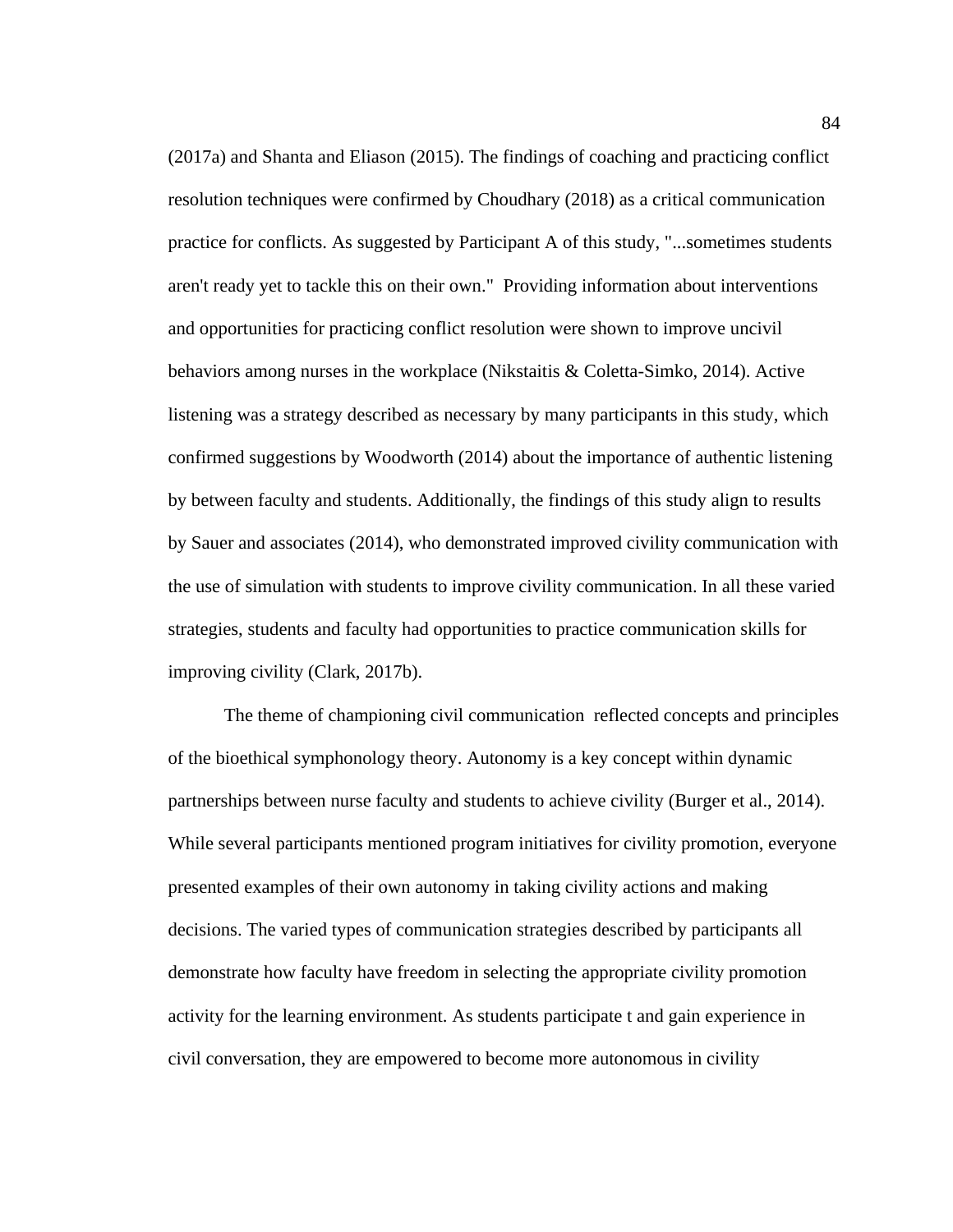(2017a) and Shanta and Eliason (2015). The findings of coaching and practicing conflict resolution techniques were confirmed by Choudhary (2018) as a critical communication practice for conflicts. As suggested by Participant A of this study, "...sometimes students aren't ready yet to tackle this on their own." Providing information about interventions and opportunities for practicing conflict resolution were shown to improve uncivil behaviors among nurses in the workplace (Nikstaitis & Coletta-Simko, 2014). Active listening was a strategy described as necessary by many participants in this study, which confirmed suggestions by Woodworth (2014) about the importance of authentic listening by between faculty and students. Additionally, the findings of this study align to results by Sauer and associates (2014), who demonstrated improved civility communication with the use of simulation with students to improve civility communication. In all these varied strategies, students and faculty had opportunities to practice communication skills for improving civility (Clark, 2017b).

The theme of championing civil communication reflected concepts and principles of the bioethical symphonology theory. Autonomy is a key concept within dynamic partnerships between nurse faculty and students to achieve civility (Burger et al., 2014). While several participants mentioned program initiatives for civility promotion, everyone presented examples of their own autonomy in taking civility actions and making decisions. The varied types of communication strategies described by participants all demonstrate how faculty have freedom in selecting the appropriate civility promotion activity for the learning environment. As students participate t and gain experience in civil conversation, they are empowered to become more autonomous in civility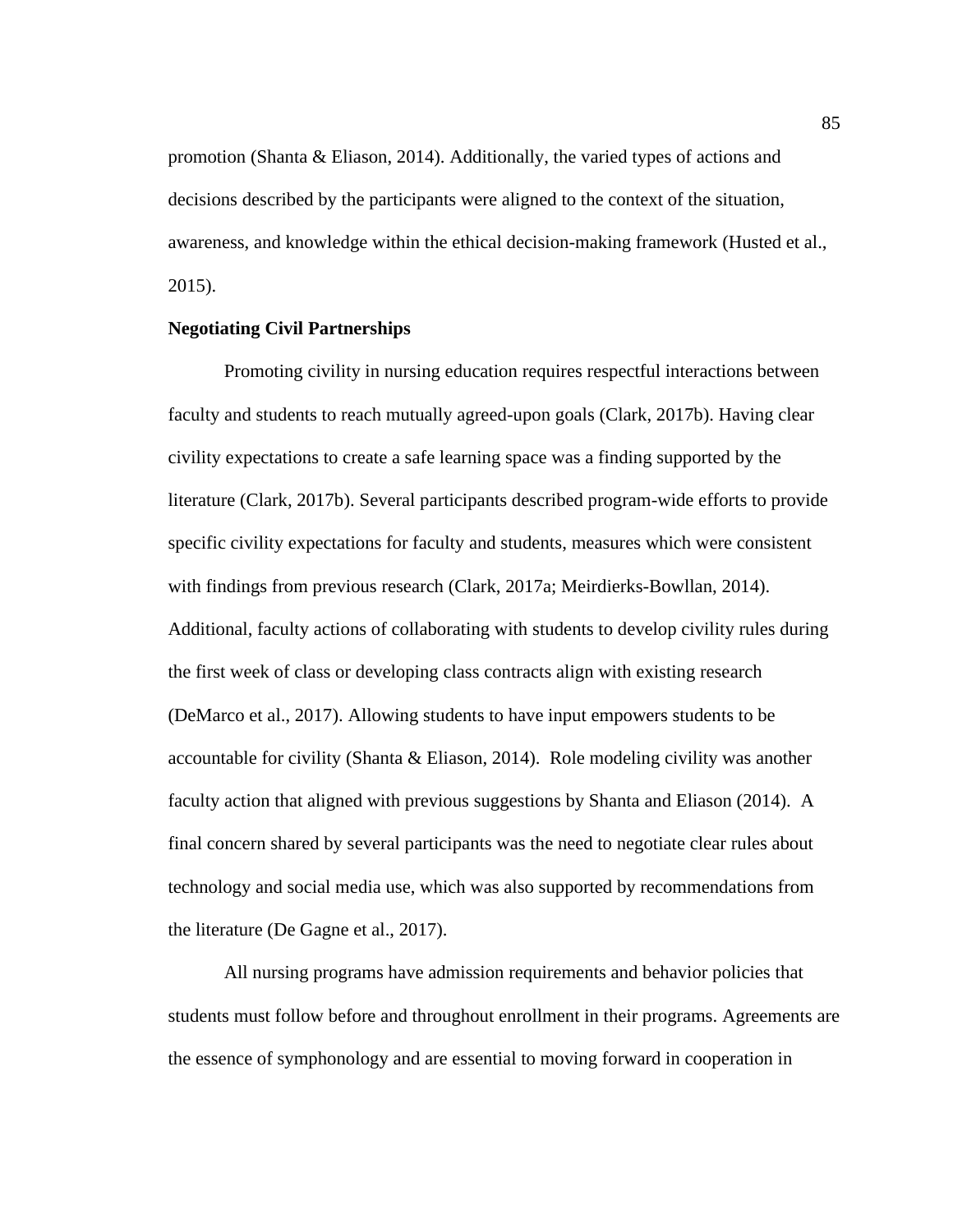promotion (Shanta & Eliason, 2014). Additionally, the varied types of actions and decisions described by the participants were aligned to the context of the situation, awareness, and knowledge within the ethical decision-making framework (Husted et al., 2015).

# **Negotiating Civil Partnerships**

Promoting civility in nursing education requires respectful interactions between faculty and students to reach mutually agreed-upon goals (Clark, 2017b). Having clear civility expectations to create a safe learning space was a finding supported by the literature (Clark, 2017b). Several participants described program-wide efforts to provide specific civility expectations for faculty and students, measures which were consistent with findings from previous research (Clark, 2017a; Meirdierks-Bowllan, 2014). Additional, faculty actions of collaborating with students to develop civility rules during the first week of class or developing class contracts align with existing research (DeMarco et al., 2017). Allowing students to have input empowers students to be accountable for civility (Shanta & Eliason, 2014). Role modeling civility was another faculty action that aligned with previous suggestions by Shanta and Eliason (2014). A final concern shared by several participants was the need to negotiate clear rules about technology and social media use, which was also supported by recommendations from the literature (De Gagne et al., 2017).

All nursing programs have admission requirements and behavior policies that students must follow before and throughout enrollment in their programs. Agreements are the essence of symphonology and are essential to moving forward in cooperation in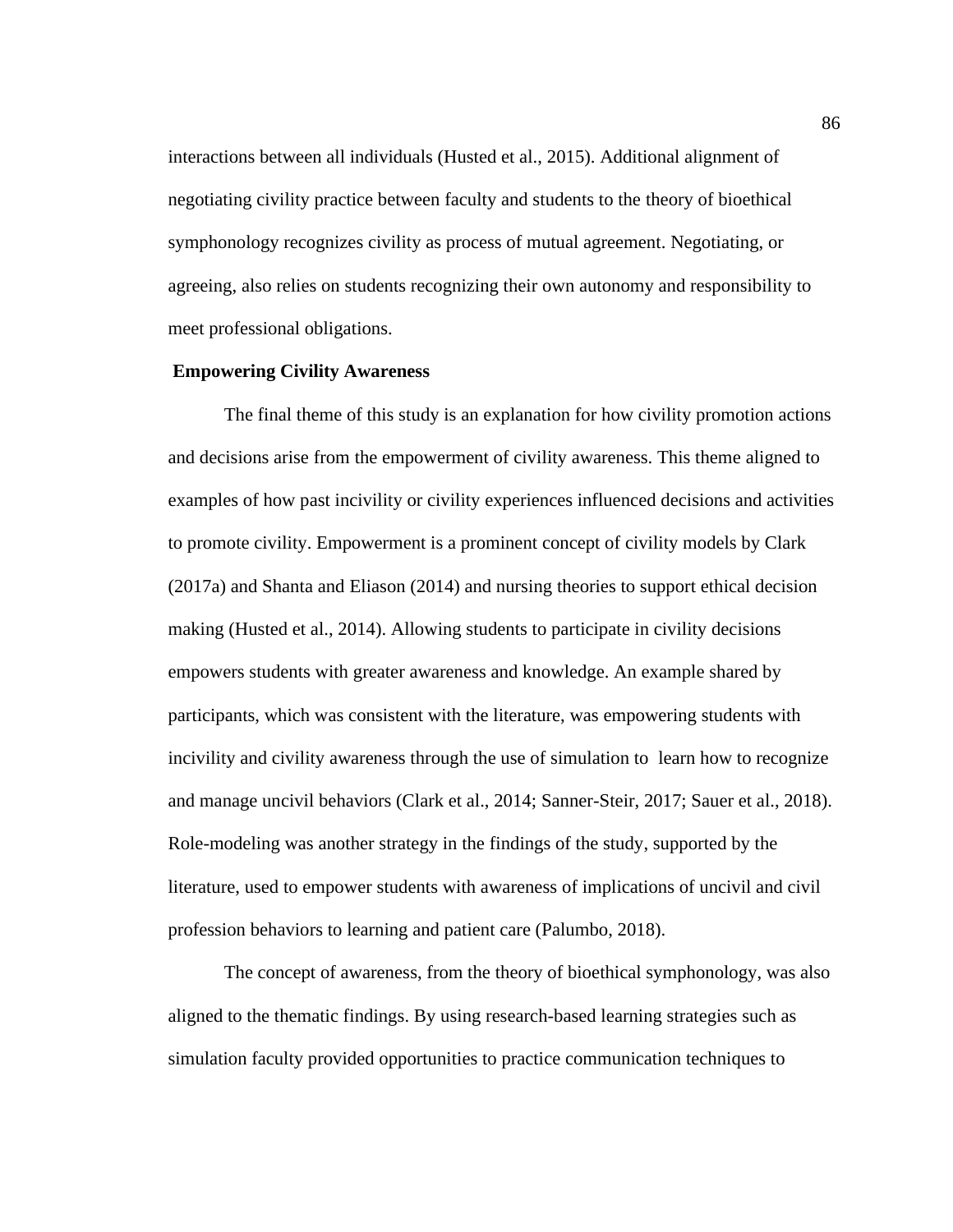interactions between all individuals (Husted et al., 2015). Additional alignment of negotiating civility practice between faculty and students to the theory of bioethical symphonology recognizes civility as process of mutual agreement. Negotiating, or agreeing, also relies on students recognizing their own autonomy and responsibility to meet professional obligations.

# **Empowering Civility Awareness**

The final theme of this study is an explanation for how civility promotion actions and decisions arise from the empowerment of civility awareness. This theme aligned to examples of how past incivility or civility experiences influenced decisions and activities to promote civility. Empowerment is a prominent concept of civility models by Clark (2017a) and Shanta and Eliason (2014) and nursing theories to support ethical decision making (Husted et al., 2014). Allowing students to participate in civility decisions empowers students with greater awareness and knowledge. An example shared by participants, which was consistent with the literature, was empowering students with incivility and civility awareness through the use of simulation to learn how to recognize and manage uncivil behaviors (Clark et al., 2014; Sanner-Steir, 2017; Sauer et al., 2018). Role-modeling was another strategy in the findings of the study, supported by the literature, used to empower students with awareness of implications of uncivil and civil profession behaviors to learning and patient care (Palumbo, 2018).

The concept of awareness, from the theory of bioethical symphonology, was also aligned to the thematic findings. By using research-based learning strategies such as simulation faculty provided opportunities to practice communication techniques to

86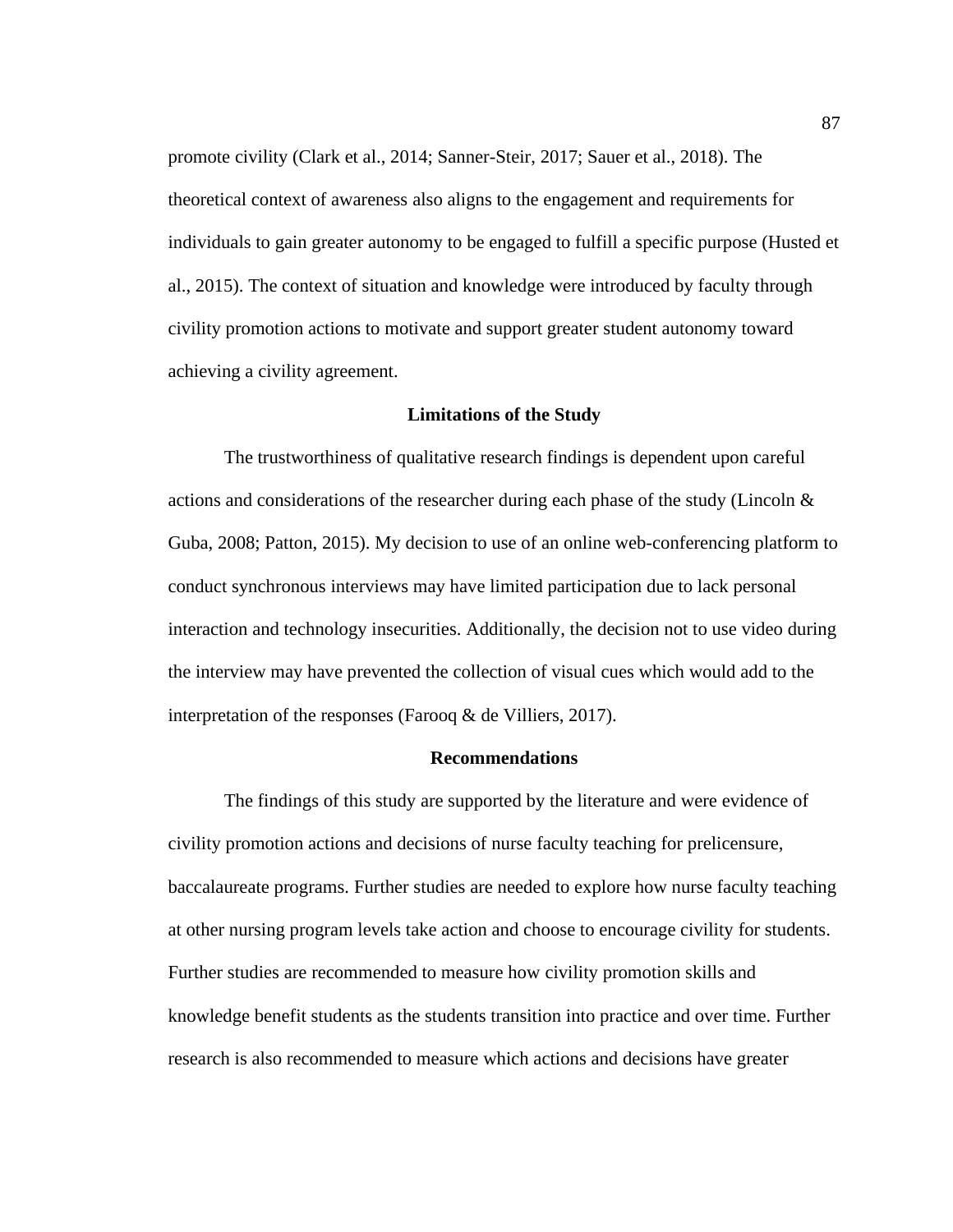promote civility (Clark et al., 2014; Sanner-Steir, 2017; Sauer et al., 2018). The theoretical context of awareness also aligns to the engagement and requirements for individuals to gain greater autonomy to be engaged to fulfill a specific purpose (Husted et al., 2015). The context of situation and knowledge were introduced by faculty through civility promotion actions to motivate and support greater student autonomy toward achieving a civility agreement.

### **Limitations of the Study**

The trustworthiness of qualitative research findings is dependent upon careful actions and considerations of the researcher during each phase of the study (Lincoln & Guba, 2008; Patton, 2015). My decision to use of an online web-conferencing platform to conduct synchronous interviews may have limited participation due to lack personal interaction and technology insecurities. Additionally, the decision not to use video during the interview may have prevented the collection of visual cues which would add to the interpretation of the responses (Farooq & de Villiers, 2017).

### **Recommendations**

The findings of this study are supported by the literature and were evidence of civility promotion actions and decisions of nurse faculty teaching for prelicensure, baccalaureate programs. Further studies are needed to explore how nurse faculty teaching at other nursing program levels take action and choose to encourage civility for students. Further studies are recommended to measure how civility promotion skills and knowledge benefit students as the students transition into practice and over time. Further research is also recommended to measure which actions and decisions have greater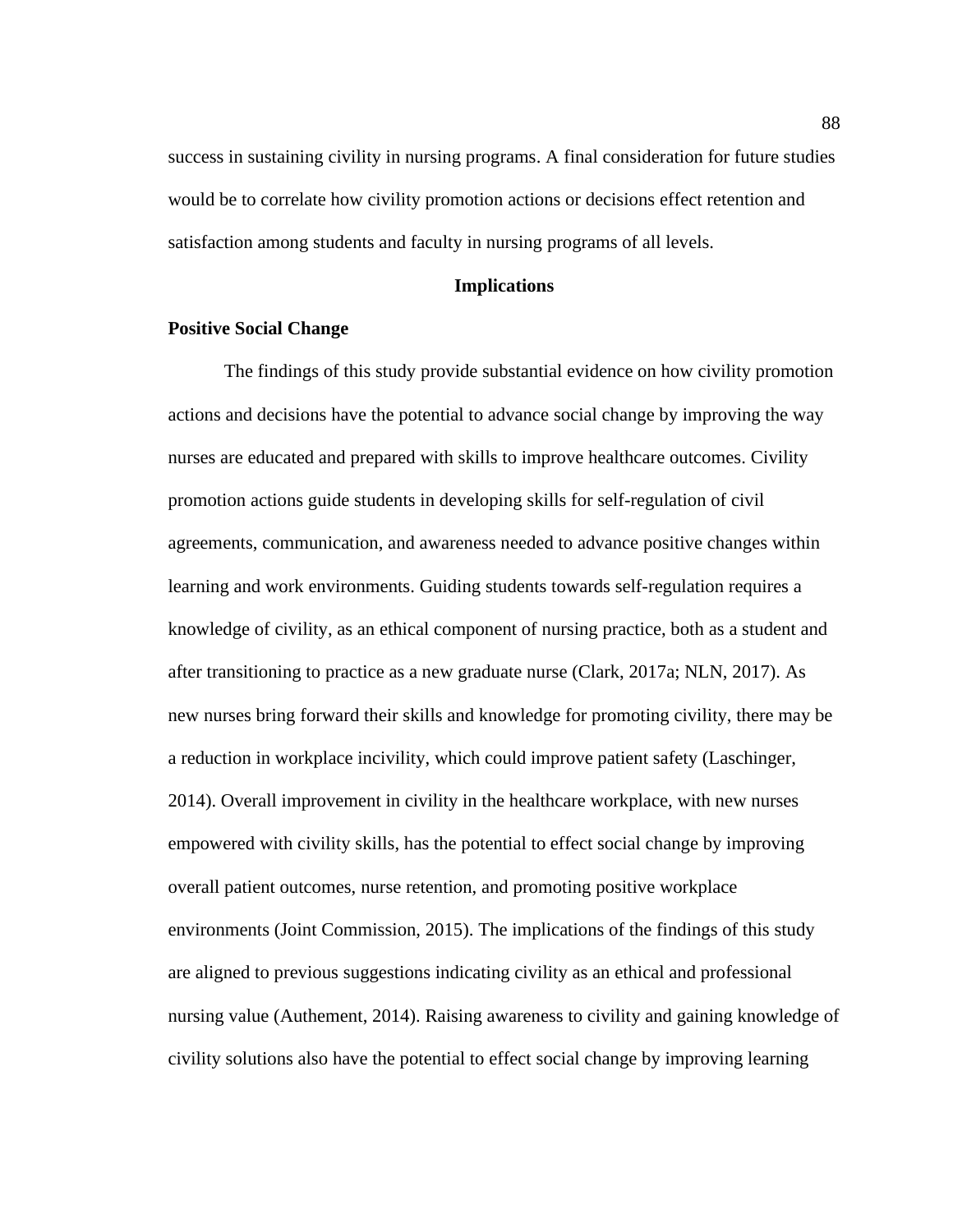success in sustaining civility in nursing programs. A final consideration for future studies would be to correlate how civility promotion actions or decisions effect retention and satisfaction among students and faculty in nursing programs of all levels.

# **Implications**

### **Positive Social Change**

The findings of this study provide substantial evidence on how civility promotion actions and decisions have the potential to advance social change by improving the way nurses are educated and prepared with skills to improve healthcare outcomes. Civility promotion actions guide students in developing skills for self-regulation of civil agreements, communication, and awareness needed to advance positive changes within learning and work environments. Guiding students towards self-regulation requires a knowledge of civility, as an ethical component of nursing practice, both as a student and after transitioning to practice as a new graduate nurse (Clark, 2017a; NLN, 2017). As new nurses bring forward their skills and knowledge for promoting civility, there may be a reduction in workplace incivility, which could improve patient safety (Laschinger, 2014). Overall improvement in civility in the healthcare workplace, with new nurses empowered with civility skills, has the potential to effect social change by improving overall patient outcomes, nurse retention, and promoting positive workplace environments (Joint Commission, 2015). The implications of the findings of this study are aligned to previous suggestions indicating civility as an ethical and professional nursing value (Authement, 2014). Raising awareness to civility and gaining knowledge of civility solutions also have the potential to effect social change by improving learning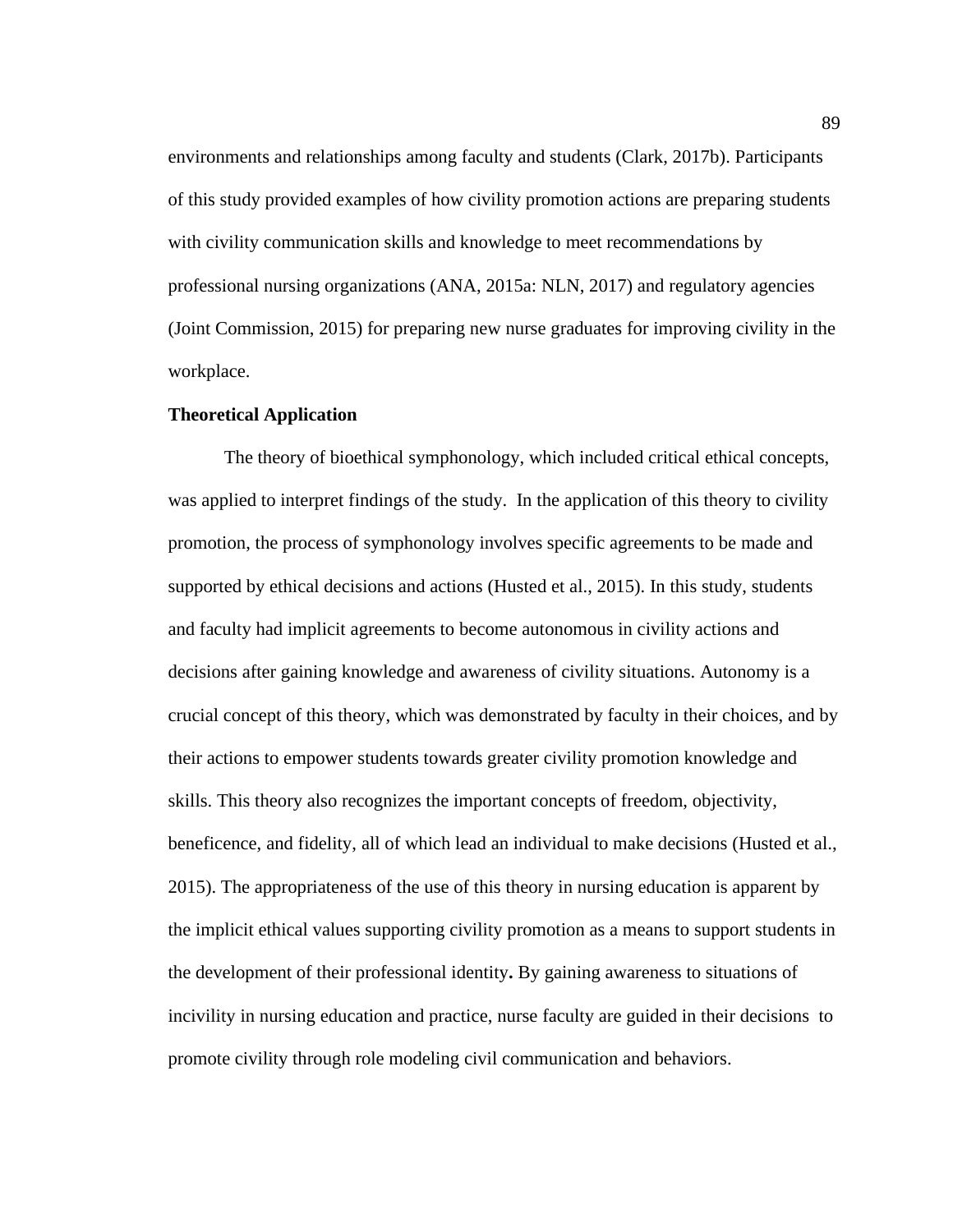environments and relationships among faculty and students (Clark, 2017b). Participants of this study provided examples of how civility promotion actions are preparing students with civility communication skills and knowledge to meet recommendations by professional nursing organizations (ANA, 2015a: NLN, 2017) and regulatory agencies (Joint Commission, 2015) for preparing new nurse graduates for improving civility in the workplace.

# **Theoretical Application**

The theory of bioethical symphonology, which included critical ethical concepts, was applied to interpret findings of the study. In the application of this theory to civility promotion, the process of symphonology involves specific agreements to be made and supported by ethical decisions and actions (Husted et al., 2015). In this study, students and faculty had implicit agreements to become autonomous in civility actions and decisions after gaining knowledge and awareness of civility situations. Autonomy is a crucial concept of this theory, which was demonstrated by faculty in their choices, and by their actions to empower students towards greater civility promotion knowledge and skills. This theory also recognizes the important concepts of freedom, objectivity, beneficence, and fidelity, all of which lead an individual to make decisions (Husted et al., 2015). The appropriateness of the use of this theory in nursing education is apparent by the implicit ethical values supporting civility promotion as a means to support students in the development of their professional identity**.** By gaining awareness to situations of incivility in nursing education and practice, nurse faculty are guided in their decisions to promote civility through role modeling civil communication and behaviors.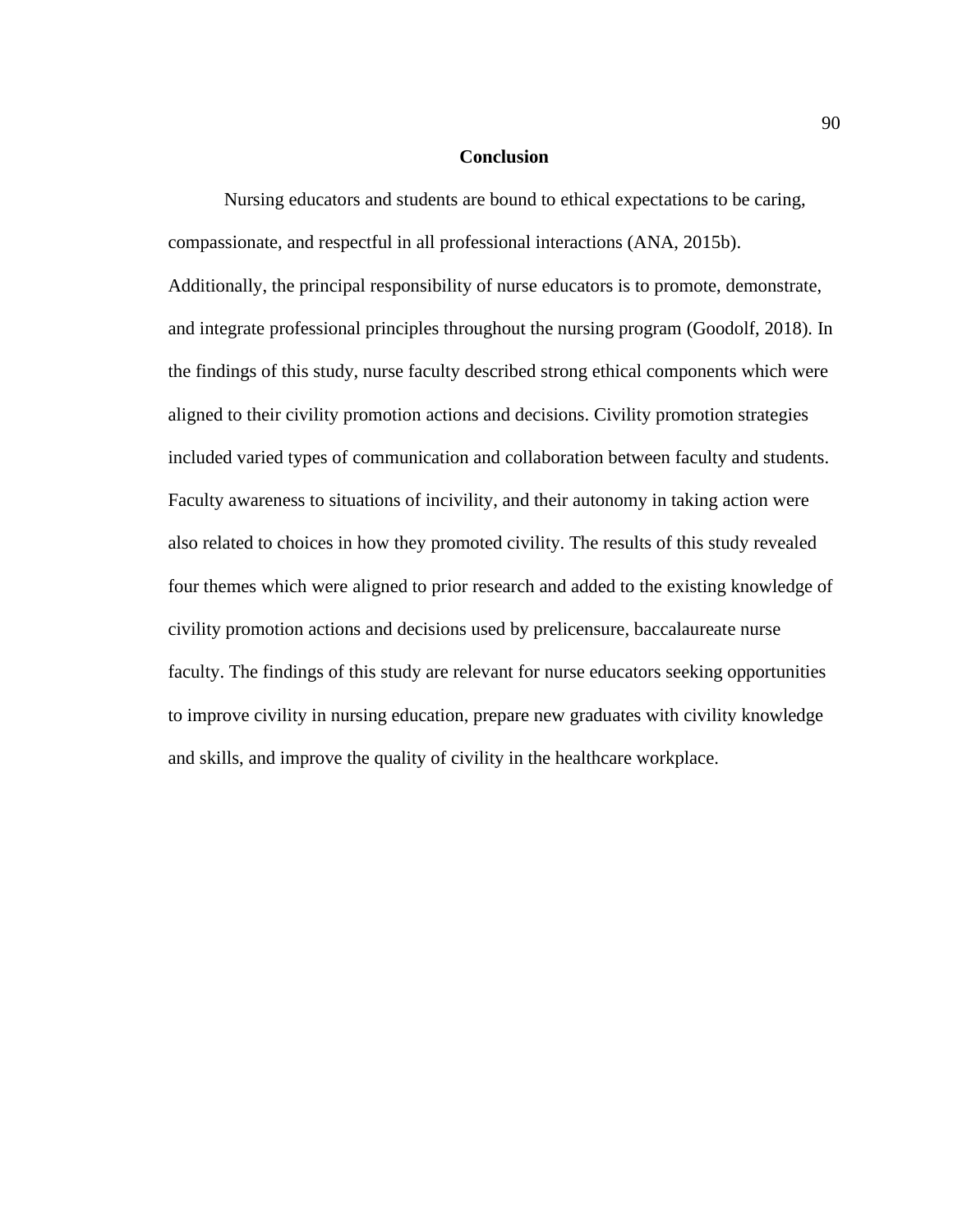## **Conclusion**

Nursing educators and students are bound to ethical expectations to be caring, compassionate, and respectful in all professional interactions (ANA, 2015b). Additionally, the principal responsibility of nurse educators is to promote, demonstrate, and integrate professional principles throughout the nursing program (Goodolf, 2018). In the findings of this study, nurse faculty described strong ethical components which were aligned to their civility promotion actions and decisions. Civility promotion strategies included varied types of communication and collaboration between faculty and students. Faculty awareness to situations of incivility, and their autonomy in taking action were also related to choices in how they promoted civility. The results of this study revealed four themes which were aligned to prior research and added to the existing knowledge of civility promotion actions and decisions used by prelicensure, baccalaureate nurse faculty. The findings of this study are relevant for nurse educators seeking opportunities to improve civility in nursing education, prepare new graduates with civility knowledge and skills, and improve the quality of civility in the healthcare workplace.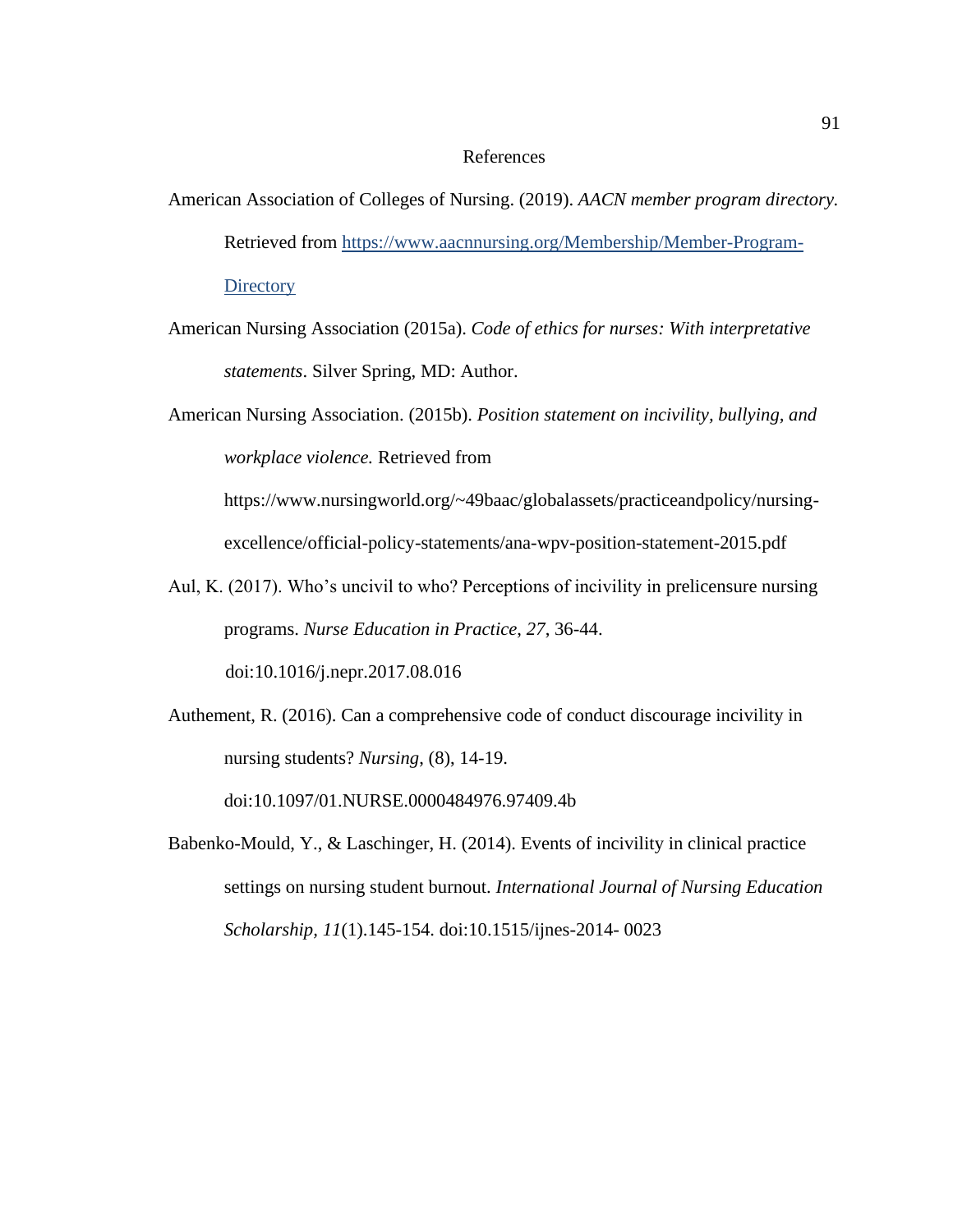### References

- American Association of Colleges of Nursing. (2019). *AACN member program directory.* Retrieved from [https://www.aacnnursing.org/Membership/Member-Program-](https://www.aacnnursing.org/Membership/Member-Program-Directory)**[Directory](https://www.aacnnursing.org/Membership/Member-Program-Directory)**
- American Nursing Association (2015a). *Code of ethics for nurses: With interpretative statements*. Silver Spring, MD: Author.
- American Nursing Association. (2015b). *Position statement on incivility, bullying, and workplace violence.* Retrieved from

https://www.nursingworld.org/~49baac/globalassets/practiceandpolicy/nursingexcellence/official-policy-statements/ana-wpv-position-statement-2015.pdf

- Aul, K. (2017). Who's uncivil to who? Perceptions of incivility in prelicensure nursing programs. *Nurse Education in Practice*, *27*, 36-44. doi:10.1016/j.nepr.2017.08.016
- Authement, R. (2016). Can a comprehensive code of conduct discourage incivility in nursing students? *Nursing*, (8), 14-19.

doi:10.1097/01.NURSE.0000484976.97409.4b

Babenko-Mould, Y., & Laschinger, H. (2014). Events of incivility in clinical practice settings on nursing student burnout. *International Journal of Nursing Education Scholarship, 11*(1).145-154. doi:10.1515/ijnes-2014- 0023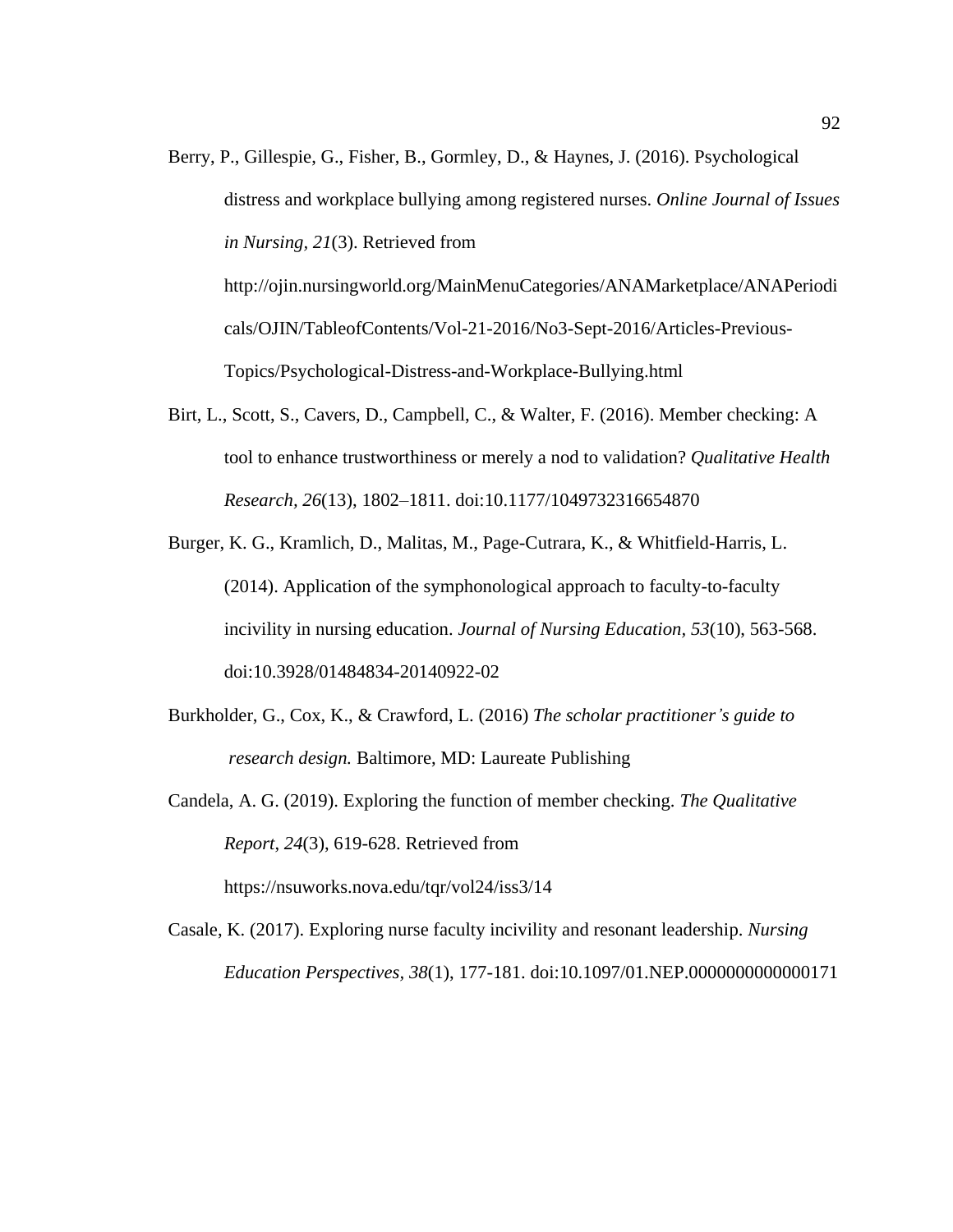- Berry, P., Gillespie, G., Fisher, B., Gormley, D., & Haynes, J. (2016). Psychological distress and workplace bullying among registered nurses. *Online Journal of Issues in Nursing, 21*(3). Retrieved from http://ojin.nursingworld.org/MainMenuCategories/ANAMarketplace/ANAPeriodi cals/OJIN/TableofContents/Vol-21-2016/No3-Sept-2016/Articles-Previous-Topics/Psychological-Distress-and-Workplace-Bullying.html
- Birt, L., Scott, S., Cavers, D., Campbell, C., & Walter, F. (2016). Member checking: A tool to enhance trustworthiness or merely a nod to validation? *Qualitative Health Research, 26*(13), 1802–1811. doi:10.1177/1049732316654870
- Burger, K. G., Kramlich, D., Malitas, M., Page-Cutrara, K., & Whitfield-Harris, L. (2014). Application of the symphonological approach to faculty-to-faculty incivility in nursing education. *Journal of Nursing Education, 53*(10), 563-568. doi:10.3928/01484834-20140922-02
- Burkholder, G., Cox, K., & Crawford, L. (2016) *The scholar practitioner's guide to research design.* Baltimore, MD: Laureate Publishing
- Candela, A. G. (2019). Exploring the function of member checking. *The Qualitative Report*, *24*(3), 619-628. Retrieved from https://nsuworks.nova.edu/tqr/vol24/iss3/14
- Casale, K. (2017). Exploring nurse faculty incivility and resonant leadership. *Nursing Education Perspectives, 38*(1), 177-181. doi:10.1097/01.NEP.0000000000000171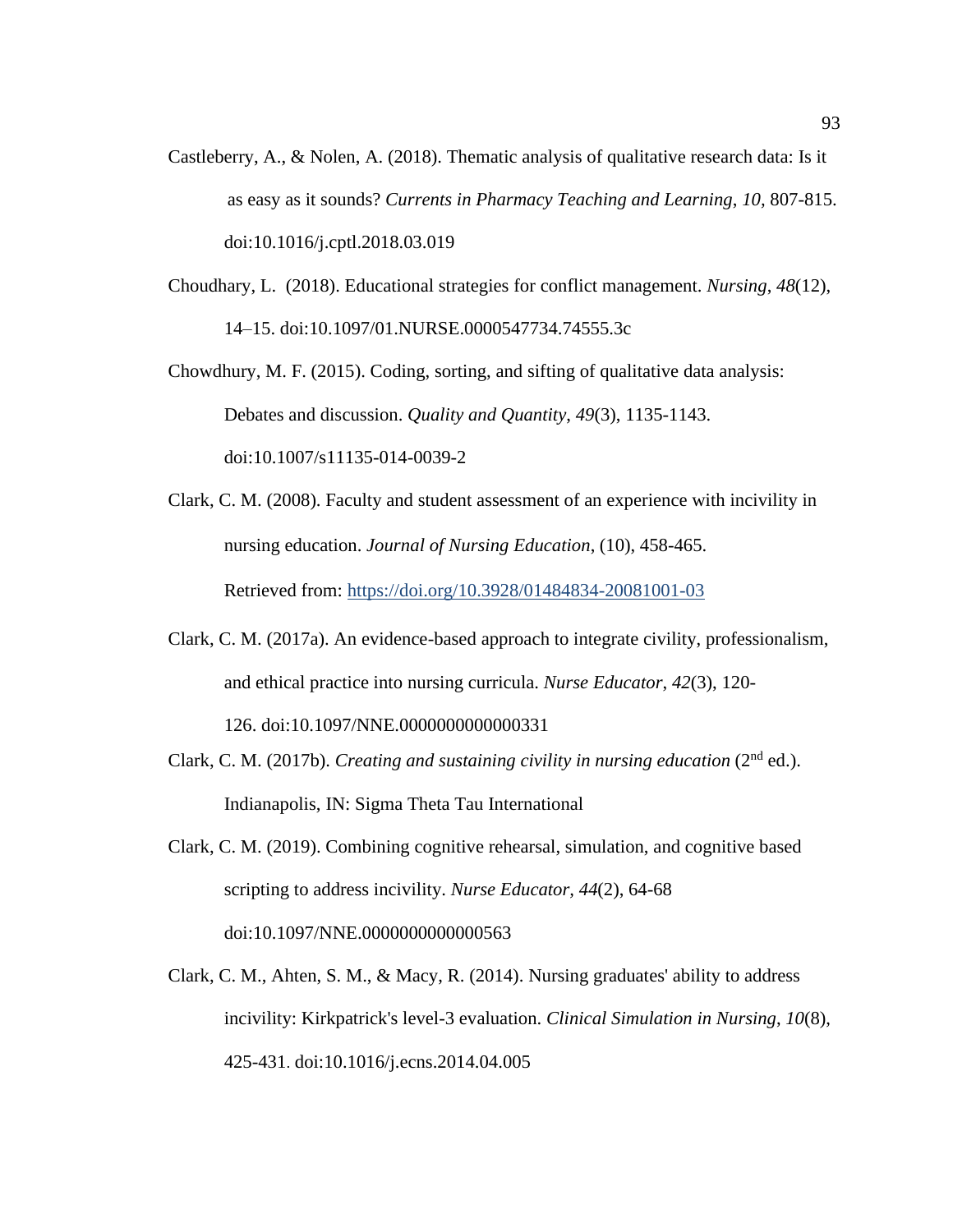- Castleberry, A., & Nolen, A. (2018). Thematic analysis of qualitative research data: Is it as easy as it sounds? *Currents in Pharmacy Teaching and Learning*, *10,* 807-815. doi:10.1016/j.cptl.2018.03.019
- Choudhary, L. (2018). Educational strategies for conflict management. *Nursing*, *48*(12), 14–15. doi:10.1097/01.NURSE.0000547734.74555.3c
- Chowdhury, M. F. (2015). Coding, sorting, and sifting of qualitative data analysis: Debates and discussion. *Quality and Quantity*, *49*(3), 1135-1143. doi:10.1007/s11135-014-0039-2
- Clark, C. M. (2008). Faculty and student assessment of an experience with incivility in nursing education. *Journal of Nursing Education*, (10), 458-465. Retrieved from:<https://doi.org/10.3928/01484834-20081001-03>
- Clark, C. M. (2017a). An evidence-based approach to integrate civility, professionalism, and ethical practice into nursing curricula. *Nurse Educator*, *42*(3), 120- 126. doi:10.1097/NNE.0000000000000331
- Clark, C. M. (2017b). *Creating and sustaining civility in nursing education* ( $2<sup>nd</sup>$  ed.). Indianapolis, IN: Sigma Theta Tau International
- Clark, C. M. (2019). Combining cognitive rehearsal, simulation, and cognitive based scripting to address incivility. *Nurse Educator, 44*(2), 64-68 doi:10.1097/NNE.0000000000000563
- Clark, C. M., Ahten, S. M., & Macy, R. (2014). Nursing graduates' ability to address incivility: Kirkpatrick's level-3 evaluation. *Clinical Simulation in Nursing*, *10*(8), 425-431. doi:10.1016/j.ecns.2014.04.005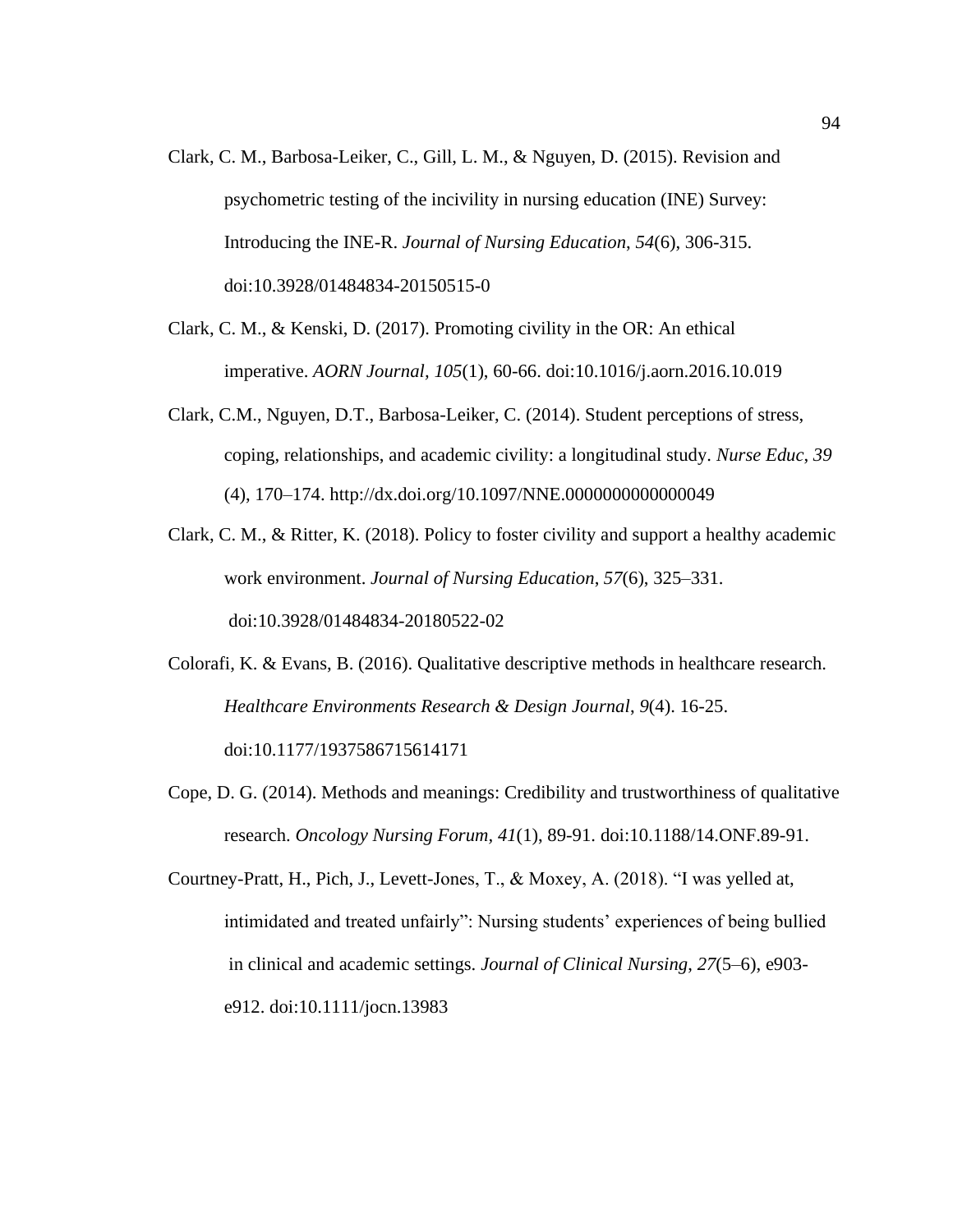- Clark, C. M., Barbosa-Leiker, C., Gill, L. M., & Nguyen, D. (2015). Revision and psychometric testing of the incivility in nursing education (INE) Survey: Introducing the INE-R. *Journal of Nursing Education*, *54*(6), 306-315. doi:10.3928/01484834-20150515-0
- Clark, C. M., & Kenski, D. (2017). Promoting civility in the OR: An ethical imperative. *AORN Journal, 105*(1), 60-66. doi:10.1016/j.aorn.2016.10.019
- Clark, C.M., Nguyen, D.T., Barbosa-Leiker, C. (2014). Student perceptions of stress, coping, relationships, and academic civility: a longitudinal study. *Nurse Educ*, *39* (4), 170–174. http://dx.doi.org/10.1097/NNE.0000000000000049
- Clark, C. M., & Ritter, K. (2018). Policy to foster civility and support a healthy academic work environment. *Journal of Nursing Education*, *57*(6), 325–331. doi:10.3928/01484834-20180522-02
- Colorafi, K. & Evans, B. (2016). Qualitative descriptive methods in healthcare research. *Healthcare Environments Research & Design Journal*, *9*(4). 16-25. doi:10.1177/1937586715614171
- Cope, D. G. (2014). Methods and meanings: Credibility and trustworthiness of qualitative research. *Oncology Nursing Forum, 41*(1), 89-91. doi:10.1188/14.ONF.89-91.
- Courtney-Pratt, H., Pich, J., Levett-Jones, T., & Moxey, A. (2018). "I was yelled at, intimidated and treated unfairly": Nursing students' experiences of being bullied in clinical and academic settings. *Journal of Clinical Nursing*, *27*(5–6), e903 e912. doi:10.1111/jocn.13983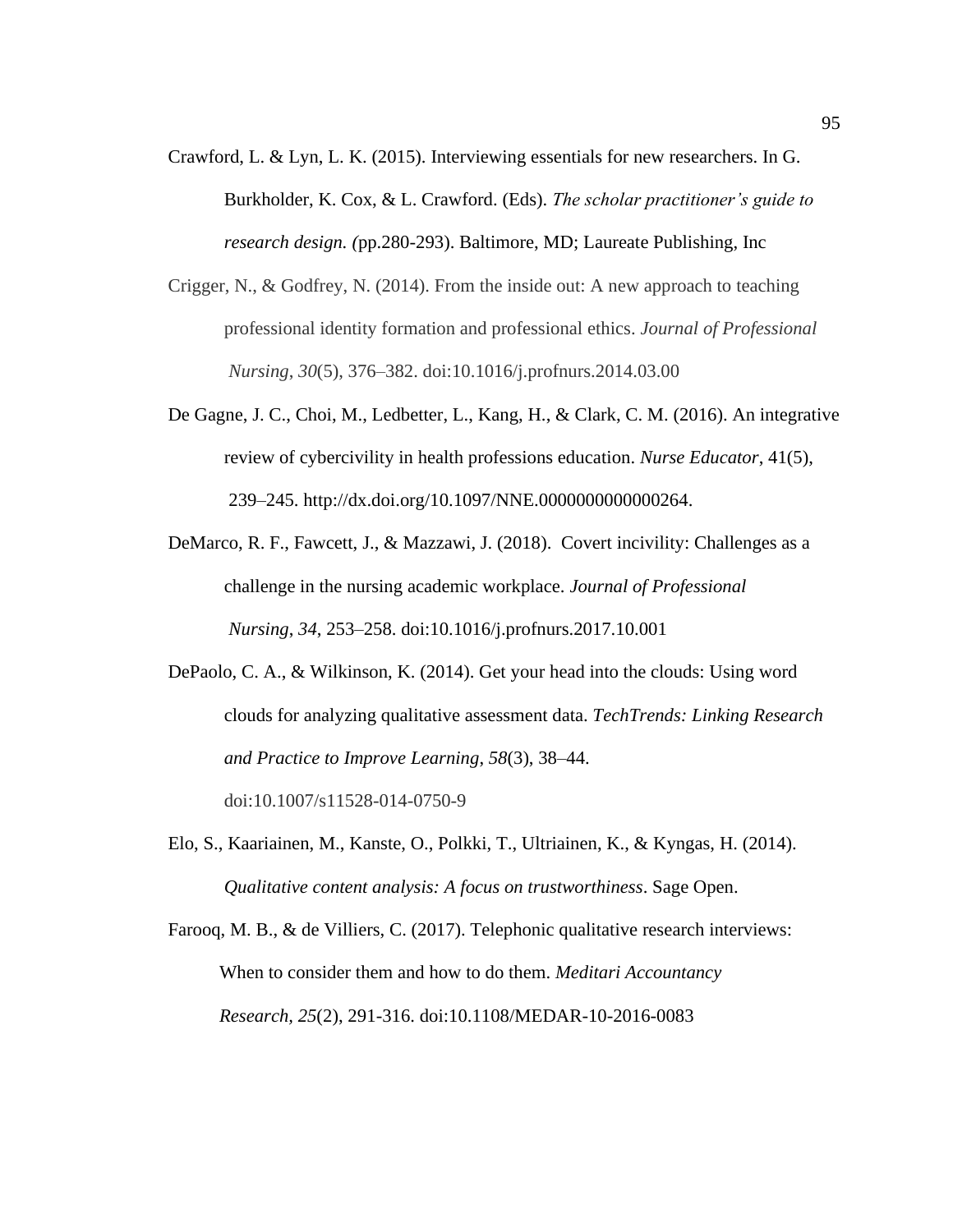- Crawford, L. & Lyn, L. K. (2015). Interviewing essentials for new researchers. In G. Burkholder, K. Cox, & L. Crawford. (Eds). *The scholar practitioner's guide to research design. (*pp.280-293). Baltimore, MD; Laureate Publishing, Inc
- Crigger, N., & Godfrey, N. (2014). From the inside out: A new approach to teaching professional identity formation and professional ethics. *Journal of Professional Nursing*, *30*(5), 376–382. doi:10.1016/j.profnurs.2014.03.00
- De Gagne, J. C., Choi, M., Ledbetter, L., Kang, H., & Clark, C. M. (2016). An integrative review of cybercivility in health professions education. *Nurse Educator*, 41(5), 239–245. http://dx.doi.org/10.1097/NNE.0000000000000264.
- DeMarco, R. F., Fawcett, J., & Mazzawi, J. (2018). Covert incivility: Challenges as a challenge in the nursing academic workplace. *Journal of Professional Nursing*, *34*, 253–258. doi:10.1016/j.profnurs.2017.10.001
- DePaolo, C. A., & Wilkinson, K. (2014). Get your head into the clouds: Using word clouds for analyzing qualitative assessment data. *TechTrends: Linking Research and Practice to Improve Learning*, *58*(3), 38–44. doi:10.1007/s11528-014-0750-9
- Elo, S., Kaariainen, M., Kanste, O., Polkki, T., Ultriainen, K., & Kyngas, H. (2014). *Qualitative content analysis: A focus on trustworthiness*. Sage Open.
- Farooq, M. B., & de Villiers, C. (2017). Telephonic qualitative research interviews: When to consider them and how to do them. *Meditari Accountancy Research, 25*(2), 291-316. doi:10.1108/MEDAR-10-2016-0083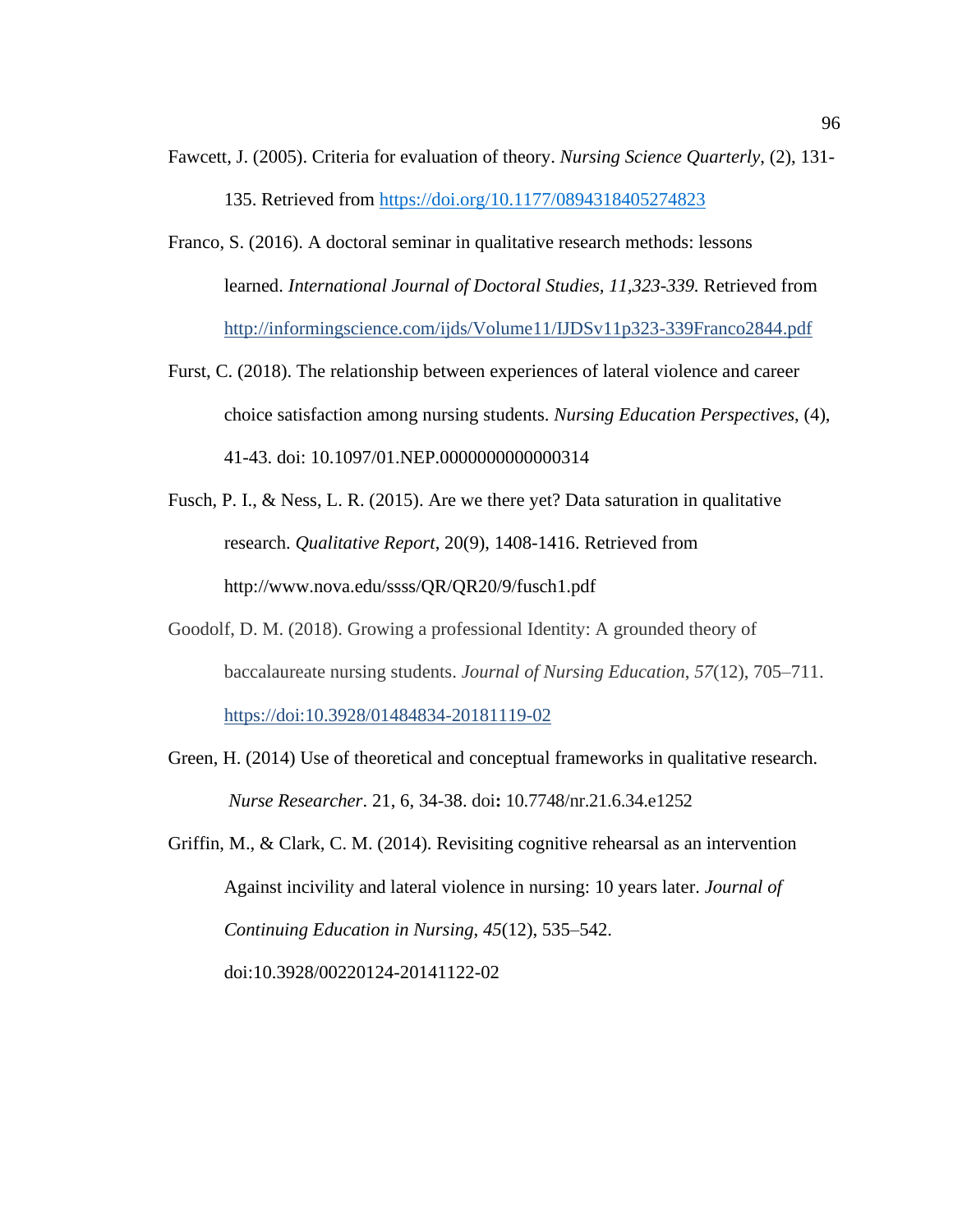- Fawcett, J. (2005). Criteria for evaluation of theory. *Nursing Science Quarterly*, (2), 131- 135. Retrieved from [https://doi.org/10.1177/0894318405274823](https://doi.org/10.1177%2F0894318405274823)
- Franco, S. (2016). A doctoral seminar in qualitative research methods: lessons learned. *International Journal of Doctoral Studies, 11,323-339.* Retrieved from <http://informingscience.com/ijds/Volume11/IJDSv11p323-339Franco2844.pdf>
- Furst, C. (2018). The relationship between experiences of lateral violence and career choice satisfaction among nursing students. *Nursing Education Perspectives*, (4), 41-43. doi: 10.1097/01.NEP.0000000000000314
- Fusch, P. I., & Ness, L. R. (2015). Are we there yet? Data saturation in qualitative research. *Qualitative Report*, 20(9), 1408-1416. Retrieved from http://www.nova.edu/ssss/QR/QR20/9/fusch1.pdf
- Goodolf, D. M. (2018). Growing a professional Identity: A grounded theory of baccalaureate nursing students. *Journal of Nursing Education*, *57*(12), 705–711.

<https://doi:10.3928/01484834-20181119-02>

- Green, H. (2014) Use of theoretical and conceptual frameworks in qualitative research*. Nurse Researcher*. 21, 6, 34-38. doi**:** 10.7748/nr.21.6.34.e1252
- Griffin, M., & Clark, C. M. (2014). Revisiting cognitive rehearsal as an intervention Against incivility and lateral violence in nursing: 10 years later. *Journal of Continuing Education in Nursing*, *45*(12), 535–542. doi:10.3928/00220124-20141122-02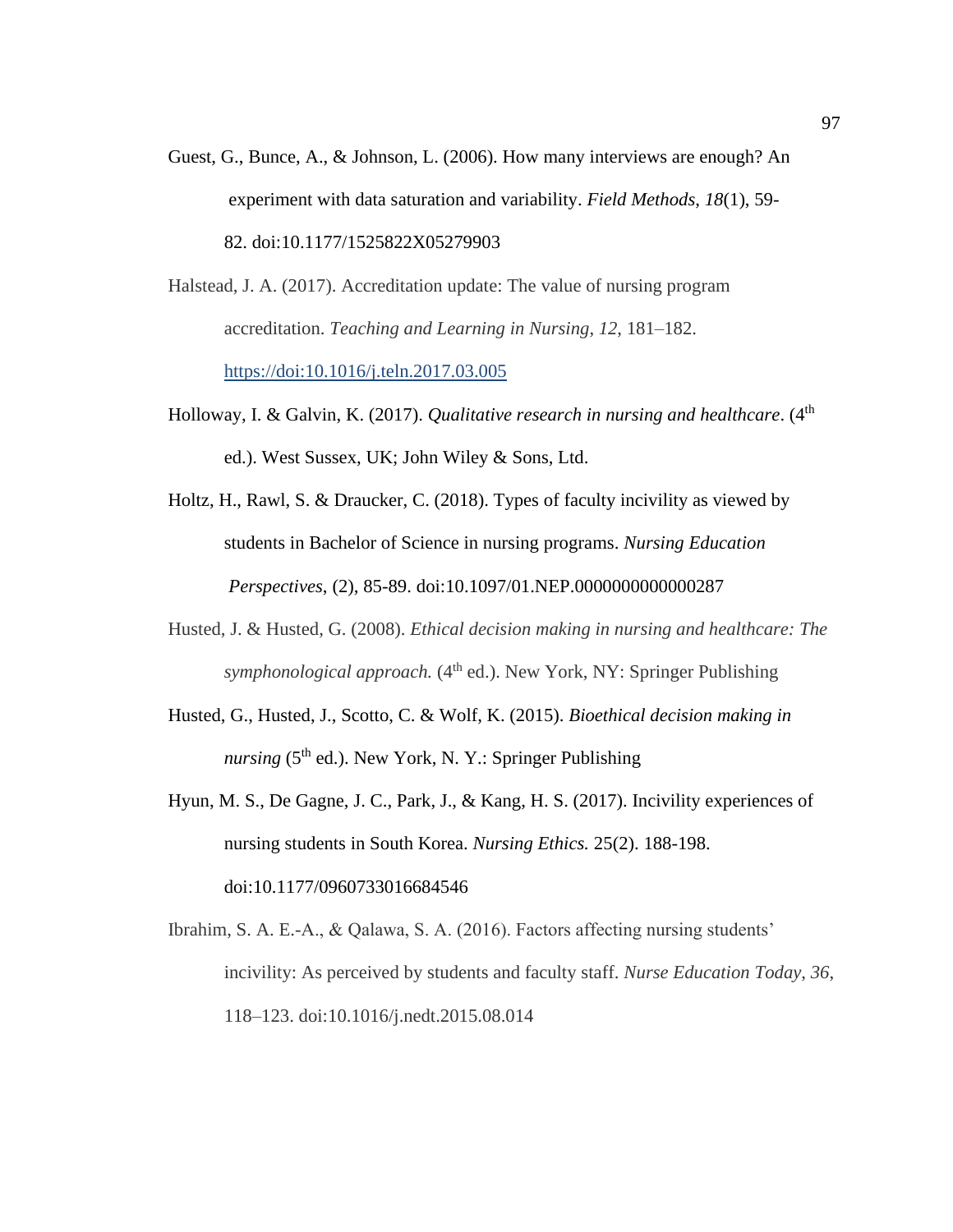Guest, G., Bunce, A., & Johnson, L. (2006). How many interviews are enough? An experiment with data saturation and variability. *Field Methods*, *18*(1), 59- 82. doi:10.1177/1525822X05279903

Halstead, J. A. (2017). Accreditation update: The value of nursing program accreditation. *Teaching and Learning in Nursing*, *12*, 181–182. <https://doi:10.1016/j.teln.2017.03.005>

- Holloway, I. & Galvin, K. (2017). *Qualitative research in nursing and healthcare*. (4<sup>th</sup> ed.). West Sussex, UK; John Wiley & Sons, Ltd.
- Holtz, H., Rawl, S. & Draucker, C. (2018). Types of faculty incivility as viewed by students in Bachelor of Science in nursing programs. *Nursing Education Perspectives*, (2), 85-89. doi:10.1097/01.NEP.0000000000000287
- Husted, J. & Husted, G. (2008). *Ethical decision making in nursing and healthcare: The symphonological approach.* (4<sup>th</sup> ed.). New York, NY: Springer Publishing
- Husted, G., Husted, J., Scotto, C. & Wolf, K. (2015). *Bioethical decision making in nursing* (5<sup>th</sup> ed.). New York, N. Y.: Springer Publishing
- Hyun, M. S., De Gagne, J. C., Park, J., & Kang, H. S. (2017). Incivility experiences of nursing students in South Korea. *Nursing Ethics.* 25(2). 188-198. doi:10.1177/0960733016684546
- Ibrahim, S. A. E.-A., & Qalawa, S. A. (2016). Factors affecting nursing students' incivility: As perceived by students and faculty staff. *Nurse Education Today*, *36*, 118–123. doi:10.1016/j.nedt.2015.08.014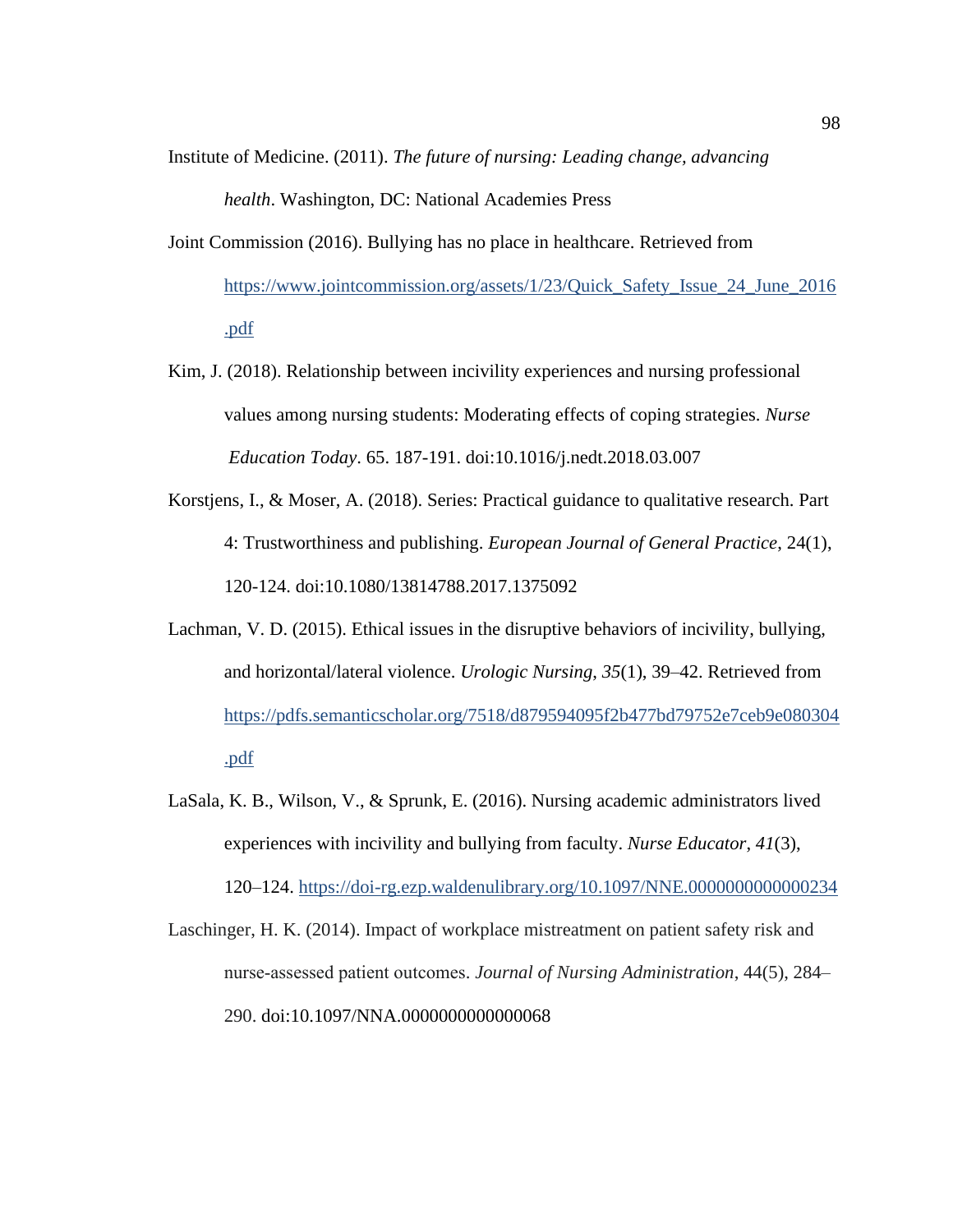Institute of Medicine. (2011). *The future of nursing: Leading change, advancing health*. Washington, DC: National Academies Press

- Joint Commission (2016). Bullying has no place in healthcare. Retrieved from [https://www.jointcommission.org/assets/1/23/Quick\\_Safety\\_Issue\\_24\\_June\\_2016](https://www.jointcommission.org/assets/1/23/Quick_Safety_Issue_24_June_2016.pdf) [.pdf](https://www.jointcommission.org/assets/1/23/Quick_Safety_Issue_24_June_2016.pdf)
- Kim, J. (2018). Relationship between incivility experiences and nursing professional values among nursing students: Moderating effects of coping strategies. *Nurse Education Today*. 65. 187-191. doi:10.1016/j.nedt.2018.03.007
- Korstjens, I., & Moser, A. (2018). Series: Practical guidance to qualitative research. Part 4: Trustworthiness and publishing. *European Journal of General Practice*, 24(1), 120-124. doi:10.1080/13814788.2017.1375092
- Lachman, V. D. (2015). Ethical issues in the disruptive behaviors of incivility, bullying, and horizontal/lateral violence. *Urologic Nursing*, *35*(1), 39–42. Retrieved from [https://pdfs.semanticscholar.org/7518/d879594095f2b477bd79752e7ceb9e080304](https://pdfs.semanticscholar.org/7518/d879594095f2b477bd79752e7ceb9e080304.pdf) [.pdf](https://pdfs.semanticscholar.org/7518/d879594095f2b477bd79752e7ceb9e080304.pdf)
- LaSala, K. B., Wilson, V., & Sprunk, E. (2016). Nursing academic administrators lived experiences with incivility and bullying from faculty. *Nurse Educator*, *41*(3), 120–124.<https://doi-rg.ezp.waldenulibrary.org/10.1097/NNE.0000000000000234>

Laschinger, H. K. (2014). Impact of workplace mistreatment on patient safety risk and nurse‐assessed patient outcomes. *Journal of Nursing Administration*, 44(5), 284– 290. doi:10.1097/NNA.0000000000000068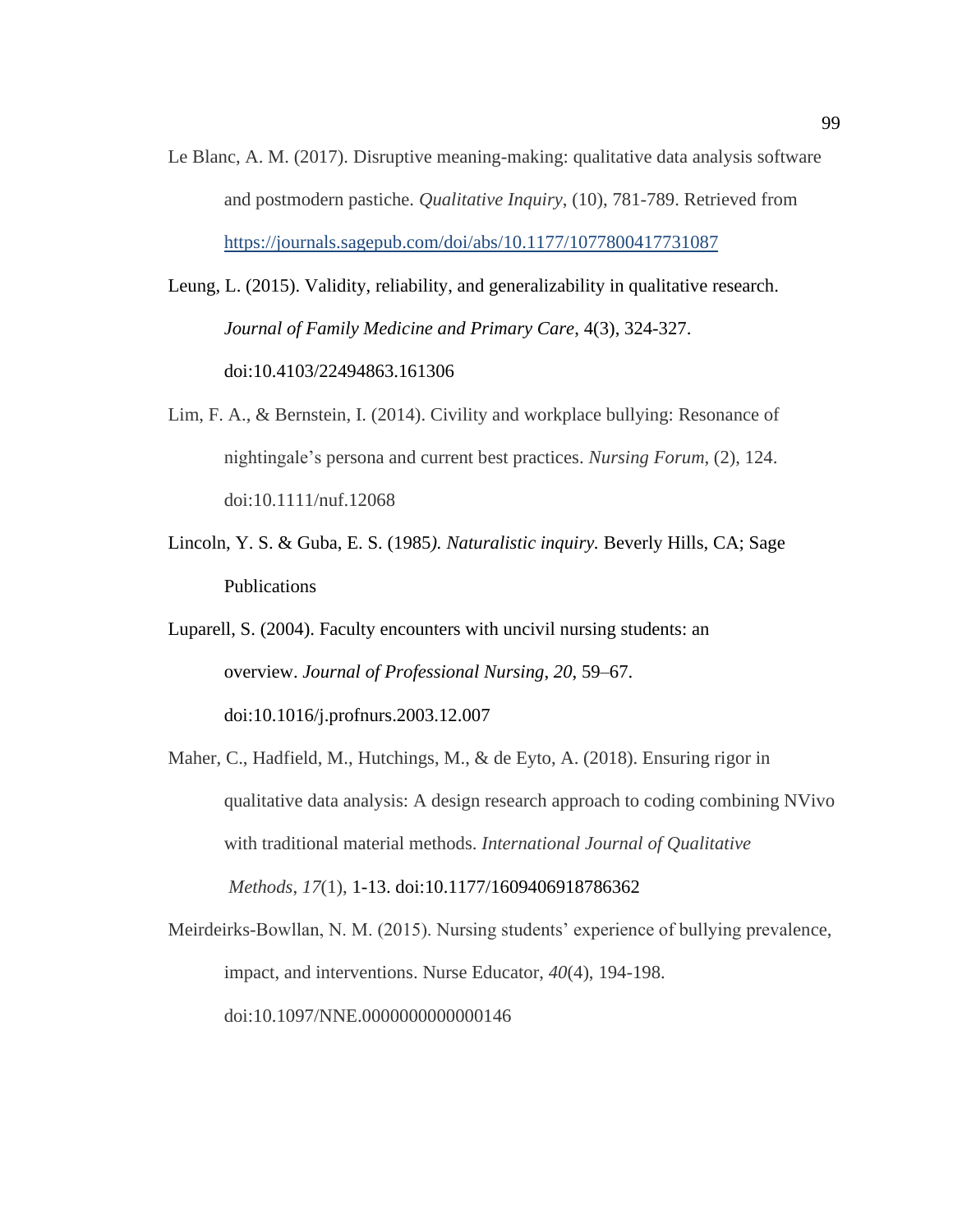Le Blanc, A. M. (2017). Disruptive meaning-making: qualitative data analysis software and postmodern pastiche. *Qualitative Inquiry*, (10), 781-789. Retrieved from <https://journals.sagepub.com/doi/abs/10.1177/1077800417731087>

Leung, L. (2015). Validity, reliability, and generalizability in qualitative research. *Journal of Family Medicine and Primary Care*, 4(3), 324-327. doi:10.4103/22494863.161306

- Lim, F. A., & Bernstein, I. (2014). Civility and workplace bullying: Resonance of nightingale's persona and current best practices. *Nursing Forum*, (2), 124. doi:10.1111/nuf.12068
- Lincoln, Y. S. & Guba, E. S. (1985*). Naturalistic inquiry.* Beverly Hills, CA; Sage Publications
- Luparell, S. (2004). Faculty encounters with uncivil nursing students: an overview. *Journal of Professional Nursing*, *20*, 59–67. doi:10.1016/j.profnurs.2003.12.007
- Maher, C., Hadfield, M., Hutchings, M., & de Eyto, A. (2018). Ensuring rigor in qualitative data analysis: A design research approach to coding combining NVivo with traditional material methods. *International Journal of Qualitative Methods*, *17*(1), 1-13. doi:10.1177/1609406918786362

Meirdeirks-Bowllan, N. M. (2015). Nursing students' experience of bullying prevalence, impact, and interventions. Nurse Educator, *40*(4), 194-198. doi:10.1097/NNE.0000000000000146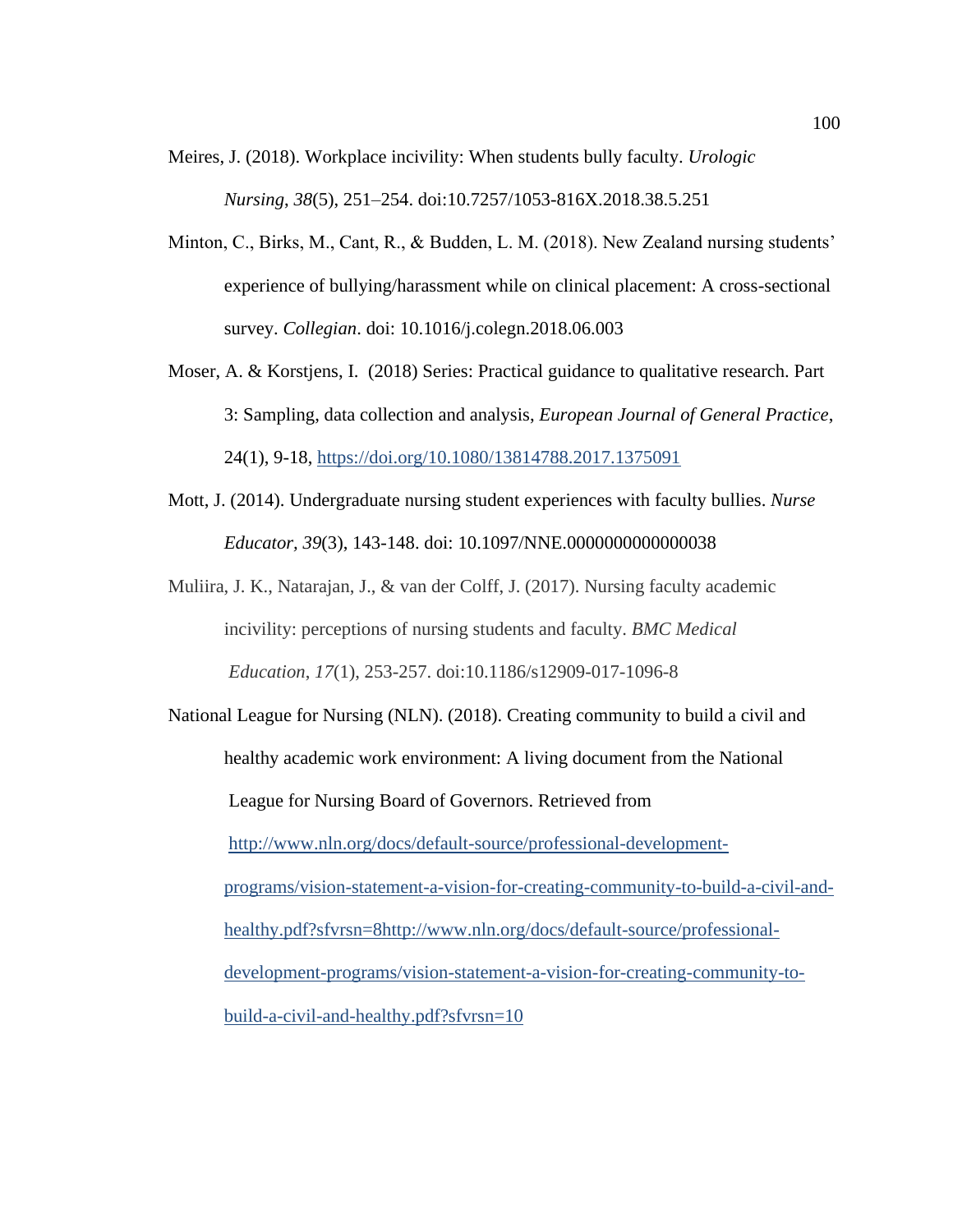- Meires, J. (2018). Workplace incivility: When students bully faculty. *Urologic Nursing*, *38*(5), 251–254. doi:10.7257/1053-816X.2018.38.5.251
- Minton, C., Birks, M., Cant, R., & Budden, L. M. (2018). New Zealand nursing students' experience of bullying/harassment while on clinical placement: A cross-sectional survey. *Collegian*. doi: 10.1016/j.colegn.2018.06.003
- Moser, A. & Korstjens, I. (2018) Series: Practical guidance to qualitative research. Part 3: Sampling, data collection and analysis, *European Journal of General Practice*, 24(1), 9-18,<https://doi.org/10.1080/13814788.2017.1375091>
- Mott, J. (2014). Undergraduate nursing student experiences with faculty bullies. *Nurse Educator, 39*(3), 143-148. doi: 10.1097/NNE.0000000000000038
- Muliira, J. K., Natarajan, J., & van der Colff, J. (2017). Nursing faculty academic incivility: perceptions of nursing students and faculty. *BMC Medical Education*, *17*(1), 253-257. doi:10.1186/s12909-017-1096-8
- National League for Nursing (NLN). (2018). Creating community to build a civil and healthy academic work environment: A living document from the National League for Nursing Board of Governors. Retrieved from [http://www.nln.org/docs/default-source/professional-development](http://www.nln.org/docs/default-source/professional-development-programs/vision-statement-a-vision-for-creating-community-to-build-a-civil-and-healthy.pdf?sfvrsn=8http://www.nln.org/docs/default-source/professional-development-programs/vision-statement-a-vision-for-creating-community-to-build-a-civil-and-healthy.pdf?sfvrsn=10)[programs/vision-statement-a-vision-for-creating-community-to-build-a-civil-and](http://www.nln.org/docs/default-source/professional-development-programs/vision-statement-a-vision-for-creating-community-to-build-a-civil-and-healthy.pdf?sfvrsn=8http://www.nln.org/docs/default-source/professional-development-programs/vision-statement-a-vision-for-creating-community-to-build-a-civil-and-healthy.pdf?sfvrsn=10)[healthy.pdf?sfvrsn=8http://www.nln.org/docs/default-source/professional](http://www.nln.org/docs/default-source/professional-development-programs/vision-statement-a-vision-for-creating-community-to-build-a-civil-and-healthy.pdf?sfvrsn=8http://www.nln.org/docs/default-source/professional-development-programs/vision-statement-a-vision-for-creating-community-to-build-a-civil-and-healthy.pdf?sfvrsn=10)[development-programs/vision-statement-a-vision-for-creating-community-to](http://www.nln.org/docs/default-source/professional-development-programs/vision-statement-a-vision-for-creating-community-to-build-a-civil-and-healthy.pdf?sfvrsn=8http://www.nln.org/docs/default-source/professional-development-programs/vision-statement-a-vision-for-creating-community-to-build-a-civil-and-healthy.pdf?sfvrsn=10)[build-a-civil-and-healthy.pdf?sfvrsn=10](http://www.nln.org/docs/default-source/professional-development-programs/vision-statement-a-vision-for-creating-community-to-build-a-civil-and-healthy.pdf?sfvrsn=8http://www.nln.org/docs/default-source/professional-development-programs/vision-statement-a-vision-for-creating-community-to-build-a-civil-and-healthy.pdf?sfvrsn=10)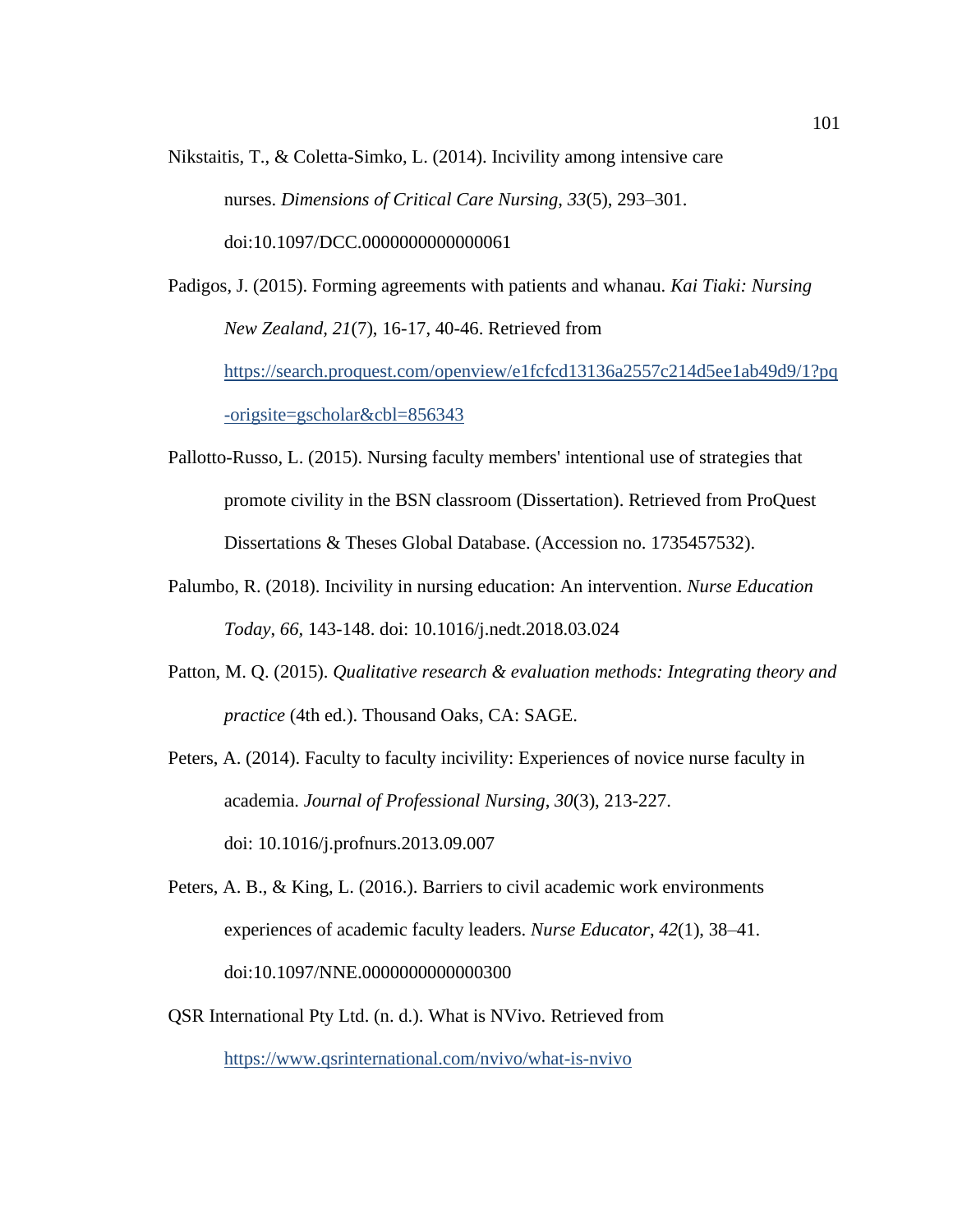Nikstaitis, T., & Coletta-Simko, L. (2014). Incivility among intensive care nurses. *Dimensions of Critical Care Nursing*, *33*(5), 293–301. doi:10.1097/DCC.0000000000000061

Padigos, J. (2015). Forming agreements with patients and whanau. *Kai Tiaki: Nursing New Zealand, 21*(7), 16-17, 40-46. Retrieved from [https://search.proquest.com/openview/e1fcfcd13136a2557c214d5ee1ab49d9/1?pq](https://search.proquest.com/openview/e1fcfcd13136a2557c214d5ee1ab49d9/1?pq-origsite=gscholar&cbl=856343) [-origsite=gscholar&cbl=856343](https://search.proquest.com/openview/e1fcfcd13136a2557c214d5ee1ab49d9/1?pq-origsite=gscholar&cbl=856343)

- Pallotto-Russo, L. (2015). Nursing faculty members' intentional use of strategies that promote civility in the BSN classroom (Dissertation). Retrieved from ProQuest Dissertations & Theses Global Database. (Accession no. 1735457532).
- Palumbo, R. (2018). Incivility in nursing education: An intervention. *Nurse Education Today*, *66,* 143-148. doi: 10.1016/j.nedt.2018.03.024
- Patton, M. Q. (2015). *Qualitative research & evaluation methods: Integrating theory and practice* (4th ed.). Thousand Oaks, CA: SAGE.

Peters, A. (2014). Faculty to faculty incivility: Experiences of novice nurse faculty in academia. *Journal of Professional Nursing*, *30*(3), 213-227. doi: 10.1016/j.profnurs.2013.09.007

Peters, A. B., & King, L. (2016.). Barriers to civil academic work environments experiences of academic faculty leaders. *Nurse Educator*, *42*(1), 38–41. doi:10.1097/NNE.0000000000000300

QSR International Pty Ltd. (n. d.). What is NVivo. Retrieved from

<https://www.qsrinternational.com/nvivo/what-is-nvivo>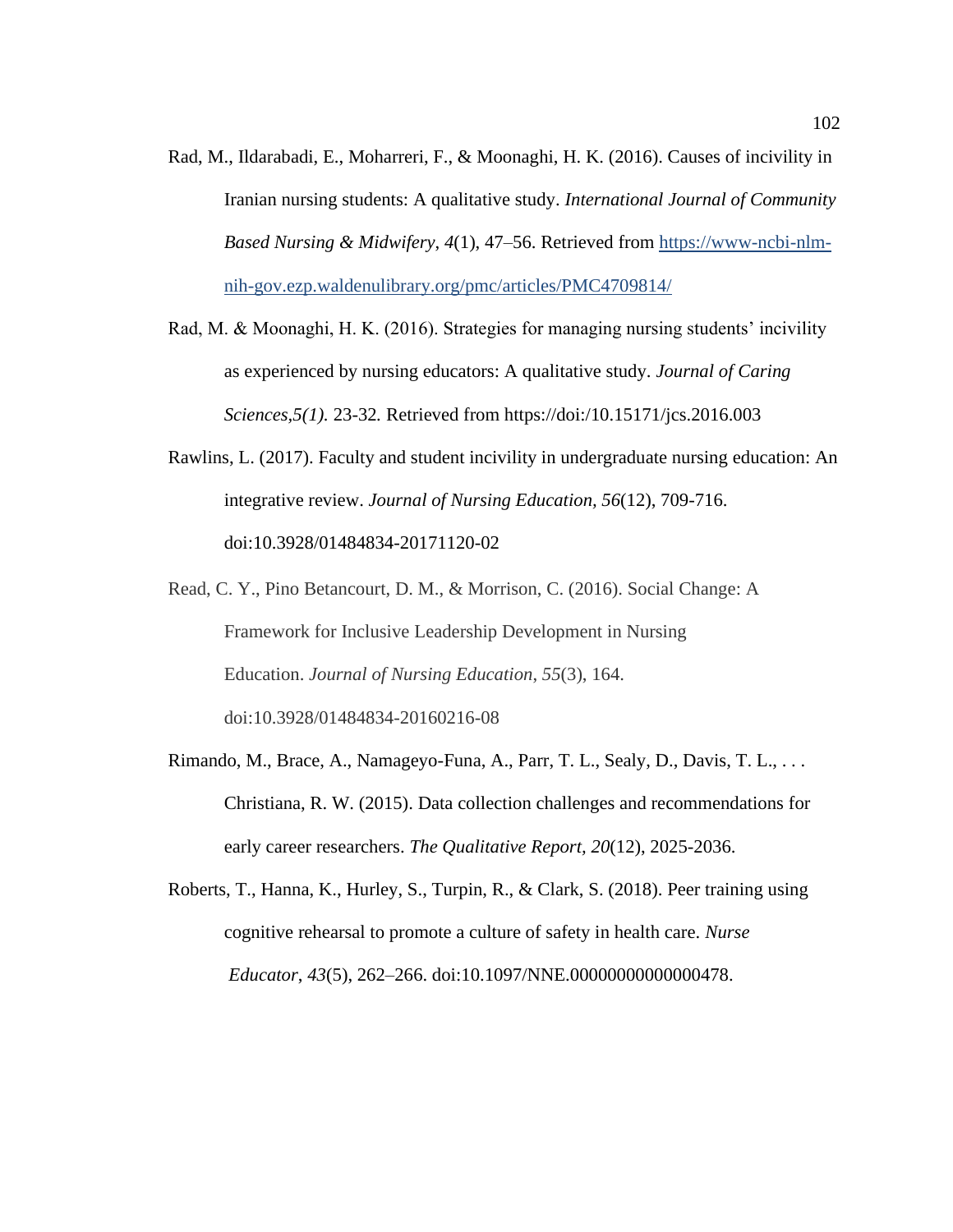- Rad, M., Ildarabadi, E., Moharreri, F., & Moonaghi, H. K. (2016). Causes of incivility in Iranian nursing students: A qualitative study. *International Journal of Community Based Nursing & Midwifery*, *4*(1), 47–56. Retrieved from [https://www-ncbi-nlm](https://www-ncbi-nlm-nih-gov.ezp.waldenulibrary.org/pmc/articles/PMC4709814/)[nih-gov.ezp.waldenulibrary.org/pmc/articles/PMC4709814/](https://www-ncbi-nlm-nih-gov.ezp.waldenulibrary.org/pmc/articles/PMC4709814/)
- Rad, M. & Moonaghi, H. K. (2016). Strategies for managing nursing students' incivility as experienced by nursing educators: A qualitative study. *Journal of Caring Sciences,5(1).* 23-32*.* Retrieved from https://doi:/10.15171/jcs.2016.003
- Rawlins, L. (2017). Faculty and student incivility in undergraduate nursing education: An integrative review. *Journal of Nursing Education, 56*(12), 709-716. doi:10.3928/01484834-20171120-02
- Read, C. Y., Pino Betancourt, D. M., & Morrison, C. (2016). Social Change: A Framework for Inclusive Leadership Development in Nursing Education. *Journal of Nursing Education*, *55*(3), 164. doi:10.3928/01484834-20160216-08
- Rimando, M., Brace, A., Namageyo-Funa, A., Parr, T. L., Sealy, D., Davis, T. L., . . . Christiana, R. W. (2015). Data collection challenges and recommendations for early career researchers. *The Qualitative Report, 20*(12), 2025-2036.
- Roberts, T., Hanna, K., Hurley, S., Turpin, R., & Clark, S. (2018). Peer training using cognitive rehearsal to promote a culture of safety in health care. *Nurse Educator*, *43*(5), 262–266. doi:10.1097/NNE.00000000000000478.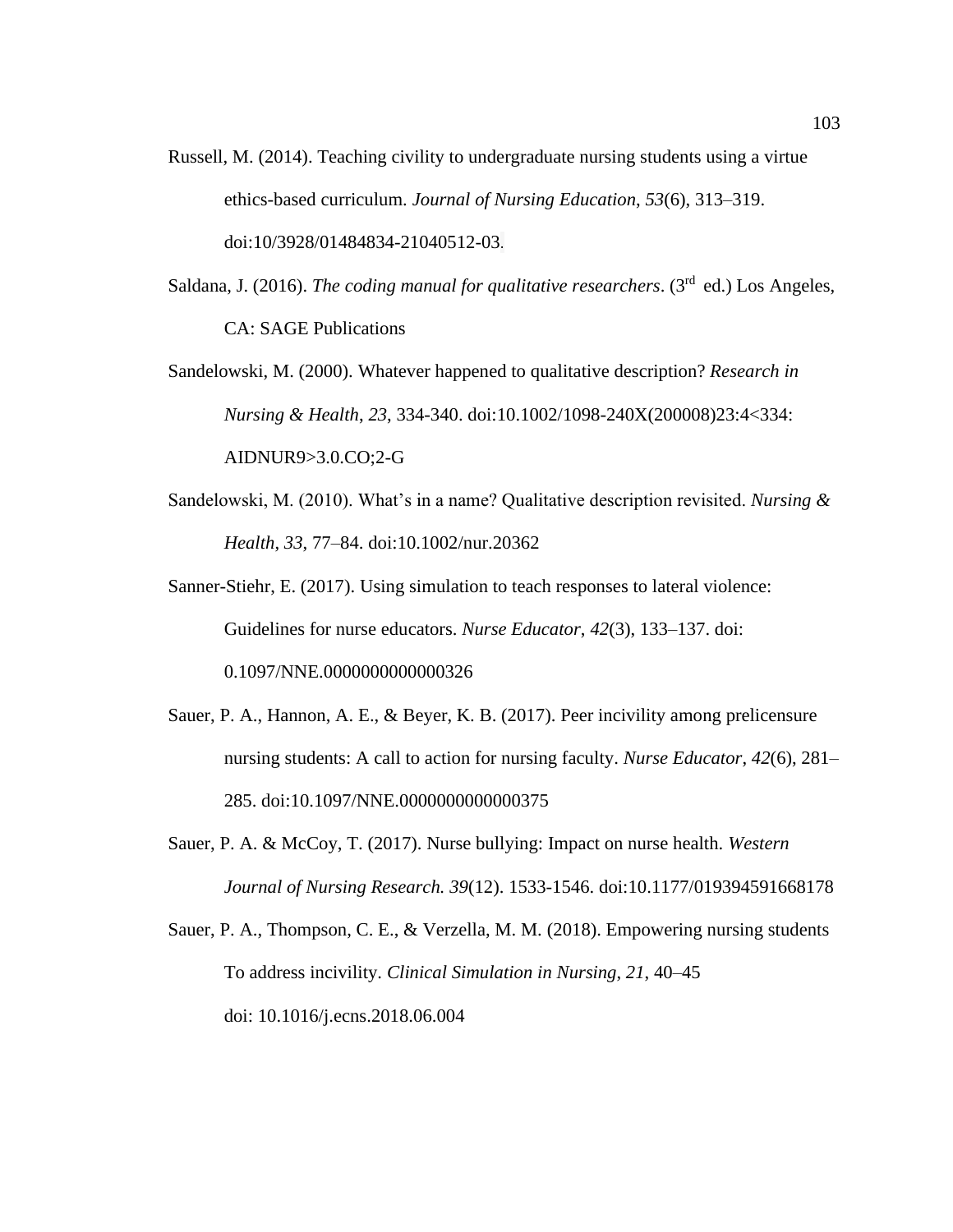- Russell, M. (2014). Teaching civility to undergraduate nursing students using a virtue ethics-based curriculum. *Journal of Nursing Education*, *53*(6), 313–319. doi:10/3928/01484834-21040512-03.
- Saldana, J. (2016). *The coding manual for qualitative researchers*. (3rd ed.) Los Angeles, CA: SAGE Publications
- Sandelowski, M. (2000). Whatever happened to qualitative description? *Research in Nursing & Health*, *23*, 334-340. doi:10.1002/1098-240X(200008)23:4<334: AIDNUR9>3.0.CO;2-G
- Sandelowski, M. (2010). What's in a name? Qualitative description revisited. *Nursing & Health*, *33*, 77–84. doi:10.1002/nur.20362
- Sanner-Stiehr, E. (2017). Using simulation to teach responses to lateral violence: Guidelines for nurse educators. *Nurse Educator*, *42*(3), 133–137. doi: 0.1097/NNE.0000000000000326
- Sauer, P. A., Hannon, A. E., & Beyer, K. B. (2017). Peer incivility among prelicensure nursing students: A call to action for nursing faculty. *Nurse Educator*, *42*(6), 281– 285. doi:10.1097/NNE.0000000000000375
- Sauer, P. A. & McCoy, T. (2017). Nurse bullying: Impact on nurse health. *Western Journal of Nursing Research. 39*(12). 1533-1546. doi:10.1177/019394591668178
- Sauer, P. A., Thompson, C. E., & Verzella, M. M. (2018). Empowering nursing students To address incivility. *Clinical Simulation in Nursing*, *21*, 40–45 doi: 10.1016/j.ecns.2018.06.004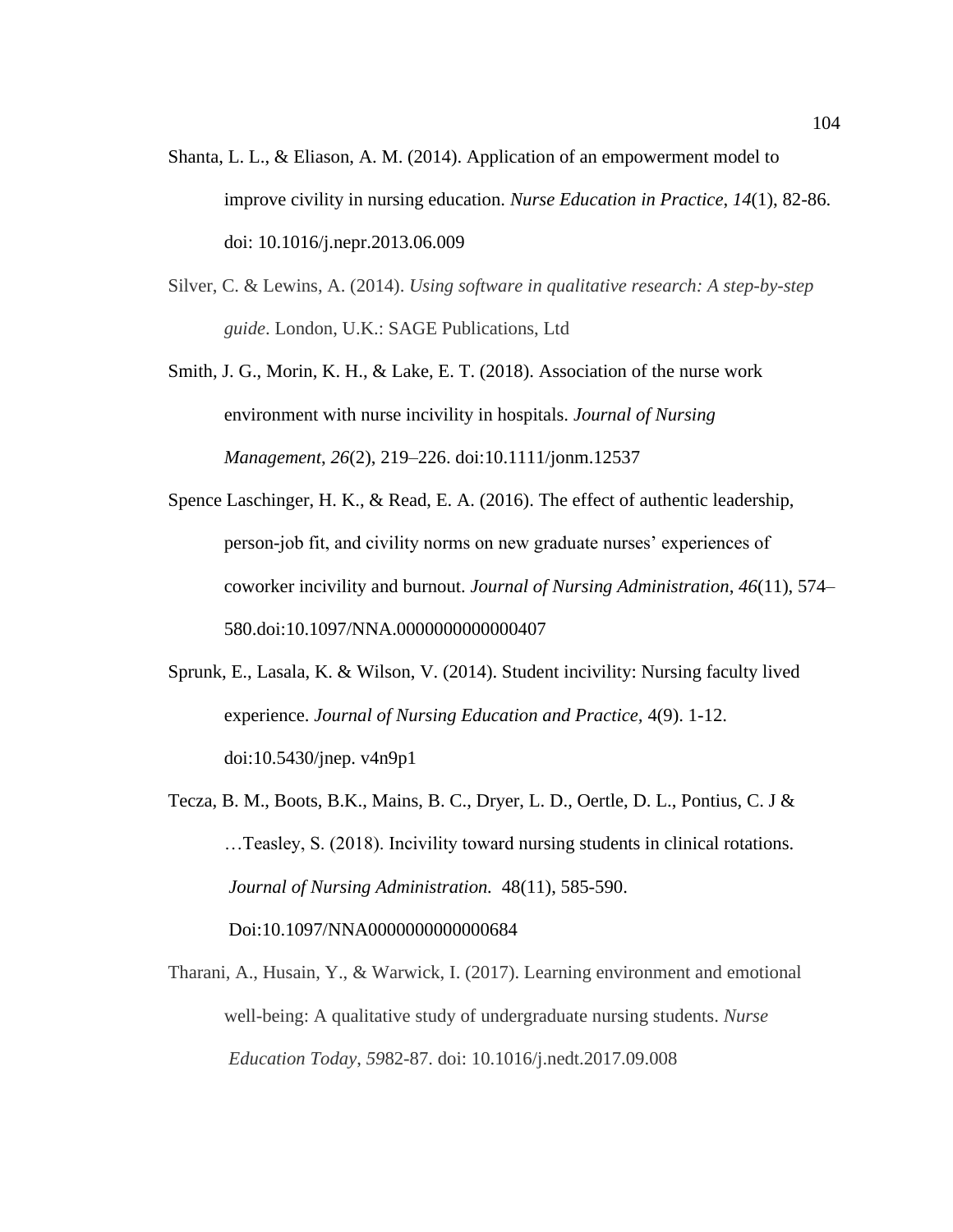- Shanta, L. L., & Eliason, A. M. (2014). Application of an empowerment model to improve civility in nursing education. *Nurse Education in Practice*, *14*(1), 82-86. doi: 10.1016/j.nepr.2013.06.009
- Silver, C. & Lewins, A. (2014). *Using software in qualitative research: A step-by-step guide*. London, U.K.: SAGE Publications, Ltd
- Smith, J. G., Morin, K. H., & Lake, E. T. (2018). Association of the nurse work environment with nurse incivility in hospitals. *Journal of Nursing Management*, *26*(2), 219–226. doi:10.1111/jonm.12537
- Spence Laschinger, H. K., & Read, E. A. (2016). The effect of authentic leadership, person-job fit, and civility norms on new graduate nurses' experiences of coworker incivility and burnout. *Journal of Nursing Administration*, *46*(11), 574– 580.doi:10.1097/NNA.0000000000000407
- Sprunk, E., Lasala, K. & Wilson, V. (2014). Student incivility: Nursing faculty lived experience. *Journal of Nursing Education and Practice,* 4(9). 1-12. doi:10.5430/jnep. v4n9p1
- Tecza, B. M., Boots, B.K., Mains, B. C., Dryer, L. D., Oertle, D. L., Pontius, C. J & …Teasley, S. (2018). Incivility toward nursing students in clinical rotations. *Journal of Nursing Administration.* 48(11), 585-590.

Doi:10.1097/NNA0000000000000684

Tharani, A., Husain, Y., & Warwick, I. (2017). Learning environment and emotional well-being: A qualitative study of undergraduate nursing students. *Nurse Education Today*, *59*82-87. doi: 10.1016/j.nedt.2017.09.008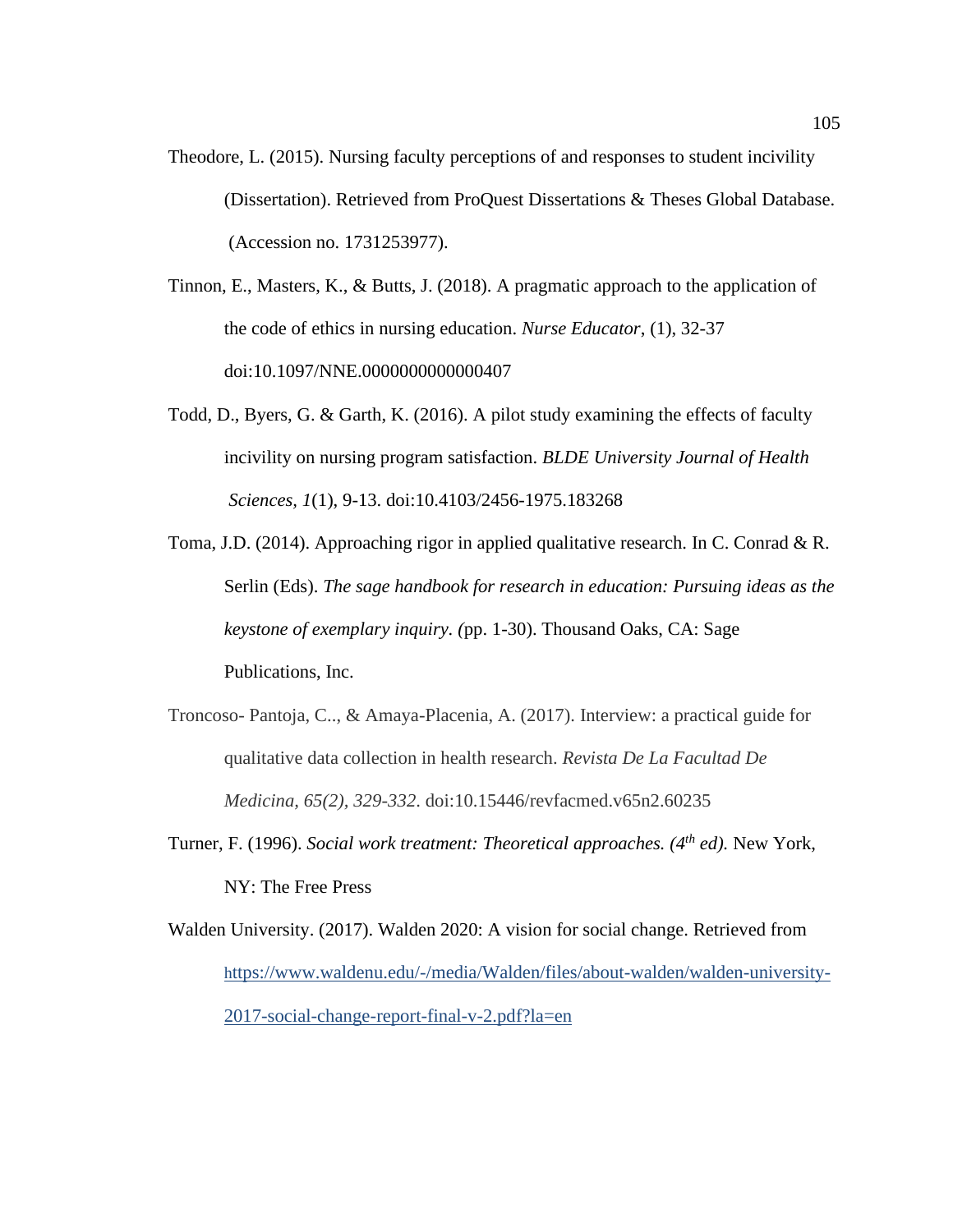- Theodore, L. (2015). Nursing faculty perceptions of and responses to student incivility (Dissertation). Retrieved from ProQuest Dissertations & Theses Global Database. (Accession no. 1731253977).
- Tinnon, E., Masters, K., & Butts, J. (2018). A pragmatic approach to the application of the code of ethics in nursing education. *Nurse Educator*, (1), 32-37 doi:10.1097/NNE.0000000000000407
- Todd, D., Byers, G. & Garth, K. (2016). A pilot study examining the effects of faculty incivility on nursing program satisfaction. *BLDE University Journal of Health Sciences, 1*(1), 9-13. doi:10.4103/2456-1975.183268
- Toma, J.D. (2014). Approaching rigor in applied qualitative research. In C. Conrad & R. Serlin (Eds). *The sage handbook for research in education: Pursuing ideas as the keystone of exemplary inquiry. (*pp. 1-30). Thousand Oaks, CA: Sage Publications, Inc.
- Troncoso- Pantoja, C.., & Amaya-Placenia, A. (2017). Interview: a practical guide for qualitative data collection in health research. *Revista De La Facultad De Medicina, 65(2), 329-332*. doi:10.15446/revfacmed.v65n2.60235
- Turner, F. (1996). *Social work treatment: Theoretical approaches. (4th ed).* New York, NY: The Free Press
- Walden University. (2017). Walden 2020: A vision for social change. Retrieved from h[ttps://www.waldenu.edu/-/media/Walden/files/about-walden/walden-university-](https://www.waldenu.edu/-/media/Walden/files/about-walden/walden-university-2017-social-change-report-final-v-2.pdf?la=en)[2017-social-change-report-final-v-2.pdf?la=en](https://www.waldenu.edu/-/media/Walden/files/about-walden/walden-university-2017-social-change-report-final-v-2.pdf?la=en)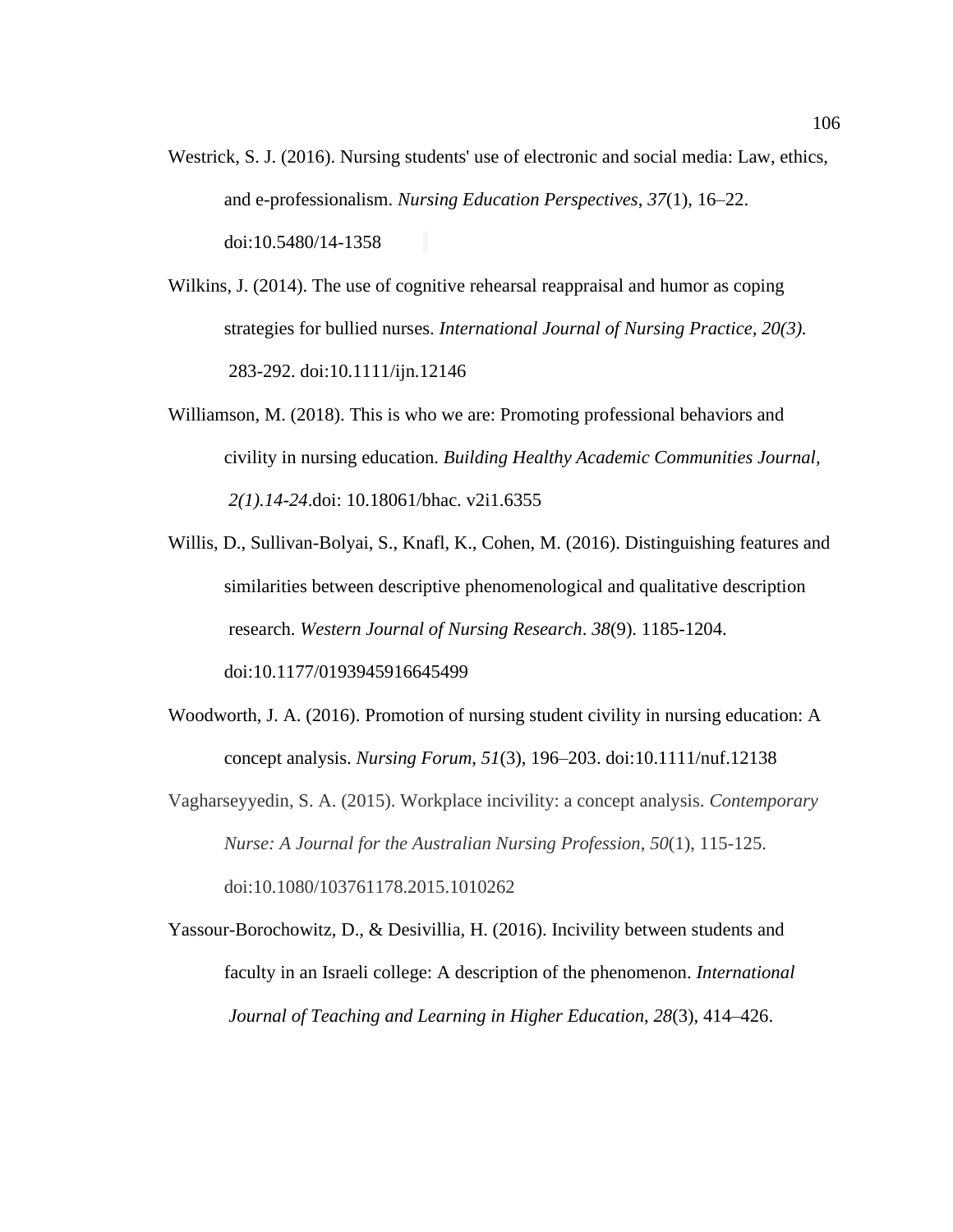- Westrick, S. J. (2016). Nursing students' use of electronic and social media: Law, ethics, and e-professionalism. *Nursing Education Perspectives*, *37*(1), 16–22. doi:10.5480/14-1358
- Wilkins, J. (2014). The use of cognitive rehearsal reappraisal and humor as coping strategies for bullied nurses. *International Journal of Nursing Practice, 20(3).* 283-292. doi:10.1111/ijn.12146
- Williamson, M. (2018). This is who we are: Promoting professional behaviors and civility in nursing education. *Building Healthy Academic Communities Journal, 2(1).14-24*.doi: 10.18061/bhac. v2i1.6355
- Willis, D., Sullivan-Bolyai, S., Knafl, K., Cohen, M. (2016). Distinguishing features and similarities between descriptive phenomenological and qualitative description research. *Western Journal of Nursing Research*. *38*(9). 1185-1204. doi:10.1177/0193945916645499
- Woodworth, J. A. (2016). Promotion of nursing student civility in nursing education: A concept analysis. *Nursing Forum*, *51*(3), 196–203. doi:10.1111/nuf.12138
- Vagharseyyedin, S. A. (2015). Workplace incivility: a concept analysis. *Contemporary Nurse: A Journal for the Australian Nursing Profession*, *50*(1), 115-125. doi:10.1080/103761178.2015.1010262
- Yassour-Borochowitz, D., & Desivillia, H. (2016). Incivility between students and faculty in an Israeli college: A description of the phenomenon. *International Journal of Teaching and Learning in Higher Education*, *28*(3), 414–426.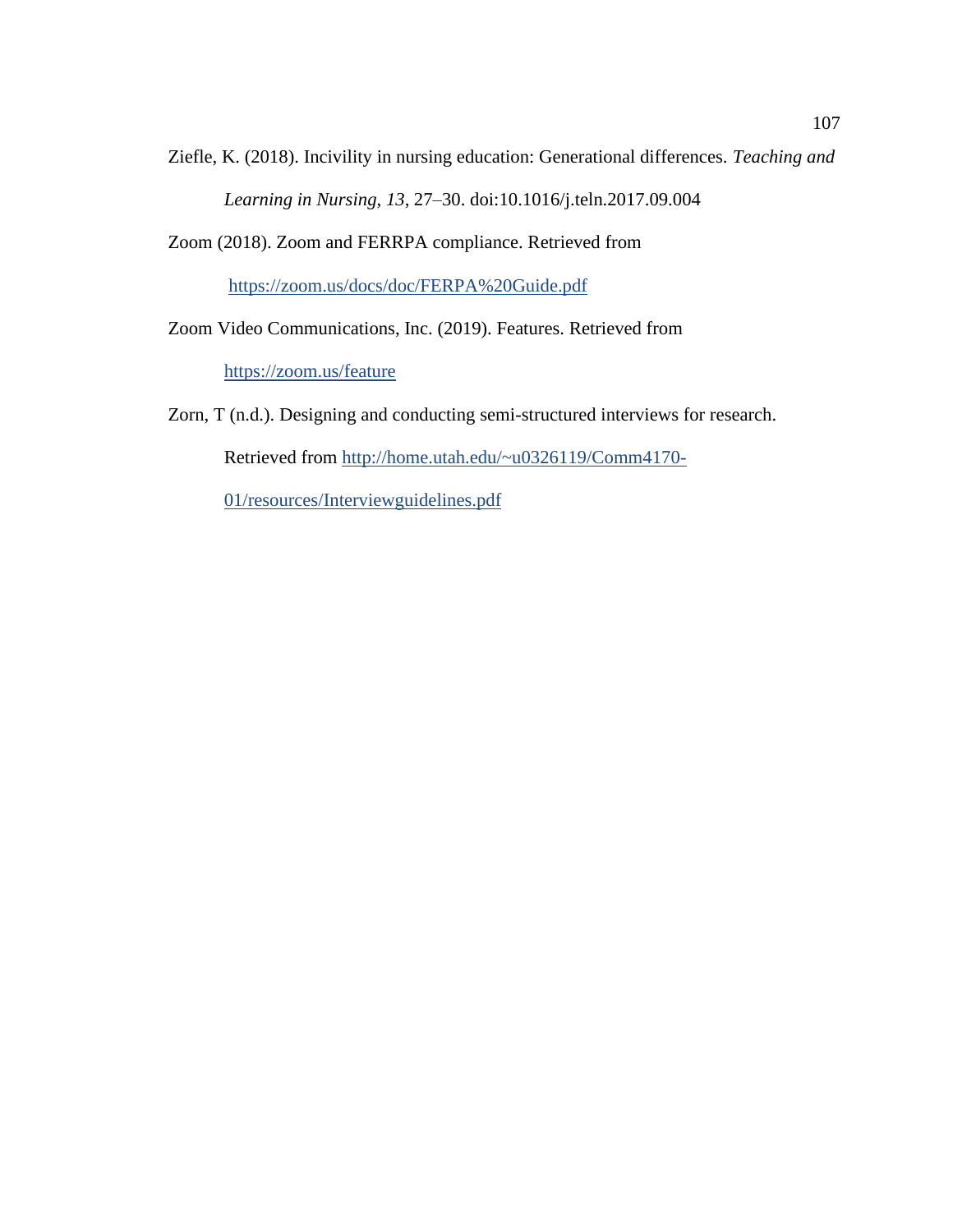- Ziefle, K. (2018). Incivility in nursing education: Generational differences. *Teaching and Learning in Nursing*, *13*, 27–30. doi:10.1016/j.teln.2017.09.004
- Zoom (2018). Zoom and FERRPA compliance. Retrieved from

<https://zoom.us/docs/doc/FERPA%20Guide.pdf>

Zoom Video Communications, Inc. (2019). Features. Retrieved from

<https://zoom.us/feature>

Zorn, T (n.d.). Designing and conducting semi-structured interviews for research. Retrieved from [http://home.utah.edu/~u0326119/Comm4170-](http://home.utah.edu/~u0326119/Comm4170-01/resources/Interviewguidelines.pdf)

[01/resources/Interviewguidelines.pdf](http://home.utah.edu/~u0326119/Comm4170-01/resources/Interviewguidelines.pdf)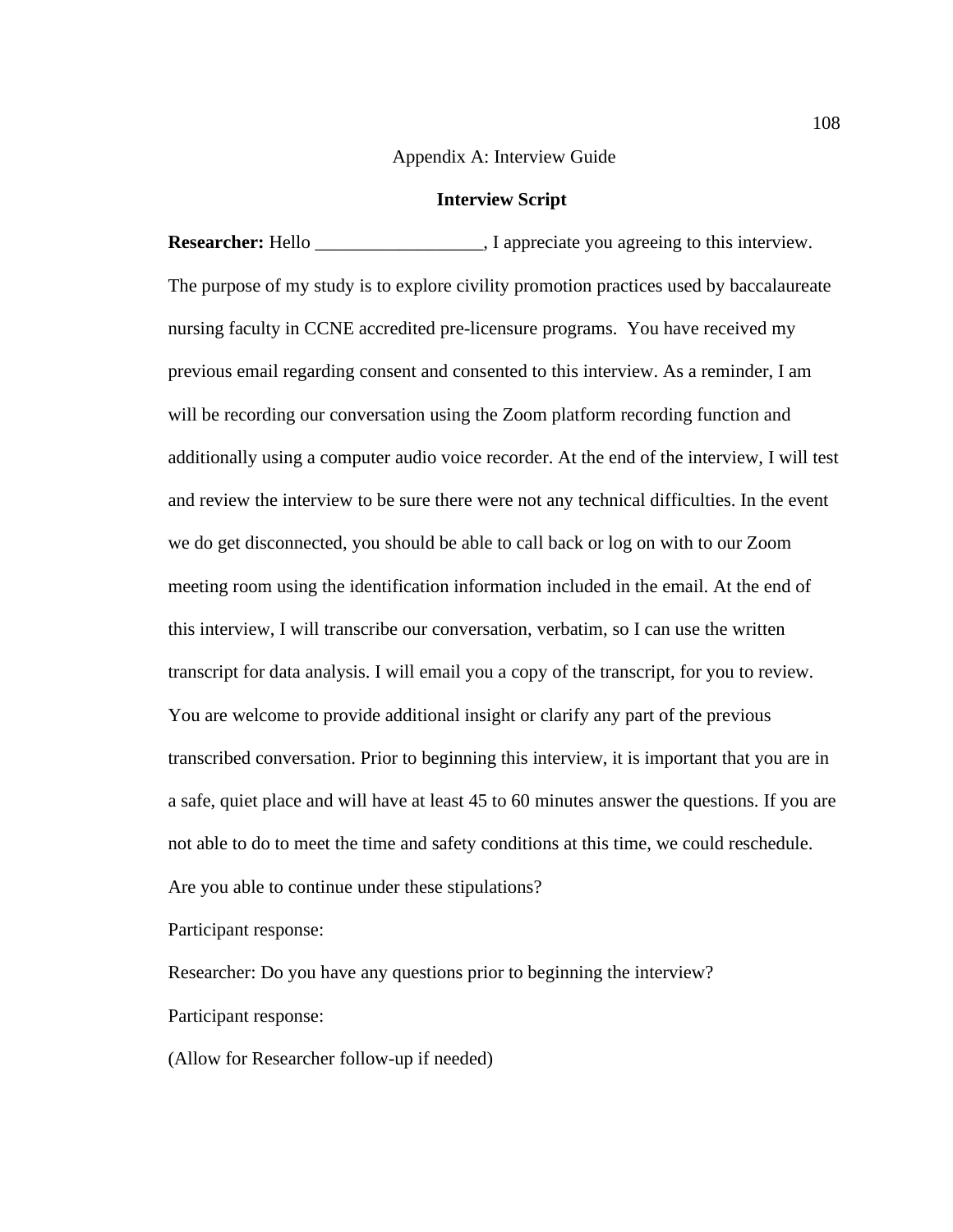### Appendix A: Interview Guide

#### **Interview Script**

**Researcher:** Hello \_\_\_\_\_\_\_\_\_\_\_\_\_\_\_\_\_\_\_\_\_, I appreciate you agreeing to this interview. The purpose of my study is to explore civility promotion practices used by baccalaureate nursing faculty in CCNE accredited pre-licensure programs. You have received my previous email regarding consent and consented to this interview. As a reminder, I am will be recording our conversation using the Zoom platform recording function and additionally using a computer audio voice recorder. At the end of the interview, I will test and review the interview to be sure there were not any technical difficulties. In the event we do get disconnected, you should be able to call back or log on with to our Zoom meeting room using the identification information included in the email. At the end of this interview, I will transcribe our conversation, verbatim, so I can use the written transcript for data analysis. I will email you a copy of the transcript, for you to review. You are welcome to provide additional insight or clarify any part of the previous transcribed conversation. Prior to beginning this interview, it is important that you are in a safe, quiet place and will have at least 45 to 60 minutes answer the questions. If you are not able to do to meet the time and safety conditions at this time, we could reschedule. Are you able to continue under these stipulations?

Participant response:

Researcher: Do you have any questions prior to beginning the interview? Participant response:

(Allow for Researcher follow-up if needed)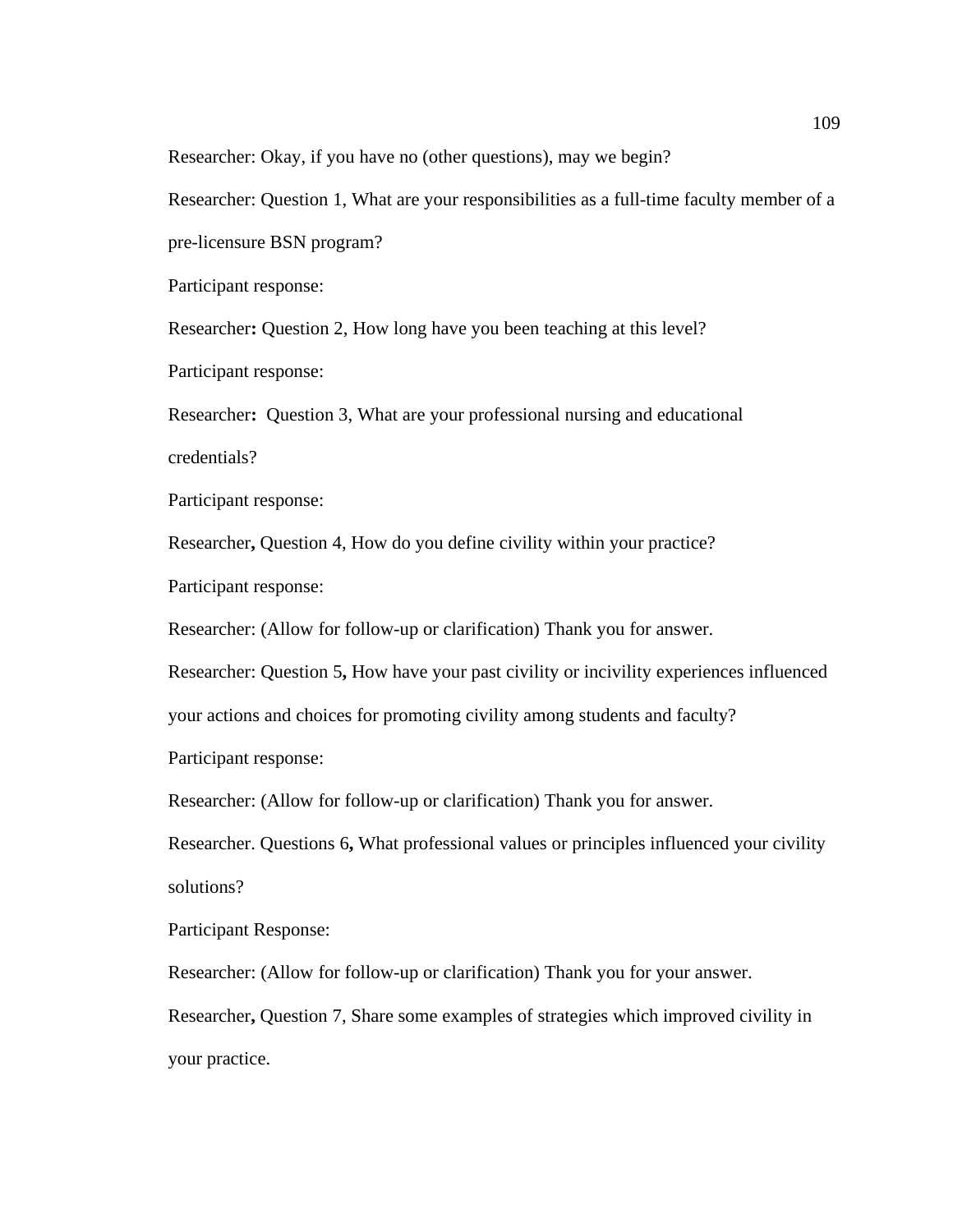Researcher: Okay, if you have no (other questions), may we begin?

Researcher: Question 1, What are your responsibilities as a full-time faculty member of a pre-licensure BSN program?

Participant response:

Researcher**:** Question 2, How long have you been teaching at this level?

Participant response:

Researcher**:** Question 3, What are your professional nursing and educational credentials?

Participant response:

Researcher**,** Question 4, How do you define civility within your practice?

Participant response:

Researcher: (Allow for follow-up or clarification) Thank you for answer.

Researcher: Question 5**,** How have your past civility or incivility experiences influenced

your actions and choices for promoting civility among students and faculty?

Participant response:

Researcher: (Allow for follow-up or clarification) Thank you for answer.

Researcher. Questions 6**,** What professional values or principles influenced your civility solutions?

Participant Response:

Researcher: (Allow for follow-up or clarification) Thank you for your answer.

Researcher**,** Question 7, Share some examples of strategies which improved civility in your practice.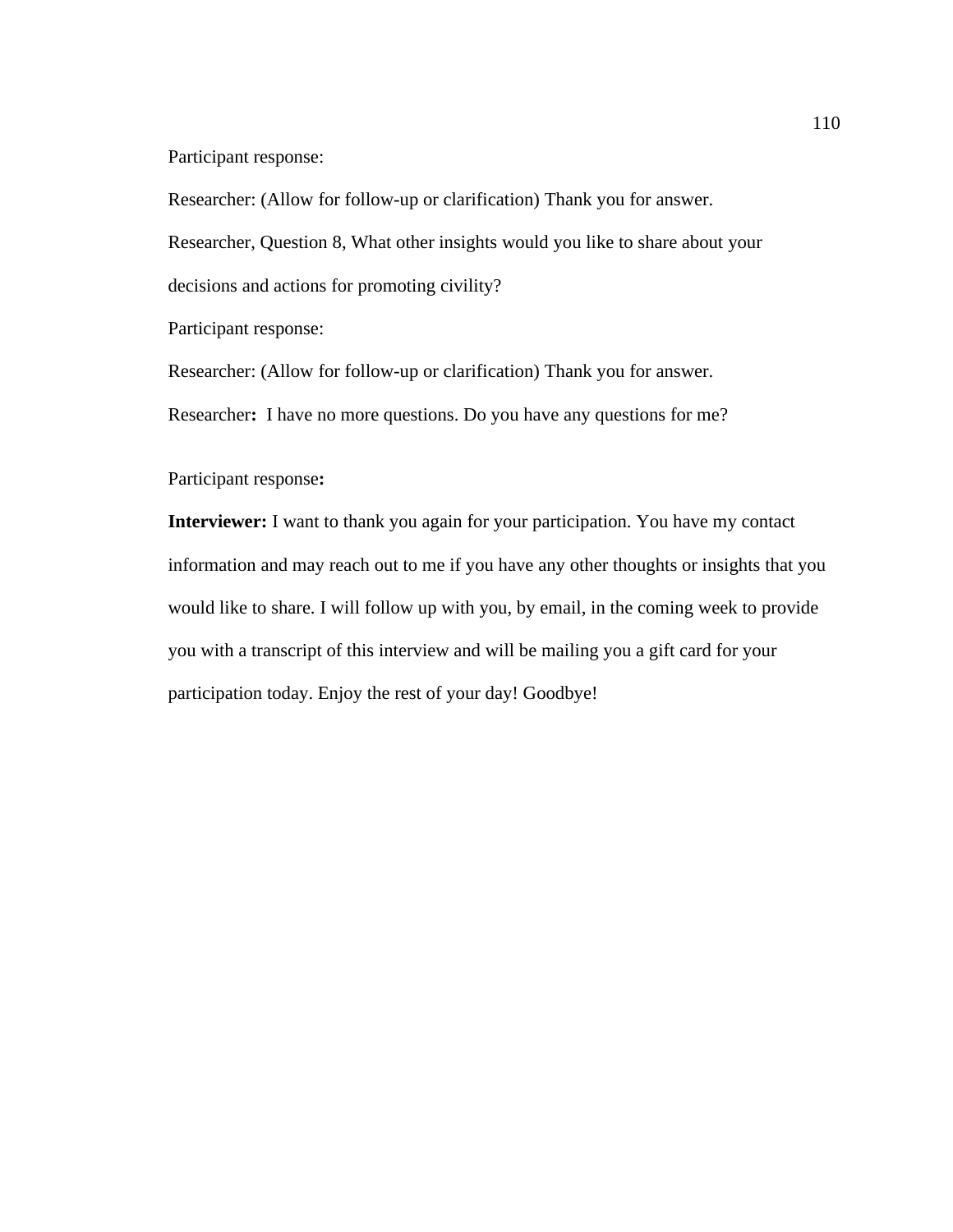## Participant response:

Researcher: (Allow for follow-up or clarification) Thank you for answer.

Researcher, Question 8, What other insights would you like to share about your

decisions and actions for promoting civility?

Participant response:

Researcher: (Allow for follow-up or clarification) Thank you for answer.

Researcher**:** I have no more questions. Do you have any questions for me?

# Participant response**:**

**Interviewer:** I want to thank you again for your participation. You have my contact information and may reach out to me if you have any other thoughts or insights that you would like to share. I will follow up with you, by email, in the coming week to provide you with a transcript of this interview and will be mailing you a gift card for your participation today. Enjoy the rest of your day! Goodbye!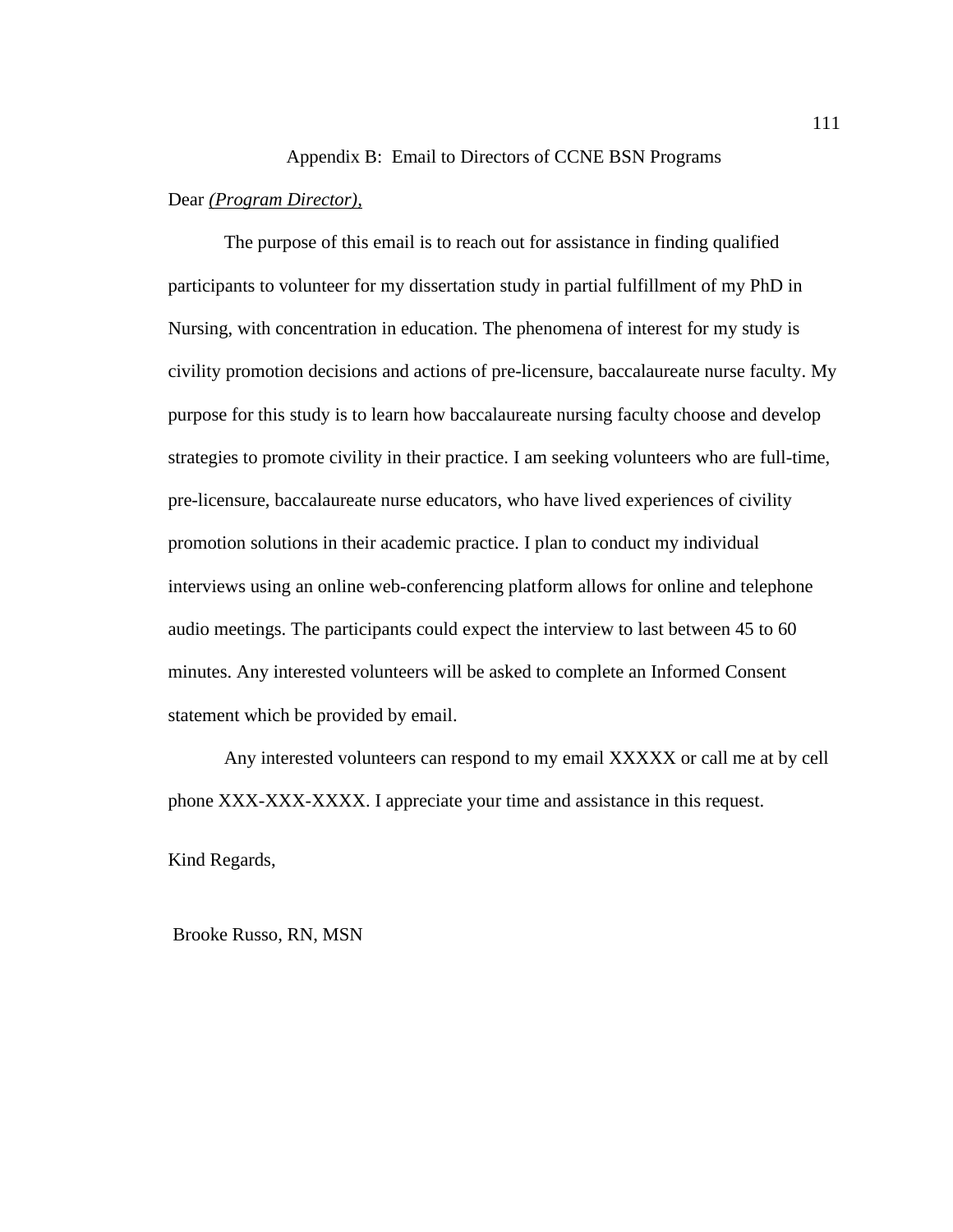# Appendix B: Email to Directors of CCNE BSN Programs

## Dear *(Program Director),*

The purpose of this email is to reach out for assistance in finding qualified participants to volunteer for my dissertation study in partial fulfillment of my PhD in Nursing, with concentration in education. The phenomena of interest for my study is civility promotion decisions and actions of pre-licensure, baccalaureate nurse faculty. My purpose for this study is to learn how baccalaureate nursing faculty choose and develop strategies to promote civility in their practice. I am seeking volunteers who are full-time, pre-licensure, baccalaureate nurse educators, who have lived experiences of civility promotion solutions in their academic practice. I plan to conduct my individual interviews using an online web-conferencing platform allows for online and telephone audio meetings. The participants could expect the interview to last between 45 to 60 minutes. Any interested volunteers will be asked to complete an Informed Consent statement which be provided by email.

Any interested volunteers can respond to my email XXXXX or call me at by cell phone XXX-XXX-XXXX. I appreciate your time and assistance in this request.

Kind Regards,

Brooke Russo, RN, MSN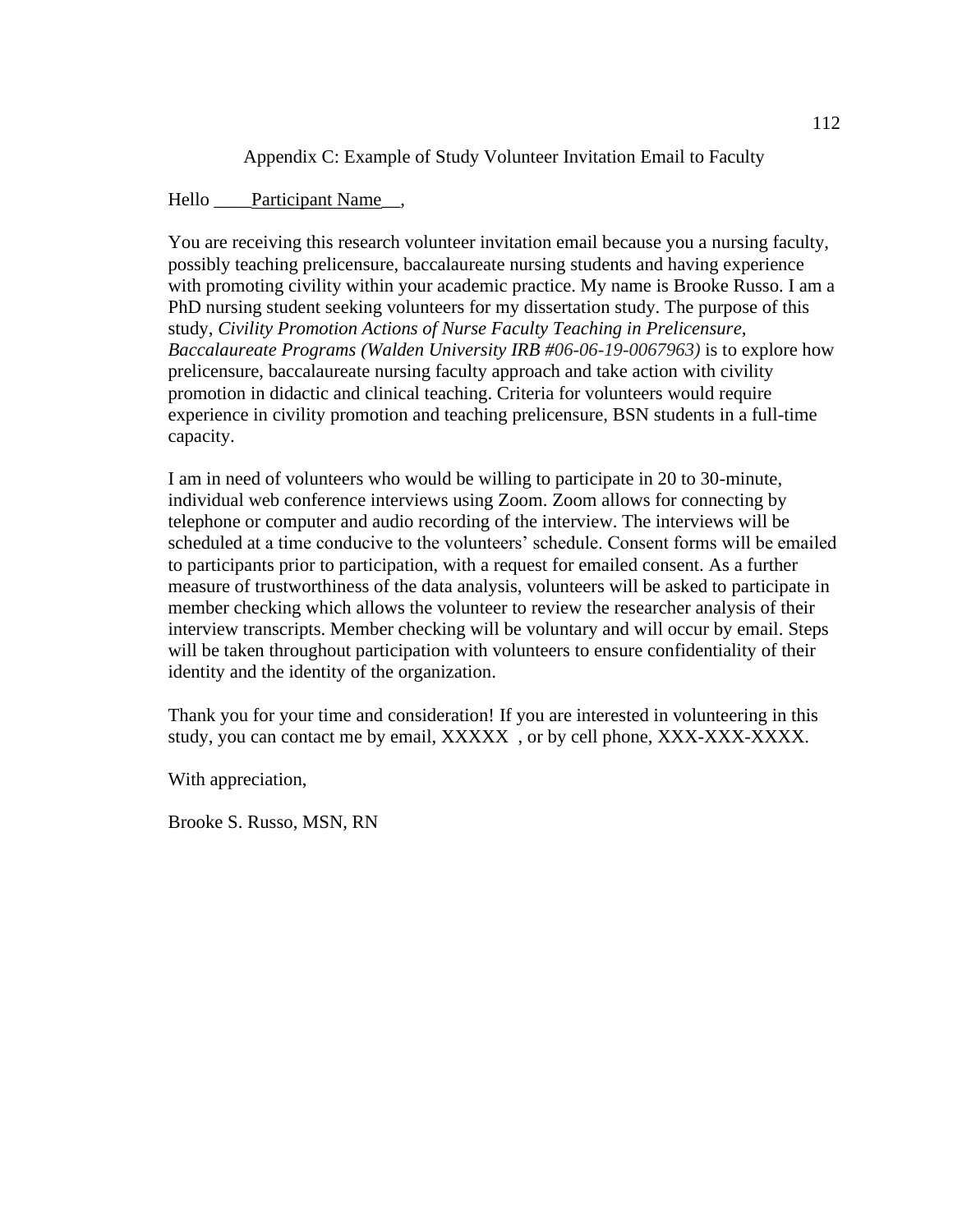Appendix C: Example of Study Volunteer Invitation Email to Faculty

# Hello Participant Name,

You are receiving this research volunteer invitation email because you a nursing faculty, possibly teaching prelicensure, baccalaureate nursing students and having experience with promoting civility within your academic practice. My name is Brooke Russo. I am a PhD nursing student seeking volunteers for my dissertation study. The purpose of this study, *Civility Promotion Actions of Nurse Faculty Teaching in Prelicensure, Baccalaureate Programs (Walden University IRB #06-06-19-0067963)* is to explore how prelicensure, baccalaureate nursing faculty approach and take action with civility promotion in didactic and clinical teaching. Criteria for volunteers would require experience in civility promotion and teaching prelicensure, BSN students in a full-time capacity.

I am in need of volunteers who would be willing to participate in 20 to 30-minute, individual web conference interviews using Zoom. Zoom allows for connecting by telephone or computer and audio recording of the interview. The interviews will be scheduled at a time conducive to the volunteers' schedule. Consent forms will be emailed to participants prior to participation, with a request for emailed consent. As a further measure of trustworthiness of the data analysis, volunteers will be asked to participate in member checking which allows the volunteer to review the researcher analysis of their interview transcripts. Member checking will be voluntary and will occur by email. Steps will be taken throughout participation with volunteers to ensure confidentiality of their identity and the identity of the organization.

Thank you for your time and consideration! If you are interested in volunteering in this study, you can contact me by email, XXXXX , or by cell phone, XXX-XXX-XXXX.

With appreciation,

Brooke S. Russo, MSN, RN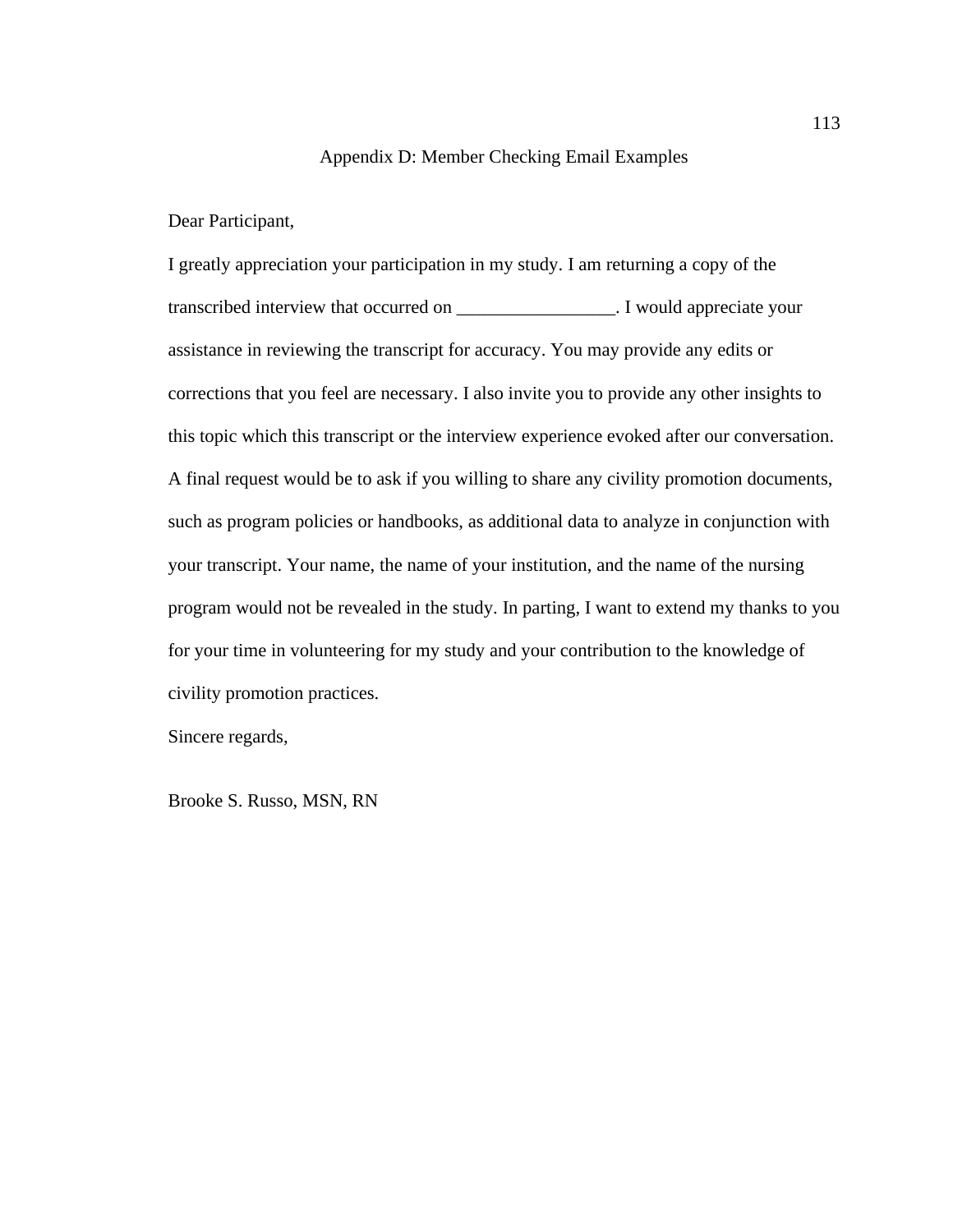#### Appendix D: Member Checking Email Examples

#### Dear Participant,

I greatly appreciation your participation in my study. I am returning a copy of the transcribed interview that occurred on \_\_\_\_\_\_\_\_\_\_\_\_\_\_\_\_\_. I would appreciate your assistance in reviewing the transcript for accuracy. You may provide any edits or corrections that you feel are necessary. I also invite you to provide any other insights to this topic which this transcript or the interview experience evoked after our conversation. A final request would be to ask if you willing to share any civility promotion documents, such as program policies or handbooks, as additional data to analyze in conjunction with your transcript. Your name, the name of your institution, and the name of the nursing program would not be revealed in the study. In parting, I want to extend my thanks to you for your time in volunteering for my study and your contribution to the knowledge of civility promotion practices.

Sincere regards,

Brooke S. Russo, MSN, RN